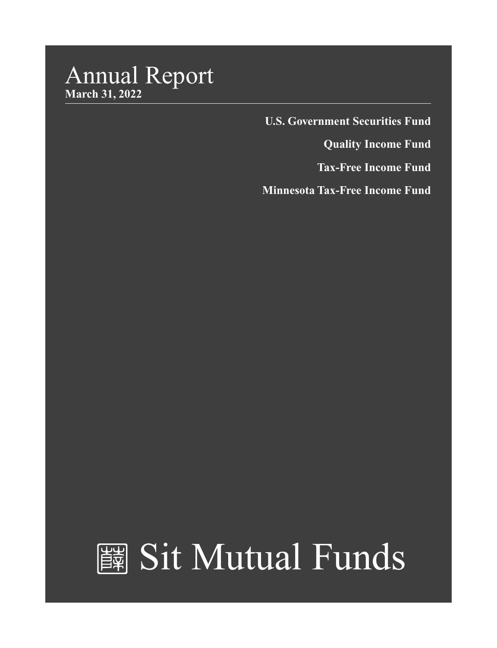# Annual Report **March 31, 2022**

**U.S. Government Securities Fund**

**Quality Income Fund**

**Tax-Free Income Fund**

**Minnesota Tax-Free Income Fund**

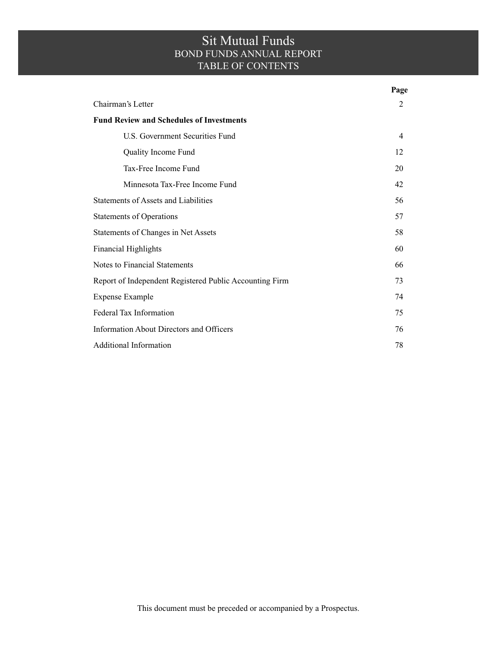# Sit Mutual Funds BOND FUNDS ANNUAL REPORT TABLE OF CONTENTS

|                                                         | Page |
|---------------------------------------------------------|------|
| Chairman's Letter                                       | 2    |
| <b>Fund Review and Schedules of Investments</b>         |      |
| U.S. Government Securities Fund                         | 4    |
| Quality Income Fund                                     | 12   |
| Tax-Free Income Fund                                    | 20   |
| Minnesota Tax-Free Income Fund                          | 42   |
| <b>Statements of Assets and Liabilities</b>             | 56   |
| <b>Statements of Operations</b>                         | 57   |
| Statements of Changes in Net Assets                     | 58   |
| <b>Financial Highlights</b>                             | 60   |
| Notes to Financial Statements                           | 66   |
| Report of Independent Registered Public Accounting Firm | 73   |
| <b>Expense Example</b>                                  | 74   |
| Federal Tax Information                                 | 75   |
| Information About Directors and Officers                | 76   |
| Additional Information                                  | 78   |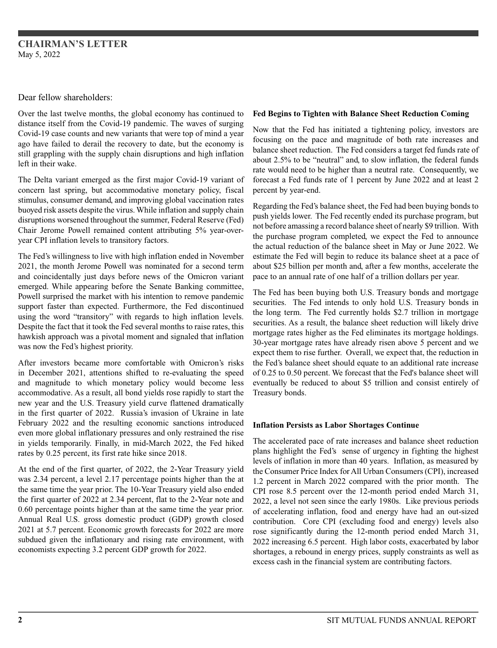### **CHAIRMAN'S LETTER** May 5, 2022

Dear fellow shareholders:

Over the last twelve months, the global economy has continued to distance itself from the Covid-19 pandemic. The waves of surging Covid-19 case counts and new variants that were top of mind a year ago have failed to derail the recovery to date, but the economy is still grappling with the supply chain disruptions and high inflation left in their wake.

The Delta variant emerged as the first major Covid-19 variant of concern last spring, but accommodative monetary policy, fiscal stimulus, consumer demand, and improving global vaccination rates buoyed risk assets despite the virus. While inflation and supply chain disruptions worsened throughout the summer, Federal Reserve (Fed) Chair Jerome Powell remained content attributing 5% year-overyear CPI inflation levels to transitory factors.

The Fed's willingness to live with high inflation ended in November 2021, the month Jerome Powell was nominated for a second term and coincidentally just days before news of the Omicron variant emerged. While appearing before the Senate Banking committee, Powell surprised the market with his intention to remove pandemic support faster than expected. Furthermore, the Fed discontinued using the word "transitory" with regards to high inflation levels. Despite the fact that it took the Fed several months to raise rates, this hawkish approach was a pivotal moment and signaled that inflation was now the Fed's highest priority.

After investors became more comfortable with Omicron's risks in December 2021, attentions shifted to re-evaluating the speed and magnitude to which monetary policy would become less accommodative. As a result, all bond yields rose rapidly to start the new year and the U.S. Treasury yield curve flattened dramatically in the first quarter of 2022. Russia's invasion of Ukraine in late February 2022 and the resulting economic sanctions introduced even more global inflationary pressures and only restrained the rise in yields temporarily. Finally, in mid-March 2022, the Fed hiked rates by 0.25 percent, its first rate hike since 2018.

At the end of the first quarter, of 2022, the 2-Year Treasury yield was 2.34 percent, a level 2.17 percentage points higher than the at the same time the year prior. The 10-Year Treasury yield also ended the first quarter of 2022 at 2.34 percent, flat to the 2-Year note and 0.60 percentage points higher than at the same time the year prior. Annual Real U.S. gross domestic product (GDP) growth closed 2021 at 5.7 percent. Economic growth forecasts for 2022 are more subdued given the inflationary and rising rate environment, with economists expecting 3.2 percent GDP growth for 2022.

### **Fed Begins to Tighten with Balance Sheet Reduction Coming**

Now that the Fed has initiated a tightening policy, investors are focusing on the pace and magnitude of both rate increases and balance sheet reduction. The Fed considers a target fed funds rate of about 2.5% to be "neutral" and, to slow inflation, the federal funds rate would need to be higher than a neutral rate. Consequently, we forecast a Fed funds rate of 1 percent by June 2022 and at least 2 percent by year-end.

Regarding the Fed's balance sheet, the Fed had been buying bonds to push yields lower. The Fed recently ended its purchase program, but not before amassing a record balance sheet of nearly \$9 trillion. With the purchase program completed, we expect the Fed to announce the actual reduction of the balance sheet in May or June 2022. We estimate the Fed will begin to reduce its balance sheet at a pace of about \$25 billion per month and, after a few months, accelerate the pace to an annual rate of one half of a trillion dollars per year.

The Fed has been buying both U.S. Treasury bonds and mortgage securities. The Fed intends to only hold U.S. Treasury bonds in the long term. The Fed currently holds \$2.7 trillion in mortgage securities. As a result, the balance sheet reduction will likely drive mortgage rates higher as the Fed eliminates its mortgage holdings. 30-year mortgage rates have already risen above 5 percent and we expect them to rise further. Overall, we expect that, the reduction in the Fed's balance sheet should equate to an additional rate increase of 0.25 to 0.50 percent. We forecast that the Fed's balance sheet will eventually be reduced to about \$5 trillion and consist entirely of Treasury bonds.

### **Inflation Persists as Labor Shortages Continue**

The accelerated pace of rate increases and balance sheet reduction plans highlight the Fed's sense of urgency in fighting the highest levels of inflation in more than 40 years. Inflation, as measured by the Consumer Price Index for All Urban Consumers (CPI), increased 1.2 percent in March 2022 compared with the prior month. The CPI rose 8.5 percent over the 12-month period ended March 31, 2022, a level not seen since the early 1980s. Like previous periods of accelerating inflation, food and energy have had an out-sized contribution. Core CPI (excluding food and energy) levels also rose significantly during the 12-month period ended March 31, 2022 increasing 6.5 percent. High labor costs, exacerbated by labor shortages, a rebound in energy prices, supply constraints as well as excess cash in the financial system are contributing factors.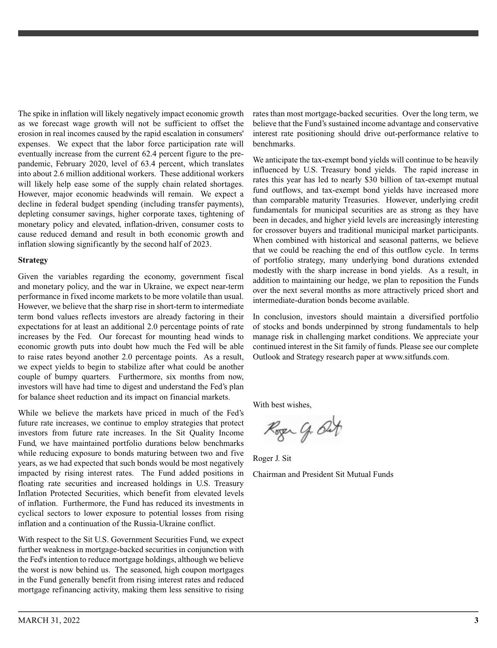The spike in inflation will likely negatively impact economic growth as we forecast wage growth will not be sufficient to offset the erosion in real incomes caused by the rapid escalation in consumers' expenses. We expect that the labor force participation rate will eventually increase from the current 62.4 percent figure to the prepandemic, February 2020, level of 63.4 percent, which translates into about 2.6 million additional workers. These additional workers will likely help ease some of the supply chain related shortages. However, major economic headwinds will remain. We expect a decline in federal budget spending (including transfer payments), depleting consumer savings, higher corporate taxes, tightening of monetary policy and elevated, inflation-driven, consumer costs to cause reduced demand and result in both economic growth and inflation slowing significantly by the second half of 2023.

#### **Strategy**

Given the variables regarding the economy, government fiscal and monetary policy, and the war in Ukraine, we expect near-term performance in fixed income markets to be more volatile than usual. However, we believe that the sharp rise in short-term to intermediate term bond values reflects investors are already factoring in their expectations for at least an additional 2.0 percentage points of rate increases by the Fed. Our forecast for mounting head winds to economic growth puts into doubt how much the Fed will be able to raise rates beyond another 2.0 percentage points. As a result, we expect yields to begin to stabilize after what could be another couple of bumpy quarters. Furthermore, six months from now, investors will have had time to digest and understand the Fed's plan for balance sheet reduction and its impact on financial markets.

While we believe the markets have priced in much of the Fed's future rate increases, we continue to employ strategies that protect investors from future rate increases. In the Sit Quality Income Fund, we have maintained portfolio durations below benchmarks while reducing exposure to bonds maturing between two and five years, as we had expected that such bonds would be most negatively impacted by rising interest rates. The Fund added positions in floating rate securities and increased holdings in U.S. Treasury Inflation Protected Securities, which benefit from elevated levels of inflation. Furthermore, the Fund has reduced its investments in cyclical sectors to lower exposure to potential losses from rising inflation and a continuation of the Russia-Ukraine conflict.

With respect to the Sit U.S. Government Securities Fund, we expect further weakness in mortgage-backed securities in conjunction with the Fed's intention to reduce mortgage holdings, although we believe the worst is now behind us. The seasoned, high coupon mortgages in the Fund generally benefit from rising interest rates and reduced mortgage refinancing activity, making them less sensitive to rising

rates than most mortgage-backed securities. Over the long term, we believe that the Fund's sustained income advantage and conservative interest rate positioning should drive out-performance relative to benchmarks.

We anticipate the tax-exempt bond yields will continue to be heavily influenced by U.S. Treasury bond yields. The rapid increase in rates this year has led to nearly \$30 billion of tax-exempt mutual fund outflows, and tax-exempt bond yields have increased more than comparable maturity Treasuries. However, underlying credit fundamentals for municipal securities are as strong as they have been in decades, and higher yield levels are increasingly interesting for crossover buyers and traditional municipal market participants. When combined with historical and seasonal patterns, we believe that we could be reaching the end of this outflow cycle. In terms of portfolio strategy, many underlying bond durations extended modestly with the sharp increase in bond yields. As a result, in addition to maintaining our hedge, we plan to reposition the Funds over the next several months as more attractively priced short and intermediate-duration bonds become available.

In conclusion, investors should maintain a diversified portfolio of stocks and bonds underpinned by strong fundamentals to help manage risk in challenging market conditions. We appreciate your continued interest in the Sit family of funds. Please see our complete Outlook and Strategy research paper at www.sitfunds.com.

With best wishes,

Roger G. Out

Roger J. Sit

Chairman and President Sit Mutual Funds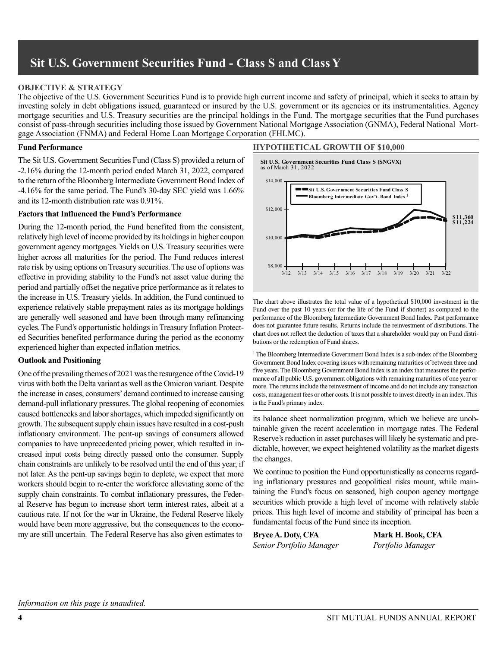# **Sit U.S. Government Securities Fund - Class S and Class Y**

#### **OBJECTIVE & STRATEGY**

The objective of the U.S. Government Securities Fund is to provide high current income and safety of principal, which it seeks to attain by investing solely in debt obligations issued, guaranteed or insured by the U.S. government or its agencies or its instrumentalities. Agency mortgage securities and U.S. Treasury securities are the principal holdings in the Fund. The mortgage securities that the Fund purchases consist of pass-through securities including those issued by Government National Mortgage Association (GNMA), Federal National Mortgage Association (FNMA) and Federal Home Loan Mortgage Corporation (FHLMC).

#### **Fund Performance**

The Sit U.S. Government Securities Fund (Class S) provided a return of -2.16% during the 12-month period ended March 31, 2022, compared to the return of the Bloomberg Intermediate Government Bond Index of -4.16% for the same period. The Fund's 30-day SEC yield was 1.66% and its 12-month distribution rate was 0.91%.

#### **Factors that Influenced the Fund's Performance**

During the 12-month period, the Fund benefited from the consistent, relatively high level of income provided by its holdings in higher coupon government agency mortgages. Yields on U.S. Treasury securities were higher across all maturities for the period. The Fund reduces interest rate risk by using options on Treasury securities. The use of options was effective in providing stability to the Fund's net asset value during the period and partially offset the negative price performance as it relates to the increase in U.S. Treasury yields. In addition, the Fund continued to experience relatively stable prepayment rates as its mortgage holdings are generally well seasoned and have been through many refinancing cycles. The Fund's opportunistic holdings in Treasury Inflation Protected Securities benefited performance during the period as the economy experienced higher than expected inflation metrics.

### **Outlook and Positioning**

One of the prevailing themes of 2021 was the resurgence of the Covid-19 virus with both the Delta variant as well as the Omicron variant. Despite the increase in cases, consumers' demand continued to increase causing demand-pull inflationary pressures. The global reopening of economies caused bottlenecks and labor shortages, which impeded significantly on growth. The subsequent supply chain issues have resulted in a cost-push inflationary environment. The pent-up savings of consumers allowed companies to have unprecedented pricing power, which resulted in increased input costs being directly passed onto the consumer. Supply chain constraints are unlikely to be resolved until the end of this year, if not later. As the pent-up savings begin to deplete, we expect that more workers should begin to re-enter the workforce alleviating some of the supply chain constraints. To combat inflationary pressures, the Federal Reserve has begun to increase short term interest rates, albeit at a cautious rate. If not for the war in Ukraine, the Federal Reserve likely would have been more aggressive, but the consequences to the economy are still uncertain. The Federal Reserve has also given estimates to

### **HYPOTHETICAL GROWTH OF \$10,000**



The chart above illustrates the total value of a hypothetical \$10,000 investment in the Fund over the past 10 years (or for the life of the Fund if shorter) as compared to the performance of the Bloomberg Intermediate Government Bond Index. Past performance does not guarantee future results. Returns include the reinvestment of distributions. The chart does not reflect the deduction of taxes that a shareholder would pay on Fund distributions or the redemption of Fund shares.

<sup>1</sup> The Bloomberg Intermediate Government Bond Index is a sub-index of the Bloomberg Government Bond Index covering issues with remaining maturities of between three and five years. The Bloomberg Government Bond Index is an index that measures the performance of all public U.S. government obligations with remaining maturities of one year or more. The returns include the reinvestment of income and do not include any transaction costs, management fees or other costs. It is not possible to invest directly in an index. This is the Fund's primary index.

its balance sheet normalization program, which we believe are unobtainable given the recent acceleration in mortgage rates. The Federal Reserve's reduction in asset purchases will likely be systematic and predictable, however, we expect heightened volatility as the market digests the changes.

We continue to position the Fund opportunistically as concerns regarding inflationary pressures and geopolitical risks mount, while maintaining the Fund's focus on seasoned, high coupon agency mortgage securities which provide a high level of income with relatively stable prices. This high level of income and stability of principal has been a fundamental focus of the Fund since its inception.

*Senior Portfolio Manager Portfolio Manager*

**Bryce A. Doty, CFA Mark H. Book, CFA**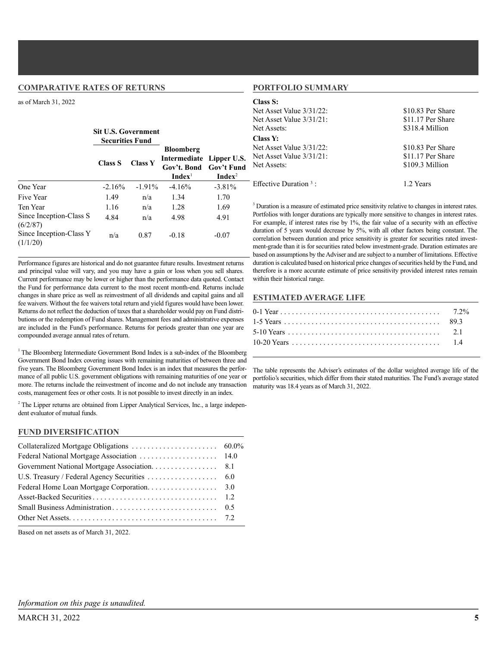#### **COMPARATIVE RATES OF RETURNS**

as of March 31, 2022

|                                     | <b>Sit U.S. Government</b><br><b>Securities Fund</b> |                |                                                                                   |                                  |
|-------------------------------------|------------------------------------------------------|----------------|-----------------------------------------------------------------------------------|----------------------------------|
|                                     | <b>Class S</b>                                       | <b>Class Y</b> | <b>Bloomberg</b><br>Intermediate Lipper U.S.<br>Gov't. Bond<br>Index <sup>1</sup> | Gov't Fund<br>Index <sup>2</sup> |
| One Year                            | $-2.16%$                                             | $-1.91\%$      | $-4.16%$                                                                          | $-3.81\%$                        |
| Five Year                           | 1.49                                                 | n/a            | 1.34                                                                              | 1.70                             |
| Ten Year                            | 1.16                                                 | n/a            | 1.28                                                                              | 1.69                             |
| Since Inception-Class S<br>(6/2/87) | 4.84                                                 | n/a            | 4.98                                                                              | 4.91                             |
| Since Inception-Class Y<br>(1/1/20) | n/a                                                  | 0.87           | $-0.18$                                                                           | $-0.07$                          |

Performance figures are historical and do not guarantee future results. Investment returns and principal value will vary, and you may have a gain or loss when you sell shares. Current performance may be lower or higher than the performance data quoted. Contact the Fund for performance data current to the most recent month-end. Returns include changes in share price as well as reinvestment of all dividends and capital gains and all fee waivers. Without the fee waivers total return and yield figures would have been lower. Returns do not reflect the deduction of taxes that a shareholder would pay on Fund distributions or the redemption of Fund shares. Management fees and administrative expenses are included in the Fund's performance. Returns for periods greater than one year are compounded average annual rates of return.

<sup>1</sup> The Bloomberg Intermediate Government Bond Index is a sub-index of the Bloomberg Government Bond Index covering issues with remaining maturities of between three and five years. The Bloomberg Government Bond Index is an index that measures the performance of all public U.S. government obligations with remaining maturities of one year or more. The returns include the reinvestment of income and do not include any transaction costs, management fees or other costs. It is not possible to invest directly in an index.

<sup>2</sup> The Lipper returns are obtained from Lipper Analytical Services, Inc., a large independent evaluator of mutual funds.

#### **FUND DIVERSIFICATION**

| Government National Mortgage Association. 8.1 |  |
|-----------------------------------------------|--|
|                                               |  |
| Federal Home Loan Mortgage Corporation. 3.0   |  |
|                                               |  |
|                                               |  |
|                                               |  |

Based on net assets as of March 31, 2022.

#### **PORTFOLIO SUMMARY**

| <b>Class S:</b>          |                   |
|--------------------------|-------------------|
| Net Asset Value 3/31/22: | \$10.83 Per Share |
| Net Asset Value 3/31/21: | \$11.17 Per Share |
| Net Assets:              | \$318.4 Million   |
| <b>Class Y:</b>          |                   |
| Net Asset Value 3/31/22: | \$10.83 Per Share |
| Net Asset Value 3/31/21: | \$11.17 Per Share |
| Net Assets:              | \$109.3 Million   |
| Effective Duration $3$ : | 1.2 Years         |

<sup>3</sup> Duration is a measure of estimated price sensitivity relative to changes in interest rates. Portfolios with longer durations are typically more sensitive to changes in interest rates. For example, if interest rates rise by 1%, the fair value of a security with an effective duration of 5 years would decrease by 5%, with all other factors being constant. The correlation between duration and price sensitivity is greater for securities rated investment-grade than it is for securities rated below investment-grade. Duration estimates are based on assumptions by the Adviser and are subject to a number of limitations. Effective duration is calculated based on historical price changes of securities held by the Fund, and therefore is a more accurate estimate of price sensitivity provided interest rates remain within their historical range.

#### **ESTIMATED AVERAGE LIFE**

The table represents the Adviser's estimates of the dollar weighted average life of the portfolio's securities, which differ from their stated maturities. The Fund's average stated maturity was 18.4 years as of March 31, 2022.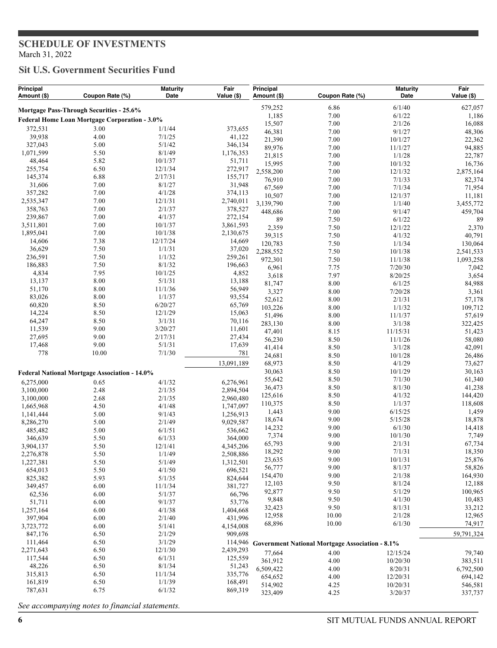### **Sit U.S. Government Securities Fund**

| Principal<br>Amount (\$) | Coupon Rate (%)                                 | <b>Maturity</b><br>Date | Fair<br>Value (\$) | Principal<br>Amount (\$) | Coupon Rate (%)                                         | <b>Maturity</b><br>Date | Fair<br>Value (\$)   |
|--------------------------|-------------------------------------------------|-------------------------|--------------------|--------------------------|---------------------------------------------------------|-------------------------|----------------------|
|                          | <b>Mortgage Pass-Through Securities - 25.6%</b> |                         |                    | 579,252                  | 6.86                                                    | 6/1/40                  | 627,057              |
|                          | Federal Home Loan Mortgage Corporation - 3.0%   |                         |                    | 1,185                    | 7.00                                                    | 6/1/22                  | 1,186                |
| 372,531                  | 3.00                                            | 1/1/44                  | 373,655            | 15,507                   | 7.00                                                    | 2/1/26                  | 16,088               |
| 39,938                   | 4.00                                            | 7/1/25                  | 41,122             | 46,381                   | 7.00                                                    | 9/1/27                  | 48,306               |
| 327,043                  | 5.00                                            | 5/1/42                  | 346,134            | 21,390                   | 7.00                                                    | 10/1/27                 | 22,362               |
| 1,071,599                | 5.50                                            | 8/1/49                  | 1,176,353          | 89,976                   | 7.00                                                    | 11/1/27                 | 94,885               |
| 48,464                   | 5.82                                            | 10/1/37                 | 51,711             | 21,815                   | 7.00                                                    | 1/1/28                  | 22,787               |
| 255,754                  | 6.50                                            | 12/1/34                 | 272,917            | 15,995                   | 7.00                                                    | 10/1/32                 | 16,736               |
| 145,374                  | 6.88                                            | 2/17/31                 | 155,717            | 2,558,200                | 7.00                                                    | 12/1/32                 | 2,875,164            |
| 31,606                   | 7.00                                            | 8/1/27                  | 31,948             | 76,910                   | 7.00                                                    | 7/1/33                  | 82,374               |
| 357,282                  | 7.00                                            | 4/1/28                  | 374,113            | 67,569                   | 7.00<br>7.00                                            | 7/1/34                  | 71,954               |
| 2,535,347                | 7.00                                            | 12/1/31                 | 2,740,011          | 10,507                   | 7.00                                                    | 12/1/37<br>1/1/40       | 11,181               |
| 358,763                  | 7.00                                            | 2/1/37                  | 378,527            | 3,139,790<br>448,686     | 7.00                                                    | 9/1/47                  | 3,455,772<br>459,704 |
| 239,867                  | 7.00                                            | 4/1/37                  | 272,154            | 89                       | 7.50                                                    | 6/1/22                  | 89                   |
| 3,511,801                | 7.00                                            | 10/1/37                 | 3,861,593          | 2,359                    | 7.50                                                    | 12/1/22                 | 2,370                |
| 1,895,041                | 7.00                                            | 10/1/38                 | 2,130,675          | 39,315                   | 7.50                                                    | 4/1/32                  | 40,791               |
| 14,606                   | 7.38                                            | 12/17/24                | 14,669             | 120,783                  | 7.50                                                    | 1/1/34                  | 130,064              |
| 36,629                   | 7.50                                            | 1/1/31                  | 37,020             | 2,288,552                | 7.50                                                    | 10/1/38                 | 2,541,533            |
| 236,591                  | 7.50                                            | 1/1/32                  | 259,261            | 972,301                  | 7.50                                                    | 11/1/38                 | 1,093,258            |
| 186,883                  | 7.50                                            | 8/1/32                  | 196,663            | 6,961                    | 7.75                                                    | 7/20/30                 | 7,042                |
| 4,834                    | 7.95                                            | 10/1/25                 | 4,852              | 3,618                    | 7.97                                                    | 8/20/25                 | 3,654                |
| 13,137                   | 8.00                                            | 5/1/31                  | 13,188             | 81,747                   | 8.00                                                    | 6/1/25                  | 84,988               |
| 51,170                   | 8.00                                            | 11/1/36                 | 56,949             | 3,327                    | 8.00                                                    | 7/20/28                 | 3,361                |
| 83,026                   | $8.00\,$                                        | 1/1/37                  | 93,554             | 52,612                   | 8.00                                                    | 2/1/31                  | 57,178               |
| 60,820                   | 8.50                                            | 6/20/27                 | 65,769             | 103,226                  | 8.00                                                    | 1/1/32                  | 109,712              |
| 14,224                   | 8.50                                            | 12/1/29                 | 15,063             | 51,496                   | 8.00                                                    | 11/1/37                 | 57,619               |
| 64,247                   | 8.50                                            | 3/1/31                  | 70,116             | 283,130                  | 8.00                                                    | 3/1/38                  | 322,425              |
| 11,539                   | 9.00                                            | 3/20/27                 | 11,601             | 47,401                   | 8.15                                                    | 11/15/31                | 51,423               |
| 27,695                   | 9.00                                            | 2/17/31                 | 27,434             | 56,230                   | 8.50                                                    | 11/1/26                 | 58,080               |
| 17,468                   | 9.00                                            | 5/1/31                  | 17,639             | 41,414                   | 8.50                                                    | 3/1/28                  | 42,091               |
| 778                      | 10.00                                           | 7/1/30                  | 781                | 24,681                   | 8.50                                                    | 10/1/28                 | 26,486               |
|                          |                                                 |                         | 13,091,189         | 68,973                   | 8.50                                                    | 4/1/29                  | 73,627               |
|                          | Federal National Mortgage Association - 14.0%   |                         |                    | 30,063                   | 8.50                                                    | 10/1/29                 | 30,163               |
| 6,275,000                | 0.65                                            | 4/1/32                  | 6,276,961          | 55,642                   | 8.50                                                    | 7/1/30                  | 61,340               |
| 3,100,000                | 2.48                                            | 2/1/35                  | 2,894,504          | 36,473                   | 8.50                                                    | 8/1/30                  | 41,238               |
| 3,100,000                | 2.68                                            | 2/1/35                  | 2,960,480          | 125,616                  | 8.50                                                    | 4/1/32                  | 144,420              |
| 1,665,968                | 4.50                                            | 4/1/48                  | 1,747,097          | 110,375                  | 8.50                                                    | 1/1/37                  | 118,608              |
| 1,141,444                | 5.00                                            | 9/1/43                  | 1,256,913          | 1,443                    | 9.00                                                    | 6/15/25                 | 1,459                |
| 8,286,270                | 5.00                                            | 2/1/49                  | 9,029,587          | 18,674                   | 9.00                                                    | 5/15/28                 | 18,878               |
| 485,482                  | 5.00                                            | 6/1/51                  | 536,662            | 14,232                   | 9.00                                                    | 6/1/30                  | 14,418               |
| 346,639                  | 5.50                                            | 6/1/33                  | 364,000            | 7,374                    | 9.00                                                    | 10/1/30                 | 7,749                |
| 3,904,137                | 5.50                                            | 12/1/41                 | 4,345,206          | 65,793                   | 9.00                                                    | 2/1/31                  | 67,734               |
| 2,276,878                | 5.50                                            | 1/1/49                  | 2,508,886          | 18,292                   | 9.00                                                    | 7/1/31                  | 18,350               |
| 1,227,381                | 5.50                                            | 5/1/49                  | 1,312,501          | 23,635                   | 9.00                                                    | 10/1/31                 | 25,876               |
| 654,013                  | 5.50                                            | 4/1/50                  | 696,521            | 56,777                   | 9.00                                                    | 8/1/37                  | 58,826               |
| 825,382                  | 5.93                                            | 5/1/35                  | 824,644            | 154,470                  | 9.00                                                    | 2/1/38                  | 164,930              |
| 349,457                  | 6.00                                            | 11/1/34                 | 381,727            | 12,103                   | 9.50                                                    | 8/1/24                  | 12,188               |
| 62,536                   | 6.00                                            | 5/1/37                  | 66,796             | 92,877                   | 9.50                                                    | 5/1/29                  | 100,965              |
| 51,711                   | 6.00                                            | 9/1/37                  | 53,776             | 9,848                    | 9.50                                                    | 4/1/30                  | 10,483               |
| 1,257,164                | 6.00                                            | 4/1/38                  | 1,404,668          | 32,423                   | 9.50                                                    | 8/1/31                  | 33,212               |
| 397,904                  | 6.00                                            | 2/1/40                  | 431,996            | 12,958                   | 10.00                                                   | 2/1/28                  | 12,965               |
| 3,723,772                | 6.00                                            | 5/1/41                  | 4,154,008          | 68,896                   | 10.00                                                   | 6/1/30                  | 74,917               |
| 847,176                  | 6.50                                            | 2/1/29                  | 909,698            |                          |                                                         |                         | 59,791,324           |
| 111,464                  | 6.50                                            | 3/1/29                  |                    |                          | 114,946 Government National Mortgage Association - 8.1% |                         |                      |
| 2,271,643                | 6.50                                            | 12/1/30                 | 2,439,293          | 77,664                   | 4.00                                                    | 12/15/24                | 79,740               |
| 117,544                  | 6.50                                            | 6/1/31                  | 125,559            | 361,912                  | 4.00                                                    | 10/20/30                | 383,511              |
| 48,226                   | 6.50                                            | 8/1/34                  | 51,243             | 6,509,422                | 4.00                                                    | 8/20/31                 | 6,792,500            |
| 315,813                  | 6.50                                            | 11/1/34                 | 335,776            | 654,652                  | 4.00                                                    | 12/20/31                | 694,142              |
| 161,819                  | 6.50                                            | 1/1/39                  | 168,491            | 514,902                  | 4.25                                                    | 10/20/31                | 546,581              |
| 787,631                  | 6.75                                            | 6/1/32                  | 869,319            | 323,409                  | 4.25                                                    | 3/20/37                 | 337,737              |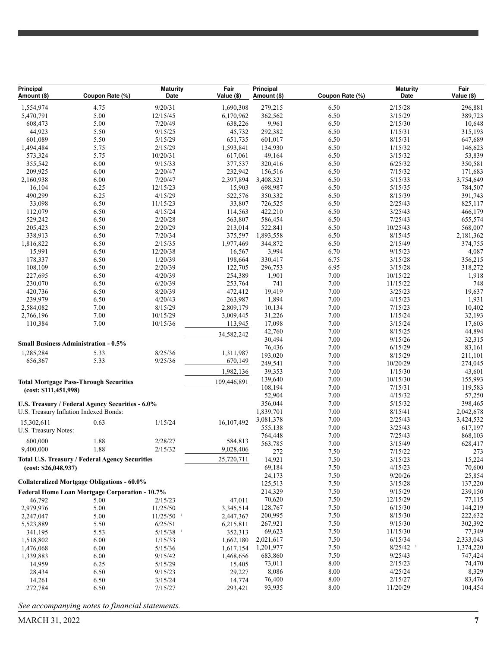| Principal<br>Amount (\$)                    | Coupon Rate (%)                                        | <b>Maturity</b><br>Date | Fair<br>Value (\$) | <b>Principal</b><br>Amount (\$) | Coupon Rate (%) | <b>Maturity</b><br>Date | Fair<br>Value (\$) |
|---------------------------------------------|--------------------------------------------------------|-------------------------|--------------------|---------------------------------|-----------------|-------------------------|--------------------|
| 1,554,974                                   | 4.75                                                   | 9/20/31                 | 1,690,308          | 279,215                         | 6.50            | 2/15/28                 | 296,881            |
| 5,470,791                                   | 5.00                                                   | 12/15/45                | 6,170,962          | 362,562                         | 6.50            | 3/15/29                 | 389,723            |
| 608,473                                     | 5.00                                                   | 7/20/49                 | 638,226            | 9,961                           | 6.50            | 2/15/30                 | 10,648             |
| 44,923                                      | 5.50                                                   | 9/15/25                 | 45,732             | 292,382                         | 6.50            | 1/15/31                 | 315,193            |
| 601,089                                     | 5.50                                                   | 5/15/29                 | 651,735            | 601,017                         | 6.50            | 8/15/31                 | 647,689            |
| 1,494,484                                   | 5.75                                                   | 2/15/29                 | 1,593,841          | 134,930                         | 6.50            | 1/15/32                 | 146,623            |
| 573,324                                     | 5.75                                                   | 10/20/31                | 617,061            | 49,164                          | 6.50            | 3/15/32                 | 53,839             |
| 355,542                                     | 6.00                                                   | 9/15/33                 | 377,537            | 320,416                         | 6.50            | 6/25/32                 | 350,581            |
| 209,925                                     | 6.00                                                   | 2/20/47                 | 232,942            | 156,516                         | 6.50            | 7/15/32                 | 171,683            |
| 2,160,938                                   | 6.00                                                   | 7/20/47                 | 2,397,894          | 3,408,321                       | 6.50            | 5/15/33                 | 3,754,649          |
| 16,104                                      | 6.25                                                   | 12/15/23                | 15,903             | 698,987                         | 6.50            | 5/15/35                 | 784,507            |
| 490,299                                     | 6.25                                                   | 4/15/29                 | 522,576            | 350,332                         | 6.50            | 8/15/39                 | 391,743            |
| 33,098                                      | 6.50                                                   | 11/15/23                | 33,807             | 726,525                         | 6.50            | 2/25/43                 | 825,117            |
| 112,079                                     | 6.50                                                   | 4/15/24                 | 114,563            | 422,210                         | 6.50            | 3/25/43                 | 466,179            |
| 529,242                                     | 6.50                                                   | 2/20/28                 | 563,807            | 586,454                         | 6.50            | 7/25/43                 | 655,574            |
| 205,423                                     | 6.50                                                   | 2/20/29                 | 213,014            | 522,841                         | 6.50            | 10/25/43                | 568,007            |
| 338,913                                     | 6.50                                                   | 7/20/34                 | 375,597            | 1,893,558                       | 6.50            | 8/15/45                 | 2,181,362          |
| 1,816,822                                   | 6.50                                                   | 2/15/35                 | 1,977,469          | 344,872                         | 6.50            | 2/15/49                 | 374,755            |
| 15,991                                      | 6.50                                                   | 12/20/38                | 16,567             | 3,994                           | 6.70            | 9/15/23                 | 4,087              |
| 178,337                                     | 6.50                                                   | 1/20/39                 | 198,664            | 330,417                         | 6.75            | 3/15/28                 | 356,215            |
| 108,109                                     | 6.50                                                   | 2/20/39                 | 122,705            | 296,753                         | 6.95            | 3/15/28                 | 318,272            |
| 227,695                                     | 6.50                                                   | 4/20/39                 | 254,389            | 1,901                           | 7.00            | 10/15/22                | 1,918              |
| 230,070                                     | 6.50                                                   | 6/20/39                 | 253,764            | 741                             | 7.00            | 11/15/22                | 748                |
| 420,736                                     | 6.50                                                   | 8/20/39                 | 472,412            | 19,419                          | 7.00            | 3/25/23                 | 19,637             |
| 239,979                                     | 6.50                                                   | 4/20/43                 | 263,987            | 1,894                           | 7.00            | 4/15/23                 | 1,931              |
| 2,584,082                                   | 7.00                                                   | 8/15/29                 | 2,809,179          | 10,134                          | 7.00            | 7/15/23                 | 10,402             |
| 2,766,196                                   | 7.00                                                   | 10/15/29<br>10/15/36    | 3,009,445          | 31,226                          | 7.00            | 1/15/24                 | 32,193             |
| 110,384                                     | 7.00                                                   |                         | 113,945            | 17,098                          | 7.00            | 3/15/24                 | 17,603             |
|                                             |                                                        |                         | 34,582,242         | 42,760                          | 7.00<br>7.00    | 8/15/25<br>9/15/26      | 44,894             |
| <b>Small Business Administration - 0.5%</b> |                                                        |                         |                    | 30,494<br>76,436                | 7.00            | 6/15/29                 | 32,315<br>83,161   |
| 1,285,284                                   | 5.33                                                   | 8/25/36                 | 1,311,987          | 193,020                         | 7.00            | 8/15/29                 | 211,101            |
| 656,367                                     | 5.33                                                   | 9/25/36                 | 670,149            | 249,541                         | 7.00            | 10/20/29                | 274,045            |
|                                             |                                                        |                         | 1,982,136          | 39,353                          | 7.00            | 1/15/30                 | 43,601             |
|                                             |                                                        |                         |                    | 139,640                         | 7.00            | 10/15/30                | 155,993            |
|                                             | <b>Total Mortgage Pass-Through Securities</b>          |                         | 109,446,891        | 108,194                         | 7.00            | 7/15/31                 | 119,583            |
| (cost: \$111,451,998)                       |                                                        |                         |                    | 52,904                          | 7.00            | 4/15/32                 | 57,250             |
|                                             | U.S. Treasury / Federal Agency Securities - 6.0%       |                         |                    | 356,044                         | 7.00            | 5/15/32                 | 398,465            |
| U.S. Treasury Inflation Indexed Bonds:      |                                                        |                         |                    | 1,839,701                       | 7.00            | 8/15/41                 | 2,042,678          |
| 15,302,611                                  | 0.63                                                   | 1/15/24                 | 16,107,492         | 3,081,378                       | 7.00            | 2/25/43                 | 3,424,532          |
| U.S. Treasury Notes:                        |                                                        |                         |                    | 555,138                         | 7.00            | 3/25/43                 | 617,197            |
|                                             |                                                        |                         |                    | 764,448                         | 7.00            | 7/25/43                 | 868,103            |
| 600,000                                     | 1.88                                                   | 2/28/27                 | 584,813            | 563,785                         | 7.00            | 3/15/49                 | 628,417            |
| 9,400,000                                   | 1.88                                                   | 2/15/32                 | 9,028,406          | 272                             | 7.50            | 7/15/22                 | 273                |
|                                             | <b>Total U.S. Treasury / Federal Agency Securities</b> |                         | 25,720,711         | 14,921                          | $7.50\,$        | 3/15/23                 | 15,224             |
| (cost: \$26,048,937)                        |                                                        |                         |                    | 69,184                          | 7.50            | 4/15/23                 | 70,600             |
|                                             |                                                        |                         |                    | 24,173                          | 7.50            | 9/20/26                 | 25,854             |
|                                             | <b>Collateralized Mortgage Obligations - 60.0%</b>     |                         |                    | 125,513                         | 7.50            | 3/15/28                 | 137,220            |
|                                             | Federal Home Loan Mortgage Corporation - 10.7%         |                         |                    | 214,329                         | 7.50            | 9/15/29                 | 239,150            |
| 46,792                                      | 5.00                                                   | 2/15/23                 | 47,011             | 70,620                          | 7.50            | 12/15/29                | 77,115             |
| 2,979,976                                   | 5.00                                                   | 11/25/50                | 3,345,514          | 128,767                         | 7.50            | 6/15/30                 | 144,219            |
| 2,247,047                                   | 5.00                                                   | $11/25/50$ <sup>1</sup> | 2,447,367          | 200,995                         | 7.50            | 8/15/30                 | 222,632            |
| 5,523,889                                   | 5.50                                                   | 6/25/51                 | 6,215,811          | 267,921                         | 7.50            | 9/15/30                 | 302,392            |
| 341,195                                     | 5.53                                                   | $5/15/38$ <sup>1</sup>  | 352,313            | 69,623                          | 7.50            | 11/15/30                | 77,349             |
| 1,518,802                                   | 6.00                                                   | 1/15/33                 | 1,662,180          | 2,021,617                       | 7.50            | 6/15/34                 | 2,333,043          |
| 1,476,068                                   | 6.00                                                   | 5/15/36                 | 1,617,154          | 1,201,977                       | 7.50            | $8/25/42$ <sup>1</sup>  | 1,374,220          |
| 1,339,883                                   | 6.00                                                   | 9/15/42                 | 1,468,656          | 683,860                         | 7.50            | 9/25/43                 | 747,424            |
| 14,959                                      | 6.25                                                   | 5/15/29                 | 15,405             | 73,011                          | 8.00            | 2/15/23                 | 74,470             |
| 28,434                                      | 6.50                                                   | 9/15/23                 | 29,227             | 8,086                           | 8.00            | 4/25/24                 | 8,329              |
| 14,261                                      | 6.50                                                   | 3/15/24                 | 14,774             | 76,400<br>93,935                | 8.00<br>8.00    | 2/15/27                 | 83,476<br>104,454  |
| 272,784                                     | 6.50                                                   | 7/15/27                 | 293,421            |                                 |                 | 11/20/29                |                    |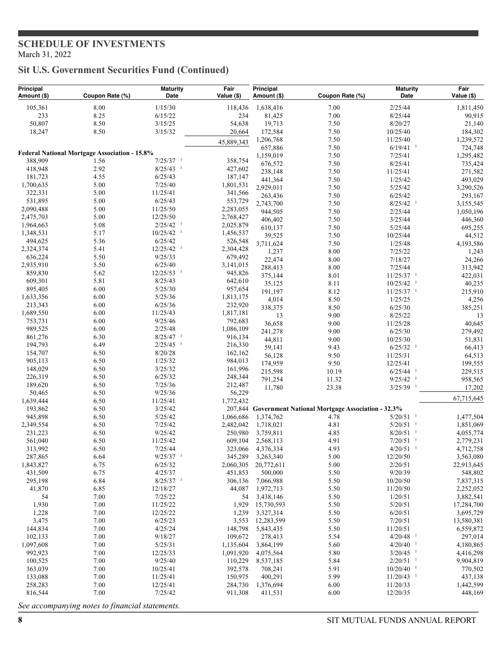# **Sit U.S. Government Securities Fund (Continued)**

| Principal<br>Amount (\$) | Coupon Rate (%)                                      | <b>Maturity</b><br>Date | Fair<br>Value (\$)     | <b>Principal</b><br>Amount (\$) | Coupon Rate (%)                                          | <b>Maturity</b><br>Date            | Fair<br>Value (\$)   |
|--------------------------|------------------------------------------------------|-------------------------|------------------------|---------------------------------|----------------------------------------------------------|------------------------------------|----------------------|
| 105,361                  | 8.00                                                 | 1/15/30                 | 118,436                | 1,638,416                       | 7.00                                                     | 2/25/44                            | 1,811,450            |
| 233                      | 8.25                                                 | 6/15/22                 | 234                    | 81,425                          | 7.00                                                     | 8/25/44                            | 90,915               |
| 50,807                   | 8.50                                                 | 3/15/25                 | 54,638                 | 19,713                          | 7.50                                                     | 8/20/27                            | 21,140               |
| 18,247                   | 8.50                                                 | 3/15/32                 | 20,664                 | 172,584                         | 7.50                                                     | 10/25/40                           | 184,302              |
|                          |                                                      |                         | 45,889,343             | 1,206,768                       | 7.50                                                     | 11/25/40                           | 1,239,572            |
|                          |                                                      |                         |                        | 657,886                         | 7.50                                                     | $6/19/41$ <sup>1</sup>             | 724,748              |
|                          | <b>Federal National Mortgage Association - 15.8%</b> |                         |                        | 1,159,019                       | 7.50                                                     | 7/25/41                            | 1,295,482            |
| 388,909                  | 1.56                                                 | $7/25/37$ <sup>1</sup>  | 358,754                | 676,572                         | 7.50                                                     | 8/25/41                            | 735,424              |
| 418,948                  | 2.92                                                 | $8/25/43$ <sup>1</sup>  | 427,602                | 238,148                         | 7.50                                                     | 11/25/41                           | 271,582              |
| 181,723                  | 4.55                                                 | 6/25/43                 | 187,147                | 441,364                         | 7.50                                                     | 1/25/42                            | 493,029              |
| 1,700,635                | 5.00                                                 | 7/25/40                 | 1,801,531              | 2,929,011                       | 7.50                                                     | 5/25/42                            | 3,290,526            |
| 322,331                  | 5.00                                                 | 11/25/41                | 341,566                | 263,436                         | 7.50                                                     | 6/25/42                            | 293,167              |
| 531,895                  | 5.00                                                 | 6/25/43                 | 553,729                | 2,743,700                       | 7.50                                                     | $8/25/42$ <sup>1</sup>             | 3,155,545            |
| 2,090,488                | 5.00                                                 | 11/25/50<br>12/25/50    | 2,283,055              | 944,505                         | 7.50                                                     | 2/25/44                            | 1,050,196            |
| 2,475,703                | 5.00<br>5.08                                         | $2/25/42$ <sup>1</sup>  | 2,768,427<br>2,025,879 | 406,402                         | 7.50                                                     | 3/25/44                            | 446,360              |
| 1,964,663<br>1,348,531   | 5.17                                                 | $10/25/42$ <sup>1</sup> | 1,456,537              | 610,137                         | 7.50                                                     | 5/25/44                            | 695,255              |
| 494,625                  | 5.36                                                 | 6/25/42                 | 526,548                | 39,525                          | 7.50                                                     | 10/25/44                           | 44,512               |
| 2,324,374                | 5.41                                                 | $12/25/42$ <sup>1</sup> | 2,304,428              | 3,711,624                       | 7.50                                                     | 1/25/48                            | 4,193,586            |
| 636,224                  | 5.50                                                 | 9/25/33                 | 679,492                | 1,237                           | 8.00                                                     | 7/25/22                            | 1,243                |
| 2,935,910                | 5.50                                                 | 6/25/40                 | 3,141,015              | 22,474                          | 8.00                                                     | 7/18/27                            | 24,266               |
| 859,830                  | 5.62                                                 | $12/25/53$ <sup>1</sup> | 945,826                | 288,413                         | 8.00                                                     | 7/25/44                            | 313,942              |
| 609,301                  | 5.81                                                 | 8/25/43                 | 642,610                | 375,144                         | 8.01                                                     | $11/25/37$ <sup>1</sup>            | 422,031              |
| 895,405                  | 6.00                                                 | 5/25/30                 | 957,654                | 35,125                          | 8.11                                                     | $10/25/42$ <sup>1</sup>            | 40,235               |
| 1,633,356                | 6.00                                                 | 5/25/36                 | 1,813,175              | 191,197                         | 8.12                                                     | $11/25/37$ <sup>1</sup>            | 215,910              |
| 213,343                  | 6.00                                                 | 6/25/36                 | 232,920                | 4,014                           | 8.50                                                     | 1/25/25                            | 4,256                |
| 1,689,550                | 6.00                                                 | 11/25/43                | 1,817,181              | 338,375                         | 8.50                                                     | 6/25/30                            | 385,251              |
| 753,731                  | 6.00                                                 | 9/25/46                 | 792,683                | 13                              | 9.00                                                     | 8/25/22                            | 13                   |
| 989,525                  | 6.00                                                 | 2/25/48                 | 1,086,109              | 36,658                          | 9.00                                                     | 11/25/28                           | 40,645               |
| 861,276                  | 6.30                                                 | $8/25/47$ <sup>1</sup>  | 916,134                | 241,278                         | 9.00<br>9.00                                             | 6/25/30                            | 279,492              |
| 194,793                  | 6.49                                                 | $2/25/45$ <sup>1</sup>  | 216,330                | 44,811<br>59,141                | 9.43                                                     | 10/25/30<br>$6/25/32$ <sup>1</sup> | 51,831<br>66,413     |
| 154,707                  | 6.50                                                 | 8/20/28                 | 162,162                | 56,128                          | 9.50                                                     | 11/25/31                           | 64,513               |
| 905,113                  | 6.50                                                 | 1/25/32                 | 984,013                | 174,959                         | 9.50                                                     | 12/25/41                           | 199,555              |
| 148,029                  | 6.50                                                 | 3/25/32                 | 161,996                | 215,598                         | 10.19                                                    | $6/25/44$ <sup>1</sup>             | 229,515              |
| 226,319                  | 6.50                                                 | 6/25/32                 | 248,344                | 791,254                         | 11.32                                                    | $9/25/42$ <sup>1</sup>             | 958,565              |
| 189,620                  | 6.50                                                 | 7/25/36                 | 212,487                | 11,780                          | 23.38                                                    | $3/25/39$ <sup>1</sup>             | 17,202               |
| 50,465                   | 6.50                                                 | 9/25/36                 | 56,229                 |                                 |                                                          |                                    |                      |
| 1,639,444                | 6.50                                                 | 11/25/41                | 1,772,432              |                                 |                                                          |                                    | 67,715,645           |
| 193,862                  | 6.50                                                 | 3/25/42                 |                        |                                 | 207,844 Government National Mortgage Association - 32.3% |                                    |                      |
| 945,898                  | 6.50                                                 | 5/25/42                 | 1,066,686              | 1,374,762                       | 4.78                                                     | $5/20/51$ <sup>1</sup>             | 1,477,504            |
| 2,349,554                | 6.50                                                 | 7/25/42                 | 2,482,042              | 1,718,021                       | 4.81                                                     | $5/20/51$ <sup>1</sup>             | 1,851,069            |
| 231,223                  | 6.50                                                 | 9/25/42                 | 250,980                | 3,759,811                       | 4.85                                                     | $8/20/51$ <sup>1</sup>             | 4,055,774            |
| 561,040                  | 6.50                                                 | 11/25/42                | 609,104                | 2,568,113                       | 4.91                                                     | $7/20/51$ <sup>1</sup>             | 2,779,231            |
| 313,992                  | 6.50                                                 | 7/25/44                 | 323,066                | 4,376,334                       | 4.93                                                     | $4/20/51$ <sup>1</sup>             | 4,712,758            |
| 287,865                  | 6.64                                                 | $9/25/37$ <sup>1</sup>  | 345,289                | 3,263,340                       | 5.00                                                     | 12/20/50                           | 3,563,080            |
| 1,843,827                | 6.75                                                 | 6/25/32                 |                        | 2,060,305 20,772,611            | 5.00                                                     | 2/20/51                            | 22,913,645           |
| 431,509                  | 6.75                                                 | 4/25/37                 | 451,853                | 500,000                         | 5.50                                                     | 9/20/39                            | 548,802              |
| 295,198                  | 6.84                                                 | $8/25/37$ <sup>1</sup>  | 306,136                | 7,066,988                       | 5.50                                                     | 10/20/50                           | 7,837,315            |
| 41,870                   | 6.85                                                 | 12/18/27                | 44,087                 | 1,972,713                       | 5.50                                                     | 11/20/50                           | 2,252,052            |
| 54                       | 7.00                                                 | 7/25/22                 | 54                     | 3,438,146                       | 5.50                                                     | 1/20/51                            | 3,882,541            |
| 1,930                    | 7.00                                                 | 11/25/22                | 1,929                  | 15,730,593                      | 5.50                                                     | 5/20/51                            | 17,284,700           |
| 1,228                    | 7.00                                                 | 12/25/22<br>6/25/23     | 1,239                  | 3,327,314                       | 5.50                                                     | 6/20/51                            | 3,695,729            |
| 3,475                    | 7.00                                                 |                         | 3,553                  | 12,283,599                      | 5.50                                                     | 7/20/51                            | 13,580,381           |
| 144,834<br>102,133       | 7.00<br>7.00                                         | 4/25/24<br>9/18/27      | 148,798<br>109,672     | 5,843,435<br>278,413            | 5.50<br>5.54                                             | 11/20/51<br>$4/20/48$ <sup>1</sup> | 6,559,872<br>297,014 |
| 1,097,608                | 7.00                                                 | 5/25/31                 | 1,135,604              | 3,864,199                       | 5.60                                                     | $4/20/40$ <sup>1</sup>             | 4,180,865            |
| 992,923                  | 7.00                                                 | 12/25/33                | 1,091,920              | 4,075,564                       | 5.80                                                     | $3/20/45$ <sup>1</sup>             | 4,416,298            |
| 100,525                  | 7.00                                                 | 9/25/40                 | 110,229                | 8,537,185                       | 5.84                                                     | $2/20/51$ <sup>1</sup>             | 9,904,819            |
| 363,039                  | 7.00                                                 | 10/25/41                | 392,578                | 708,241                         | 5.91                                                     | $10/20/40$ <sup>1</sup>            | 770,502              |
| 133,088                  | 7.00                                                 | 11/25/41                | 150,975                | 400,291                         | 5.99                                                     | $11/20/43$ <sup>1</sup>            | 437,138              |
| 258,283                  | 7.00                                                 | 12/25/41                | 284,730                | 1,376,694                       | 6.00                                                     | 11/20/33                           | 1,442,599            |
| 816,544                  | 7.00                                                 | 7/25/42                 | 911,308                | 411,531                         | 6.00                                                     | 12/20/35                           | 448,169              |
|                          |                                                      |                         |                        |                                 |                                                          |                                    |                      |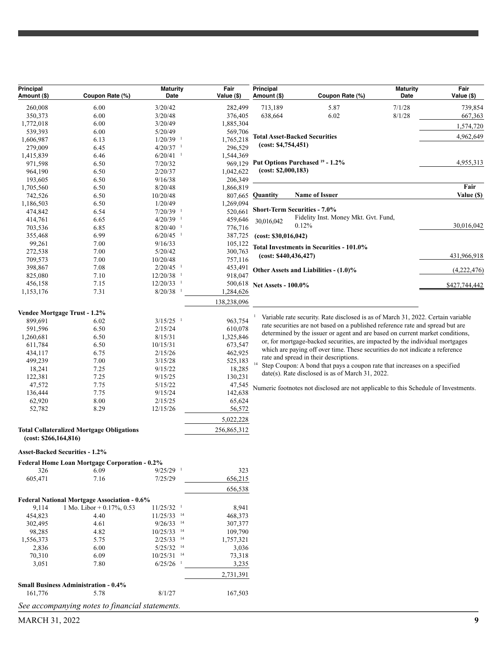| Principal<br>Amount (\$) | Coupon Rate (%)                                      | <b>Maturity</b><br>Date                           | Fair<br>Value (\$) | Principal<br>Amount (\$)    | Coupon Rate (%)                                                                     | <b>Maturity</b><br>Date | Fair<br>Value (\$) |
|--------------------------|------------------------------------------------------|---------------------------------------------------|--------------------|-----------------------------|-------------------------------------------------------------------------------------|-------------------------|--------------------|
| 260,008                  | 6.00                                                 | 3/20/42                                           | 282,499            | 713,189                     | 5.87                                                                                | 7/1/28                  | 739,854            |
| 350,373                  | 6.00                                                 | 3/20/48                                           | 376,405            | 638,664                     | 6.02                                                                                | 8/1/28                  | 667,363            |
| 1,772,018                | 6.00                                                 | 3/20/49                                           | 1,885,304          |                             |                                                                                     |                         | 1,574,720          |
| 539,393                  | 6.00                                                 | 5/20/49                                           | 569,706            |                             |                                                                                     |                         |                    |
| 1,606,987                | 6.13                                                 | $1/20/39$ <sup>1</sup>                            | 1,765,218          |                             | <b>Total Asset-Backed Securities</b>                                                |                         | 4,962,649          |
| 279,009                  | 6.45                                                 | $4/20/37$ <sup>1</sup>                            | 296,529            | (cost: \$4,754,451)         |                                                                                     |                         |                    |
| 1,415,839                | 6.46                                                 | $6/20/41$ <sup>1</sup>                            | 1,544,369          |                             |                                                                                     |                         |                    |
| 971,598                  | 6.50                                                 | 7/20/32                                           | 969,129            |                             | Put Options Purchased <sup>19</sup> - 1.2%                                          |                         | 4,955,313          |
| 964,190                  | 6.50                                                 | 2/20/37                                           | 1,042,622          | (cost: \$2,000,183)         |                                                                                     |                         |                    |
| 193,605                  | 6.50                                                 | 9/16/38                                           | 206,349            |                             |                                                                                     |                         |                    |
| 1,705,560                | 6.50                                                 | 8/20/48                                           | 1,866,819          |                             |                                                                                     |                         | Fair               |
| 742,526                  | 6.50                                                 | 10/20/48                                          |                    | 807,665 <b>Quantity</b>     | <b>Name of Issuer</b>                                                               |                         | Value (\$)         |
| 1,186,503                | 6.50                                                 | 1/20/49                                           | 1,269,094          |                             | <b>Short-Term Securities - 7.0%</b>                                                 |                         |                    |
| 474,842                  | 6.54                                                 | $7/20/39$ <sup>1</sup>                            | 520,661            |                             | Fidelity Inst. Money Mkt. Gvt. Fund,                                                |                         |                    |
| 414,761                  | 6.65                                                 | $4/20/39$ <sup>1</sup>                            | 459,646            | 30,016,042                  | 0.12%                                                                               |                         | 30,016,042         |
| 703,536                  | 6.85                                                 | $8/20/40$ <sup>1</sup>                            | 776,716            |                             |                                                                                     |                         |                    |
| 355,468                  | 6.99                                                 | $6/20/45$ <sup>1</sup>                            | 387,725            | (cost: \$30,016,042)        |                                                                                     |                         |                    |
| 99,261                   | 7.00                                                 | 9/16/33                                           | 105,122            |                             | Total Investments in Securities - 101.0%                                            |                         |                    |
| 272,538                  | 7.00                                                 | 5/20/42                                           | 300,763            | (cost: \$440,436,427)       |                                                                                     |                         | 431,966,918        |
| 709,573                  | 7.00                                                 | 10/20/48                                          | 757,116            |                             |                                                                                     |                         |                    |
| 398,867<br>825,080       | 7.08<br>7.10                                         | $2/20/45$ <sup>1</sup><br>$12/20/38$ <sup>1</sup> | 453,491<br>918,047 |                             | Other Assets and Liabilities - (1.0)%                                               |                         | (4,222,476)        |
| 456,158                  | 7.15                                                 | $12/20/33$ <sup>1</sup>                           |                    |                             |                                                                                     |                         |                    |
| 1,153,176                | 7.31                                                 | 8/20/38                                           | 1,284,626          | 500,618 Net Assets - 100.0% |                                                                                     |                         | \$427,744,442      |
|                          |                                                      |                                                   | 138,238,096        |                             |                                                                                     |                         |                    |
|                          | Vendee Mortgage Trust - 1.2%                         |                                                   |                    |                             |                                                                                     |                         |                    |
| 899,691                  | 6.02                                                 | $3/15/25$ <sup>1</sup>                            | 963,754            |                             | Variable rate security. Rate disclosed is as of March 31, 2022. Certain variable    |                         |                    |
| 591,596                  | 6.50                                                 | 2/15/24                                           | 610,078            |                             | rate securities are not based on a published reference rate and spread but are      |                         |                    |
| 1,260,681                | 6.50                                                 | 8/15/31                                           | 1,325,846          |                             | determined by the issuer or agent and are based on current market conditions,       |                         |                    |
| 611,784                  | 6.50                                                 | 10/15/31                                          | 673,547            |                             | or, for mortgage-backed securities, are impacted by the individual mortgages        |                         |                    |
| 434,117                  | 6.75                                                 | 2/15/26                                           | 462,925            |                             | which are paying off over time. These securities do not indicate a reference        |                         |                    |
| 499,239                  | 7.00                                                 | 3/15/28                                           | 525,183            |                             | rate and spread in their descriptions.                                              |                         |                    |
| 18,241                   | 7.25                                                 | 9/15/22                                           | 18,285             |                             | Step Coupon: A bond that pays a coupon rate that increases on a specified           |                         |                    |
| 122,381                  | 7.25                                                 | 9/15/25                                           | 130,231            |                             | $date(s)$ . Rate disclosed is as of March 31, 2022.                                 |                         |                    |
| 47,572                   | 7.75                                                 | 5/15/22                                           | 47,545             |                             | Numeric footnotes not disclosed are not applicable to this Schedule of Investments. |                         |                    |
| 136,444                  | 7.75                                                 | 9/15/24                                           | 142,638            |                             |                                                                                     |                         |                    |
| 62,920                   | 8.00                                                 | 2/15/25                                           | 65,624             |                             |                                                                                     |                         |                    |
| 52,782                   | 8.29                                                 | 12/15/26                                          | 56,572             |                             |                                                                                     |                         |                    |
|                          |                                                      |                                                   | 5,022,228          |                             |                                                                                     |                         |                    |
| (cost: \$266,164,816)    | <b>Total Collateralized Mortgage Obligations</b>     |                                                   | 256,865,312        |                             |                                                                                     |                         |                    |
|                          | <b>Asset-Backed Securities - 1.2%</b>                |                                                   |                    |                             |                                                                                     |                         |                    |
|                          | <b>Federal Home Loan Mortgage Corporation - 0.2%</b> |                                                   |                    |                             |                                                                                     |                         |                    |
| 326                      | 6.09                                                 | $9/25/29$ <sup>1</sup>                            | 323                |                             |                                                                                     |                         |                    |
| 605,471                  | 7.16                                                 | 7/25/29                                           | 656,215            |                             |                                                                                     |                         |                    |
|                          |                                                      |                                                   | 656,538            |                             |                                                                                     |                         |                    |
|                          | <b>Federal National Mortgage Association - 0.6%</b>  |                                                   |                    |                             |                                                                                     |                         |                    |
| 9,114                    | 1 Mo. Libor + $0.17\%$ , 0.53                        | $11/25/32$ <sup>1</sup>                           | 8,941              |                             |                                                                                     |                         |                    |
| 454,823                  | 4.40                                                 | $11/25/33$ <sup>14</sup>                          | 468,373            |                             |                                                                                     |                         |                    |
| 302,495                  | 4.61                                                 | $9/26/33$ <sup>14</sup>                           | 307,377            |                             |                                                                                     |                         |                    |
| 98,285                   | 4.82                                                 | $10/25/33$ <sup>14</sup>                          | 109,790            |                             |                                                                                     |                         |                    |
| 1,556,373                | 5.75                                                 | $2/25/33$ <sup>14</sup>                           | 1,757,321          |                             |                                                                                     |                         |                    |
| 2,836                    | 6.00                                                 | $5/25/32$ <sup>14</sup>                           | 3,036              |                             |                                                                                     |                         |                    |
| 70,310                   | 6.09                                                 | $10/25/31$ <sup>14</sup>                          | 73,318             |                             |                                                                                     |                         |                    |
| 3,051                    | 7.80                                                 | 6/25/26                                           | 3,235              |                             |                                                                                     |                         |                    |
|                          |                                                      |                                                   | 2,731,391          |                             |                                                                                     |                         |                    |
|                          | <b>Small Business Administration - 0.4%</b>          |                                                   |                    |                             |                                                                                     |                         |                    |
| 161,776                  | 5.78                                                 | 8/1/27                                            | 167,503            |                             |                                                                                     |                         |                    |
|                          | See accompanying notes to financial statements.      |                                                   |                    |                             |                                                                                     |                         |                    |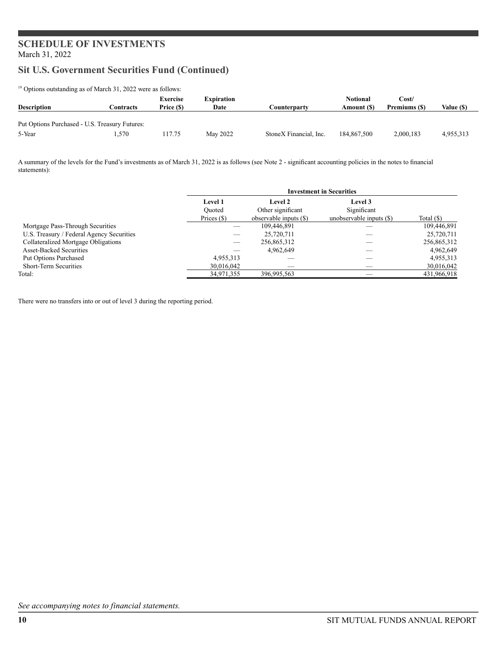# **Sit U.S. Government Securities Fund (Continued)**

<sup>19</sup> Options outstanding as of March 31, 2022 were as follows:

| <b>Description</b>                                       | Contracts | Exercise<br>Price (\$) | <b>Expiration</b><br>Date | Counterpartv           | Notional<br>Amount (S) | Cost/<br>Premiums (S) | <b>Value (\$)</b> |
|----------------------------------------------------------|-----------|------------------------|---------------------------|------------------------|------------------------|-----------------------|-------------------|
| Put Options Purchased - U.S. Treasury Futures:<br>5-Year | .570      | 117.75                 | May 2022                  | StoneX Financial, Inc. | 184,867,500            | 2,000,183             | 4,955,313         |

A summary of the levels for the Fund's investments as of March 31, 2022 is as follows (see Note 2 - significant accounting policies in the notes to financial statements):

|                                           | <b>Investment in Securities</b>           |                                                        |                                                      |             |  |  |
|-------------------------------------------|-------------------------------------------|--------------------------------------------------------|------------------------------------------------------|-------------|--|--|
|                                           | <b>Level 1</b><br>Quoted<br>Prices $(\$)$ | Level 2<br>Other significant<br>observable inputs (\$) | Level 3<br>Significant<br>unobservable inputs $(\$)$ | Total $(S)$ |  |  |
| Mortgage Pass-Through Securities          |                                           | 109,446,891                                            |                                                      | 109,446,891 |  |  |
| U.S. Treasury / Federal Agency Securities |                                           | 25,720,711                                             |                                                      | 25,720,711  |  |  |
| Collateralized Mortgage Obligations       |                                           | 256,865,312                                            |                                                      | 256,865,312 |  |  |
| <b>Asset-Backed Securities</b>            |                                           | 4.962.649                                              |                                                      | 4.962.649   |  |  |
| <b>Put Options Purchased</b>              | 4,955,313                                 |                                                        |                                                      | 4,955,313   |  |  |
| <b>Short-Term Securities</b>              | 30,016,042                                | __                                                     |                                                      | 30,016,042  |  |  |
| Total:                                    | 34,971,355                                | 396,995,563                                            | __                                                   | 431,966,918 |  |  |

There were no transfers into or out of level 3 during the reporting period.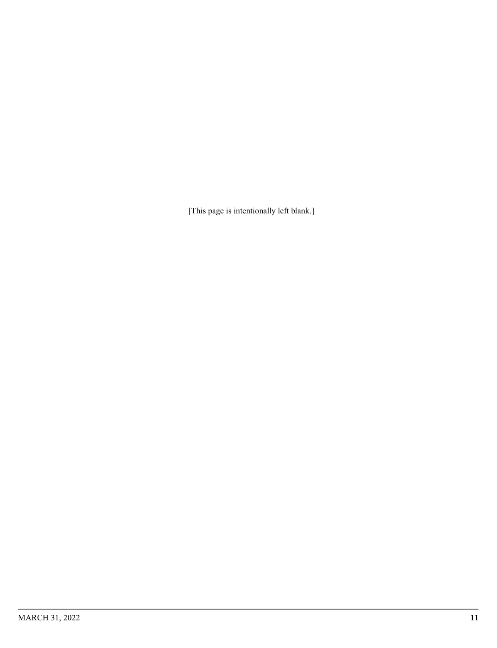[This page is intentionally left blank.]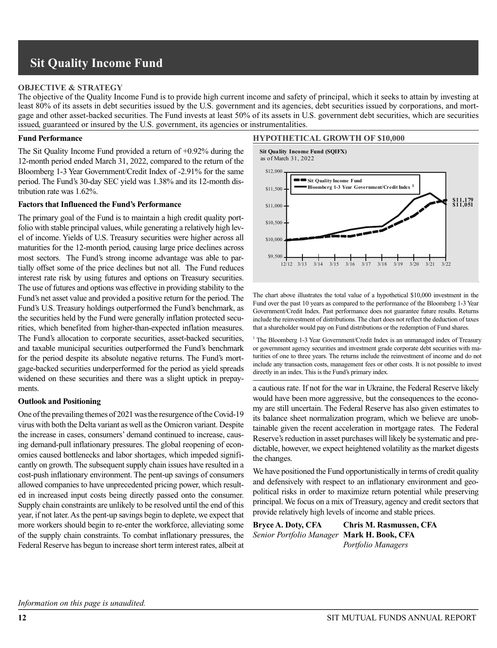# **Sit Quality Income Fund**

### **OBJECTIVE & STRATEGY**

The objective of the Quality Income Fund is to provide high current income and safety of principal, which it seeks to attain by investing at least 80% of its assets in debt securities issued by the U.S. government and its agencies, debt securities issued by corporations, and mortgage and other asset-backed securities. The Fund invests at least 50% of its assets in U.S. government debt securities, which are securities issued, guaranteed or insured by the U.S. government, its agencies or instrumentalities.

#### **Fund Performance**

The Sit Quality Income Fund provided a return of +0.92% during the 12-month period ended March 31, 2022, compared to the return of the Bloomberg 1-3 Year Government/Credit Index of -2.91% for the same period. The Fund's 30-day SEC yield was 1.38% and its 12-month distribution rate was 1.62%.

#### **Factors that Influenced the Fund's Performance**

The primary goal of the Fund is to maintain a high credit quality portfolio with stable principal values, while generating a relatively high level of income. Yields of U.S. Treasury securities were higher across all maturities for the 12-month period, causing large price declines across most sectors. The Fund's strong income advantage was able to partially offset some of the price declines but not all. The Fund reduces interest rate risk by using futures and options on Treasury securities. The use of futures and options was effective in providing stability to the Fund's net asset value and provided a positive return for the period. The Fund's U.S. Treasury holdings outperformed the Fund's benchmark, as the securities held by the Fund were generally inflation protected securities, which benefited from higher-than-expected inflation measures. The Fund's allocation to corporate securities, asset-backed securities, and taxable municipal securities outperformed the Fund's benchmark for the period despite its absolute negative returns. The Fund's mortgage-backed securities underperformed for the period as yield spreads widened on these securities and there was a slight uptick in prepayments.

### **Outlook and Positioning**

One of the prevailing themes of 2021 was the resurgence of the Covid-19 virus with both the Delta variant as well as the Omicron variant. Despite the increase in cases, consumers' demand continued to increase, causing demand-pull inflationary pressures. The global reopening of economies caused bottlenecks and labor shortages, which impeded significantly on growth. The subsequent supply chain issues have resulted in a cost-push inflationary environment. The pent-up savings of consumers allowed companies to have unprecedented pricing power, which resulted in increased input costs being directly passed onto the consumer. Supply chain constraints are unlikely to be resolved until the end of this year, if not later. As the pent-up savings begin to deplete, we expect that more workers should begin to re-enter the workforce, alleviating some of the supply chain constraints. To combat inflationary pressures, the Federal Reserve has begun to increase short term interest rates, albeit at

#### **HYPOTHETICAL GROWTH OF \$10,000**



The chart above illustrates the total value of a hypothetical \$10,000 investment in the Fund over the past 10 years as compared to the performance of the Bloomberg 1-3 Year Government/Credit Index. Past performance does not guarantee future results. Returns include the reinvestment of distributions. The chart does not reflect the deduction of taxes that a shareholder would pay on Fund distributions or the redemption of Fund shares.

<sup>1</sup> The Bloomberg 1-3 Year Government/Credit Index is an unmanaged index of Treasury or government agency securities and investment grade corporate debt securities with maturities of one to three years. The returns include the reinvestment of income and do not include any transaction costs, management fees or other costs. It is not possible to invest directly in an index. This is the Fund's primary index.

a cautious rate. If not for the war in Ukraine, the Federal Reserve likely would have been more aggressive, but the consequences to the economy are still uncertain. The Federal Reserve has also given estimates to its balance sheet normalization program, which we believe are unobtainable given the recent acceleration in mortgage rates. The Federal Reserve's reduction in asset purchases will likely be systematic and predictable, however, we expect heightened volatility as the market digests the changes.

We have positioned the Fund opportunistically in terms of credit quality and defensively with respect to an inflationary environment and geopolitical risks in order to maximize return potential while preserving principal. We focus on a mix of Treasury, agency and credit sectors that provide relatively high levels of income and stable prices.

**Bryce A. Doty, CFA Chris M. Rasmussen, CFA** *Senior Portfolio Manager* **Mark H. Book, CFA**  *Portfolio Managers*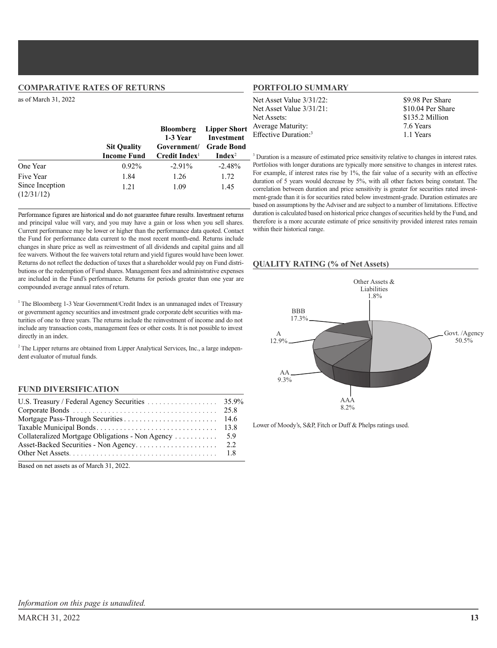#### **COMPARATIVE RATES OF RETURNS**

as of March 31, 2022

|                               | <b>Sit Quality</b><br><b>Income Fund</b> | <b>Bloomberg</b><br>1-3 Year<br>Government/<br>$C$ redit Index <sup>1</sup> | <b>Lipper Short</b><br>Investment<br><b>Grade Bond</b><br>Index <sup>2</sup> |
|-------------------------------|------------------------------------------|-----------------------------------------------------------------------------|------------------------------------------------------------------------------|
| One Year                      | $0.92\%$                                 | $-2.91\%$                                                                   | $-2.48%$                                                                     |
| Five Year                     | 1.84                                     | 1.26                                                                        | 1.72                                                                         |
| Since Inception<br>(12/31/12) | 1.21                                     | 1.09                                                                        | 1.45                                                                         |

Performance figures are historical and do not guarantee future results. Investment returns and principal value will vary, and you may have a gain or loss when you sell shares. Current performance may be lower or higher than the performance data quoted. Contact the Fund for performance data current to the most recent month-end. Returns include changes in share price as well as reinvestment of all dividends and capital gains and all fee waivers. Without the fee waivers total return and yield figures would have been lower. Returns do not reflect the deduction of taxes that a shareholder would pay on Fund distributions or the redemption of Fund shares. Management fees and administrative expenses are included in the Fund's performance. Returns for periods greater than one year are compounded average annual rates of return.

<sup>1</sup> The Bloomberg 1-3 Year Government/Credit Index is an unmanaged index of Treasury or government agency securities and investment grade corporate debt securities with maturities of one to three years. The returns include the reinvestment of income and do not include any transaction costs, management fees or other costs. It is not possible to invest directly in an index.

<sup>2</sup> The Lipper returns are obtained from Lipper Analytical Services, Inc., a large independent evaluator of mutual funds.

#### **FUND DIVERSIFICATION**

| U.S. Treasury / Federal Agency Securities 35.9% |  |
|-------------------------------------------------|--|
|                                                 |  |
|                                                 |  |
|                                                 |  |
|                                                 |  |
|                                                 |  |
|                                                 |  |

Based on net assets as of March 31, 2022.

#### **PORTFOLIO SUMMARY**

| Net Asset Value $3/31/22$ :      | \$9.98 Per Share  |
|----------------------------------|-------------------|
| Net Asset Value $3/31/21$ :      | \$10.04 Per Share |
| Net Assets:                      | \$135.2 Million   |
| Average Maturity:                | 7.6 Years         |
| Effective Duration: <sup>3</sup> | 1.1 Years         |
|                                  |                   |

<sup>3</sup> Duration is a measure of estimated price sensitivity relative to changes in interest rates. Portfolios with longer durations are typically more sensitive to changes in interest rates. For example, if interest rates rise by 1%, the fair value of a security with an effective duration of 5 years would decrease by 5%, with all other factors being constant. The correlation between duration and price sensitivity is greater for securities rated investment-grade than it is for securities rated below investment-grade. Duration estimates are based on assumptions by the Adviser and are subject to a number of limitations. Effective duration is calculated based on historical price changes of securities held by the Fund, and therefore is a more accurate estimate of price sensitivity provided interest rates remain within their historical range.

#### **QUALITY RATING (% of Net Assets)**



Lower of Moody's, S&P, Fitch or Duff & Phelps ratings used.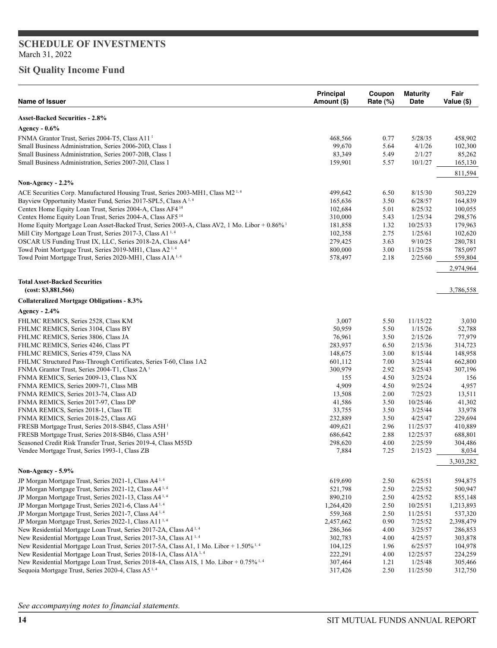# **Sit Quality Income Fund**

| Name of Issuer                                                                                           | Principal<br>Amount (\$) | Coupon<br>Rate (%) | <b>Maturity</b><br>Date | Fair<br>Value (\$) |
|----------------------------------------------------------------------------------------------------------|--------------------------|--------------------|-------------------------|--------------------|
| <b>Asset-Backed Securities - 2.8%</b>                                                                    |                          |                    |                         |                    |
| <b>Agency - 0.6%</b>                                                                                     |                          |                    |                         |                    |
| FNMA Grantor Trust, Series 2004-T5, Class A11 <sup>1</sup>                                               | 468,566                  | 0.77               | 5/28/35                 | 458,902            |
| Small Business Administration, Series 2006-20D, Class 1                                                  | 99,670                   | 5.64               | 4/1/26                  | 102,300            |
| Small Business Administration, Series 2007-20B, Class 1                                                  | 83,349                   | 5.49               | 2/1/27                  | 85,262             |
| Small Business Administration, Series 2007-20J, Class 1                                                  | 159,901                  | 5.57               | 10/1/27                 | 165,130            |
|                                                                                                          |                          |                    |                         | 811,594            |
| Non-Agency - $2.2\%$                                                                                     |                          |                    |                         |                    |
| ACE Securities Corp. Manufactured Housing Trust, Series 2003-MH1, Class M2 <sup>1,4</sup>                | 499,642                  | 6.50               | 8/15/30                 | 503,229            |
| Bayview Opportunity Master Fund, Series 2017-SPL5, Class A <sup>1,4</sup>                                | 165,636                  | 3.50               | 6/28/57                 | 164,839            |
| Centex Home Equity Loan Trust, Series 2004-A, Class AF4 <sup>14</sup>                                    | 102,684                  | 5.01               | 8/25/32                 | 100,055            |
| Centex Home Equity Loan Trust, Series 2004-A, Class AF5 <sup>14</sup>                                    | 310,000                  | 5.43               | 1/25/34                 | 298,576            |
| Home Equity Mortgage Loan Asset-Backed Trust, Series 2003-A, Class AV2, 1 Mo. Libor + 0.86% <sup>1</sup> | 181,858                  | 1.32               | 10/25/33                | 179,963            |
| Mill City Mortgage Loan Trust, Series 2017-3, Class A1 <sup>1,4</sup>                                    | 102,358                  | 2.75               | 1/25/61                 | 102,620            |
| OSCAR US Funding Trust IX, LLC, Series 2018-2A, Class A4 <sup>4</sup>                                    | 279,425                  | 3.63               | 9/10/25                 | 280,781            |
| Towd Point Mortgage Trust, Series 2019-MH1, Class A2 <sup>1,4</sup>                                      | 800,000                  | 3.00               | 11/25/58                | 785,097            |
| Towd Point Mortgage Trust, Series 2020-MH1, Class A1A <sup>1,4</sup>                                     | 578,497                  | 2.18               | 2/25/60                 | 559,804            |
|                                                                                                          |                          |                    |                         | 2,974,964          |
| <b>Total Asset-Backed Securities</b><br>(cost: \$3,881,566)                                              |                          |                    |                         | 3,786,558          |
| <b>Collateralized Mortgage Obligations - 8.3%</b>                                                        |                          |                    |                         |                    |
| <b>Agency - 2.4%</b>                                                                                     |                          |                    |                         |                    |
|                                                                                                          |                          |                    |                         |                    |
| FHLMC REMICS, Series 2528, Class KM<br>FHLMC REMICS, Series 3104, Class BY                               | 3,007<br>50,959          | 5.50<br>5.50       | 11/15/22<br>1/15/26     | 3,030<br>52,788    |
| FHLMC REMICS, Series 3806, Class JA                                                                      | 76,961                   | 3.50               | 2/15/26                 | 77,979             |
| FHLMC REMICS, Series 4246, Class PT                                                                      | 283,937                  | 6.50               | 2/15/36                 | 314,723            |
| FHLMC REMICS, Series 4759, Class NA                                                                      | 148,675                  | 3.00               | 8/15/44                 | 148,958            |
| FHLMC Structured Pass-Through Certificates, Series T-60, Class 1A2                                       | 601,112                  | 7.00               | 3/25/44                 | 662,800            |
| FNMA Grantor Trust, Series 2004-T1, Class 2A <sup>1</sup>                                                | 300,979                  | 2.92               | 8/25/43                 | 307,196            |
| FNMA REMICS, Series 2009-13, Class NX                                                                    | 155                      | 4.50               | 3/25/24                 | 156                |
| FNMA REMICS, Series 2009-71, Class MB                                                                    | 4,909                    | 4.50               | 9/25/24                 | 4,957              |
| FNMA REMICS, Series 2013-74, Class AD                                                                    | 13,508                   | 2.00               | 7/25/23                 | 13,511             |
| FNMA REMICS, Series 2017-97, Class DP                                                                    | 41,586                   | 3.50               | 10/25/46                | 41,302             |
| FNMA REMICS, Series 2018-1, Class TE                                                                     | 33,755                   | 3.50               | 3/25/44                 | 33,978             |
| FNMA REMICS, Series 2018-25, Class AG                                                                    | 232,889                  | 3.50               | 4/25/47                 | 229,694            |
| FRESB Mortgage Trust, Series 2018-SB45, Class A5H <sup>1</sup>                                           | 409,621                  | 2.96               | 11/25/37                | 410,889            |
| FRESB Mortgage Trust, Series 2018-SB46, Class A5H <sup>1</sup>                                           | 686,642                  | 2.88               | 12/25/37                | 688,801            |
| Seasoned Credit Risk Transfer Trust, Series 2019-4, Class M55D                                           | 298,620                  | 4.00               | 2/25/59                 | 304,486            |
| Vendee Mortgage Trust, Series 1993-1, Class ZB                                                           | 7,884                    | 7.25               | 2/15/23                 | 8,034              |
| Non-Agency - 5.9%                                                                                        |                          |                    |                         | 3,303,282          |
| JP Morgan Mortgage Trust, Series 2021-1, Class A4 <sup>1,4</sup>                                         | 619,690                  | 2.50               | 6/25/51                 | 594,875            |
| JP Morgan Mortgage Trust, Series 2021-12, Class A4 <sup>1,4</sup>                                        | 521,798                  | 2.50               | 2/25/52                 | 500,947            |
| JP Morgan Mortgage Trust, Series 2021-13, Class A4 <sup>1,4</sup>                                        | 890,210                  | 2.50               | 4/25/52                 | 855,148            |
| JP Morgan Mortgage Trust, Series 2021-6, Class A4 <sup>1,4</sup>                                         | 1,264,420                | 2.50               | 10/25/51                | 1,213,893          |
| JP Morgan Mortgage Trust, Series 2021-7, Class A4 <sup>1,4</sup>                                         | 559,368                  | 2.50               | 11/25/51                | 537,320            |
| JP Morgan Mortgage Trust, Series 2022-1, Class A11 <sup>1,4</sup>                                        | 2,457,662                | 0.90               | 7/25/52                 | 2,398,479          |
| New Residential Mortgage Loan Trust, Series 2017-2A, Class A4 <sup>1,4</sup>                             | 286,366                  | 4.00               | 3/25/57                 | 286,853            |
| New Residential Mortgage Loan Trust, Series 2017-3A, Class A1 <sup>1,4</sup>                             | 302,783                  | 4.00               | 4/25/57                 | 303,878            |
| New Residential Mortgage Loan Trust, Series 2017-5A, Class A1, 1 Mo. Libor + $1.50\%$ <sup>1,4</sup>     | 104,125                  | 1.96               | 6/25/57                 | 104,978            |
| New Residential Mortgage Loan Trust, Series 2018-1A, Class A1A <sup>1,4</sup>                            | 222,291                  | 4.00               | 12/25/57                | 224,259            |
| New Residential Mortgage Loan Trust, Series 2018-4A, Class A1S, 1 Mo. Libor + 0.75% <sup>1,4</sup>       | 307,464                  | 1.21               | 1/25/48                 | 305,466            |
| Sequoia Mortgage Trust, Series 2020-4, Class A5 <sup>1,4</sup>                                           | 317,426                  | 2.50               | 11/25/50                | 312,750            |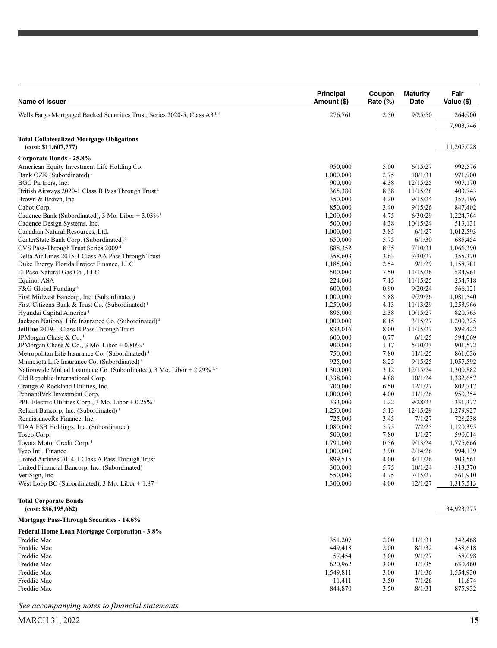| <b>Name of Issuer</b>                                                                                     | <b>Principal</b><br>Amount (\$) | Coupon<br>Rate $(\%)$ | <b>Maturity</b><br>Date | Fair<br>Value (\$)     |
|-----------------------------------------------------------------------------------------------------------|---------------------------------|-----------------------|-------------------------|------------------------|
| Wells Fargo Mortgaged Backed Securities Trust, Series 2020-5, Class A3 <sup>1,4</sup>                     | 276,761                         | 2.50                  | 9/25/50                 | 264,900                |
|                                                                                                           |                                 |                       |                         | 7,903,746              |
| <b>Total Collateralized Mortgage Obligations</b><br>(cost: \$11,607,777)                                  |                                 |                       |                         | 11,207,028             |
| Corporate Bonds - 25.8%                                                                                   |                                 |                       |                         |                        |
| American Equity Investment Life Holding Co.                                                               | 950,000                         | 5.00                  | 6/15/27                 | 992,576                |
| Bank OZK (Subordinated) <sup>1</sup>                                                                      | 1,000,000                       | 2.75                  | 10/1/31                 | 971,900                |
| BGC Partners, Inc.<br>British Airways 2020-1 Class B Pass Through Trust <sup>4</sup>                      | 900,000                         | 4.38                  | 12/15/25                | 907,170                |
| Brown & Brown, Inc.                                                                                       | 365,380<br>350,000              | 8.38<br>4.20          | 11/15/28<br>9/15/24     | 403,743<br>357,196     |
| Cabot Corp.                                                                                               | 850,000                         | 3.40                  | 9/15/26                 | 847,402                |
| Cadence Bank (Subordinated), 3 Mo. Libor + $3.03\%$ <sup>1</sup>                                          | 1,200,000                       | 4.75                  | 6/30/29                 | 1,224,764              |
| Cadence Design Systems, Inc.                                                                              | 500,000                         | 4.38                  | 10/15/24                | 513,131                |
| Canadian Natural Resources, Ltd.                                                                          | 1,000,000                       | 3.85                  | 6/1/27                  | 1,012,593              |
| CenterState Bank Corp. (Subordinated) <sup>1</sup>                                                        | 650,000                         | 5.75                  | 6/1/30                  | 685,454                |
| CVS Pass-Through Trust Series 2009 <sup>4</sup>                                                           | 888,352                         | 8.35                  | 7/10/31                 | 1,066,390              |
| Delta Air Lines 2015-1 Class AA Pass Through Trust                                                        | 358,603                         | 3.63                  | 7/30/27                 | 355,370                |
| Duke Energy Florida Project Finance, LLC                                                                  | 1,185,000                       | 2.54                  | 9/1/29                  | 1,158,781              |
| El Paso Natural Gas Co., LLC                                                                              | 500,000                         | 7.50                  | 11/15/26                | 584,961                |
| Equinor ASA                                                                                               | 224,000                         | 7.15                  | 11/15/25                | 254,718                |
| F&G Global Funding <sup>4</sup>                                                                           | 600,000                         | 0.90                  | 9/20/24                 | 566,121                |
| First Midwest Bancorp, Inc. (Subordinated)<br>First-Citizens Bank & Trust Co. (Subordinated) <sup>1</sup> | 1,000,000<br>1,250,000          | 5.88<br>4.13          | 9/29/26<br>11/13/29     | 1,081,540<br>1,253,966 |
| Hyundai Capital America <sup>4</sup>                                                                      | 895,000                         | 2.38                  | 10/15/27                | 820,763                |
| Jackson National Life Insurance Co. (Subordinated) <sup>4</sup>                                           | 1,000,000                       | 8.15                  | 3/15/27                 | 1,200,325              |
| JetBlue 2019-1 Class B Pass Through Trust                                                                 | 833,016                         | 8.00                  | 11/15/27                | 899,422                |
| JPMorgan Chase & Co. <sup>1</sup>                                                                         | 600,000                         | 0.77                  | 6/1/25                  | 594,069                |
| JPMorgan Chase & Co., 3 Mo. Libor + $0.80\%$ <sup>1</sup>                                                 | 900,000                         | 1.17                  | 5/10/23                 | 901,572                |
| Metropolitan Life Insurance Co. (Subordinated) <sup>4</sup>                                               | 750,000                         | 7.80                  | 11/1/25                 | 861,036                |
| Minnesota Life Insurance Co. (Subordinated) <sup>4</sup>                                                  | 925,000                         | 8.25                  | 9/15/25                 | 1,057,592              |
| Nationwide Mutual Insurance Co. (Subordinated), 3 Mo. Libor $+ 2.29\%$ <sup>1,4</sup>                     | 1,300,000                       | 3.12                  | 12/15/24                | 1,300,882              |
| Old Republic International Corp.                                                                          | 1,338,000                       | 4.88                  | 10/1/24                 | 1,382,657              |
| Orange & Rockland Utilities, Inc.                                                                         | 700,000                         | 6.50                  | 12/1/27                 | 802,717                |
| PennantPark Investment Corp.                                                                              | 1,000,000                       | 4.00                  | 11/1/26                 | 950,354                |
| PPL Electric Utilities Corp., 3 Mo. Libor + $0.25\%$ <sup>1</sup>                                         | 333,000                         | 1.22                  | 9/28/23                 | 331,377                |
| Reliant Bancorp, Inc. (Subordinated) <sup>1</sup><br>RenaissanceRe Finance, Inc.                          | 1,250,000<br>725,000            | 5.13<br>3.45          | 12/15/29<br>7/1/27      | 1,279,927<br>728,238   |
| TIAA FSB Holdings, Inc. (Subordinated)                                                                    | 1,080,000                       | 5.75                  | 7/2/25                  | 1,120,395              |
| Tosco Corp.                                                                                               | 500,000                         | 7.80                  | 1/1/27                  | 590,014                |
| Toyota Motor Credit Corp. <sup>1</sup>                                                                    | 1,791,000                       | 0.56                  | 9/13/24                 | 1,775,666              |
| Tyco Intl. Finance                                                                                        | 1,000,000                       | 3.90                  | 2/14/26                 | 994,139                |
| United Airlines 2014-1 Class A Pass Through Trust                                                         | 899,515                         | 4.00                  | 4/11/26                 | 903,561                |
| United Financial Bancorp, Inc. (Subordinated)                                                             | 300,000                         | 5.75                  | 10/1/24                 | 313,370                |
| VeriSign, Inc.                                                                                            | 550,000                         | 4.75                  | 7/15/27                 | 561,910                |
| West Loop BC (Subordinated), 3 Mo. Libor + $1.871$                                                        | 1,300,000                       | 4.00                  | 12/1/27                 | 1,315,513              |
| <b>Total Corporate Bonds</b><br>(cost: \$36,195,662)                                                      |                                 |                       |                         | 34,923,275             |
| Mortgage Pass-Through Securities - 14.6%                                                                  |                                 |                       |                         |                        |
| <b>Federal Home Loan Mortgage Corporation - 3.8%</b>                                                      |                                 |                       |                         |                        |
| Freddie Mac                                                                                               | 351,207                         | 2.00                  | 11/1/31                 | 342,468                |
| Freddie Mac                                                                                               | 449,418                         | 2.00                  | 8/1/32                  | 438,618                |
| Freddie Mac                                                                                               | 57,454                          | 3.00                  | 9/1/27                  | 58,098                 |
| Freddie Mac                                                                                               | 620,962                         | 3.00                  | 1/1/35                  | 630,460                |
| Freddie Mac                                                                                               | 1,549,811                       | 3.00                  | 1/1/36                  | 1,554,930              |
| Freddie Mac                                                                                               | 11,411                          | 3.50                  | 7/1/26                  | 11,674                 |
| Freddie Mac                                                                                               | 844,870                         | 3.50                  | 8/1/31                  | 875,932                |
| See accompanying notes to financial statements.                                                           |                                 |                       |                         |                        |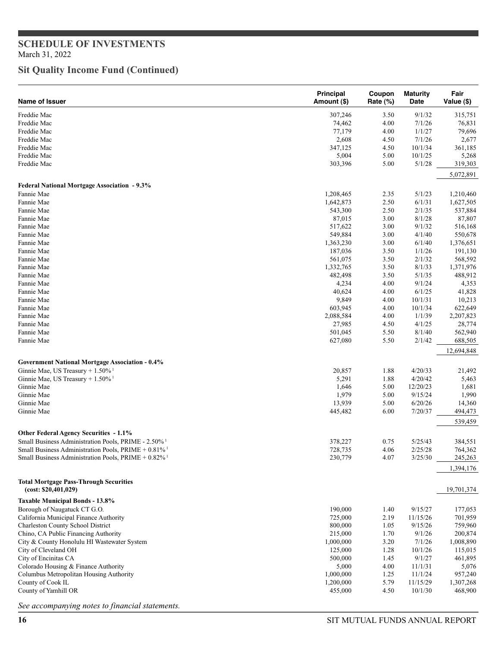# **Sit Quality Income Fund (Continued)**

| <b>Name of Issuer</b>                                                 | <b>Principal</b><br>Amount (\$) | Coupon<br>Rate (%) | <b>Maturity</b><br>Date | Fair<br>Value (\$) |
|-----------------------------------------------------------------------|---------------------------------|--------------------|-------------------------|--------------------|
| Freddie Mac                                                           | 307,246                         | 3.50               | 9/1/32                  | 315,751            |
| Freddie Mac                                                           | 74,462                          | 4.00               | 7/1/26                  | 76,831             |
| Freddie Mac                                                           | 77,179                          | 4.00               | 1/1/27                  | 79,696             |
| Freddie Mac                                                           | 2,608                           | 4.50               | 7/1/26                  | 2,677              |
| Freddie Mac                                                           | 347,125                         | 4.50               | 10/1/34                 | 361,185            |
| Freddie Mac                                                           | 5,004                           | 5.00               | 10/1/25                 | 5,268              |
| Freddie Mac                                                           | 303,396                         | 5.00               | 5/1/28                  | 319,303            |
|                                                                       |                                 |                    |                         | 5,072,891          |
| Federal National Mortgage Association - 9.3%                          |                                 |                    |                         |                    |
| Fannie Mae                                                            | 1,208,465                       | 2.35               | 5/1/23                  | 1,210,460          |
| Fannie Mae                                                            | 1,642,873                       | 2.50               | 6/1/31                  | 1,627,505          |
| Fannie Mae                                                            | 543,300                         | 2.50               | 2/1/35                  | 537,884            |
| Fannie Mae                                                            | 87,015                          | 3.00               | 8/1/28                  | 87,807             |
| Fannie Mae                                                            | 517,622                         | 3.00               | 9/1/32                  | 516,168            |
| Fannie Mae                                                            | 549,884                         | 3.00               | 4/1/40                  | 550,678            |
| Fannie Mae                                                            | 1,363,230                       | 3.00               | 6/1/40                  | 1,376,651          |
| Fannie Mae                                                            | 187,036                         | 3.50               | 1/1/26                  | 191,130            |
| Fannie Mae                                                            | 561,075                         | 3.50               | 2/1/32                  | 568,592            |
| Fannie Mae                                                            | 1,332,765                       | 3.50               | 8/1/33                  | 1,371,976          |
| Fannie Mae                                                            | 482,498                         | 3.50               | 5/1/35                  | 488,912            |
| Fannie Mae                                                            | 4,234                           | 4.00               | 9/1/24                  | 4,353              |
| Fannie Mae                                                            | 40,624                          | 4.00               | 6/1/25                  | 41,828             |
| Fannie Mae                                                            | 9,849                           | 4.00               | 10/1/31                 | 10,213             |
| Fannie Mae                                                            | 603,945                         | 4.00               | 10/1/34                 | 622,649            |
| Fannie Mae                                                            | 2,088,584                       | 4.00               | 1/1/39                  | 2,207,823          |
| Fannie Mae                                                            | 27,985                          | 4.50               | 4/1/25                  | 28,774             |
| Fannie Mae                                                            | 501,045                         | 5.50               | 8/1/40                  | 562,940            |
| Fannie Mae                                                            | 627,080                         | 5.50               | 2/1/42                  | 688,505            |
|                                                                       |                                 |                    |                         | 12,694,848         |
| <b>Government National Mortgage Association - 0.4%</b>                |                                 |                    |                         |                    |
| Ginnie Mae, US Treasury + $1.50\%$ <sup>1</sup>                       | 20,857                          | 1.88               | 4/20/33                 | 21,492             |
| Ginnie Mae, US Treasury + $1.50\%$ <sup>1</sup>                       | 5,291                           | 1.88               | 4/20/42                 | 5,463              |
| Ginnie Mae                                                            | 1,646                           | 5.00               | 12/20/23                | 1,681              |
| Ginnie Mae                                                            | 1,979                           | 5.00               | 9/15/24                 | 1,990              |
| Ginnie Mae                                                            | 13,939                          | 5.00               | 6/20/26                 | 14,360             |
| Ginnie Mae                                                            | 445,482                         | 6.00               | 7/20/37                 | 494,473            |
|                                                                       |                                 |                    |                         | 539,459            |
| Other Federal Agency Securities - 1.1%                                |                                 |                    |                         |                    |
| Small Business Administration Pools, PRIME - 2.50% <sup>1</sup>       | 378,227                         | 0.75               | 5/25/43                 | 384,551            |
| Small Business Administration Pools, PRIME + $0.81\%$ <sup>1</sup>    | 728,735                         | 4.06               | 2/25/28                 | 764,362            |
| Small Business Administration Pools, $PRIME + 0.82\%$ <sup>1</sup>    | 230,779                         | 4.07               | 3/25/30                 | 245,263            |
|                                                                       |                                 |                    |                         | 1,394,176          |
| <b>Total Mortgage Pass-Through Securities</b><br>(cost: \$20,401,029) |                                 |                    |                         | 19,701,374         |
| Taxable Municipal Bonds - 13.8%                                       |                                 |                    |                         |                    |
| Borough of Naugatuck CT G.O.                                          | 190,000                         | 1.40               | 9/15/27                 | 177,053            |
| California Municipal Finance Authority                                | 725,000                         | 2.19               | 11/15/26                | 701,959            |
| Charleston County School District                                     | 800,000                         | 1.05               | 9/15/26                 | 759,960            |
| Chino, CA Public Financing Authority                                  | 215,000                         | 1.70               | 9/1/26                  | 200,874            |
| City & County Honolulu HI Wastewater System                           | 1,000,000                       | 3.20               | 7/1/26                  | 1,008,890          |
| City of Cleveland OH                                                  | 125,000                         | 1.28               | 10/1/26                 | 115,015            |
| City of Encinitas CA                                                  | 500,000                         | 1.45               | 9/1/27                  | 461,895            |
| Colorado Housing & Finance Authority                                  | 5,000                           | 4.00               | 11/1/31                 | 5,076              |
| Columbus Metropolitan Housing Authority                               | 1,000,000                       | 1.25               | 11/1/24                 | 957,240            |
| County of Cook IL                                                     | 1,200,000                       | 5.79               | 11/15/29                | 1,307,268          |
| County of Yamhill OR                                                  | 455,000                         | 4.50               | 10/1/30                 | 468,900            |
|                                                                       |                                 |                    |                         |                    |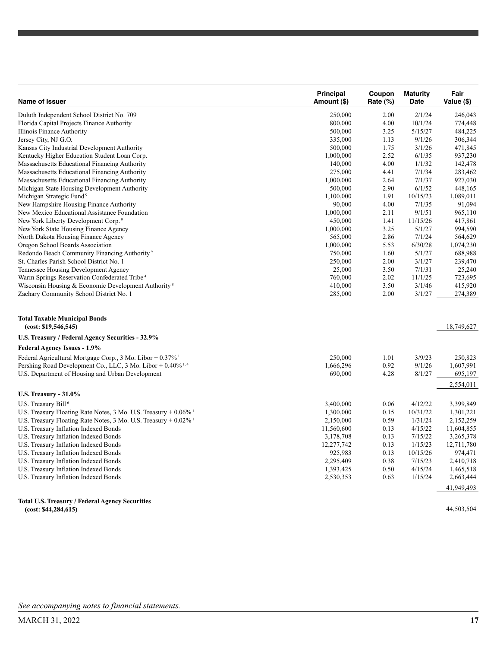| Name of Issuer                                                                 | <b>Principal</b><br>Amount (\$) | Coupon<br>Rate (%) | <b>Maturity</b><br>Date | Fair<br>Value (\$) |
|--------------------------------------------------------------------------------|---------------------------------|--------------------|-------------------------|--------------------|
| Duluth Independent School District No. 709                                     | 250,000                         | 2.00               | 2/1/24                  | 246,043            |
| Florida Capital Projects Finance Authority                                     | 800,000                         | 4.00               | 10/1/24                 | 774,448            |
| Illinois Finance Authority                                                     | 500,000                         | 3.25               | 5/15/27                 | 484,225            |
| Jersey City, NJ G.O.                                                           | 335,000                         | 1.13               | 9/1/26                  | 306,344            |
| Kansas City Industrial Development Authority                                   | 500,000                         | 1.75               | 3/1/26                  | 471,845            |
| Kentucky Higher Education Student Loan Corp.                                   | 1,000,000                       | 2.52               | 6/1/35                  | 937,230            |
| Massachusetts Educational Financing Authority                                  | 140,000                         | 4.00               | 1/1/32                  | 142,478            |
| Massachusetts Educational Financing Authority                                  | 275,000                         | 4.41               | 7/1/34                  | 283,462            |
| Massachusetts Educational Financing Authority                                  | 1,000,000                       | 2.64               | 7/1/37                  | 927,030            |
| Michigan State Housing Development Authority                                   | 500,000                         | 2.90               | 6/1/52                  | 448,165            |
| Michigan Strategic Fund <sup>9</sup>                                           | 1,100,000                       | 1.91               | 10/15/23                | 1,089,011          |
| New Hampshire Housing Finance Authority                                        | 90,000                          | 4.00               | 7/1/35                  | 91,094             |
| New Mexico Educational Assistance Foundation                                   | 1,000,000                       | 2.11               | 9/1/51                  | 965,110            |
| New York Liberty Development Corp. <sup>9</sup>                                | 450,000                         | 1.41               | 11/15/26                | 417,861            |
| New York State Housing Finance Agency                                          | 1,000,000                       | 3.25               | 5/1/27                  | 994,590            |
| North Dakota Housing Finance Agency                                            | 565,000                         | 2.86               | 7/1/24                  | 564,629            |
| Oregon School Boards Association                                               | 1,000,000                       | 5.53               | 6/30/28                 | 1,074,230          |
| Redondo Beach Community Financing Authority <sup>9</sup>                       | 750,000                         | 1.60               | 5/1/27                  | 688,988            |
| St. Charles Parish School District No. 1                                       | 250,000                         | 2.00               | 3/1/27                  | 239,470            |
| Tennessee Housing Development Agency                                           | 25,000                          | 3.50               | 7/1/31                  | 25,240             |
| Warm Springs Reservation Confederated Tribe <sup>4</sup>                       | 760,000                         | 2.02               | 11/1/25                 | 723,695            |
| Wisconsin Housing & Economic Development Authority <sup>8</sup>                | 410,000                         | 3.50               | 3/1/46                  | 415,920            |
| Zachary Community School District No. 1                                        | 285,000                         | 2.00               | 3/1/27                  | 274,389            |
| <b>Total Taxable Municipal Bonds</b><br>(cost: \$19,546,545)                   |                                 |                    |                         | 18,749,627         |
| U.S. Treasury / Federal Agency Securities - 32.9%                              |                                 |                    |                         |                    |
| <b>Federal Agency Issues - 1.9%</b>                                            |                                 |                    |                         |                    |
| Federal Agricultural Mortgage Corp., 3 Mo. Libor $+ 0.37\%$ <sup>1</sup>       | 250,000                         | 1.01               | 3/9/23                  | 250,823            |
| Pershing Road Development Co., LLC, 3 Mo. Libor + $0.40\%$ <sup>1,4</sup>      | 1,666,296                       | 0.92               | 9/1/26                  | 1,607,991          |
| U.S. Department of Housing and Urban Development                               | 690,000                         | 4.28               | 8/1/27                  | 695,197            |
|                                                                                |                                 |                    |                         | 2,554,011          |
| <b>U.S. Treasury - 31.0%</b>                                                   |                                 |                    |                         |                    |
| U.S. Treasury Bill <sup>6</sup>                                                | 3,400,000                       | 0.06               | 4/12/22                 | 3,399,849          |
| U.S. Treasury Floating Rate Notes, 3 Mo. U.S. Treasury $+0.06\%$ <sup>1</sup>  | 1,300,000                       | 0.15               | 10/31/22                | 1,301,221          |
| U.S. Treasury Floating Rate Notes, 3 Mo. U.S. Treasury $+0.02\%$ <sup>1</sup>  | 2,150,000                       | 0.59               | 1/31/24                 | 2,152,259          |
| U.S. Treasury Inflation Indexed Bonds                                          | 11,560,600                      | 0.13               | 4/15/22                 | 11,604,855         |
| U.S. Treasury Inflation Indexed Bonds                                          | 3,178,708                       | 0.13               | 7/15/22                 | 3,265,378          |
| U.S. Treasury Inflation Indexed Bonds                                          | 12,277,742                      | 0.13               | 1/15/23                 | 12,711,780         |
| U.S. Treasury Inflation Indexed Bonds                                          | 925,983                         | 0.13               | 10/15/26                | 974,471            |
| U.S. Treasury Inflation Indexed Bonds                                          | 2,295,409                       | 0.38               | 7/15/23                 | 2,410,718          |
| U.S. Treasury Inflation Indexed Bonds                                          | 1,393,425                       | 0.50               | 4/15/24                 | 1,465,518          |
| U.S. Treasury Inflation Indexed Bonds                                          | 2,530,353                       | 0.63               | 1/15/24                 | 2,663,444          |
|                                                                                |                                 |                    |                         | 41,949,493         |
|                                                                                |                                 |                    |                         |                    |
| <b>Total U.S. Treasury / Federal Agency Securities</b><br>(cost: \$44,284,615) |                                 |                    |                         | 44,503,504         |

*See accompanying notes to financial statements.*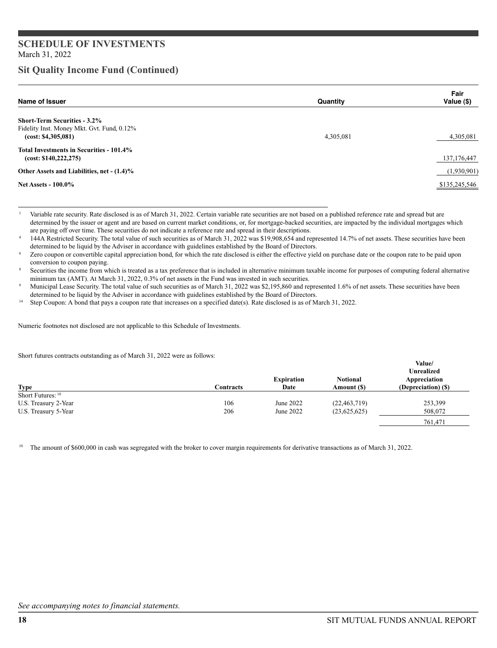### **Sit Quality Income Fund (Continued)**

| Name of Issuer                                                  | Quantity  | Fair<br>Value (\$) |
|-----------------------------------------------------------------|-----------|--------------------|
| <b>Short-Term Securities - 3.2%</b>                             |           |                    |
| Fidelity Inst. Money Mkt. Gvt. Fund, 0.12%                      |           |                    |
| (cost: \$4,305,081)<br>Total Investments in Securities - 101.4% | 4,305,081 | 4,305,081          |
| (cost: \$140,222,275)                                           |           | 137, 176, 447      |
| Other Assets and Liabilities, net - (1.4)%                      |           | (1,930,901)        |
| <b>Net Assets - 100.0%</b>                                      |           | \$135,245,546      |

Variable rate security. Rate disclosed is as of March 31, 2022. Certain variable rate securities are not based on a published reference rate and spread but are determined by the issuer or agent and are based on current market conditions, or, for mortgage-backed securities, are impacted by the individual mortgages which

are paying off over time. These securities do not indicate a reference rate and spread in their descriptions.<br>144A Restricted Security. The total value of such securities as of March 31, 2022 was \$19,908,654 and represente

determined to be liquid by the Adviser in accordance with guidelines established by the Board of Directors.<br>Zero coupon or convertible capital appreciation bond, for which the rate disclosed is either the effective yield o

conversion to coupon paying.<br>Securities the income from which is treated as a tax preference that is included in alternative minimum taxable income for purposes of computing federal alternative

minimum tax (AMT). At March 31, 2022, 0.3% of net assets in the Fund was invested in such securities.<br>Municipal Lease Security. The total value of such securities as of March 31, 2022 was \$2,195,860 and represented 1.6% of determined to be liquid by the Adviser in accordance with guidelines established by the Board of Directors.<br><sup>14</sup> Step Coupon: A bond that pays a coupon rate that increases on a specified date(s). Rate disclosed is as of Ma

Numeric footnotes not disclosed are not applicable to this Schedule of Investments.

Short futures contracts outstanding as of March 31, 2022 were as follows:

| <b>Type</b>          | Contracts | <b>Expiration</b><br>Date | Notional<br>Amount (\$) | ,<br>Unrealized<br>Appreciation<br>(Depreciation) (\$) |
|----------------------|-----------|---------------------------|-------------------------|--------------------------------------------------------|
| Short Futures: $10$  |           |                           |                         |                                                        |
| U.S. Treasury 2-Year | 106       | June 2022                 | (22, 463, 719)          | 253,399                                                |
| U.S. Treasury 5-Year | 206       | June 2022                 | (23,625,625)            | 508,072                                                |
|                      |           |                           |                         | 761.471                                                |

The amount of \$600,000 in cash was segregated with the broker to cover margin requirements for derivative transactions as of March 31, 2022.

**Value/**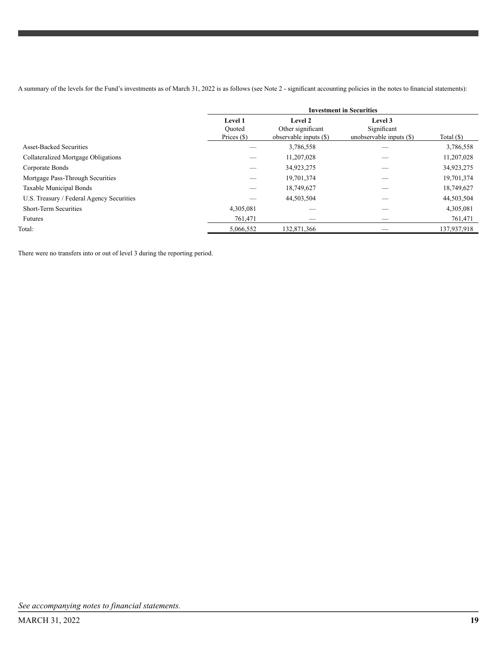A summary of the levels for the Fund's investments as of March 31, 2022 is as follows (see Note 2 - significant accounting policies in the notes to financial statements):

|                                           | <b>Investment in Securities</b>    |                                                               |                                                     |              |
|-------------------------------------------|------------------------------------|---------------------------------------------------------------|-----------------------------------------------------|--------------|
|                                           | Level 1<br>Ouoted<br>Prices $(\$)$ | <b>Level 2</b><br>Other significant<br>observable inputs (\$) | Level 3<br>Significant<br>unobservable inputs $(S)$ | Total $(\$)$ |
| <b>Asset-Backed Securities</b>            |                                    | 3,786,558                                                     |                                                     | 3,786,558    |
| Collateralized Mortgage Obligations       |                                    | 11,207,028                                                    |                                                     | 11,207,028   |
| Corporate Bonds                           |                                    | 34,923,275                                                    |                                                     | 34,923,275   |
| Mortgage Pass-Through Securities          |                                    | 19,701,374                                                    |                                                     | 19,701,374   |
| Taxable Municipal Bonds                   |                                    | 18,749,627                                                    |                                                     | 18,749,627   |
| U.S. Treasury / Federal Agency Securities |                                    | 44,503,504                                                    |                                                     | 44,503,504   |
| <b>Short-Term Securities</b>              | 4,305,081                          |                                                               |                                                     | 4,305,081    |
| Futures                                   | 761,471                            |                                                               |                                                     | 761,471      |
| Total:                                    | 5,066,552                          | 132,871,366                                                   |                                                     | 137,937,918  |

There were no transfers into or out of level 3 during the reporting period.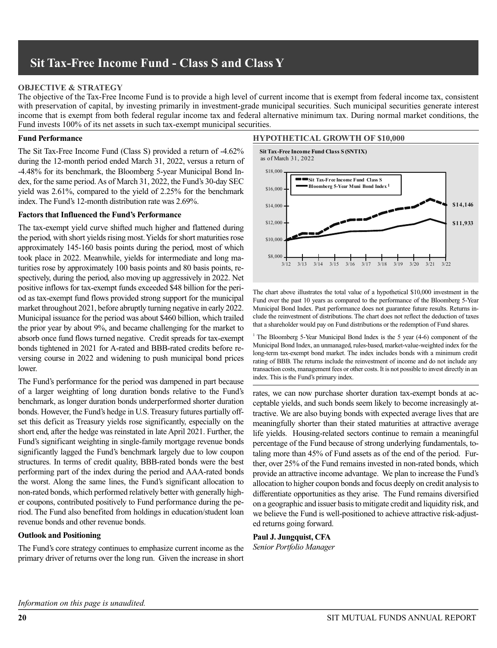# **Sit Tax-Free Income Fund - Class S and Class Y**

### **OBJECTIVE & STRATEGY**

The objective of the Tax-Free Income Fund is to provide a high level of current income that is exempt from federal income tax, consistent with preservation of capital, by investing primarily in investment-grade municipal securities. Such municipal securities generate interest income that is exempt from both federal regular income tax and federal alternative minimum tax. During normal market conditions, the Fund invests 100% of its net assets in such tax-exempt municipal securities.

### **Fund Performance**

The Sit Tax-Free Income Fund (Class S) provided a return of -4.62% during the 12-month period ended March 31, 2022, versus a return of -4.48% for its benchmark, the Bloomberg 5-year Municipal Bond Index, for the same period. As of March 31, 2022, the Fund's 30-day SEC yield was 2.61%, compared to the yield of 2.25% for the benchmark index. The Fund's 12-month distribution rate was 2.69%.

### **Factors that Influenced the Fund's Performance**

The tax-exempt yield curve shifted much higher and flattened during the period, with short yields rising most. Yields for short maturities rose approximately 145-160 basis points during the period, most of which took place in 2022. Meanwhile, yields for intermediate and long maturities rose by approximately 100 basis points and 80 basis points, respectively, during the period, also moving up aggressively in 2022. Net positive inflows for tax-exempt funds exceeded \$48 billion for the period as tax-exempt fund flows provided strong support for the municipal market throughout 2021, before abruptly turning negative in early 2022. Municipal issuance for the period was about \$460 billion, which trailed the prior year by about 9%, and became challenging for the market to absorb once fund flows turned negative. Credit spreads for tax-exempt bonds tightened in 2021 for A-rated and BBB-rated credits before reversing course in 2022 and widening to push municipal bond prices lower.

The Fund's performance for the period was dampened in part because of a larger weighting of long duration bonds relative to the Fund's benchmark, as longer duration bonds underperformed shorter duration bonds. However, the Fund's hedge in U.S. Treasury futures partially offset this deficit as Treasury yields rose significantly, especially on the short end, after the hedge was reinstated in late April 2021. Further, the Fund's significant weighting in single-family mortgage revenue bonds significantly lagged the Fund's benchmark largely due to low coupon structures. In terms of credit quality, BBB-rated bonds were the best performing part of the index during the period and AAA-rated bonds the worst. Along the same lines, the Fund's significant allocation to non-rated bonds, which performed relatively better with generally higher coupons, contributed positively to Fund performance during the period. The Fund also benefited from holdings in education/student loan revenue bonds and other revenue bonds.

### **Outlook and Positioning**

The Fund's core strategy continues to emphasize current income as the primary driver of returns over the long run. Given the increase in short

### **HYPOTHETICAL GROWTH OF \$10,000**



The chart above illustrates the total value of a hypothetical \$10,000 investment in the Fund over the past 10 years as compared to the performance of the Bloomberg 5-Year Municipal Bond Index. Past performance does not guarantee future results. Returns include the reinvestment of distributions. The chart does not reflect the deduction of taxes that a shareholder would pay on Fund distributions or the redemption of Fund shares.

<sup>1</sup> The Bloomberg 5-Year Municipal Bond Index is the 5 year (4-6) component of the Municipal Bond Index, an unmanaged, rules-based, market-value-weighted index for the long-term tax-exempt bond market. The index includes bonds with a minimum credit rating of BBB. The returns include the reinvestment of income and do not include any transaction costs, management fees or other costs. It is not possible to invest directly in an index. This is the Fund's primary index.

rates, we can now purchase shorter duration tax-exempt bonds at acceptable yields, and such bonds seem likely to become increasingly attractive. We are also buying bonds with expected average lives that are meaningfully shorter than their stated maturities at attractive average life yields. Housing-related sectors continue to remain a meaningful percentage of the Fund because of strong underlying fundamentals, totaling more than 45% of Fund assets as of the end of the period. Further, over 25% of the Fund remains invested in non-rated bonds, which provide an attractive income advantage. We plan to increase the Fund's allocation to higher coupon bonds and focus deeply on credit analysis to differentiate opportunities as they arise. The Fund remains diversified on a geographic and issuer basis to mitigate credit and liquidity risk, and we believe the Fund is well-positioned to achieve attractive risk-adjusted returns going forward.

#### **Paul J. Jungquist, CFA** *Senior Portfolio Manager*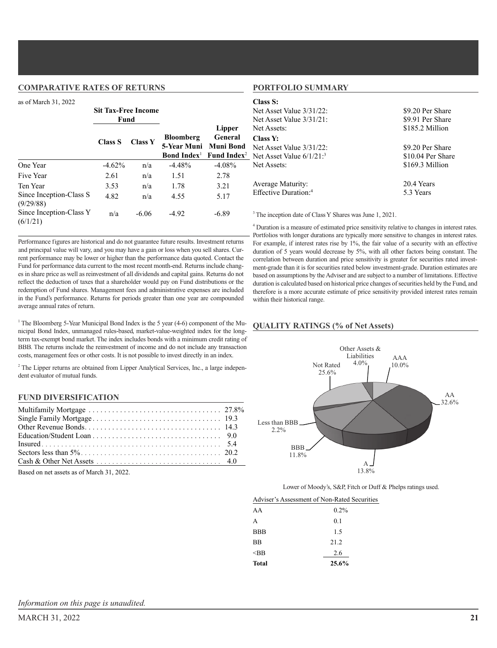#### **COMPARATIVE RATES OF RETURNS**

#### as of March 31, 2022

| $45$ of what on $51$ , $2022$        | <b>Sit Tax-Free Income</b><br>Fund |                |                                                                   |                                                           |
|--------------------------------------|------------------------------------|----------------|-------------------------------------------------------------------|-----------------------------------------------------------|
|                                      | <b>Class S</b>                     | <b>Class Y</b> | <b>Bloomberg</b><br>5-Year Muni<br><b>Bond Index</b> <sup>1</sup> | Lipper<br>General<br>Muni Bond<br>Fund Index <sup>2</sup> |
| One Year                             | $-4.62%$                           | n/a            | $-4.48%$                                                          | $-4.08%$                                                  |
| Five Year                            | 2.61                               | n/a            | 1.51                                                              | 2.78                                                      |
| Ten Year                             | 3.53                               | n/a            | 1.78                                                              | 3.21                                                      |
| Since Inception-Class S<br>(9/29/88) | 4.82                               | n/a            | 4.55                                                              | 5.17                                                      |
| Since Inception-Class Y<br>(6/1/21)  | n/a                                | $-6.06$        | $-4.92$                                                           | $-6.89$                                                   |

Performance figures are historical and do not guarantee future results. Investment returns and principal value will vary, and you may have a gain or loss when you sell shares. Current performance may be lower or higher than the performance data quoted. Contact the Fund for performance data current to the most recent month-end. Returns include changes in share price as well as reinvestment of all dividends and capital gains. Returns do not reflect the deduction of taxes that a shareholder would pay on Fund distributions or the redemption of Fund shares. Management fees and administrative expenses are included in the Fund's performance. Returns for periods greater than one year are compounded average annual rates of return.

<sup>1</sup> The Bloomberg 5-Year Municipal Bond Index is the 5 year (4-6) component of the Municipal Bond Index, unmanaged rules-based, market-value-weighted index for the longterm tax-exempt bond market. The index includes bonds with a minimum credit rating of BBB. The returns include the reinvestment of income and do not include any transaction costs, management fees or other costs. It is not possible to invest directly in an index.

<sup>2</sup> The Lipper returns are obtained from Lipper Analytical Services, Inc., a large independent evaluator of mutual funds.

### **FUND DIVERSIFICATION**

Based on net assets as of March 31, 2022.

#### **PORTFOLIO SUMMARY**

| Class S:                              |                   |
|---------------------------------------|-------------------|
| Net Asset Value 3/31/22:              | \$9.20 Per Share  |
| Net Asset Value $3/31/21$ :           | \$9.91 Per Share  |
| Net Assets:                           | \$185.2 Million   |
| Class V:                              |                   |
| Net Asset Value $3/31/22$ :           | \$9.20 Per Share  |
| Net Asset Value $6/1/21$ <sup>3</sup> | \$10.04 Per Share |
| Net Assets:                           | \$169.3 Million   |
| Average Maturity:                     | 20.4 Years        |
| Effective Duration: <sup>4</sup>      | 5.3 Years         |
|                                       |                   |

<sup>3</sup> The inception date of Class Y Shares was June 1, 2021.

<sup>4</sup> Duration is a measure of estimated price sensitivity relative to changes in interest rates. Portfolios with longer durations are typically more sensitive to changes in interest rates. For example, if interest rates rise by 1%, the fair value of a security with an effective duration of 5 years would decrease by 5%, with all other factors being constant. The correlation between duration and price sensitivity is greater for securities rated investment-grade than it is for securities rated below investment-grade. Duration estimates are based on assumptions by the Adviser and are subject to a number of limitations. Effective duration is calculated based on historical price changes of securities held by the Fund, and therefore is a more accurate estimate of price sensitivity provided interest rates remain within their historical range.

#### **QUALITY RATINGS (% of Net Assets)**



Lower of Moody's, S&P, Fitch or Duff & Phelps ratings used.

| Adviser's Assessment of Non-Rated Securities |  |  |
|----------------------------------------------|--|--|
|                                              |  |  |

| AA           | $0.2\%$ |
|--------------|---------|
| A            | 0.1     |
| <b>BBB</b>   | 1.5     |
| <b>BB</b>    | 21.2    |
| $\leq$ BB    | 2.6     |
| <b>Total</b> | 25.6%   |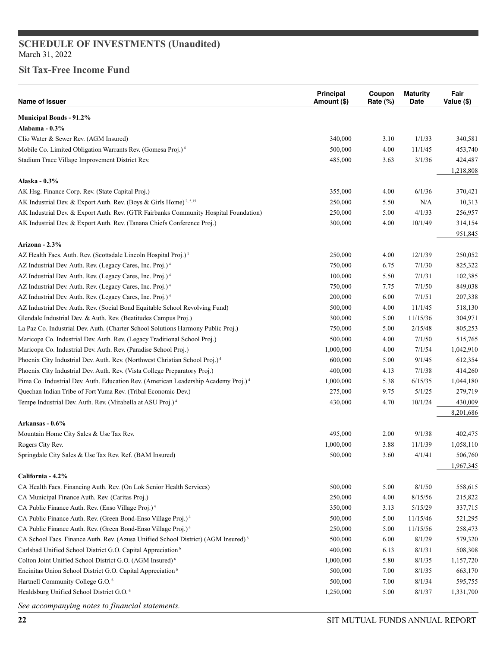### **Sit Tax-Free Income Fund**

| Name of Issuer                                                                                 | Principal<br>Amount (\$) | Coupon<br>Rate (%) | <b>Maturity</b><br>Date | Fair<br>Value (\$) |
|------------------------------------------------------------------------------------------------|--------------------------|--------------------|-------------------------|--------------------|
| <b>Municipal Bonds - 91.2%</b>                                                                 |                          |                    |                         |                    |
| Alabama - 0.3%                                                                                 |                          |                    |                         |                    |
| Clio Water & Sewer Rev. (AGM Insured)                                                          | 340,000                  | 3.10               | 1/1/33                  | 340,581            |
| Mobile Co. Limited Obligation Warrants Rev. (Gomesa Proj.) <sup>4</sup>                        | 500,000                  | 4.00               | 11/1/45                 | 453,740            |
| Stadium Trace Village Improvement District Rev.                                                | 485,000                  | 3.63               | 3/1/36                  | 424,487            |
|                                                                                                |                          |                    |                         | 1,218,808          |
| Alaska - 0.3%                                                                                  |                          |                    |                         |                    |
| AK Hsg. Finance Corp. Rev. (State Capital Proj.)                                               | 355,000                  | 4.00               | 6/1/36                  | 370,421            |
| AK Industrial Dev. & Export Auth. Rev. (Boys & Girls Home) <sup>2, 5,15</sup>                  | 250,000                  | 5.50               | $\rm N/A$               | 10,313             |
| AK Industrial Dev. & Export Auth. Rev. (GTR Fairbanks Community Hospital Foundation)           | 250,000                  | 5.00               | 4/1/33                  | 256,957            |
| AK Industrial Dev. & Export Auth. Rev. (Tanana Chiefs Conference Proj.)                        | 300,000                  | 4.00               | 10/1/49                 | 314,154            |
|                                                                                                |                          |                    |                         | 951,845            |
| Arizona - 2.3%                                                                                 |                          |                    |                         |                    |
| AZ Health Facs. Auth. Rev. (Scottsdale Lincoln Hospital Proj.) <sup>1</sup>                    | 250,000                  | 4.00               | 12/1/39                 | 250,052            |
| AZ Industrial Dev. Auth. Rev. (Legacy Cares, Inc. Proj.) <sup>4</sup>                          | 750,000                  | 6.75               | 7/1/30                  | 825,322            |
| AZ Industrial Dev. Auth. Rev. (Legacy Cares, Inc. Proj.) <sup>4</sup>                          | 100,000                  | 5.50               | 7/1/31                  | 102,385            |
| AZ Industrial Dev. Auth. Rev. (Legacy Cares, Inc. Proj.) <sup>4</sup>                          | 750,000                  | 7.75               | 7/1/50                  | 849,038            |
| AZ Industrial Dev. Auth. Rev. (Legacy Cares, Inc. Proj.) <sup>4</sup>                          | 200,000                  | 6.00               | 7/1/51                  | 207,338            |
| AZ Industrial Dev. Auth. Rev. (Social Bond Equitable School Revolving Fund)                    | 500,000                  | 4.00               | 11/1/45                 | 518,130            |
| Glendale Industrial Dev. & Auth. Rev. (Beatitudes Campus Proj.)                                | 300,000                  | 5.00               | 11/15/36                | 304,971            |
| La Paz Co. Industrial Dev. Auth. (Charter School Solutions Harmony Public Proj.)               | 750,000                  | 5.00               | 2/15/48                 | 805,253            |
| Maricopa Co. Industrial Dev. Auth. Rev. (Legacy Traditional School Proj.)                      | 500,000                  | 4.00               | 7/1/50                  | 515,765            |
| Maricopa Co. Industrial Dev. Auth. Rev. (Paradise School Proj.)                                | 1,000,000                | 4.00               | 7/1/54                  | 1,042,910          |
| Phoenix City Industrial Dev. Auth. Rev. (Northwest Christian School Proj.) <sup>4</sup>        | 600,000                  | 5.00               | 9/1/45                  | 612,354            |
| Phoenix City Industrial Dev. Auth. Rev. (Vista College Preparatory Proj.)                      | 400,000                  | 4.13               | 7/1/38                  | 414,260            |
| Pima Co. Industrial Dev. Auth. Education Rev. (American Leadership Academy Proj.) <sup>4</sup> | 1,000,000                | 5.38               | 6/15/35                 | 1,044,180          |
| Quechan Indian Tribe of Fort Yuma Rev. (Tribal Economic Dev.)                                  | 275,000                  | 9.75               | 5/1/25                  | 279,719            |
| Tempe Industrial Dev. Auth. Rev. (Mirabella at ASU Proj.) <sup>4</sup>                         | 430,000                  | 4.70               | 10/1/24                 | 430,009            |
|                                                                                                |                          |                    |                         | 8,201,686          |
| Arkansas - 0.6%                                                                                |                          |                    |                         |                    |
| Mountain Home City Sales & Use Tax Rev.                                                        | 495,000                  | 2.00               | 9/1/38                  | 402,475            |
| Rogers City Rev.                                                                               | 1,000,000                | 3.88               | 11/1/39                 | 1,058,110          |
| Springdale City Sales & Use Tax Rev. Ref. (BAM Insured)                                        | 500,000                  | 3.60               | 4/1/41                  | 506,760            |
|                                                                                                |                          |                    |                         | 1,967,345          |
| California - 4.2%                                                                              |                          |                    |                         |                    |
| CA Health Facs. Financing Auth. Rev. (On Lok Senior Health Services)                           | 500,000                  | 5.00               | 8/1/50                  | 558,615            |
| CA Municipal Finance Auth. Rev. (Caritas Proj.)                                                | 250,000                  | 4.00               | 8/15/56                 | 215,822            |
| CA Public Finance Auth. Rev. (Enso Village Proj.) <sup>4</sup>                                 | 350,000                  | 3.13               | 5/15/29                 | 337,715            |
| CA Public Finance Auth. Rev. (Green Bond-Enso Village Proj.) <sup>4</sup>                      | 500,000                  | 5.00               | 11/15/46                | 521,295            |
| CA Public Finance Auth. Rev. (Green Bond-Enso Village Proj.) <sup>4</sup>                      | 250,000                  | 5.00               | 11/15/56                | 258,473            |
| CA School Facs. Finance Auth. Rev. (Azusa Unified School District) (AGM Insured) <sup>6</sup>  | 500,000                  | 6.00               | 8/1/29                  | 579,320            |
| Carlsbad Unified School District G.O. Capital Appreciation <sup>6</sup>                        | 400,000                  | 6.13               | 8/1/31                  | 508,308            |
| Colton Joint Unified School District G.O. (AGM Insured) <sup>6</sup>                           | 1,000,000                | 5.80               | 8/1/35                  | 1,157,720          |
| Encinitas Union School District G.O. Capital Appreciation <sup>6</sup>                         | 500,000                  | 7.00               | 8/1/35                  | 663,170            |
| Hartnell Community College G.O. <sup>6</sup>                                                   | 500,000                  | 7.00               | 8/1/34                  | 595,755            |
| Healdsburg Unified School District G.O. <sup>6</sup>                                           | 1,250,000                | 5.00               | 8/1/37                  | 1,331,700          |
| See accompanying notes to financial statements.                                                |                          |                    |                         |                    |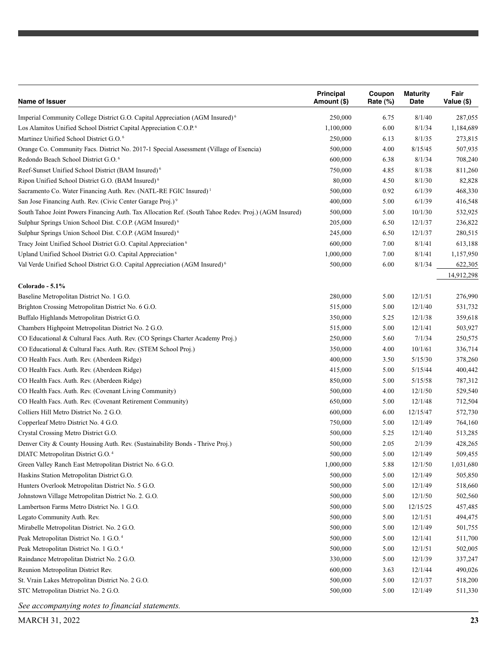| Name of Issuer                                                                                        | Principal<br>Amount (\$) | Coupon<br>Rate (%) | <b>Maturity</b><br>Date | Fair<br>Value (\$) |
|-------------------------------------------------------------------------------------------------------|--------------------------|--------------------|-------------------------|--------------------|
| Imperial Community College District G.O. Capital Appreciation (AGM Insured) <sup>6</sup>              | 250,000                  | 6.75               | 8/1/40                  | 287,055            |
| Los Alamitos Unified School District Capital Appreciation C.O.P. <sup>6</sup>                         | 1,100,000                | 6.00               | 8/1/34                  | 1,184,689          |
| Martinez Unified School District G.O. <sup>6</sup>                                                    | 250,000                  | 6.13               | 8/1/35                  | 273,815            |
| Orange Co. Community Facs. District No. 2017-1 Special Assessment (Village of Esencia)                | 500,000                  | 4.00               | 8/15/45                 | 507,935            |
| Redondo Beach School District G.O. <sup>6</sup>                                                       | 600,000                  | 6.38               | 8/1/34                  | 708,240            |
| Reef-Sunset Unified School District (BAM Insured) <sup>6</sup>                                        | 750,000                  | 4.85               | 8/1/38                  | 811,260            |
| Ripon Unified School District G.O. (BAM Insured) <sup>6</sup>                                         | 80,000                   | 4.50               | 8/1/30                  | 82,828             |
| Sacramento Co. Water Financing Auth. Rev. (NATL-RE FGIC Insured) <sup>1</sup>                         | 500,000                  | 0.92               | 6/1/39                  | 468,330            |
| San Jose Financing Auth. Rev. (Civic Center Garage Proj.) <sup>9</sup>                                | 400,000                  | 5.00               | 6/1/39                  | 416,548            |
| South Tahoe Joint Powers Financing Auth. Tax Allocation Ref. (South Tahoe Redev. Proj.) (AGM Insured) | 500,000                  | 5.00               | 10/1/30                 | 532,925            |
| Sulphur Springs Union School Dist. C.O.P. (AGM Insured) <sup>6</sup>                                  | 205,000                  | 6.50               | 12/1/37                 | 236,822            |
| Sulphur Springs Union School Dist. C.O.P. (AGM Insured) <sup>6</sup>                                  | 245,000                  | 6.50               | 12/1/37                 | 280,515            |
| Tracy Joint Unified School District G.O. Capital Appreciation <sup>6</sup>                            | 600,000                  | 7.00               | 8/1/41                  | 613,188            |
| Upland Unified School District G.O. Capital Appreciation <sup>6</sup>                                 | 1,000,000                | 7.00               | 8/1/41                  | 1,157,950          |
| Val Verde Unified School District G.O. Capital Appreciation (AGM Insured) <sup>6</sup>                | 500,000                  | 6.00               | 8/1/34                  | 622,305            |
|                                                                                                       |                          |                    |                         | 14,912,298         |
| Colorado - 5.1%                                                                                       |                          |                    |                         |                    |
| Baseline Metropolitan District No. 1 G.O.                                                             | 280,000                  | 5.00               | 12/1/51                 | 276,990            |
| Brighton Crossing Metropolitan District No. 6 G.O.                                                    | 515,000                  | 5.00               | 12/1/40                 | 531,732            |
| Buffalo Highlands Metropolitan District G.O.                                                          | 350,000                  | 5.25               | 12/1/38                 | 359,618            |
| Chambers Highpoint Metropolitan District No. 2 G.O.                                                   | 515,000                  | 5.00               | 12/1/41                 | 503,927            |
| CO Educational & Cultural Facs. Auth. Rev. (CO Springs Charter Academy Proj.)                         | 250,000                  | 5.60               | 7/1/34                  | 250,575            |
| CO Educational & Cultural Facs. Auth. Rev. (STEM School Proj.)                                        | 350,000                  | 4.00               | 10/1/61                 | 336,714            |
| CO Health Facs. Auth. Rev. (Aberdeen Ridge)                                                           | 400,000                  | 3.50               | 5/15/30                 | 378,260            |
| CO Health Facs. Auth. Rev. (Aberdeen Ridge)                                                           | 415,000                  | 5.00               | 5/15/44                 | 400,442            |
| CO Health Facs. Auth. Rev. (Aberdeen Ridge)                                                           | 850,000                  | 5.00               | 5/15/58                 | 787,312            |
| CO Health Facs. Auth. Rev. (Covenant Living Community)                                                | 500,000                  | 4.00               | 12/1/50                 | 529,540            |
| CO Health Facs. Auth. Rev. (Covenant Retirement Community)                                            | 650,000                  | 5.00               | 12/1/48                 | 712,504            |
| Colliers Hill Metro District No. 2 G.O.                                                               | 600,000                  | 6.00               | 12/15/47                | 572,730            |
| Copperleaf Metro District No. 4 G.O.                                                                  | 750,000                  | 5.00               | 12/1/49                 | 764,160            |
| Crystal Crossing Metro District G.O.                                                                  | 500,000                  | 5.25               | 12/1/40                 | 513,285            |
| Denver City & County Housing Auth. Rev. (Sustainability Bonds - Thrive Proj.)                         | 500,000                  | 2.05               | 2/1/39                  | 428,265            |
| DIATC Metropolitan District G.O. <sup>4</sup>                                                         | 500,000                  | 5.00               | 12/1/49                 | 509,455            |
| Green Valley Ranch East Metropolitan District No. 6 G.O.                                              | 1,000,000                | 5.88               | 12/1/50                 | 1,031,680          |
| Haskins Station Metropolitan District G.O.                                                            | 500,000                  | 5.00               | 12/1/49                 | 505,850            |
| Hunters Overlook Metropolitan District No. 5 G.O.                                                     | 500,000                  | 5.00               | 12/1/49                 | 518,660            |
| Johnstown Village Metropolitan District No. 2. G.O.                                                   | 500,000                  | 5.00               | 12/1/50                 | 502,560            |
| Lambertson Farms Metro District No. 1 G.O.                                                            | 500,000                  | 5.00               | 12/15/25                | 457,485            |
| Legato Community Auth. Rev.                                                                           | 500,000                  | 5.00               | 12/1/51                 | 494,475            |
| Mirabelle Metropolitan District. No. 2 G.O.                                                           | 500,000                  | 5.00               | 12/1/49                 | 501,755            |
| Peak Metropolitan District No. 1 G.O. <sup>4</sup>                                                    | 500,000                  | 5.00               | 12/1/41                 | 511,700            |
|                                                                                                       |                          |                    |                         |                    |
| Peak Metropolitan District No. 1 G.O. <sup>4</sup><br>Raindance Metropolitan District No. 2 G.O.      | 500,000                  | 5.00               | 12/1/51                 | 502,005            |
|                                                                                                       | 330,000                  | 5.00               | 12/1/39                 | 337,247            |
| Reunion Metropolitan District Rev.                                                                    | 600,000                  | 3.63               | 12/1/44                 | 490,026            |
| St. Vrain Lakes Metropolitan District No. 2 G.O.                                                      | 500,000                  | 5.00               | 12/1/37                 | 518,200            |
| STC Metropolitan District No. 2 G.O.                                                                  | 500,000                  | 5.00               | 12/1/49                 | 511,330            |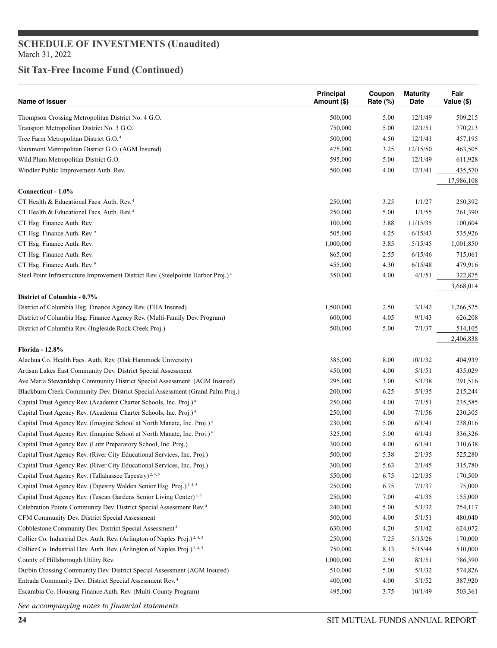# **Sit Tax-Free Income Fund (Continued)**

| Name of Issuer                                                                                                                         | Principal<br>Amount (\$) | Coupon<br>Rate (%) | <b>Maturity</b><br>Date | Fair<br>Value (\$) |
|----------------------------------------------------------------------------------------------------------------------------------------|--------------------------|--------------------|-------------------------|--------------------|
| Thompson Crossing Metropolitan District No. 4 G.O.                                                                                     | 500,000                  | 5.00               | 12/1/49                 | 509,215            |
| Transport Metropolitan District No. 3 G.O.                                                                                             | 750,000                  | 5.00               | 12/1/51                 | 770,213            |
| Tree Farm Metropolitan District G.O. <sup>4</sup>                                                                                      | 500,000                  | 4.50               | 12/1/41                 | 457,195            |
| Vauxmont Metropolitan District G.O. (AGM Insured)                                                                                      | 475,000                  | 3.25               | 12/15/50                | 463,505            |
| Wild Plum Metropolitan District G.O.                                                                                                   | 595,000                  | 5.00               | 12/1/49                 | 611,928            |
| Windler Public Improvement Auth. Rev.                                                                                                  | 500,000                  | 4.00               | 12/1/41                 | 435,570            |
|                                                                                                                                        |                          |                    |                         | 17,986,108         |
| Connecticut - 1.0%                                                                                                                     |                          |                    |                         |                    |
| CT Health & Educational Facs. Auth. Rev. <sup>4</sup>                                                                                  | 250,000                  | 3.25               | 1/1/27                  | 250,392            |
| CT Health & Educational Facs. Auth. Rev. <sup>4</sup>                                                                                  | 250,000                  | 5.00               | 1/1/55                  | 261,390            |
| CT Hsg. Finance Auth. Rev.                                                                                                             | 100,000                  | 3.88               | 11/15/35                | 100,604            |
| CT Hsg. Finance Auth. Rev. <sup>9</sup>                                                                                                | 505,000                  | 4.25               | 6/15/43                 | 535,926            |
| CT Hsg. Finance Auth. Rev.                                                                                                             | 1,000,000                | 3.85               | 5/15/45                 | 1,001,850          |
| CT Hsg. Finance Auth. Rev.                                                                                                             | 865,000                  | 2.55               | 6/15/46                 | 715,061            |
| CT Hsg. Finance Auth. Rev. <sup>9</sup>                                                                                                | 455,000                  | 4.30               | 6/15/48                 | 479,916            |
| Steel Point Infrastructure Improvement District Rev. (Steelpointe Harbor Proj.) <sup>4</sup>                                           | 350,000                  | 4.00               | 4/1/51                  | 322,875            |
|                                                                                                                                        |                          |                    |                         | 3,668,014          |
| District of Columbia - 0.7%                                                                                                            |                          |                    |                         |                    |
| District of Columbia Hsg. Finance Agency Rev. (FHA Insured)                                                                            | 1,500,000                | 2.50               | 3/1/42                  | 1,266,525          |
| District of Columbia Hsg. Finance Agency Rev. (Multi-Family Dev. Program)                                                              | 600,000                  | 4.05               | 9/1/43                  | 626,208            |
| District of Columbia Rev. (Ingleside Rock Creek Proj.)                                                                                 | 500,000                  | 5.00               | 7/1/37                  | 514,105            |
| <b>Florida - 12.8%</b>                                                                                                                 |                          |                    |                         | 2,406,838          |
| Alachua Co. Health Facs. Auth. Rev. (Oak Hammock University)                                                                           | 385,000                  | 8.00               | 10/1/32                 | 404,939            |
| Artisan Lakes East Community Dev. District Special Assessment                                                                          | 450,000                  | 4.00               | 5/1/51                  | 435,029            |
| Ave Maria Stewardship Community District Special Assessment. (AGM Insured)                                                             | 295,000                  | 3.00               | 5/1/38                  | 291,516            |
| Blackburn Creek Community Dev. District Special Assessment (Grand Palm Proj.)                                                          | 200,000                  | 6.25               | 5/1/35                  | 215,244            |
| Capital Trust Agency Rev. (Academir Charter Schools, Inc. Proj.) <sup>4</sup>                                                          | 250,000                  | 4.00               | 7/1/51                  | 235,585            |
| Capital Trust Agency Rev. (Academir Charter Schools, Inc. Proj.) <sup>4</sup>                                                          | 250,000                  | 4.00               | 7/1/56                  | 230,305            |
| Capital Trust Agency Rev. (Imagine School at North Manate, Inc. Proj.) <sup>4</sup>                                                    | 230,000                  | 5.00               | 6/1/41                  | 238,016            |
| Capital Trust Agency Rev. (Imagine School at North Manate, Inc. Proj.) <sup>4</sup>                                                    | 325,000                  | 5.00               | 6/1/41                  | 336,326            |
| Capital Trust Agency Rev. (Lutz Preparatory School, Inc. Proj.)                                                                        | 300,000                  | 4.00               | 6/1/41                  | 310,638            |
| Capital Trust Agency Rev. (River City Educational Services, Inc. Proj.)                                                                | 500,000                  | 5.38               | 2/1/35                  | 525,280            |
| Capital Trust Agency Rev. (River City Educational Services, Inc. Proj.)                                                                | 300,000                  | 5.63               | 2/1/45                  | 315,780            |
| Capital Trust Agency Rev. (Tallahassee Tapestry) <sup>2, 4, 5</sup>                                                                    | 550,000                  | 6.75               | 12/1/35                 | 170,500            |
| Capital Trust Agency Rev. (Tapestry Walden Senior Hsg. Proj.) <sup>2,4,5</sup>                                                         | 250,000                  | 6.75               | 7/1/37                  | 75,000             |
| Capital Trust Agency Rev. (Tuscan Gardens Senior Living Center) <sup>2,5</sup>                                                         | 250,000                  | 7.00               | 4/1/35                  | 155,000            |
| Celebration Pointe Community Dev. District Special Assessment Rev. <sup>4</sup>                                                        | 240,000                  | 5.00               | 5/1/32                  | 254,117            |
| CFM Community Dev. District Special Assessment                                                                                         | 500,000                  | 4.00               | 5/1/51                  | 480,040            |
| Cobblestone Community Dev. District Special Assessment <sup>4</sup>                                                                    | 630,000                  | 4.20               | 5/1/42                  | 624,072            |
| Collier Co. Industrial Dev. Auth. Rev. (Arlington of Naples Proj.) <sup>2, 4, 5</sup>                                                  | 250,000                  | 7.25               | 5/15/26                 | 170,000            |
| Collier Co. Industrial Dev. Auth. Rev. (Arlington of Naples Proj.) <sup>2,4,5</sup>                                                    | 750,000                  | 8.13               | 5/15/44                 | 510,000            |
| County of Hillsborough Utility Rev.                                                                                                    | 1,000,000                | 2.50               | 8/1/51                  | 786,390            |
|                                                                                                                                        |                          |                    |                         |                    |
| Durbin Crossing Community Dev. District Special Assessment (AGM Insured)                                                               | 510,000                  | 5.00               | 5/1/32                  | 574,826            |
| Entrada Community Dev. District Special Assessment Rev. <sup>4</sup><br>Escambia Co. Housing Finance Auth. Rev. (Multi-County Program) | 400,000<br>495,000       | 4.00<br>3.75       | 5/1/52<br>10/1/49       | 387,920<br>503,361 |
| See accompanying notes to financial statements.                                                                                        |                          |                    |                         |                    |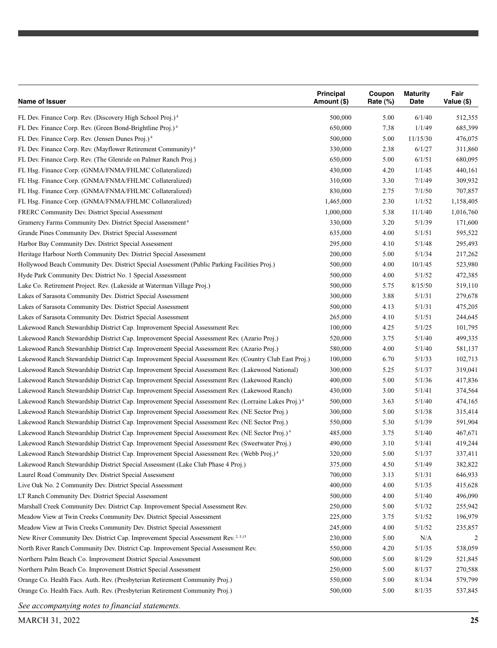| Name of Issuer                                                                                                   | Principal<br>Amount (\$) | Coupon<br>Rate (%) | <b>Maturity</b><br>Date | Fair<br>Value (\$) |
|------------------------------------------------------------------------------------------------------------------|--------------------------|--------------------|-------------------------|--------------------|
| FL Dev. Finance Corp. Rev. (Discovery High School Proj.) <sup>4</sup>                                            | 500,000                  | 5.00               | 6/1/40                  | 512,355            |
| FL Dev. Finance Corp. Rev. (Green Bond-Brightline Proj.) <sup>4</sup>                                            | 650,000                  | 7.38               | 1/1/49                  | 685,399            |
| FL Dev. Finance Corp. Rev. (Jensen Dunes Proj.) <sup>4</sup>                                                     | 500,000                  | 5.00               | 11/15/30                | 476,075            |
| FL Dev. Finance Corp. Rev. (Mayflower Retirement Community) <sup>4</sup>                                         | 330,000                  | 2.38               | 6/1/27                  | 311,860            |
| FL Dev. Finance Corp. Rev. (The Glenride on Palmer Ranch Proj.)                                                  | 650,000                  | 5.00               | 6/1/51                  | 680,095            |
| FL Hsg. Finance Corp. (GNMA/FNMA/FHLMC Collateralized)                                                           | 430,000                  | 4.20               | 1/1/45                  | 440,161            |
| FL Hsg. Finance Corp. (GNMA/FNMA/FHLMC Collateralized)                                                           | 310,000                  | 3.30               | 7/1/49                  | 309,932            |
| FL Hsg. Finance Corp. (GNMA/FNMA/FHLMC Collateralized)                                                           | 830,000                  | 2.75               | 7/1/50                  | 707,857            |
| FL Hsg. Finance Corp. (GNMA/FNMA/FHLMC Collateralized)                                                           | 1,465,000                | 2.30               | 1/1/52                  | 1,158,405          |
| FRERC Community Dev. District Special Assessment                                                                 | 1,000,000                | 5.38               | 11/1/40                 | 1,016,760          |
| Gramercy Farms Community Dev. District Special Assessment <sup>6</sup>                                           | 330,000                  | 3.20               | 5/1/39                  | 171,600            |
| Grande Pines Community Dev. District Special Assessment                                                          | 635,000                  | 4.00               | 5/1/51                  | 595,522            |
| Harbor Bay Community Dev. District Special Assessment                                                            | 295,000                  | 4.10               | 5/1/48                  | 295,493            |
| Heritage Harbour North Community Dev. District Special Assessment                                                | 200,000                  | 5.00               | 5/1/34                  | 217,262            |
| Hollywood Beach Community Dev. District Special Assessment (Public Parking Facilities Proj.)                     | 500,000                  | 4.00               | 10/1/45                 | 523,980            |
| Hyde Park Community Dev. District No. 1 Special Assessment                                                       | 500,000                  | 4.00               | 5/1/52                  | 472,385            |
| Lake Co. Retirement Project. Rev. (Lakeside at Waterman Village Proj.)                                           | 500,000                  | 5.75               | 8/15/50                 | 519,110            |
| Lakes of Sarasota Community Dev. District Special Assessment                                                     | 300,000                  | 3.88               | 5/1/31                  | 279,678            |
| Lakes of Sarasota Community Dev. District Special Assessment                                                     | 500,000                  | 4.13               | 5/1/31                  | 475,205            |
| Lakes of Sarasota Community Dev. District Special Assessment                                                     | 265,000                  | 4.10               | 5/1/51                  | 244,645            |
| Lakewood Ranch Stewardship District Cap. Improvement Special Assessment Rev.                                     | 100,000                  | 4.25               | 5/1/25                  | 101,795            |
| Lakewood Ranch Stewardship District Cap. Improvement Special Assessment Rev. (Azario Proj.)                      | 520,000                  | 3.75               | 5/1/40                  | 499,335            |
| Lakewood Ranch Stewardship District Cap. Improvement Special Assessment Rev. (Azario Proj.)                      | 580,000                  | 4.00               | 5/1/40                  | 581,137            |
| Lakewood Ranch Stewardship District Cap. Improvement Special Assessment Rev. (Country Club East Proj.)           | 100,000                  | 6.70               | 5/1/33                  | 102,713            |
| Lakewood Ranch Stewardship District Cap. Improvement Special Assessment Rev. (Lakewood National)                 | 300,000                  | 5.25               | 5/1/37                  | 319,041            |
| Lakewood Ranch Stewardship District Cap. Improvement Special Assessment Rev. (Lakewood Ranch)                    | 400,000                  | 5.00               | 5/1/36                  | 417,836            |
| Lakewood Ranch Stewardship District Cap. Improvement Special Assessment Rev. (Lakewood Ranch)                    | 430,000                  | 3.00               | 5/1/41                  | 374,564            |
| Lakewood Ranch Stewardship District Cap. Improvement Special Assessment Rev. (Lorraine Lakes Proj.) <sup>4</sup> | 500,000                  | 3.63               | 5/1/40                  | 474,165            |
| Lakewood Ranch Stewardship District Cap. Improvement Special Assessment Rev. (NE Sector Proj.)                   | 300,000                  | 5.00               | 5/1/38                  | 315,414            |
| Lakewood Ranch Stewardship District Cap. Improvement Special Assessment Rev. (NE Sector Proj.)                   | 550,000                  | 5.30               | 5/1/39                  | 591,904            |
| Lakewood Ranch Stewardship District Cap. Improvement Special Assessment Rev. (NE Sector Proj.) <sup>4</sup>      | 485,000                  | 3.75               | 5/1/40                  | 467,671            |
| Lakewood Ranch Stewardship District Cap. Improvement Special Assessment Rev. (Sweetwater Proj.)                  | 490,000                  | 3.10               | 5/1/41                  | 419,244            |
| Lakewood Ranch Stewardship District Cap. Improvement Special Assessment Rev. (Webb Proj.) <sup>4</sup>           | 320,000                  | 5.00               | 5/1/37                  | 337,411            |
| Lakewood Ranch Stewardship District Special Assessment (Lake Club Phase 4 Proj.)                                 | 375,000                  | 4.50               | 5/1/49                  | 382,822            |
| Laurel Road Community Dev. District Special Assessment                                                           | 700,000                  | 3.13               | 5/1/31                  | 646,933            |
| Live Oak No. 2 Community Dev. District Special Assessment                                                        | 400,000                  | 4.00               | 5/1/35                  | 415,628            |
| LT Ranch Community Dev. District Special Assessment                                                              | 500,000                  | 4.00               | 5/1/40                  | 496,090            |
| Marshall Creek Community Dev. District Cap. Improvement Special Assessment Rev.                                  | 250,000                  | 5.00               | 5/1/32                  | 255,942            |
| Meadow View at Twin Creeks Community Dev. District Special Assessment                                            | 225,000                  | 3.75               | 5/1/52                  | 196,979            |
| Meadow View at Twin Creeks Community Dev. District Special Assessment                                            | 245,000                  | 4.00               | 5/1/52                  | 235,857            |
| New River Community Dev. District Cap. Improvement Special Assessment Rev. <sup>2, 5,15</sup>                    | 230,000                  | 5.00               | N/A                     |                    |
| North River Ranch Community Dev. District Cap. Improvement Special Assessment Rev.                               | 550,000                  | 4.20               | 5/1/35                  | 538,059            |
| Northern Palm Beach Co. Improvement District Special Assessment                                                  | 500,000                  | 5.00               | 8/1/29                  | 521,845            |
| Northern Palm Beach Co. Improvement District Special Assessment                                                  | 250,000                  | 5.00               | 8/1/37                  | 270,588            |
| Orange Co. Health Facs. Auth. Rev. (Presbyterian Retirement Community Proj.)                                     | 550,000                  | 5.00               | 8/1/34                  | 579,799            |
| Orange Co. Health Facs. Auth. Rev. (Presbyterian Retirement Community Proj.)                                     | 500,000                  | 5.00               | 8/1/35                  | 537,845            |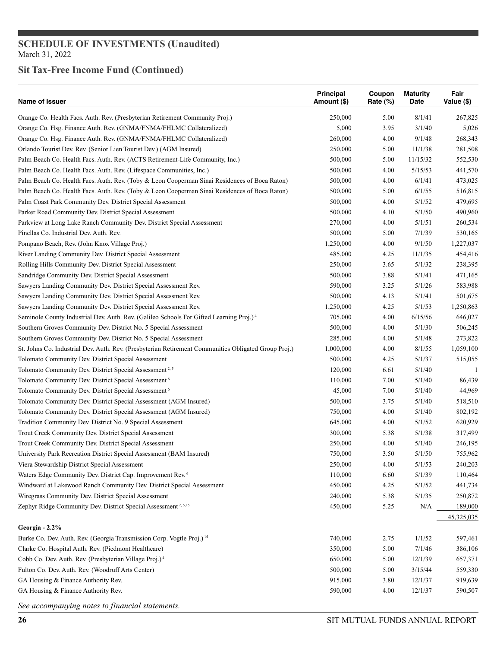# **Sit Tax-Free Income Fund (Continued)**

| <b>Name of Issuer</b>                                                                                | Principal<br>Amount (\$) | Coupon<br>Rate (%) | <b>Maturity</b><br>Date | Fair<br>Value (\$) |
|------------------------------------------------------------------------------------------------------|--------------------------|--------------------|-------------------------|--------------------|
| Orange Co. Health Facs. Auth. Rev. (Presbyterian Retirement Community Proj.)                         | 250,000                  | 5.00               | 8/1/41                  | 267,825            |
| Orange Co. Hsg. Finance Auth. Rev. (GNMA/FNMA/FHLMC Collateralized)                                  | 5,000                    | 3.95               | 3/1/40                  | 5,026              |
| Orange Co. Hsg. Finance Auth. Rev. (GNMA/FNMA/FHLMC Collateralized)                                  | 260,000                  | 4.00               | 9/1/48                  | 268,343            |
| Orlando Tourist Dev. Rev. (Senior Lien Tourist Dev.) (AGM Insured)                                   | 250,000                  | 5.00               | 11/1/38                 | 281,508            |
| Palm Beach Co. Health Facs. Auth. Rev. (ACTS Retirement-Life Community, Inc.)                        | 500,000                  | 5.00               | 11/15/32                | 552,530            |
| Palm Beach Co. Health Facs. Auth. Rev. (Lifespace Communities, Inc.)                                 | 500,000                  | 4.00               | 5/15/53                 | 441,570            |
| Palm Beach Co. Health Facs. Auth. Rev. (Toby & Leon Cooperman Sinai Residences of Boca Raton)        | 500,000                  | 4.00               | 6/1/41                  | 473,025            |
| Palm Beach Co. Health Facs. Auth. Rev. (Toby & Leon Cooperman Sinai Residences of Boca Raton)        | 500,000                  | 5.00               | 6/1/55                  | 516,815            |
| Palm Coast Park Community Dev. District Special Assessment                                           | 500,000                  | 4.00               | 5/1/52                  | 479,695            |
| Parker Road Community Dev. District Special Assessment                                               | 500,000                  | 4.10               | 5/1/50                  | 490,960            |
| Parkview at Long Lake Ranch Community Dev. District Special Assessment                               | 270,000                  | 4.00               | 5/1/51                  | 260,534            |
| Pinellas Co. Industrial Dev. Auth. Rev.                                                              | 500,000                  | 5.00               | 7/1/39                  | 530,165            |
| Pompano Beach, Rev. (John Knox Village Proj.)                                                        | 1,250,000                | 4.00               | 9/1/50                  | 1,227,037          |
| River Landing Community Dev. District Special Assessment                                             | 485,000                  | 4.25               | 11/1/35                 | 454,416            |
| Rolling Hills Community Dev. District Special Assessment                                             | 250,000                  | 3.65               | 5/1/32                  | 238,395            |
| Sandridge Community Dev. District Special Assessment                                                 | 500,000                  | 3.88               | 5/1/41                  | 471,165            |
| Sawyers Landing Community Dev. District Special Assessment Rev.                                      | 590,000                  | 3.25               | 5/1/26                  | 583,988            |
| Sawyers Landing Community Dev. District Special Assessment Rev.                                      | 500,000                  | 4.13               | 5/1/41                  | 501,675            |
| Sawyers Landing Community Dev. District Special Assessment Rev.                                      | 1,250,000                | 4.25               | 5/1/53                  | 1,250,863          |
| Seminole County Industrial Dev. Auth. Rev. (Galileo Schools For Gifted Learning Proj.) <sup>4</sup>  | 705,000                  | 4.00               | 6/15/56                 | 646,027            |
| Southern Groves Community Dev. District No. 5 Special Assessment                                     | 500,000                  | 4.00               | 5/1/30                  | 506,245            |
| Southern Groves Community Dev. District No. 5 Special Assessment                                     | 285,000                  | 4.00               | 5/1/48                  | 273,822            |
| St. Johns Co. Industrial Dev. Auth. Rev. (Presbyterian Retirement Communities Obligated Group Proj.) | 1,000,000                | 4.00               | 8/1/55                  | 1,059,100          |
| Tolomato Community Dev. District Special Assessment                                                  | 500,000                  | 4.25               | 5/1/37                  | 515,055            |
| Tolomato Community Dev. District Special Assessment <sup>2, 5</sup>                                  | 120,000                  | 6.61               | 5/1/40                  |                    |
| Tolomato Community Dev. District Special Assessment <sup>6</sup>                                     | 110,000                  | 7.00               | 5/1/40                  | 86,439             |
| Tolomato Community Dev. District Special Assessment <sup>6</sup>                                     | 45,000                   | 7.00               | 5/1/40                  | 44,969             |
| Tolomato Community Dev. District Special Assessment (AGM Insured)                                    | 500,000                  | 3.75               | 5/1/40                  | 518,510            |
| Tolomato Community Dev. District Special Assessment (AGM Insured)                                    | 750,000                  | 4.00               | 5/1/40                  | 802,192            |
| Tradition Community Dev. District No. 9 Special Assessment                                           | 645,000                  | 4.00               | 5/1/52                  | 620,929            |
| Trout Creek Community Dev. District Special Assessment                                               | 300,000                  | 5.38               | 5/1/38                  | 317,499            |
| Trout Creek Community Dev. District Special Assessment                                               | 250,000                  | 4.00               | 5/1/40                  | 246,195            |
| University Park Recreation District Special Assessment (BAM Insured)                                 | 750,000                  | 3.50               | 5/1/50                  | 755,962            |
| Viera Stewardship District Special Assessment                                                        | 250,000                  | 4.00               | 5/1/53                  | 240,203            |
| Waters Edge Community Dev. District Cap. Improvement Rev. <sup>6</sup>                               | 110,000                  | 6.60               | 5/1/39                  | 110,464            |
| Windward at Lakewood Ranch Community Dev. District Special Assessment                                | 450,000                  | 4.25               | 5/1/52                  | 441,734            |
| Wiregrass Community Dev. District Special Assessment                                                 | 240,000                  | 5.38               | 5/1/35                  | 250,872            |
| Zephyr Ridge Community Dev. District Special Assessment <sup>2, 5,15</sup>                           | 450,000                  | 5.25               | N/A                     | 189,000            |
|                                                                                                      |                          |                    |                         | 45,325,035         |
| Georgia - 2.2%                                                                                       |                          |                    |                         |                    |
| Burke Co. Dev. Auth. Rev. (Georgia Transmission Corp. Vogtle Proj.) <sup>14</sup>                    | 740,000                  | 2.75               | 1/1/52                  | 597,461            |
| Clarke Co. Hospital Auth. Rev. (Piedmont Healthcare)                                                 | 350,000                  | 5.00               | 7/1/46                  | 386,106            |
| Cobb Co. Dev. Auth. Rev. (Presbyterian Village Proj.) <sup>4</sup>                                   | 650,000                  | 5.00               | 12/1/39                 | 657,371            |
| Fulton Co. Dev. Auth. Rev. (Woodruff Arts Center)                                                    | 500,000                  | 5.00               | 3/15/44                 | 559,330            |
| GA Housing & Finance Authority Rev.                                                                  | 915,000                  | 3.80               | 12/1/37                 | 919,639            |
| GA Housing & Finance Authority Rev.                                                                  | 590,000                  | 4.00               | 12/1/37                 | 590,507            |
| See accompanying notes to financial statements.                                                      |                          |                    |                         |                    |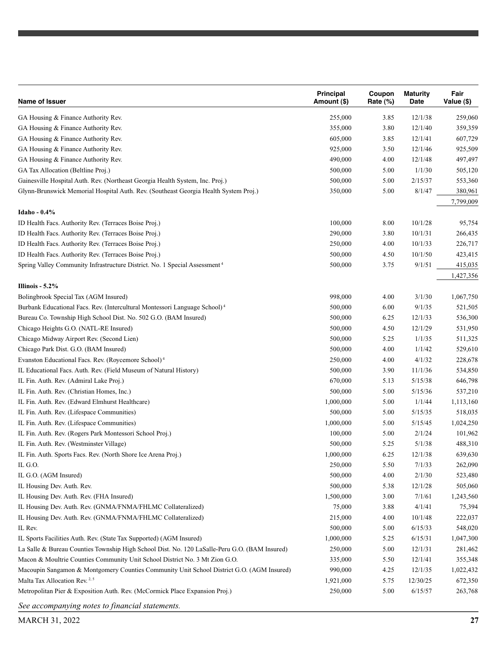| Name of Issuer                                                                                | Principal<br>Amount (\$) | Coupon<br>Rate (%) | <b>Maturity</b><br>Date | Fair<br>Value (\$) |
|-----------------------------------------------------------------------------------------------|--------------------------|--------------------|-------------------------|--------------------|
| GA Housing & Finance Authority Rev.                                                           | 255,000                  | 3.85               | 12/1/38                 | 259,060            |
| GA Housing & Finance Authority Rev.                                                           | 355,000                  | 3.80               | 12/1/40                 | 359,359            |
| GA Housing & Finance Authority Rev.                                                           | 605,000                  | 3.85               | 12/1/41                 | 607,729            |
| GA Housing & Finance Authority Rev.                                                           | 925,000                  | 3.50               | 12/1/46                 | 925,509            |
| GA Housing & Finance Authority Rev.                                                           | 490,000                  | 4.00               | 12/1/48                 | 497,497            |
| GA Tax Allocation (Beltline Proj.)                                                            | 500,000                  | 5.00               | 1/1/30                  | 505,120            |
| Gainesville Hospital Auth. Rev. (Northeast Georgia Health System, Inc. Proj.)                 | 500,000                  | 5.00               | 2/15/37                 | 553,360            |
| Glynn-Brunswick Memorial Hospital Auth. Rev. (Southeast Georgia Health System Proj.)          | 350,000                  | 5.00               | 8/1/47                  | 380,961            |
|                                                                                               |                          |                    |                         | 7,799,009          |
| Idaho - 0.4%<br>ID Health Facs. Authority Rev. (Terraces Boise Proj.)                         | 100,000                  | 8.00               | 10/1/28                 | 95,754             |
| ID Health Facs. Authority Rev. (Terraces Boise Proj.)                                         | 290,000                  | 3.80               | 10/1/31                 | 266,435            |
| ID Health Facs. Authority Rev. (Terraces Boise Proj.)                                         | 250,000                  | 4.00               | 10/1/33                 | 226,717            |
| ID Health Facs. Authority Rev. (Terraces Boise Proj.)                                         | 500,000                  | 4.50               | 10/1/50                 | 423,415            |
| Spring Valley Community Infrastructure District. No. 1 Special Assessment <sup>4</sup>        | 500,000                  | 3.75               | 9/1/51                  | 415,035            |
|                                                                                               |                          |                    |                         | 1,427,356          |
| Illinois - $5.2\%$                                                                            |                          |                    |                         |                    |
| Bolingbrook Special Tax (AGM Insured)                                                         | 998,000                  | 4.00               | 3/1/30                  | 1,067,750          |
| Burbank Educational Facs. Rev. (Intercultural Montessori Language School) <sup>4</sup>        | 500,000                  | 6.00               | 9/1/35                  | 521,505            |
| Bureau Co. Township High School Dist. No. 502 G.O. (BAM Insured)                              | 500,000                  | 6.25               | 12/1/33                 | 536,300            |
| Chicago Heights G.O. (NATL-RE Insured)                                                        | 500,000                  | 4.50               | 12/1/29                 | 531,950            |
| Chicago Midway Airport Rev. (Second Lien)                                                     | 500,000                  | 5.25               | 1/1/35                  | 511,325            |
| Chicago Park Dist. G.O. (BAM Insured)                                                         | 500,000                  | 4.00               | 1/1/42                  | 529,610            |
| Evanston Educational Facs. Rev. (Roycemore School) <sup>4</sup>                               | 250,000                  | 4.00               | 4/1/32                  | 228,678            |
| IL Educational Facs. Auth. Rev. (Field Museum of Natural History)                             | 500,000                  | 3.90               | 11/1/36                 | 534,850            |
| IL Fin. Auth. Rev. (Admiral Lake Proj.)                                                       | 670,000                  | 5.13               | 5/15/38                 | 646,798            |
| IL Fin. Auth. Rev. (Christian Homes, Inc.)                                                    | 500,000                  | 5.00               | 5/15/36                 | 537,210            |
| IL Fin. Auth. Rev. (Edward Elmhurst Healthcare)                                               | 1,000,000                | 5.00               | 1/1/44                  | 1,113,160          |
| IL Fin. Auth. Rev. (Lifespace Communities)                                                    | 500,000                  | 5.00               | 5/15/35                 | 518,035            |
| IL Fin. Auth. Rev. (Lifespace Communities)                                                    | 1,000,000                | 5.00               | 5/15/45                 | 1,024,250          |
| IL Fin. Auth. Rev. (Rogers Park Montessori School Proj.)                                      | 100,000                  | 5.00               | 2/1/24                  | 101,962            |
| IL Fin. Auth. Rev. (Westminster Village)                                                      | 500,000                  | 5.25               | 5/1/38                  | 488,310            |
| IL Fin. Auth. Sports Facs. Rev. (North Shore Ice Arena Proj.)                                 | 1,000,000                | 6.25               | 12/1/38                 | 639,630            |
| IL G.O.                                                                                       | 250,000                  | 5.50               | 7/1/33                  | 262,090            |
| IL G.O. (AGM Insured)                                                                         | 500,000                  | 4.00               | 2/1/30                  | 523,480            |
| IL Housing Dev. Auth. Rev.                                                                    | 500,000                  | 5.38               | 12/1/28                 | 505,060            |
| IL Housing Dev. Auth. Rev. (FHA Insured)                                                      | 1,500,000                | 3.00               | 7/1/61                  | 1,243,560          |
| IL Housing Dev. Auth. Rev. (GNMA/FNMA/FHLMC Collateralized)                                   | 75,000                   | 3.88               | 4/1/41                  | 75,394             |
| IL Housing Dev. Auth. Rev. (GNMA/FNMA/FHLMC Collateralized)                                   | 215,000                  | 4.00               | 10/1/48                 | 222,037            |
| IL Rev.                                                                                       | 500,000                  | 5.00               | 6/15/33                 | 548,020            |
| IL Sports Facilities Auth. Rev. (State Tax Supported) (AGM Insured)                           | 1,000,000                | 5.25               | 6/15/31                 | 1,047,300          |
| La Salle & Bureau Counties Township High School Dist. No. 120 LaSalle-Peru G.O. (BAM Insured) | 250,000                  | 5.00               | 12/1/31                 | 281,462            |
| Macon & Moultrie Counties Community Unit School District No. 3 Mt Zion G.O.                   | 335,000                  | 5.50               | 12/1/41                 | 355,348            |
| Macoupin Sangamon & Montgomery Counties Community Unit School District G.O. (AGM Insured)     | 990,000                  | 4.25               | 12/1/35                 | 1,022,432          |
| Malta Tax Allocation Rev. <sup>2, 5</sup>                                                     | 1,921,000                | 5.75               | 12/30/25                | 672,350            |
| Metropolitan Pier & Exposition Auth. Rev. (McCormick Place Expansion Proj.)                   | 250,000                  | 5.00               | 6/15/57                 | 263,768            |
| See accompanying notes to financial statements.                                               |                          |                    |                         |                    |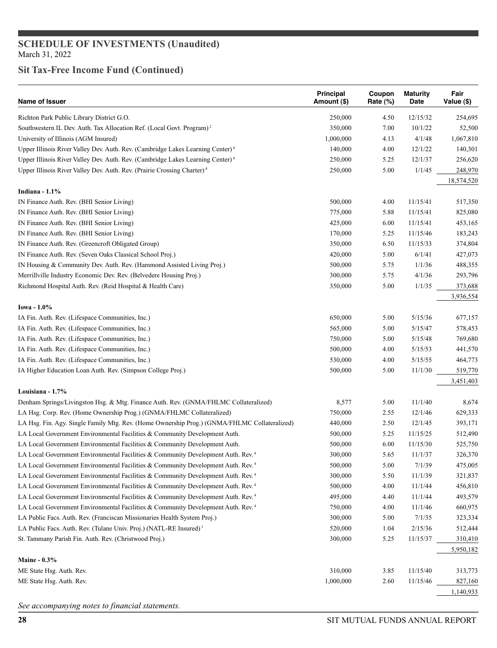# **Sit Tax-Free Income Fund (Continued)**

| Name of Issuer                                                                               | Principal<br>Amount (\$) | Coupon<br>Rate (%) | <b>Maturity</b><br>Date | Fair<br>Value (\$) |
|----------------------------------------------------------------------------------------------|--------------------------|--------------------|-------------------------|--------------------|
| Richton Park Public Library District G.O.                                                    | 250,000                  | 4.50               | 12/15/32                | 254,695            |
| Southwestern IL Dev. Auth. Tax Allocation Ref. (Local Govt. Program) <sup>2</sup>            | 350,000                  | 7.00               | 10/1/22                 | 52,500             |
| University of Illinois (AGM Insured)                                                         | 1,000,000                | 4.13               | 4/1/48                  | 1,067,810          |
| Upper Illinois River Valley Dev. Auth. Rev. (Cambridge Lakes Learning Center) <sup>4</sup>   | 140,000                  | 4.00               | 12/1/22                 | 140,301            |
| Upper Illinois River Valley Dev. Auth. Rev. (Cambridge Lakes Learning Center) <sup>4</sup>   | 250,000                  | 5.25               | 12/1/37                 | 256,620            |
| Upper Illinois River Valley Dev. Auth. Rev. (Prairie Crossing Charter) <sup>4</sup>          | 250,000                  | 5.00               | 1/1/45                  | 248,970            |
|                                                                                              |                          |                    |                         | 18,574,520         |
| Indiana - 1.1%                                                                               |                          |                    |                         |                    |
| IN Finance Auth. Rev. (BHI Senior Living)                                                    | 500,000                  | 4.00               | 11/15/41                | 517,350            |
| IN Finance Auth. Rev. (BHI Senior Living)                                                    | 775,000                  | 5.88               | 11/15/41                | 825,080            |
| IN Finance Auth. Rev. (BHI Senior Living)                                                    | 425,000                  | 6.00               | 11/15/41                | 453,165            |
| IN Finance Auth. Rev. (BHI Senior Living)                                                    | 170,000                  | 5.25               | 11/15/46                | 183,243            |
| IN Finance Auth. Rev. (Greencroft Obligated Group)                                           | 350,000                  | 6.50               | 11/15/33                | 374,804            |
| IN Finance Auth. Rev. (Seven Oaks Classical School Proj.)                                    | 420,000                  | 5.00               | 6/1/41                  | 427,073            |
| IN Housing & Community Dev. Auth. Rev. (Hammond Assisted Living Proj.)                       | 500,000                  | 5.75               | 1/1/36                  | 488,355            |
| Merrillville Industry Economic Dev. Rev. (Belvedere Housing Proj.)                           | 300,000                  | 5.75               | 4/1/36                  | 293,796            |
| Richmond Hospital Auth. Rev. (Reid Hospital & Health Care)                                   | 350,000                  | 5.00               | 1/1/35                  | 373,688            |
|                                                                                              |                          |                    |                         | 3,936,554          |
| Iowa - 1.0%                                                                                  |                          |                    |                         |                    |
| IA Fin. Auth. Rev. (Lifespace Communities, Inc.)                                             | 650,000                  | 5.00               | 5/15/36                 | 677,157            |
| IA Fin. Auth. Rev. (Lifespace Communities, Inc.)                                             | 565,000                  | 5.00               | 5/15/47                 | 578,453            |
| IA Fin. Auth. Rev. (Lifespace Communities, Inc.)                                             | 750,000                  | 5.00               | 5/15/48                 | 769,680            |
| IA Fin. Auth. Rev. (Lifespace Communities, Inc.)                                             | 500,000                  | 4.00               | 5/15/53                 | 441,570            |
| IA Fin. Auth. Rev. (Lifespace Communities, Inc.)                                             | 530,000                  | 4.00               | 5/15/55                 | 464,773            |
| IA Higher Education Loan Auth. Rev. (Simpson College Proj.)                                  | 500,000                  | 5.00               | 11/1/30                 | 519,770            |
|                                                                                              |                          |                    |                         | 3,451,403          |
| Louisiana - 1.7%                                                                             |                          |                    |                         |                    |
| Denham Springs/Livingston Hsg. & Mtg. Finance Auth. Rev. (GNMA/FHLMC Collateralized)         | 8,577                    | 5.00               | 11/1/40                 | 8,674              |
| LA Hsg. Corp. Rev. (Home Ownership Prog.) (GNMA/FHLMC Collateralized)                        | 750,000                  | 2.55               | 12/1/46                 | 629,333            |
| LA Hsg. Fin. Agy. Single Family Mtg. Rev. (Home Ownership Prog.) (GNMA/FHLMC Collateralized) | 440,000                  | 2.50               | 12/1/45                 | 393,171            |
| LA Local Government Environmental Facilities & Community Development Auth.                   | 500,000                  | 5.25               | 11/15/25                | 512,490            |
| LA Local Government Environmental Facilities & Community Development Auth.                   | 500,000                  | 6.00               | 11/15/30                | 525,750            |
| LA Local Government Environmental Facilities & Community Development Auth. Rev. <sup>4</sup> | 300,000                  | 5.65               | 11/1/37                 | 326,370            |
| LA Local Government Environmental Facilities & Community Development Auth. Rev. 4            | 500,000                  | 5.00               | 7/1/39                  | 475,005            |
| LA Local Government Environmental Facilities & Community Development Auth. Rev. <sup>4</sup> | 300,000                  | 5.50               | 11/1/39                 | 321,837            |
| LA Local Government Environmental Facilities & Community Development Auth. Rev. <sup>4</sup> | 500,000                  | 4.00               | 11/1/44                 | 456,810            |
| LA Local Government Environmental Facilities & Community Development Auth. Rev. <sup>4</sup> | 495,000                  | 4.40               | 11/1/44                 | 493,579            |
| LA Local Government Environmental Facilities & Community Development Auth. Rev. <sup>4</sup> | 750,000                  | 4.00               | 11/1/46                 | 660,975            |
| LA Public Facs. Auth. Rev. (Franciscan Missionaries Health System Proj.)                     | 300,000                  | 5.00               | 7/1/35                  | 323,334            |
| LA Public Facs. Auth. Rev. (Tulane Univ. Proj.) (NATL-RE Insured) <sup>1</sup>               | 520,000                  | 1.04               | 2/15/36                 | 512,444            |
| St. Tammany Parish Fin. Auth. Rev. (Christwood Proj.)                                        | 300,000                  | 5.25               | 11/15/37                | 310,410            |
|                                                                                              |                          |                    |                         | 5,950,182          |
| Maine - 0.3%                                                                                 |                          |                    |                         |                    |
| ME State Hsg. Auth. Rev.                                                                     | 310,000                  | 3.85               | 11/15/40                | 313,773            |
| ME State Hsg. Auth. Rev.                                                                     | 1,000,000                | 2.60               | 11/15/46                | 827,160            |
|                                                                                              |                          |                    |                         | 1,140,933          |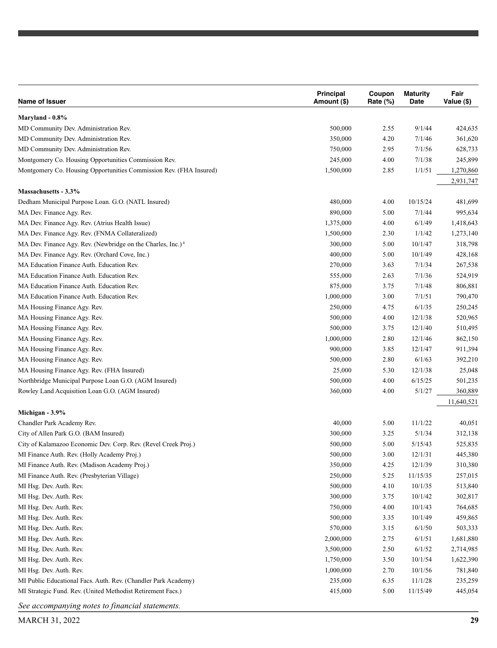| <b>Name of Issuer</b>                                                   | Principal<br>Amount (\$) | Coupon<br>Rate $(\%)$ | <b>Maturity</b><br>Date | Fair<br>Value (\$) |
|-------------------------------------------------------------------------|--------------------------|-----------------------|-------------------------|--------------------|
| Maryland - 0.8%                                                         |                          |                       |                         |                    |
| MD Community Dev. Administration Rev.                                   | 500,000                  | 2.55                  | 9/1/44                  | 424,635            |
| MD Community Dev. Administration Rev.                                   | 350,000                  | 4.20                  | 7/1/46                  | 361,620            |
| MD Community Dev. Administration Rev.                                   | 750,000                  | 2.95                  | 7/1/56                  | 628,733            |
| Montgomery Co. Housing Opportunities Commission Rev.                    | 245,000                  | 4.00                  | 7/1/38                  | 245,899            |
| Montgomery Co. Housing Opportunities Commission Rev. (FHA Insured)      | 1,500,000                | 2.85                  | 1/1/51                  | 1,270,860          |
|                                                                         |                          |                       |                         | 2,931,747          |
| Massachusetts - 3.3%                                                    |                          |                       |                         |                    |
| Dedham Municipal Purpose Loan. G.O. (NATL Insured)                      | 480,000                  | 4.00                  | 10/15/24                | 481,699            |
| MA Dev. Finance Agy. Rev.                                               | 890,000                  | 5.00                  | 7/1/44                  | 995,634            |
| MA Dev. Finance Agy. Rev. (Atrius Health Issue)                         | 1,375,000                | 4.00                  | 6/1/49                  | 1,418,643          |
| MA Dev. Finance Agy. Rev. (FNMA Collateralized)                         | 1,500,000                | 2.30                  | 1/1/42                  | 1,273,140          |
| MA Dev. Finance Agy. Rev. (Newbridge on the Charles, Inc.) <sup>4</sup> | 300,000                  | 5.00                  | 10/1/47                 | 318,798            |
| MA Dev. Finance Agy. Rev. (Orchard Cove, Inc.)                          | 400,000                  | 5.00                  | 10/1/49                 | 428,168            |
| MA Education Finance Auth. Education Rev.                               | 270,000                  | 3.63                  | 7/1/34                  | 267,538            |
| MA Education Finance Auth. Education Rev.                               | 555,000                  | 2.63                  | 7/1/36                  | 524,919            |
| MA Education Finance Auth. Education Rev.                               | 875,000                  | 3.75                  | 7/1/48                  | 806,881            |
| MA Education Finance Auth. Education Rev.                               | 1,000,000                | 3.00                  | 7/1/51                  | 790,470            |
| MA Housing Finance Agy. Rev.                                            | 250,000                  | 4.75                  | 6/1/35                  | 250,245            |
| MA Housing Finance Agy. Rev.                                            | 500,000                  | 4.00                  | 12/1/38                 | 520,965            |
| MA Housing Finance Agy. Rev.                                            | 500,000                  | 3.75                  | 12/1/40                 | 510,495            |
| MA Housing Finance Agy. Rev.                                            | 1,000,000                | 2.80                  | 12/1/46                 | 862,150            |
| MA Housing Finance Agy. Rev.                                            | 900,000                  | 3.85                  | 12/1/47                 | 911,394            |
| MA Housing Finance Agy. Rev.                                            | 500,000                  | 2.80                  | 6/1/63                  | 392,210            |
| MA Housing Finance Agy. Rev. (FHA Insured)                              | 25,000                   | 5.30                  | 12/1/38                 | 25,048             |
| Northbridge Municipal Purpose Loan G.O. (AGM Insured)                   | 500,000                  | 4.00                  | 6/15/25                 | 501,235            |
| Rowley Land Acquisition Loan G.O. (AGM Insured)                         | 360,000                  | 4.00                  | 5/1/27                  | 360,889            |
|                                                                         |                          |                       |                         | 11,640,521         |
| Michigan - 3.9%                                                         |                          |                       |                         |                    |
| Chandler Park Academy Rev.                                              | 40,000                   | 5.00                  | 11/1/22                 | 40,051             |
| City of Allen Park G.O. (BAM Insured)                                   | 300,000                  | 3.25                  | 5/1/34                  | 312,138            |
| City of Kalamazoo Economic Dev. Corp. Rev. (Revel Creek Proj.)          | 500,000                  | 5.00                  | 5/15/43                 | 525,835            |
| MI Finance Auth. Rev. (Holly Academy Proj.)                             | 500,000                  | 3.00                  | 12/1/31                 | 445,380            |
| MI Finance Auth. Rev. (Madison Academy Proj.)                           | 350,000                  | 4.25                  | 12/1/39                 | 310,380            |
| MI Finance Auth. Rev. (Presbyterian Village)                            | 250,000                  | 5.25                  | 11/15/35                | 257,015            |
| MI Hsg. Dev. Auth. Rev.                                                 | 500,000                  | 4.10                  | 10/1/35                 | 513,840            |
| MI Hsg. Dev. Auth. Rev.                                                 | 300,000                  | 3.75                  | 10/1/42                 | 302,817            |
| MI Hsg. Dev. Auth. Rev.                                                 | 750,000                  | 4.00                  | 10/1/43                 | 764,685            |
| MI Hsg. Dev. Auth. Rev.                                                 | 500,000                  | 3.35                  | 10/1/49                 | 459,865            |
| MI Hsg. Dev. Auth. Rev.                                                 | 570,000                  | 3.15                  | 6/1/50                  | 503,333            |
| MI Hsg. Dev. Auth. Rev.                                                 | 2,000,000                | 2.75                  | 6/1/51                  | 1,681,880          |
| MI Hsg. Dev. Auth. Rev.                                                 | 3,500,000                | 2.50                  | 6/1/52                  | 2,714,985          |
| MI Hsg. Dev. Auth. Rev.                                                 | 1,750,000                | 3.50                  | 10/1/54                 | 1,622,390          |
| MI Hsg. Dev. Auth. Rev.                                                 | 1,000,000                | 2.70                  | 10/1/56                 | 781,840            |
| MI Public Educational Facs. Auth. Rev. (Chandler Park Academy)          | 235,000                  | 6.35                  | 11/1/28                 | 235,259            |
| MI Strategic Fund. Rev. (United Methodist Retirement Facs.)             | 415,000                  | 5.00                  | 11/15/49                | 445,054            |
|                                                                         |                          |                       |                         |                    |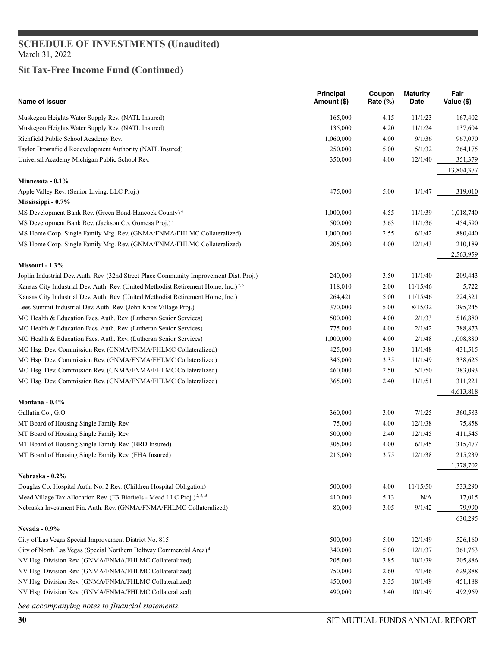# **Sit Tax-Free Income Fund (Continued)**

| Name of Issuer                                                                                 | <b>Principal</b><br>Amount (\$) | Coupon<br>Rate (%) | <b>Maturity</b><br>Date | Fair<br>Value (\$) |
|------------------------------------------------------------------------------------------------|---------------------------------|--------------------|-------------------------|--------------------|
| Muskegon Heights Water Supply Rev. (NATL Insured)                                              | 165,000                         | 4.15               | 11/1/23                 | 167,402            |
| Muskegon Heights Water Supply Rev. (NATL Insured)                                              | 135,000                         | 4.20               | 11/1/24                 | 137,604            |
| Richfield Public School Academy Rev.                                                           | 1,060,000                       | 4.00               | 9/1/36                  | 967,070            |
| Taylor Brownfield Redevelopment Authority (NATL Insured)                                       | 250,000                         | 5.00               | 5/1/32                  | 264,175            |
| Universal Academy Michigan Public School Rev.                                                  | 350,000                         | 4.00               | 12/1/40                 | 351,379            |
|                                                                                                |                                 |                    |                         | 13,804,377         |
| Minnesota - 0.1%                                                                               |                                 |                    |                         |                    |
| Apple Valley Rev. (Senior Living, LLC Proj.)                                                   | 475,000                         | 5.00               | 1/1/47                  | 319,010            |
| Mississippi - 0.7%                                                                             |                                 |                    |                         |                    |
| MS Development Bank Rev. (Green Bond-Hancock County) <sup>4</sup>                              | 1,000,000                       | 4.55               | 11/1/39                 | 1,018,740          |
| MS Development Bank Rev. (Jackson Co. Gomesa Proj.) <sup>4</sup>                               | 500,000                         | 3.63               | 11/1/36                 | 454,590            |
| MS Home Corp. Single Family Mtg. Rev. (GNMA/FNMA/FHLMC Collateralized)                         | 1,000,000                       | 2.55               | 6/1/42                  | 880,440            |
| MS Home Corp. Single Family Mtg. Rev. (GNMA/FNMA/FHLMC Collateralized)                         | 205,000                         | 4.00               | 12/1/43                 | 210,189            |
|                                                                                                |                                 |                    |                         | 2,563,959          |
| Missouri - 1.3%                                                                                |                                 |                    |                         |                    |
| Joplin Industrial Dev. Auth. Rev. (32nd Street Place Community Improvement Dist. Proj.)        | 240,000                         | 3.50               | 11/1/40                 | 209,443            |
| Kansas City Industrial Dev. Auth. Rev. (United Methodist Retirement Home, Inc.) <sup>2,5</sup> | 118,010                         | 2.00               | 11/15/46                | 5,722              |
| Kansas City Industrial Dev. Auth. Rev. (United Methodist Retirement Home, Inc.)                | 264,421                         | 5.00               | 11/15/46                | 224,321            |
| Lees Summit Industrial Dev. Auth. Rev. (John Knox Village Proj.)                               | 370,000                         | 5.00               | 8/15/32                 | 395,245            |
| MO Health & Education Facs. Auth. Rev. (Lutheran Senior Services)                              | 500,000                         | 4.00               | 2/1/33                  | 516,880            |
| MO Health & Education Facs. Auth. Rev. (Lutheran Senior Services)                              | 775,000                         | 4.00               | 2/1/42                  | 788,873            |
| MO Health & Education Facs. Auth. Rev. (Lutheran Senior Services)                              | 1,000,000                       | 4.00               | 2/1/48                  | 1,008,880          |
| MO Hsg. Dev. Commission Rev. (GNMA/FNMA/FHLMC Collateralized)                                  | 425,000                         | 3.80               | 11/1/48                 | 431,515            |
| MO Hsg. Dev. Commission Rev. (GNMA/FNMA/FHLMC Collateralized)                                  | 345,000                         | 3.35               | 11/1/49                 | 338,625            |
| MO Hsg. Dev. Commission Rev. (GNMA/FNMA/FHLMC Collateralized)                                  | 460,000                         | 2.50               | 5/1/50                  | 383,093            |
| MO Hsg. Dev. Commission Rev. (GNMA/FNMA/FHLMC Collateralized)                                  | 365,000                         | 2.40               | 11/1/51                 | 311,221            |
|                                                                                                |                                 |                    |                         | 4,613,818          |
| Montana - $0.4\%$                                                                              |                                 |                    |                         |                    |
| Gallatin Co., G.O.                                                                             | 360,000                         | 3.00               | 7/1/25                  | 360,583            |
| MT Board of Housing Single Family Rev.                                                         | 75,000                          | 4.00               | 12/1/38                 | 75,858             |
| MT Board of Housing Single Family Rev.                                                         | 500,000                         | 2.40               | 12/1/45                 | 411,545            |
| MT Board of Housing Single Family Rev. (BRD Insured)                                           | 305,000                         | 4.00               | 6/1/45                  | 315,477            |
| MT Board of Housing Single Family Rev. (FHA Insured)                                           | 215,000                         | 3.75               | 12/1/38                 | 215,239            |
| Nebraska - 0.2%                                                                                |                                 |                    |                         | 1,378,702          |
| Douglas Co. Hospital Auth. No. 2 Rev. (Children Hospital Obligation)                           | 500,000                         | 4.00               | 11/15/50                | 533,290            |
| Mead Village Tax Allocation Rev. (E3 Biofuels - Mead LLC Proj.) <sup>2, 5,15</sup>             | 410,000                         | 5.13               | N/A                     | 17,015             |
| Nebraska Investment Fin. Auth. Rev. (GNMA/FNMA/FHLMC Collateralized)                           | 80,000                          | 3.05               | 9/1/42                  | 79,990             |
|                                                                                                |                                 |                    |                         | 630,295            |
| <b>Nevada - 0.9%</b>                                                                           |                                 |                    |                         |                    |
| City of Las Vegas Special Improvement District No. 815                                         | 500,000                         | 5.00               | 12/1/49                 | 526,160            |
| City of North Las Vegas (Special Northern Beltway Commercial Area) <sup>4</sup>                | 340,000                         | 5.00               | 12/1/37                 | 361,763            |
| NV Hsg. Division Rev. (GNMA/FNMA/FHLMC Collateralized)                                         | 205,000                         | 3.85               | 10/1/39                 | 205,886            |
| NV Hsg. Division Rev. (GNMA/FNMA/FHLMC Collateralized)                                         | 750,000                         | 2.60               | 4/1/46                  | 629,888            |
| NV Hsg. Division Rev. (GNMA/FNMA/FHLMC Collateralized)                                         | 450,000                         | 3.35               | 10/1/49                 | 451,188            |
| NV Hsg. Division Rev. (GNMA/FNMA/FHLMC Collateralized)                                         | 490,000                         | 3.40               | 10/1/49                 | 492,969            |
| See accompanying notes to financial statements.                                                |                                 |                    |                         |                    |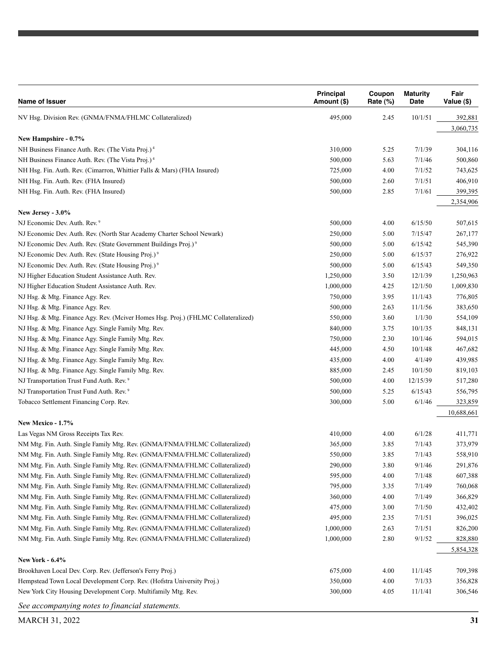| Name of Issuer                                                                                                                          | Principal<br>Amount (\$) | Coupon<br>Rate (%) | <b>Maturity</b><br>Date | Fair<br>Value (\$) |
|-----------------------------------------------------------------------------------------------------------------------------------------|--------------------------|--------------------|-------------------------|--------------------|
| NV Hsg. Division Rev. (GNMA/FNMA/FHLMC Collateralized)                                                                                  | 495,000                  | 2.45               | 10/1/51                 | 392,881            |
|                                                                                                                                         |                          |                    |                         | 3,060,735          |
| New Hampshire - 0.7%                                                                                                                    |                          |                    |                         |                    |
| NH Business Finance Auth. Rev. (The Vista Proj.) <sup>4</sup>                                                                           | 310,000                  | 5.25               | 7/1/39                  | 304,116            |
| NH Business Finance Auth. Rev. (The Vista Proj.) <sup>4</sup>                                                                           | 500,000                  | 5.63               | 7/1/46                  | 500,860            |
| NH Hsg. Fin. Auth. Rev. (Cimarron, Whittier Falls & Mars) (FHA Insured)                                                                 | 725,000                  | 4.00               | 7/1/52                  | 743,625            |
| NH Hsg. Fin. Auth. Rev. (FHA Insured)                                                                                                   | 500,000                  | 2.60               | 7/1/51                  | 406,910            |
| NH Hsg. Fin. Auth. Rev. (FHA Insured)                                                                                                   | 500,000                  | 2.85               | 7/1/61                  | 399,395            |
|                                                                                                                                         |                          |                    |                         | 2,354,906          |
| New Jersey - 3.0%                                                                                                                       |                          |                    |                         |                    |
| NJ Economic Dev. Auth. Rev. <sup>9</sup>                                                                                                | 500,000                  | 4.00               | 6/15/50                 | 507,615            |
| NJ Economic Dev. Auth. Rev. (North Star Academy Charter School Newark)                                                                  | 250,000                  | 5.00               | 7/15/47                 | 267,177            |
| NJ Economic Dev. Auth. Rev. (State Government Buildings Proj.) <sup>9</sup>                                                             | 500,000                  | 5.00               | 6/15/42                 | 545,390            |
| NJ Economic Dev. Auth. Rev. (State Housing Proj.) <sup>9</sup>                                                                          | 250,000                  | 5.00               | 6/15/37                 | 276,922            |
| NJ Economic Dev. Auth. Rev. (State Housing Proj.) <sup>9</sup>                                                                          | 500,000                  | 5.00               | 6/15/43                 | 549,350            |
| NJ Higher Education Student Assistance Auth. Rev.                                                                                       | 1,250,000                | 3.50               | 12/1/39                 | 1,250,963          |
| NJ Higher Education Student Assistance Auth. Rev.                                                                                       | 1,000,000                | 4.25               | 12/1/50                 | 1,009,830          |
| NJ Hsg. & Mtg. Finance Agy. Rev.                                                                                                        | 750,000                  | 3.95               | 11/1/43                 | 776,805            |
| NJ Hsg. & Mtg. Finance Agy. Rev.                                                                                                        | 500,000                  | 2.63               | 11/1/56                 | 383,650            |
| NJ Hsg. & Mtg. Finance Agy. Rev. (Mciver Homes Hsg. Proj.) (FHLMC Collateralized)                                                       | 550,000                  | 3.60               | 1/1/30                  | 554,109            |
| NJ Hsg. & Mtg. Finance Agy. Single Family Mtg. Rev.                                                                                     | 840,000                  | 3.75               | 10/1/35                 | 848,131            |
| NJ Hsg. & Mtg. Finance Agy. Single Family Mtg. Rev.                                                                                     | 750,000                  | 2.30               | 10/1/46                 | 594,015            |
| NJ Hsg. & Mtg. Finance Agy. Single Family Mtg. Rev.                                                                                     | 445,000                  | 4.50               | 10/1/48                 | 467,682            |
| NJ Hsg. & Mtg. Finance Agy. Single Family Mtg. Rev.                                                                                     | 435,000                  | 4.00               | 4/1/49                  | 439,985            |
| NJ Hsg. & Mtg. Finance Agy. Single Family Mtg. Rev.                                                                                     | 885,000                  | 2.45               | 10/1/50                 | 819,103            |
| NJ Transportation Trust Fund Auth. Rev. <sup>9</sup>                                                                                    | 500,000                  | 4.00               | 12/15/39                | 517,280            |
| NJ Transportation Trust Fund Auth. Rev. <sup>9</sup>                                                                                    | 500,000                  | 5.25               | 6/15/43                 | 556,795            |
| Tobacco Settlement Financing Corp. Rev.                                                                                                 | 300,000                  | 5.00               | 6/1/46                  | 323,859            |
|                                                                                                                                         |                          |                    |                         | 10,688,661         |
| New Mexico - 1.7%                                                                                                                       |                          |                    |                         |                    |
| Las Vegas NM Gross Receipts Tax Rev.                                                                                                    | 410,000                  | 4.00               | 6/1/28                  | 411,771            |
| NM Mtg. Fin. Auth. Single Family Mtg. Rev. (GNMA/FNMA/FHLMC Collateralized)                                                             | 365,000                  | 3.85               | 7/1/43                  | 373,979            |
| NM Mtg. Fin. Auth. Single Family Mtg. Rev. (GNMA/FNMA/FHLMC Collateralized)                                                             | 550,000                  | 3.85               | 7/1/43                  | 558,910            |
| NM Mtg. Fin. Auth. Single Family Mtg. Rev. (GNMA/FNMA/FHLMC Collateralized)                                                             | 290,000                  | 3.80               | 9/1/46                  | 291,876            |
| NM Mtg. Fin. Auth. Single Family Mtg. Rev. (GNMA/FNMA/FHLMC Collateralized)                                                             | 595,000                  | 4.00               | 7/1/48                  | 607,388            |
| NM Mtg. Fin. Auth. Single Family Mtg. Rev. (GNMA/FNMA/FHLMC Collateralized)                                                             | 795,000                  | 3.35               | 7/1/49                  | 760,068            |
| NM Mtg. Fin. Auth. Single Family Mtg. Rev. (GNMA/FNMA/FHLMC Collateralized)                                                             | 360,000                  | 4.00               | 7/1/49                  | 366,829            |
| NM Mtg. Fin. Auth. Single Family Mtg. Rev. (GNMA/FNMA/FHLMC Collateralized)                                                             | 475,000                  | 3.00               | 7/1/50                  | 432,402            |
| NM Mtg. Fin. Auth. Single Family Mtg. Rev. (GNMA/FNMA/FHLMC Collateralized)                                                             | 495,000                  | 2.35               | 7/1/51                  | 396,025            |
| NM Mtg. Fin. Auth. Single Family Mtg. Rev. (GNMA/FNMA/FHLMC Collateralized)                                                             | 1,000,000                | 2.63               | 7/1/51                  | 826,200            |
| NM Mtg. Fin. Auth. Single Family Mtg. Rev. (GNMA/FNMA/FHLMC Collateralized)                                                             | 1,000,000                | 2.80               | 9/1/52                  | 828,880            |
|                                                                                                                                         |                          |                    |                         | 5,854,328          |
| <b>New York - 6.4%</b><br>Brookhaven Local Dev. Corp. Rev. (Jefferson's Ferry Proj.)                                                    | 675,000                  |                    | 11/1/45                 |                    |
|                                                                                                                                         |                          | 4.00               |                         | 709,398            |
| Hempstead Town Local Development Corp. Rev. (Hofstra University Proj.)<br>New York City Housing Development Corp. Multifamily Mtg. Rev. | 350,000<br>300,000       | 4.00<br>4.05       | 7/1/33<br>11/1/41       | 356,828<br>306,546 |
| See accompanying notes to financial statements.                                                                                         |                          |                    |                         |                    |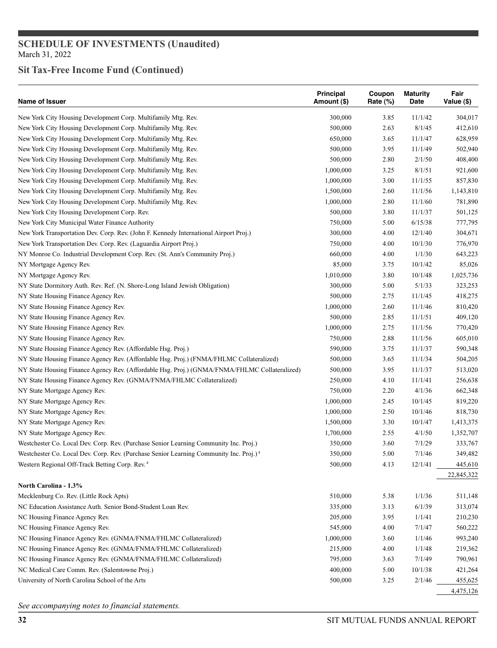# **Sit Tax-Free Income Fund (Continued)**

| Name of Issuer                                                                                     | Principal<br>Amount (\$) | Coupon<br>Rate (%) | <b>Maturity</b><br>Date | Fair<br>Value (\$) |
|----------------------------------------------------------------------------------------------------|--------------------------|--------------------|-------------------------|--------------------|
| New York City Housing Development Corp. Multifamily Mtg. Rev.                                      | 300,000                  | 3.85               | 11/1/42                 | 304,017            |
| New York City Housing Development Corp. Multifamily Mtg. Rev.                                      | 500,000                  | 2.63               | 8/1/45                  | 412,610            |
| New York City Housing Development Corp. Multifamily Mtg. Rev.                                      | 650,000                  | 3.65               | 11/1/47                 | 628,959            |
| New York City Housing Development Corp. Multifamily Mtg. Rev.                                      | 500,000                  | 3.95               | 11/1/49                 | 502,940            |
| New York City Housing Development Corp. Multifamily Mtg. Rev.                                      | 500,000                  | 2.80               | 2/1/50                  | 408,400            |
| New York City Housing Development Corp. Multifamily Mtg. Rev.                                      | 1,000,000                | 3.25               | 8/1/51                  | 921,600            |
| New York City Housing Development Corp. Multifamily Mtg. Rev.                                      | 1,000,000                | 3.00               | 11/1/55                 | 857,830            |
| New York City Housing Development Corp. Multifamily Mtg. Rev.                                      | 1,500,000                | 2.60               | 11/1/56                 | 1,143,810          |
| New York City Housing Development Corp. Multifamily Mtg. Rev.                                      | 1,000,000                | 2.80               | 11/1/60                 | 781,890            |
| New York City Housing Development Corp. Rev.                                                       | 500,000                  | 3.80               | 11/1/37                 | 501,125            |
| New York City Municipal Water Finance Authority                                                    | 750,000                  | 5.00               | 6/15/38                 | 777,795            |
| New York Transportation Dev. Corp. Rev. (John F. Kennedy International Airport Proj.)              | 300,000                  | 4.00               | 12/1/40                 | 304,671            |
| New York Transportation Dev. Corp. Rev. (Laguardia Airport Proj.)                                  | 750,000                  | 4.00               | 10/1/30                 | 776,970            |
| NY Monroe Co. Industrial Development Corp. Rev. (St. Ann's Community Proj.)                        | 660,000                  | 4.00               | 1/1/30                  | 643,223            |
| NY Mortgage Agency Rev.                                                                            | 85,000                   | 3.75               | 10/1/42                 | 85,026             |
| NY Mortgage Agency Rev.                                                                            | 1,010,000                | 3.80               | 10/1/48                 | 1,025,736          |
| NY State Dormitory Auth. Rev. Ref. (N. Shore-Long Island Jewish Obligation)                        | 300,000                  | 5.00               | 5/1/33                  | 323,253            |
| NY State Housing Finance Agency Rev.                                                               | 500,000                  | 2.75               | 11/1/45                 | 418,275            |
| NY State Housing Finance Agency Rev.                                                               | 1,000,000                | 2.60               | 11/1/46                 | 810,420            |
| NY State Housing Finance Agency Rev.                                                               | 500,000                  | 2.85               | 11/1/51                 | 409,120            |
| NY State Housing Finance Agency Rev.                                                               | 1,000,000                | 2.75               | 11/1/56                 | 770,420            |
| NY State Housing Finance Agency Rev.                                                               | 750,000                  | 2.88               | 11/1/56                 | 605,010            |
| NY State Housing Finance Agency Rev. (Affordable Hsg. Proj.)                                       | 590,000                  | 3.75               | 11/1/37                 | 590,348            |
| NY State Housing Finance Agency Rev. (Affordable Hsg. Proj.) (FNMA/FHLMC Collateralized)           | 500,000                  | 3.65               | 11/1/34                 | 504,205            |
| NY State Housing Finance Agency Rev. (Affordable Hsg. Proj.) (GNMA/FNMA/FHLMC Collateralized)      | 500,000                  | 3.95               | 11/1/37                 | 513,020            |
| NY State Housing Finance Agency Rev. (GNMA/FNMA/FHLMC Collateralized)                              | 250,000                  | 4.10               | 11/1/41                 | 256,638            |
| NY State Mortgage Agency Rev.                                                                      | 750,000                  | 2.20               | 4/1/36                  | 662,348            |
| NY State Mortgage Agency Rev.                                                                      | 1,000,000                | 2.45               | 10/1/45                 | 819,220            |
| NY State Mortgage Agency Rev.                                                                      | 1,000,000                | 2.50               | 10/1/46                 | 818,730            |
| NY State Mortgage Agency Rev.                                                                      | 1,500,000                | 3.30               | 10/1/47                 | 1,413,375          |
| NY State Mortgage Agency Rev.                                                                      | 1,700,000                | 2.55               | 4/1/50                  | 1,352,707          |
| Westchester Co. Local Dev. Corp. Rev. (Purchase Senior Learning Community Inc. Proj.)              | 350,000                  | 3.60               | 7/1/29                  | 333,767            |
| Westchester Co. Local Dev. Corp. Rev. (Purchase Senior Learning Community Inc. Proj.) <sup>4</sup> | 350,000                  | 5.00               | 7/1/46                  | 349,482            |
| Western Regional Off-Track Betting Corp. Rev. <sup>4</sup>                                         | 500,000                  | 4.13               | 12/1/41                 | 445,610            |
|                                                                                                    |                          |                    |                         | 22,845,322         |
| North Carolina - 1.3%                                                                              |                          |                    |                         |                    |
| Mecklenburg Co. Rev. (Little Rock Apts)                                                            | 510,000                  | 5.38               | 1/1/36                  | 511,148            |
| NC Education Assistance Auth. Senior Bond-Student Loan Rev.                                        | 335,000                  | 3.13               | 6/1/39                  | 313,074            |
| NC Housing Finance Agency Rev.                                                                     | 205,000                  | 3.95               | 1/1/41                  | 210,230            |
| NC Housing Finance Agency Rev.                                                                     | 545,000                  | 4.00               | 7/1/47                  | 560,222            |
| NC Housing Finance Agency Rev. (GNMA/FNMA/FHLMC Collateralized)                                    | 1,000,000                | 3.60               | 1/1/46                  | 993,240            |
| NC Housing Finance Agency Rev. (GNMA/FNMA/FHLMC Collateralized)                                    | 215,000                  | 4.00               | 1/1/48                  | 219,362            |
| NC Housing Finance Agency Rev. (GNMA/FNMA/FHLMC Collateralized)                                    | 795,000                  | 3.63               | 7/1/49                  | 790,961            |
| NC Medical Care Comm. Rev. (Salemtowne Proj.)                                                      | 400,000                  | 5.00               | 10/1/38                 | 421,264            |
| University of North Carolina School of the Arts                                                    | 500,000                  | 3.25               | 2/1/46                  | 455,625            |
|                                                                                                    |                          |                    |                         | 4,475,126          |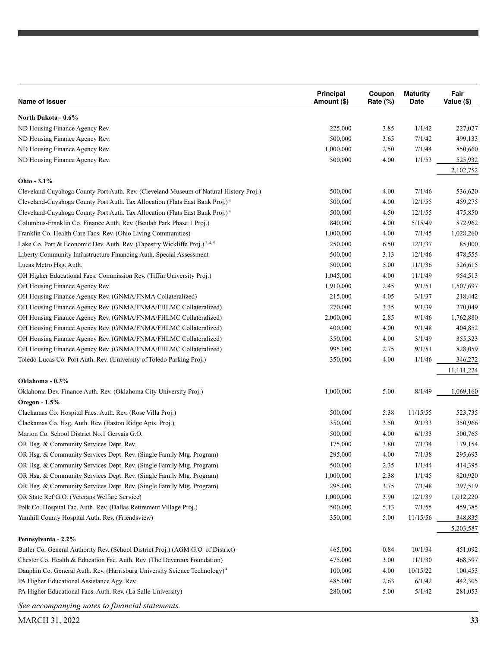| Name of Issuer                                                                                | Principal<br>Amount (\$) | Coupon<br>Rate (%) | <b>Maturity</b><br>Date | Fair<br>Value (\$) |
|-----------------------------------------------------------------------------------------------|--------------------------|--------------------|-------------------------|--------------------|
| North Dakota - 0.6%                                                                           |                          |                    |                         |                    |
| ND Housing Finance Agency Rev.                                                                | 225,000                  | 3.85               | 1/1/42                  | 227,027            |
| ND Housing Finance Agency Rev.                                                                | 500,000                  | 3.65               | 7/1/42                  | 499,133            |
| ND Housing Finance Agency Rev.                                                                | 1,000,000                | 2.50               | 7/1/44                  | 850,660            |
| ND Housing Finance Agency Rev.                                                                | 500,000                  | 4.00               | 1/1/53                  | 525,932            |
|                                                                                               |                          |                    |                         | 2,102,752          |
| Ohio - 3.1%                                                                                   |                          |                    |                         |                    |
| Cleveland-Cuyahoga County Port Auth. Rev. (Cleveland Museum of Natural History Proj.)         | 500,000                  | 4.00               | 7/1/46                  | 536,620            |
| Cleveland-Cuyahoga County Port Auth. Tax Allocation (Flats East Bank Proj.) <sup>4</sup>      | 500,000                  | 4.00               | 12/1/55                 | 459,275            |
| Cleveland-Cuyahoga County Port Auth. Tax Allocation (Flats East Bank Proj.) <sup>4</sup>      | 500,000                  | 4.50               | 12/1/55                 | 475,850            |
| Columbus-Franklin Co. Finance Auth. Rev. (Beulah Park Phase 1 Proj.)                          | 840,000                  | 4.00               | 5/15/49                 | 872,962            |
| Franklin Co. Health Care Facs. Rev. (Ohio Living Communities)                                 | 1,000,000                | 4.00               | 7/1/45                  | 1,028,260          |
| Lake Co. Port & Economic Dev. Auth. Rev. (Tapestry Wickliffe Proj.) <sup>2,4,5</sup>          | 250,000                  | 6.50               | 12/1/37                 | 85,000             |
| Liberty Community Infrastructure Financing Auth. Special Assessment                           | 500,000                  | 3.13               | 12/1/46                 | 478,555            |
| Lucas Metro Hsg. Auth.                                                                        | 500,000                  | 5.00               | 11/1/36                 | 526,615            |
| OH Higher Educational Facs. Commission Rev. (Tiffin University Proj.)                         | 1,045,000                | 4.00               | 11/1/49                 | 954,513            |
| OH Housing Finance Agency Rev.                                                                | 1,910,000                | 2.45               | 9/1/51                  | 1,507,697          |
| OH Housing Finance Agency Rev. (GNMA/FNMA Collateralized)                                     | 215,000                  | 4.05               | 3/1/37                  | 218,442            |
| OH Housing Finance Agency Rev. (GNMA/FNMA/FHLMC Collateralized)                               | 270,000                  | 3.35               | 9/1/39                  | 270,049            |
| OH Housing Finance Agency Rev. (GNMA/FNMA/FHLMC Collateralized)                               | 2,000,000                | 2.85               | 9/1/46                  | 1,762,880          |
| OH Housing Finance Agency Rev. (GNMA/FNMA/FHLMC Collateralized)                               | 400,000                  | 4.00               | 9/1/48                  | 404,852            |
| OH Housing Finance Agency Rev. (GNMA/FNMA/FHLMC Collateralized)                               | 350,000                  | 4.00               | 3/1/49                  | 355,323            |
| OH Housing Finance Agency Rev. (GNMA/FNMA/FHLMC Collateralized)                               | 995,000                  | 2.75               | 9/1/51                  | 828,059            |
| Toledo-Lucas Co. Port Auth. Rev. (University of Toledo Parking Proj.)                         | 350,000                  | 4.00               | 1/1/46                  | 346,272            |
|                                                                                               |                          |                    |                         | 11,111,224         |
| Oklahoma - 0.3%                                                                               |                          |                    |                         |                    |
| Oklahoma Dev. Finance Auth. Rev. (Oklahoma City University Proj.)                             | 1,000,000                | 5.00               | 8/1/49                  | 1,069,160          |
| <b>Oregon - 1.5%</b>                                                                          |                          |                    |                         |                    |
| Clackamas Co. Hospital Facs. Auth. Rev. (Rose Villa Proj.)                                    | 500,000                  | 5.38               | 11/15/55                | 523,735            |
| Clackamas Co. Hsg. Auth. Rev. (Easton Ridge Apts. Proj.)                                      | 350,000                  | 3.50               | 9/1/33                  | 350,966            |
| Marion Co. School District No.1 Gervais G.O.                                                  | 500,000                  | 4.00               | 6/1/33                  | 500,765            |
| OR Hsg. & Community Services Dept. Rev.                                                       | 175,000                  | 3.80               | 7/1/34                  | 179,154            |
| OR Hsg. & Community Services Dept. Rev. (Single Family Mtg. Program)                          | 295,000                  | 4.00               | 7/1/38                  | 295,693            |
| OR Hsg. & Community Services Dept. Rev. (Single Family Mtg. Program)                          | 500,000                  | 2.35               | 1/1/44                  | 414,395            |
| OR Hsg. & Community Services Dept. Rev. (Single Family Mtg. Program)                          | 1,000,000                | 2.38               | 1/1/45                  | 820,920            |
| OR Hsg. & Community Services Dept. Rev. (Single Family Mtg. Program)                          | 295,000                  | 3.75               | 7/1/48                  | 297,519            |
| OR State Ref G.O. (Veterans Welfare Service)                                                  | 1,000,000                | 3.90               | 12/1/39                 | 1,012,220          |
| Polk Co. Hospital Fac. Auth. Rev. (Dallas Retirement Village Proj.)                           | 500,000                  | 5.13               | 7/1/55                  | 459,385            |
| Yamhill County Hospital Auth. Rev. (Friendsview)                                              | 350,000                  | 5.00               | 11/15/56                | 348,835            |
|                                                                                               |                          |                    |                         | 5,203,587          |
| Pennsylvania - 2.2%                                                                           |                          |                    |                         |                    |
| Butler Co. General Authority Rev. (School District Proj.) (AGM G.O. of District) <sup>1</sup> | 465,000                  | 0.84               | 10/1/34                 | 451,092            |
| Chester Co. Health & Education Fac. Auth. Rev. (The Devereux Foundation)                      | 475,000                  | 3.00               | 11/1/30                 | 468,597            |
| Dauphin Co. General Auth. Rev. (Harrisburg University Science Technology) <sup>4</sup>        | 100,000                  | 4.00               | 10/15/22                | 100,453            |
| PA Higher Educational Assistance Agy. Rev.                                                    | 485,000                  | 2.63               | 6/1/42                  | 442,305            |
| PA Higher Educational Facs. Auth. Rev. (La Salle University)                                  | 280,000                  | 5.00               | 5/1/42                  | 281,053            |
| See accompanying notes to financial statements.                                               |                          |                    |                         |                    |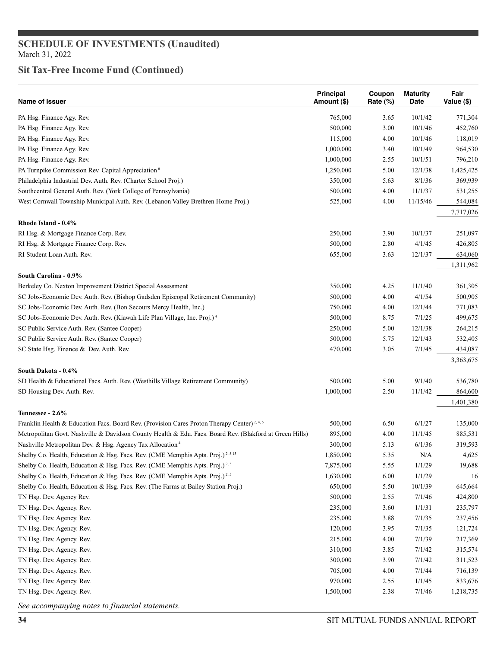# **Sit Tax-Free Income Fund (Continued)**

| Name of Issuer                                                                                          | Principal<br>Amount (\$) | Coupon<br>Rate (%) | <b>Maturity</b><br>Date | Fair<br>Value (\$) |
|---------------------------------------------------------------------------------------------------------|--------------------------|--------------------|-------------------------|--------------------|
| PA Hsg. Finance Agy. Rev.                                                                               | 765,000                  | 3.65               | 10/1/42                 | 771,304            |
| PA Hsg. Finance Agy. Rev.                                                                               | 500,000                  | 3.00               | 10/1/46                 | 452,760            |
| PA Hsg. Finance Agy. Rev.                                                                               | 115,000                  | 4.00               | 10/1/46                 | 118,019            |
| PA Hsg. Finance Agy. Rev.                                                                               | 1,000,000                | 3.40               | 10/1/49                 | 964,530            |
| PA Hsg. Finance Agy. Rev.                                                                               | 1,000,000                | 2.55               | 10/1/51                 | 796,210            |
| PA Turnpike Commission Rev. Capital Appreciation <sup>6</sup>                                           | 1,250,000                | 5.00               | 12/1/38                 | 1,425,425          |
| Philadelphia Industrial Dev. Auth. Rev. (Charter School Proj.)                                          | 350,000                  | 5.63               | 8/1/36                  | 369,939            |
| Southcentral General Auth. Rev. (York College of Pennsylvania)                                          | 500,000                  | 4.00               | 11/1/37                 | 531,255            |
| West Cornwall Township Municipal Auth. Rev. (Lebanon Valley Brethren Home Proj.)                        | 525,000                  | 4.00               | 11/15/46                | 544,084            |
|                                                                                                         |                          |                    |                         | 7,717,026          |
| Rhode Island - 0.4%                                                                                     |                          |                    |                         |                    |
| RI Hsg. & Mortgage Finance Corp. Rev.                                                                   | 250,000                  | 3.90               | 10/1/37                 | 251,097            |
| RI Hsg. & Mortgage Finance Corp. Rev.                                                                   | 500,000                  | 2.80               | 4/1/45                  | 426,805            |
| RI Student Loan Auth. Rev.                                                                              | 655,000                  | 3.63               | 12/1/37                 | 634,060            |
|                                                                                                         |                          |                    |                         | 1,311,962          |
| South Carolina - 0.9%<br>Berkeley Co. Nexton Improvement District Special Assessment                    | 350,000                  | 4.25               | 11/1/40                 | 361,305            |
|                                                                                                         |                          |                    |                         |                    |
| SC Jobs-Economic Dev. Auth. Rev. (Bishop Gadsden Episcopal Retirement Community)                        | 500,000                  | 4.00               | 4/1/54                  | 500,905            |
| SC Jobs-Economic Dev. Auth. Rev. (Bon Secours Mercy Health, Inc.)                                       | 750,000                  | 4.00               | 12/1/44                 | 771,083            |
| SC Jobs-Economic Dev. Auth. Rev. (Kiawah Life Plan Village, Inc. Proj.) <sup>4</sup>                    | 500,000                  | 8.75               | 7/1/25                  | 499,675            |
| SC Public Service Auth. Rev. (Santee Cooper)                                                            | 250,000                  | 5.00               | 12/1/38                 | 264,215            |
| SC Public Service Auth. Rev. (Santee Cooper)                                                            | 500,000                  | 5.75               | 12/1/43                 | 532,405            |
| SC State Hsg. Finance & Dev. Auth. Rev.                                                                 | 470,000                  | 3.05               | 7/1/45                  | 434,087            |
| South Dakota - 0.4%                                                                                     |                          |                    |                         | 3,363,675          |
| SD Health & Educational Facs. Auth. Rev. (Westhills Village Retirement Community)                       | 500,000                  | 5.00               | 9/1/40                  | 536,780            |
| SD Housing Dev. Auth. Rev.                                                                              | 1,000,000                | 2.50               | 11/1/42                 | 864,600            |
|                                                                                                         |                          |                    |                         | 1,401,380          |
| Tennessee - 2.6%                                                                                        |                          |                    |                         |                    |
| Franklin Health & Education Facs. Board Rev. (Provision Cares Proton Therapy Center) <sup>2, 4, 5</sup> | 500,000                  | 6.50               | 6/1/27                  | 135,000            |
| Metropolitan Govt. Nashville & Davidson County Health & Edu. Facs. Board Rev. (Blakford at Green Hills) | 895,000                  | 4.00               | 11/1/45                 | 885,531            |
| Nashville Metropolitan Dev. & Hsg. Agency Tax Allocation <sup>4</sup>                                   | 300,000                  | 5.13               | 6/1/36                  | 319,593            |
| Shelby Co. Health, Education & Hsg. Facs. Rev. (CME Memphis Apts. Proj.) <sup>2, 5,15</sup>             | 1,850,000                | 5.35               | N/A                     | 4,625              |
| Shelby Co. Health, Education & Hsg. Facs. Rev. (CME Memphis Apts. Proj.) <sup>2,5</sup>                 | 7,875,000                | 5.55               | 1/1/29                  | 19,688             |
| Shelby Co. Health, Education & Hsg. Facs. Rev. (CME Memphis Apts. Proj.) <sup>2,5</sup>                 | 1,630,000                | 6.00               | 1/1/29                  | 16                 |
| Shelby Co. Health, Education & Hsg. Facs. Rev. (The Farms at Bailey Station Proj.)                      | 650,000                  | 5.50               | 10/1/39                 | 645,664            |
| TN Hsg. Dev. Agency Rev.                                                                                | 500,000                  | 2.55               | 7/1/46                  | 424,800            |
| TN Hsg. Dev. Agency. Rev.                                                                               | 235,000                  | 3.60               | 1/1/31                  | 235,797            |
| TN Hsg. Dev. Agency. Rev.                                                                               | 235,000                  | 3.88               | 7/1/35                  | 237,456            |
| TN Hsg. Dev. Agency. Rev.                                                                               | 120,000                  | 3.95               | 7/1/35                  | 121,724            |
| TN Hsg. Dev. Agency. Rev.                                                                               | 215,000                  | 4.00               | 7/1/39                  | 217,369            |
| TN Hsg. Dev. Agency. Rev.                                                                               | 310,000                  | 3.85               | 7/1/42                  | 315,574            |
| TN Hsg. Dev. Agency. Rev.                                                                               | 300,000                  | 3.90               | 7/1/42                  | 311,523            |
| TN Hsg. Dev. Agency. Rev.                                                                               | 705,000                  | 4.00               | 7/1/44                  | 716,139            |
| TN Hsg. Dev. Agency. Rev.                                                                               | 970,000                  | 2.55               | 1/1/45                  | 833,676            |
| TN Hsg. Dev. Agency. Rev.                                                                               | 1,500,000                | 2.38               | 7/1/46                  | 1,218,735          |
| See accompanying notes to financial statements.                                                         |                          |                    |                         |                    |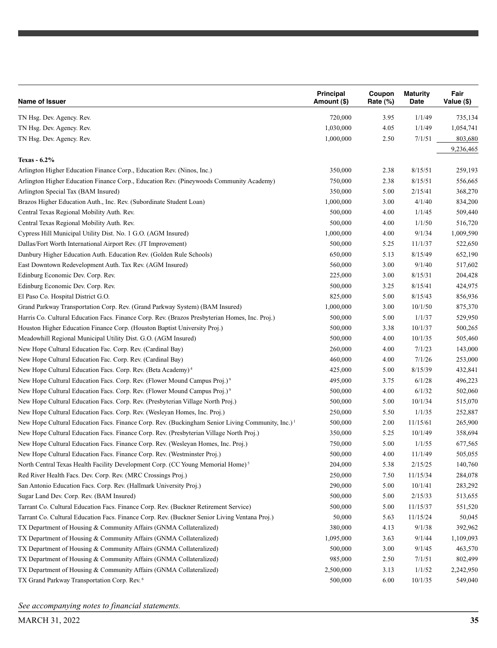| Name of Issuer                                                                                               | Principal<br>Amount (\$) | Coupon<br>Rate $(\%)$ | <b>Maturity</b><br>Date | Fair<br>Value (\$) |
|--------------------------------------------------------------------------------------------------------------|--------------------------|-----------------------|-------------------------|--------------------|
| TN Hsg. Dev. Agency. Rev.                                                                                    | 720,000                  | 3.95                  | 1/1/49                  | 735,134            |
| TN Hsg. Dev. Agency. Rev.                                                                                    | 1,030,000                | 4.05                  | 1/1/49                  | 1,054,741          |
| TN Hsg. Dev. Agency. Rev.                                                                                    | 1,000,000                | 2.50                  | 7/1/51                  | 803,680            |
|                                                                                                              |                          |                       |                         | 9,236,465          |
| Texas - 6.2%                                                                                                 |                          |                       |                         |                    |
| Arlington Higher Education Finance Corp., Education Rev. (Ninos, Inc.)                                       | 350,000                  | 2.38                  | 8/15/51                 | 259,193            |
| Arlington Higher Education Finance Corp., Education Rev. (Pineywoods Community Academy)                      | 750,000                  | 2.38                  | 8/15/51                 | 556,665            |
| Arlington Special Tax (BAM Insured)                                                                          | 350,000                  | 5.00                  | 2/15/41                 | 368,270            |
| Brazos Higher Education Auth., Inc. Rev. (Subordinate Student Loan)                                          | 1,000,000                | 3.00                  | 4/1/40                  | 834,200            |
| Central Texas Regional Mobility Auth. Rev.                                                                   | 500,000                  | 4.00                  | 1/1/45                  | 509,440            |
| Central Texas Regional Mobility Auth. Rev.                                                                   | 500,000                  | 4.00                  | 1/1/50                  | 516,720            |
| Cypress Hill Municipal Utility Dist. No. 1 G.O. (AGM Insured)                                                | 1,000,000                | 4.00                  | 9/1/34                  | 1,009,590          |
| Dallas/Fort Worth International Airport Rev. (JT Improvement)                                                | 500,000                  | 5.25                  | 11/1/37                 | 522,650            |
| Danbury Higher Education Auth. Education Rev. (Golden Rule Schools)                                          | 650,000                  | 5.13                  | 8/15/49                 | 652,190            |
| East Downtown Redevelopment Auth. Tax Rev. (AGM Insured)                                                     | 560,000                  | 3.00                  | 9/1/40                  | 517,602            |
| Edinburg Economic Dev. Corp. Rev.                                                                            | 225,000                  | 3.00                  | 8/15/31                 | 204,428            |
| Edinburg Economic Dev. Corp. Rev.                                                                            | 500,000                  | 3.25                  | 8/15/41                 | 424,975            |
| El Paso Co. Hospital District G.O.                                                                           | 825,000                  | 5.00                  | 8/15/43                 | 856,936            |
| Grand Parkway Transportation Corp. Rev. (Grand Parkway System) (BAM Insured)                                 | 1,000,000                | 3.00                  | 10/1/50                 | 875,370            |
| Harris Co. Cultural Education Facs. Finance Corp. Rev. (Brazos Presbyterian Homes, Inc. Proj.)               | 500,000                  | 5.00                  | 1/1/37                  | 529,950            |
| Houston Higher Education Finance Corp. (Houston Baptist University Proj.)                                    | 500,000                  | 3.38                  | 10/1/37                 | 500,265            |
| Meadowhill Regional Municipal Utility Dist. G.O. (AGM Insured)                                               | 500,000                  | 4.00                  | 10/1/35                 | 505,460            |
| New Hope Cultural Education Fac. Corp. Rev. (Cardinal Bay)                                                   | 260,000                  | 4.00                  | 7/1/23                  | 143,000            |
| New Hope Cultural Education Fac. Corp. Rev. (Cardinal Bay)                                                   | 460,000                  | 4.00                  | 7/1/26                  | 253,000            |
| New Hope Cultural Education Facs. Corp. Rev. (Beta Academy) <sup>4</sup>                                     | 425,000                  | 5.00                  | 8/15/39                 | 432,841            |
| New Hope Cultural Education Facs. Corp. Rev. (Flower Mound Campus Proj.) <sup>9</sup>                        | 495,000                  | 3.75                  | 6/1/28                  | 496,223            |
| New Hope Cultural Education Facs. Corp. Rev. (Flower Mound Campus Proj.) <sup>9</sup>                        | 500,000                  | 4.00                  | 6/1/32                  | 502,060            |
| New Hope Cultural Education Facs. Corp. Rev. (Presbyterian Village North Proj.)                              | 500,000                  | 5.00                  | 10/1/34                 | 515,070            |
| New Hope Cultural Education Facs. Corp. Rev. (Wesleyan Homes, Inc. Proj.)                                    | 250,000                  | 5.50                  | 1/1/35                  | 252,887            |
| New Hope Cultural Education Facs. Finance Corp. Rev. (Buckingham Senior Living Community, Inc.) <sup>1</sup> | 500,000                  | 2.00                  | 11/15/61                | 265,900            |
| New Hope Cultural Education Facs. Finance Corp. Rev. (Presbyterian Village North Proj.)                      | 350,000                  | 5.25                  | 10/1/49                 | 358,694            |
| New Hope Cultural Education Facs. Finance Corp. Rev. (Wesleyan Homes, Inc. Proj.)                            | 750,000                  | 5.00                  | 1/1/55                  | 677,565            |
| New Hope Cultural Education Facs. Finance Corp. Rev. (Westminster Proj.)                                     | 500,000                  | 4.00                  | 11/1/49                 | 505,055            |
| North Central Texas Health Facility Development Corp. (CC Young Memorial Home) <sup>5</sup>                  | 204,000                  | 5.38                  | 2/15/25                 | 140,760            |
| Red River Health Facs. Dev. Corp. Rev. (MRC Crossings Proj.)                                                 | 250,000                  | 7.50                  | 11/15/34                | 284,078            |
| San Antonio Education Facs. Corp. Rev. (Hallmark University Proj.)                                           | 290,000                  | 5.00                  | 10/1/41                 | 283,292            |
| Sugar Land Dev. Corp. Rev. (BAM Insured)                                                                     | 500,000                  | 5.00                  | 2/15/33                 | 513,655            |
| Tarrant Co. Cultural Education Facs. Finance Corp. Rev. (Buckner Retirement Service)                         | 500,000                  | 5.00                  | 11/15/37                | 551,520            |
| Tarrant Co. Cultural Education Facs. Finance Corp. Rev. (Buckner Senior Living Ventana Proj.)                | 50,000                   | 5.63                  | 11/15/24                | 50,045             |
| TX Department of Housing & Community Affairs (GNMA Collateralized)                                           | 380,000                  | 4.13                  | 9/1/38                  | 392,962            |
| TX Department of Housing & Community Affairs (GNMA Collateralized)                                           | 1,095,000                | 3.63                  | 9/1/44                  | 1,109,093          |
| TX Department of Housing & Community Affairs (GNMA Collateralized)                                           | 500,000                  | 3.00                  | 9/1/45                  | 463,570            |
| TX Department of Housing & Community Affairs (GNMA Collateralized)                                           | 985,000                  | 2.50                  | 7/1/51                  | 802,499            |
| TX Department of Housing & Community Affairs (GNMA Collateralized)                                           | 2,500,000                | 3.13                  | 1/1/52                  | 2,242,950          |
| TX Grand Parkway Transportation Corp. Rev. <sup>6</sup>                                                      | 500,000                  | 6.00                  | 10/1/35                 | 549,040            |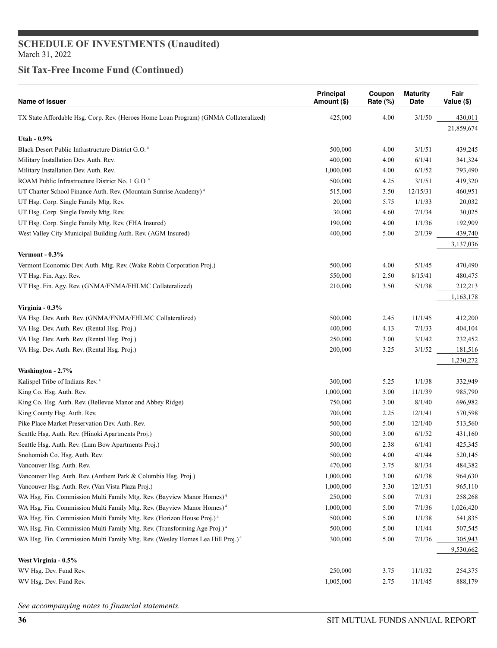# **SCHEDULE OF INVESTMENTS (Unaudited)** March 31, 2022

# **Sit Tax-Free Income Fund (Continued)**

| <b>Name of Issuer</b>                                                                     | Principal<br>Amount (\$) | Coupon<br>Rate (%) | <b>Maturity</b><br>Date | Fair<br>Value (\$)   |
|-------------------------------------------------------------------------------------------|--------------------------|--------------------|-------------------------|----------------------|
| TX State Affordable Hsg. Corp. Rev. (Heroes Home Loan Program) (GNMA Collateralized)      | 425,000                  | 4.00               | 3/1/50                  | 430,011              |
|                                                                                           |                          |                    |                         | 21,859,674           |
| Utah - $0.9\%$                                                                            |                          |                    |                         |                      |
| Black Desert Public Infrastructure District G.O. <sup>4</sup>                             | 500,000                  | 4.00               | 3/1/51                  | 439,245              |
| Military Installation Dev. Auth. Rev.                                                     | 400,000                  | 4.00               | 6/1/41                  | 341,324              |
| Military Installation Dev. Auth. Rev.                                                     | 1,000,000                | 4.00               | 6/1/52                  | 793,490              |
| ROAM Public Infrastructure District No. 1 G.O. <sup>4</sup>                               | 500,000                  | 4.25               | 3/1/51                  | 419,320              |
| UT Charter School Finance Auth. Rev. (Mountain Sunrise Academy) <sup>4</sup>              | 515,000                  | 3.50               | 12/15/31                | 460,951              |
| UT Hsg. Corp. Single Family Mtg. Rev.                                                     | 20,000                   | 5.75               | 1/1/33                  | 20,032               |
| UT Hsg. Corp. Single Family Mtg. Rev.                                                     | 30,000                   | 4.60               | 7/1/34                  | 30,025               |
| UT Hsg. Corp. Single Family Mtg. Rev. (FHA Insured)                                       | 190,000                  | 4.00               | 1/1/36                  | 192,909              |
| West Valley City Municipal Building Auth. Rev. (AGM Insured)                              | 400,000                  | 5.00               | 2/1/39                  | 439,740              |
|                                                                                           |                          |                    |                         | 3,137,036            |
| Vermont - $0.3\%$                                                                         |                          |                    |                         |                      |
| Vermont Economic Dev. Auth. Mtg. Rev. (Wake Robin Corporation Proj.)                      | 500,000                  | 4.00               | 5/1/45                  | 470,490              |
| VT Hsg. Fin. Agy. Rev.                                                                    | 550,000                  | 2.50               | 8/15/41                 | 480,475              |
| VT Hsg. Fin. Agy. Rev. (GNMA/FNMA/FHLMC Collateralized)                                   | 210,000                  | 3.50               | 5/1/38                  | 212,213              |
|                                                                                           |                          |                    |                         | 1,163,178            |
| Virginia - 0.3%                                                                           |                          |                    |                         |                      |
| VA Hsg. Dev. Auth. Rev. (GNMA/FNMA/FHLMC Collateralized)                                  | 500,000                  | 2.45               | 11/1/45                 | 412,200              |
| VA Hsg. Dev. Auth. Rev. (Rental Hsg. Proj.)                                               | 400,000                  | 4.13               | 7/1/33                  | 404,104              |
| VA Hsg. Dev. Auth. Rev. (Rental Hsg. Proj.)                                               | 250,000                  | 3.00               | 3/1/42                  | 232,452              |
| VA Hsg. Dev. Auth. Rev. (Rental Hsg. Proj.)                                               | 200,000                  | 3.25               | 3/1/52                  | 181,516<br>1,230,272 |
| Washington - 2.7%                                                                         |                          |                    |                         |                      |
| Kalispel Tribe of Indians Rev. <sup>4</sup>                                               | 300,000                  | 5.25               | 1/1/38                  | 332,949              |
| King Co. Hsg. Auth. Rev.                                                                  | 1,000,000                | 3.00               | 11/1/39                 | 985,790              |
| King Co. Hsg. Auth. Rev. (Bellevue Manor and Abbey Ridge)                                 | 750,000                  | 3.00               | 8/1/40                  | 696,982              |
| King County Hsg. Auth. Rev.                                                               | 700,000                  | 2.25               | 12/1/41                 | 570,598              |
| Pike Place Market Preservation Dev. Auth. Rev.                                            | 500,000                  | 5.00               | 12/1/40                 | 513,560              |
| Seattle Hsg. Auth. Rev. (Hinoki Apartments Proj.)                                         | 500,000                  | 3.00               | 6/1/52                  | 431,160              |
| Seattle Hsg. Auth. Rev. (Lam Bow Apartments Proj.)                                        | 500,000                  | 2.38               | 6/1/41                  | 425,345              |
| Snohomish Co. Hsg. Auth. Rev.                                                             | 500,000                  | 4.00               | 4/1/44                  | 520,145              |
| Vancouver Hsg. Auth. Rev.                                                                 | 470,000                  | 3.75               | 8/1/34                  | 484,382              |
| Vancouver Hsg. Auth. Rev. (Anthem Park & Columbia Hsg. Proj.)                             | 1,000,000                | 3.00               | 6/1/38                  | 964,630              |
| Vancouver Hsg. Auth. Rev. (Van Vista Plaza Proj.)                                         | 1,000,000                | 3.30               | 12/1/51                 | 965,110              |
| WA Hsg. Fin. Commission Multi Family Mtg. Rev. (Bayview Manor Homes) <sup>4</sup>         | 250,000                  | 5.00               | 7/1/31                  | 258,268              |
| WA Hsg. Fin. Commission Multi Family Mtg. Rev. (Bayview Manor Homes) <sup>4</sup>         | 1,000,000                | 5.00               | 7/1/36                  | 1,026,420            |
| WA Hsg. Fin. Commission Multi Family Mtg. Rev. (Horizon House Proj.) <sup>4</sup>         | 500,000                  | 5.00               | 1/1/38                  | 541,835              |
| WA Hsg. Fin. Commission Multi Family Mtg. Rev. (Transforming Age Proj.) <sup>4</sup>      | 500,000                  | 5.00               | 1/1/44                  | 507,545              |
| WA Hsg. Fin. Commission Multi Family Mtg. Rev. (Wesley Homes Lea Hill Proj.) <sup>4</sup> | 300,000                  | 5.00               | 7/1/36                  | 305,943              |
|                                                                                           |                          |                    |                         | 9,530,662            |
| West Virginia - 0.5%                                                                      |                          |                    |                         |                      |
| WV Hsg. Dev. Fund Rev.                                                                    | 250,000                  | 3.75               | 11/1/32                 | 254,375              |
| WV Hsg. Dev. Fund Rev.                                                                    | 1,005,000                | 2.75               | 11/1/45                 | 888,179              |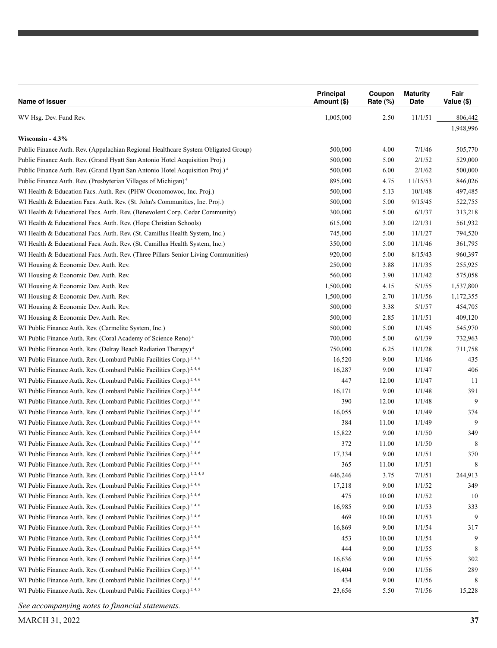| Name of Issuer                                                                           | Principal<br>Amount (\$) | Coupon<br>Rate (%) | <b>Maturity</b><br>Date | Fair<br>Value (\$) |
|------------------------------------------------------------------------------------------|--------------------------|--------------------|-------------------------|--------------------|
| WV Hsg. Dev. Fund Rev.                                                                   | 1,005,000                | 2.50               | 11/1/51                 | 806,442            |
|                                                                                          |                          |                    |                         | 1,948,996          |
| Wisconsin - 4.3%                                                                         |                          |                    |                         |                    |
| Public Finance Auth. Rev. (Appalachian Regional Healthcare System Obligated Group)       | 500,000                  | 4.00               | 7/1/46                  | 505,770            |
| Public Finance Auth. Rev. (Grand Hyatt San Antonio Hotel Acquisition Proj.)              | 500,000                  | 5.00               | 2/1/52                  | 529,000            |
| Public Finance Auth. Rev. (Grand Hyatt San Antonio Hotel Acquisition Proj.) <sup>4</sup> | 500,000                  | 6.00               | 2/1/62                  | 500,000            |
| Public Finance Auth. Rev. (Presbyterian Villages of Michigan) <sup>4</sup>               | 895,000                  | 4.75               | 11/15/53                | 846,026            |
| WI Health & Education Facs. Auth. Rev. (PHW Oconomowoc, Inc. Proj.)                      | 500,000                  | 5.13               | 10/1/48                 | 497,485            |
| WI Health & Education Facs. Auth. Rev. (St. John's Communities, Inc. Proj.)              | 500,000                  | 5.00               | 9/15/45                 | 522,755            |
| WI Health & Educational Facs. Auth. Rev. (Benevolent Corp. Cedar Community)              | 300,000                  | 5.00               | 6/1/37                  | 313,218            |
| WI Health & Educational Facs. Auth. Rev. (Hope Christian Schools)                        | 615,000                  | 3.00               | 12/1/31                 | 561,932            |
| WI Health & Educational Facs. Auth. Rev. (St. Camillus Health System, Inc.)              | 745,000                  | 5.00               | 11/1/27                 | 794,520            |
| WI Health & Educational Facs. Auth. Rev. (St. Camillus Health System, Inc.)              | 350,000                  | 5.00               | 11/1/46                 | 361,795            |
| WI Health & Educational Facs. Auth. Rev. (Three Pillars Senior Living Communities)       | 920,000                  | 5.00               | 8/15/43                 | 960,397            |
| WI Housing & Economic Dev. Auth. Rev.                                                    | 250,000                  | 3.88               | 11/1/35                 | 255,925            |
| WI Housing & Economic Dev. Auth. Rev.                                                    | 560,000                  | 3.90               | 11/1/42                 | 575,058            |
| WI Housing & Economic Dev. Auth. Rev.                                                    | 1,500,000                | 4.15               | 5/1/55                  | 1,537,800          |
| WI Housing & Economic Dev. Auth. Rev.                                                    | 1,500,000                | 2.70               | 11/1/56                 | 1,172,355          |
| WI Housing & Economic Dev. Auth. Rev.                                                    | 500,000                  | 3.38               | 5/1/57                  | 454,705            |
| WI Housing & Economic Dev. Auth. Rev.                                                    | 500,000                  | 2.85               | 11/1/51                 | 409,120            |
| WI Public Finance Auth. Rev. (Carmelite System, Inc.)                                    | 500,000                  | 5.00               | 1/1/45                  | 545,970            |
| WI Public Finance Auth. Rev. (Coral Academy of Science Reno) <sup>4</sup>                | 700,000                  | 5.00               | 6/1/39                  | 732,963            |
| WI Public Finance Auth. Rev. (Delray Beach Radiation Therapy) <sup>4</sup>               | 750,000                  | 6.25               | 11/1/28                 | 711,758            |
| WI Public Finance Auth. Rev. (Lombard Public Facilities Corp.) <sup>2,4,6</sup>          | 16,520                   | 9.00               | 1/1/46                  | 435                |
| WI Public Finance Auth. Rev. (Lombard Public Facilities Corp.) <sup>2,4,6</sup>          | 16,287                   | 9.00               | 1/1/47                  | 406                |
| WI Public Finance Auth. Rev. (Lombard Public Facilities Corp.) <sup>2, 4, 6</sup>        | 447                      | 12.00              | 1/1/47                  | -11                |
| WI Public Finance Auth. Rev. (Lombard Public Facilities Corp.) <sup>2, 4, 6</sup>        | 16,171                   | 9.00               | 1/1/48                  | 391                |
| WI Public Finance Auth. Rev. (Lombard Public Facilities Corp.) <sup>2, 4, 6</sup>        | 390                      | 12.00              | 1/1/48                  | 9                  |
| WI Public Finance Auth. Rev. (Lombard Public Facilities Corp.) <sup>2, 4, 6</sup>        | 16,055                   | 9.00               | 1/1/49                  | 374                |
| WI Public Finance Auth. Rev. (Lombard Public Facilities Corp.) <sup>2, 4, 6</sup>        | 384                      | 11.00              | 1/1/49                  | 9                  |
| WI Public Finance Auth. Rev. (Lombard Public Facilities Corp.) <sup>2, 4, 6</sup>        | 15,822                   | 9.00               | 1/1/50                  | 349                |
| WI Public Finance Auth. Rev. (Lombard Public Facilities Corp.) <sup>2,4,6</sup>          | 372                      | 11.00              | 1/1/50                  | 8                  |
| WI Public Finance Auth. Rev. (Lombard Public Facilities Corp.) <sup>2,4,6</sup>          | 17,334                   | 9.00               | 1/1/51                  | 370                |
| WI Public Finance Auth. Rev. (Lombard Public Facilities Corp.) <sup>2,4,6</sup>          | 365                      | 11.00              | 1/1/51                  | 8                  |
| WI Public Finance Auth. Rev. (Lombard Public Facilities Corp.) <sup>1,2,4,5</sup>        | 446,246                  | 3.75               | 7/1/51                  | 244,913            |
| WI Public Finance Auth. Rev. (Lombard Public Facilities Corp.) <sup>2,4,6</sup>          | 17,218                   | 9.00               | 1/1/52                  | 349                |
| WI Public Finance Auth. Rev. (Lombard Public Facilities Corp.) <sup>2, 4, 6</sup>        | 475                      | 10.00              | 1/1/52                  | 10                 |
| WI Public Finance Auth. Rev. (Lombard Public Facilities Corp.) <sup>2, 4, 6</sup>        | 16,985                   | 9.00               | 1/1/53                  | 333                |
| WI Public Finance Auth. Rev. (Lombard Public Facilities Corp.) <sup>2, 4, 6</sup>        | 469                      | 10.00              | 1/1/53                  | 9                  |
| WI Public Finance Auth. Rev. (Lombard Public Facilities Corp.) <sup>2,4,6</sup>          | 16,869                   | 9.00               | 1/1/54                  | 317                |
| WI Public Finance Auth. Rev. (Lombard Public Facilities Corp.) <sup>2, 4, 6</sup>        | 453                      | 10.00              | 1/1/54                  | 9                  |
| WI Public Finance Auth. Rev. (Lombard Public Facilities Corp.) <sup>2,4,6</sup>          | 444                      | 9.00               | 1/1/55                  | 8                  |
| WI Public Finance Auth. Rev. (Lombard Public Facilities Corp.) <sup>2,4,6</sup>          | 16,636                   | 9.00               | 1/1/55                  | 302                |
| WI Public Finance Auth. Rev. (Lombard Public Facilities Corp.) <sup>2, 4, 6</sup>        | 16,404                   | 9.00               | 1/1/56                  | 289                |
| WI Public Finance Auth. Rev. (Lombard Public Facilities Corp.) <sup>2,4,6</sup>          | 434                      | 9.00               | 1/1/56                  | 8                  |
| WI Public Finance Auth. Rev. (Lombard Public Facilities Corp.) <sup>2, 4, 5</sup>        |                          | 5.50               | 7/1/56                  |                    |
|                                                                                          | 23,656                   |                    |                         | 15,228             |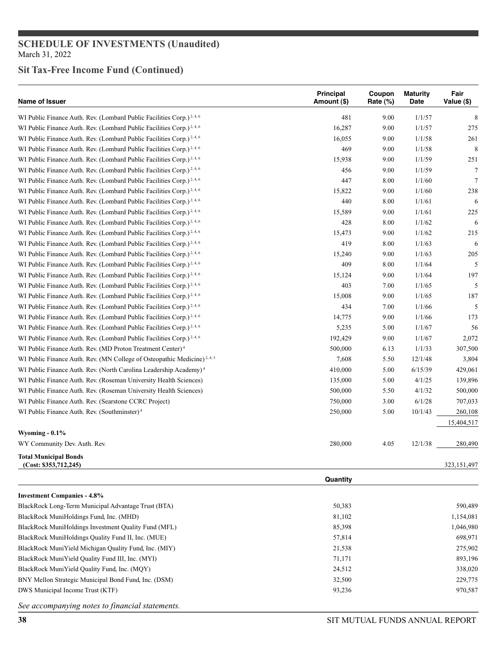# **SCHEDULE OF INVESTMENTS (Unaudited)** March 31, 2022

# **Sit Tax-Free Income Fund (Continued)**

| Name of Issuer                                                                      | <b>Principal</b><br>Amount (\$) | Coupon<br>Rate $(\%)$ | <b>Maturity</b><br>Date | Fair<br>Value (\$) |
|-------------------------------------------------------------------------------------|---------------------------------|-----------------------|-------------------------|--------------------|
| WI Public Finance Auth. Rev. (Lombard Public Facilities Corp.) <sup>2,4,6</sup>     | 481                             | 9.00                  | 1/1/57                  | 8                  |
| WI Public Finance Auth. Rev. (Lombard Public Facilities Corp.) <sup>2, 4, 6</sup>   | 16,287                          | 9.00                  | 1/1/57                  | 275                |
| WI Public Finance Auth. Rev. (Lombard Public Facilities Corp.) <sup>2, 4, 6</sup>   | 16,055                          | 9.00                  | 1/1/58                  | 261                |
| WI Public Finance Auth. Rev. (Lombard Public Facilities Corp.) <sup>2, 4, 6</sup>   | 469                             | 9.00                  | 1/1/58                  | 8                  |
| WI Public Finance Auth. Rev. (Lombard Public Facilities Corp.) <sup>2, 4, 6</sup>   | 15,938                          | 9.00                  | 1/1/59                  | 251                |
| WI Public Finance Auth. Rev. (Lombard Public Facilities Corp.) <sup>2,4,6</sup>     | 456                             | 9.00                  | 1/1/59                  | $\overline{7}$     |
| WI Public Finance Auth. Rev. (Lombard Public Facilities Corp.) <sup>2,4,6</sup>     | 447                             | 8.00                  | 1/1/60                  | $7\phantom{.0}$    |
| WI Public Finance Auth. Rev. (Lombard Public Facilities Corp.) <sup>2,4,6</sup>     | 15,822                          | 9.00                  | 1/1/60                  | 238                |
| WI Public Finance Auth. Rev. (Lombard Public Facilities Corp.) <sup>2,4,6</sup>     | 440                             | 8.00                  | 1/1/61                  | 6                  |
| WI Public Finance Auth. Rev. (Lombard Public Facilities Corp.) <sup>2,4,6</sup>     | 15,589                          | 9.00                  | 1/1/61                  | 225                |
| WI Public Finance Auth. Rev. (Lombard Public Facilities Corp.) <sup>2, 4, 6</sup>   | 428                             | 8.00                  | 1/1/62                  | 6                  |
| WI Public Finance Auth. Rev. (Lombard Public Facilities Corp.) <sup>2,4,6</sup>     | 15,473                          | 9.00                  | 1/1/62                  | 215                |
| WI Public Finance Auth. Rev. (Lombard Public Facilities Corp.) <sup>2,4,6</sup>     | 419                             | 8.00                  | 1/1/63                  | 6                  |
| WI Public Finance Auth. Rev. (Lombard Public Facilities Corp.) <sup>2, 4, 6</sup>   | 15,240                          | 9.00                  | 1/1/63                  | 205                |
| WI Public Finance Auth. Rev. (Lombard Public Facilities Corp.) <sup>2, 4, 6</sup>   | 409                             | 8.00                  | 1/1/64                  | 5                  |
| WI Public Finance Auth. Rev. (Lombard Public Facilities Corp.) <sup>2,4,6</sup>     | 15,124                          | 9.00                  | 1/1/64                  | 197                |
| WI Public Finance Auth. Rev. (Lombard Public Facilities Corp.) <sup>2, 4, 6</sup>   | 403                             | 7.00                  | 1/1/65                  | 5                  |
| WI Public Finance Auth. Rev. (Lombard Public Facilities Corp.) <sup>2,4,6</sup>     | 15,008                          | 9.00                  | 1/1/65                  | 187                |
| WI Public Finance Auth. Rev. (Lombard Public Facilities Corp.) <sup>2,4,6</sup>     | 434                             | 7.00                  | 1/1/66                  | 5                  |
| WI Public Finance Auth. Rev. (Lombard Public Facilities Corp.) <sup>2, 4, 6</sup>   | 14,775                          | 9.00                  | 1/1/66                  | 173                |
| WI Public Finance Auth. Rev. (Lombard Public Facilities Corp.) <sup>2, 4, 6</sup>   | 5,235                           | 5.00                  | 1/1/67                  | 56                 |
| WI Public Finance Auth. Rev. (Lombard Public Facilities Corp.) <sup>2,4,6</sup>     | 192,429                         | 9.00                  | 1/1/67                  | 2,072              |
| WI Public Finance Auth. Rev. (MD Proton Treatment Center) <sup>4</sup>              | 500,000                         | 6.13                  | 1/1/33                  | 307,500            |
| WI Public Finance Auth. Rev. (MN College of Osteopathic Medicine) <sup>2, 4,5</sup> | 7,608                           | 5.50                  | 12/1/48                 | 3,804              |
| WI Public Finance Auth. Rev. (North Carolina Leadership Academy) <sup>4</sup>       | 410,000                         | 5.00                  | 6/15/39                 | 429,061            |
| WI Public Finance Auth. Rev. (Roseman University Health Sciences)                   | 135,000                         | 5.00                  | 4/1/25                  | 139,896            |
| WI Public Finance Auth. Rev. (Roseman University Health Sciences)                   | 500,000                         | 5.50                  | 4/1/32                  | 500,000            |
| WI Public Finance Auth. Rev. (Searstone CCRC Project)                               | 750,000                         | 3.00                  | 6/1/28                  | 707,033            |
| WI Public Finance Auth. Rev. (Southminster) <sup>4</sup>                            | 250,000                         | 5.00                  | 10/1/43                 | 260,108            |
| Wyoming $-0.1\%$                                                                    |                                 |                       |                         | 15,404,517         |
| WY Community Dev. Auth. Rev.                                                        | 280,000                         | 4.05                  | 12/1/38                 | 280,490            |
|                                                                                     |                                 |                       |                         |                    |
| <b>Total Municipal Bonds</b><br>(Cost: \$353,712,245)                               |                                 |                       |                         | 323, 151, 497      |
|                                                                                     | Quantity                        |                       |                         |                    |
| <b>Investment Companies - 4.8%</b>                                                  |                                 |                       |                         |                    |

| BlackRock Long-Term Municipal Advantage Trust (BTA)   | 50,383 | 590,489   |
|-------------------------------------------------------|--------|-----------|
| BlackRock MuniHoldings Fund, Inc. (MHD)               | 81.102 | 1,154,081 |
| BlackRock MuniHoldings Investment Quality Fund (MFL)  | 85,398 | 1,046,980 |
| BlackRock MuniHoldings Quality Fund II, Inc. (MUE)    | 57,814 | 698.971   |
| BlackRock MuniYield Michigan Quality Fund, Inc. (MIY) | 21,538 | 275,902   |
| BlackRock MuniYield Quality Fund III, Inc. (MYI)      | 71.171 | 893,196   |
| BlackRock MuniYield Quality Fund, Inc. (MQY)          | 24,512 | 338,020   |
| BNY Mellon Strategic Municipal Bond Fund, Inc. (DSM)  | 32,500 | 229,775   |
| DWS Municipal Income Trust (KTF)                      | 93,236 | 970,587   |
|                                                       |        |           |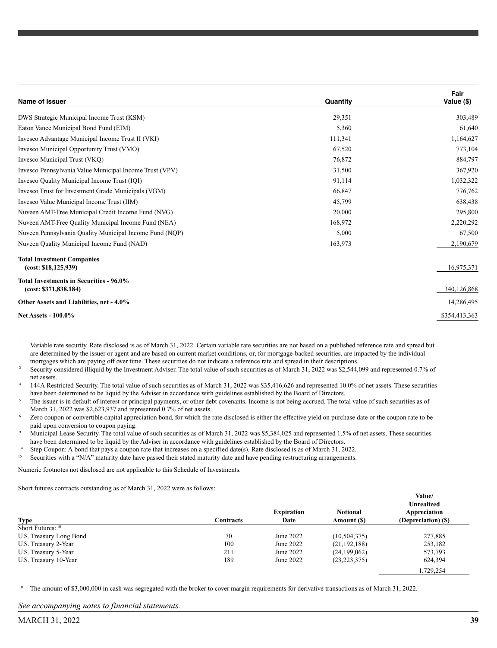| Name of Issuer                                                   | Quantity | Fair<br>Value (\$) |
|------------------------------------------------------------------|----------|--------------------|
| DWS Strategic Municipal Income Trust (KSM)                       | 29,351   | 303,489            |
| Eaton Vance Municipal Bond Fund (EIM)                            | 5,360    | 61,640             |
| Invesco Advantage Municipal Income Trust II (VKI)                | 111,341  | 1,164,627          |
| Invesco Municipal Opportunity Trust (VMO)                        | 67,520   | 773,104            |
| Invesco Municipal Trust (VKQ)                                    | 76,872   | 884,797            |
| Invesco Pennsylvania Value Municipal Income Trust (VPV)          | 31,500   | 367,920            |
| Invesco Quality Municipal Income Trust (IQI)                     | 91,114   | 1,032,322          |
| Invesco Trust for Investment Grade Municipals (VGM)              | 66,847   | 776,762            |
| Invesco Value Municipal Income Trust (IIM)                       | 45,799   | 638,438            |
| Nuveen AMT-Free Municipal Credit Income Fund (NVG)               | 20,000   | 295,800            |
| Nuveen AMT-Free Quality Municipal Income Fund (NEA)              | 168,972  | 2,220,292          |
| Nuveen Pennsylvania Quality Municipal Income Fund (NQP)          | 5,000    | 67,500             |
| Nuveen Quality Municipal Income Fund (NAD)                       | 163,973  | 2,190,679          |
| <b>Total Investment Companies</b><br>(cost: \$18,125,939)        |          | 16,975,371         |
| Total Investments in Securities - 96.0%<br>(cost: \$371,838,184) |          | 340,126,868        |
| Other Assets and Liabilities, net - 4.0%                         |          | 14,286,495         |
| <b>Net Assets - 100.0%</b>                                       |          | \$354,413,363      |

Variable rate security. Rate disclosed is as of March 31, 2022. Certain variable rate securities are not based on a published reference rate and spread but are determined by the issuer or agent and are based on current market conditions, or, for mortgage-backed securities, are impacted by the individual mortgages which are paying off over time. These securities do not indicate a reference rate and spread in their descriptions.

Security considered illiquid by the Investment Adviser. The total value of such securities as of March 31, 2022 was \$2,544,099 and represented 0.7% of net assets.

<sup>4</sup> 144A Restricted Security. The total value of such securities as of March 31, 2022 was \$35,416,626 and represented 10.0% of net assets. These securities have been determined to be liquid by the Adviser in accordance with guidelines established by the Board of Directors.

The issuer is in default of interest or principal payments, or other debt covenants. Income is not being accrued. The total value of such securities as of March 31, 2022 was \$2,623,937 and represented 0.7% of net assets.

Zero coupon or convertible capital appreciation bond, for which the rate disclosed is either the effective vield on purchase date or the coupon rate to be paid upon conversion to coupon paying.

<sup>9</sup> Municipal Lease Security. The total value of such securities as of March 31, 2022 was \$5,384,025 and represented 1.5% of net assets. These securities have been determined to be liquid by the Adviser in accordance with guidelines established by the Board of Directors.

<sup>14</sup> Step Coupon: A bond that pays a coupon rate that increases on a specified date(s). Rate disclosed is as of March 31, 2022.

<sup>15</sup> Securities with a "N/A" maturity date have passed their stated maturity date and have pending restructuring arrangements.

Numeric footnotes not disclosed are not applicable to this Schedule of Investments.

Short futures contracts outstanding as of March 31, 2022 were as follows:

|           | <b>Expiration</b> | <b>Notional</b> | Value/<br><b>Unrealized</b><br>Appreciation |
|-----------|-------------------|-----------------|---------------------------------------------|
| Contracts | Date              | Amount (\$)     | (Depreciation) (\$)                         |
|           |                   |                 |                                             |
| 70        | June 2022         | (10, 504, 375)  | 277,885                                     |
| 100       | June 2022         | (21, 192, 188)  | 253,182                                     |
| 211       | June 2022         | (24, 199, 062)  | 573,793                                     |
| 189       | June 2022         | (23, 223, 375)  | 624,394                                     |
|           |                   |                 | 1,729,254                                   |
|           |                   |                 |                                             |

<sup>10</sup> The amount of \$3,000,000 in cash was segregated with the broker to cover margin requirements for derivative transactions as of March 31, 2022.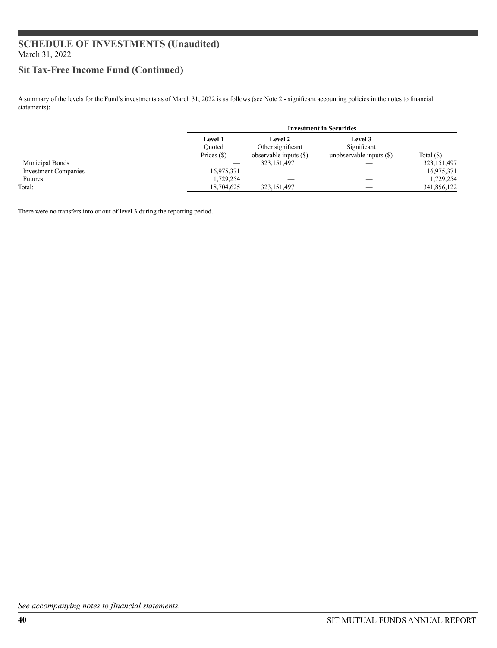# **SCHEDULE OF INVESTMENTS (Unaudited)** March 31, 2022

# **Sit Tax-Free Income Fund (Continued)**

A summary of the levels for the Fund's investments as of March 31, 2022 is as follows (see Note 2 - significant accounting policies in the notes to financial statements):

|                             | <b>Investment in Securities</b>           |                                                               |                                                             |               |
|-----------------------------|-------------------------------------------|---------------------------------------------------------------|-------------------------------------------------------------|---------------|
|                             | <b>Level 1</b><br>Ouoted<br>Prices $(\$)$ | <b>Level 2</b><br>Other significant<br>observable inputs (\$) | <b>Level 3</b><br>Significant<br>unobservable inputs $(\$)$ | Total $(S)$   |
| Municipal Bonds             |                                           | 323, 151, 497                                                 |                                                             | 323, 151, 497 |
| <b>Investment Companies</b> | 16,975,371                                | _                                                             | __                                                          | 16,975,371    |
| Futures                     | 1.729.254                                 |                                                               |                                                             | 1,729,254     |
| Total:                      | 18,704,625                                | 323, 151, 497                                                 | $\overline{\phantom{a}}$                                    | 341,856,122   |

There were no transfers into or out of level 3 during the reporting period.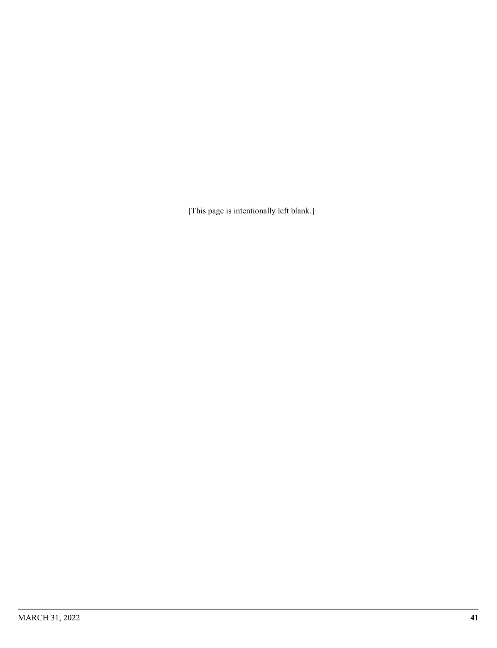[This page is intentionally left blank.]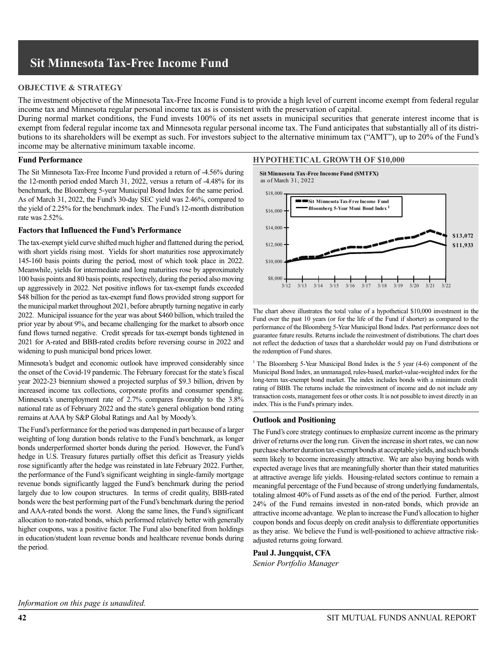# **Sit Minnesota Tax-Free Income Fund**

#### **OBJECTIVE & STRATEGY**

The investment objective of the Minnesota Tax-Free Income Fund is to provide a high level of current income exempt from federal regular income tax and Minnesota regular personal income tax as is consistent with the preservation of capital.

During normal market conditions, the Fund invests 100% of its net assets in municipal securities that generate interest income that is exempt from federal regular income tax and Minnesota regular personal income tax. The Fund anticipates that substantially all of its distributions to its shareholders will be exempt as such. For investors subject to the alternative minimum tax ("AMT"), up to 20% of the Fund's income may be alternative minimum taxable income.

#### **Fund Performance**

The Sit Minnesota Tax-Free Income Fund provided a return of -4.56% during the 12-month period ended March 31, 2022, versus a return of -4.48% for its benchmark, the Bloomberg 5-year Municipal Bond Index for the same period. As of March 31, 2022, the Fund's 30-day SEC yield was 2.46%, compared to the yield of 2.25% for the benchmark index. The Fund's 12-month distribution rate was 2.52%.

#### **Factors that Influenced the Fund's Performance**

The tax-exempt yield curve shifted much higher and flattened during the period, with short yields rising most. Yields for short maturities rose approximately 145-160 basis points during the period, most of which took place in 2022. Meanwhile, yields for intermediate and long maturities rose by approximately 100 basis points and 80 basis points, respectively, during the period also moving up aggressively in 2022. Net positive inflows for tax-exempt funds exceeded \$48 billion for the period as tax-exempt fund flows provided strong support for the municipal market throughout 2021, before abruptly turning negative in early 2022. Municipal issuance for the year was about \$460 billion, which trailed the prior year by about 9%, and became challenging for the market to absorb once fund flows turned negative. Credit spreads for tax-exempt bonds tightened in 2021 for A-rated and BBB-rated credits before reversing course in 2022 and widening to push municipal bond prices lower.

Minnesota's budget and economic outlook have improved considerably since the onset of the Covid-19 pandemic. The February forecast for the state's fiscal year 2022-23 biennium showed a projected surplus of \$9.3 billion, driven by increased income tax collections, corporate profits and consumer spending. Minnesota's unemployment rate of 2.7% compares favorably to the 3.8% national rate as of February 2022 and the state's general obligation bond rating remains at AAA by S&P Global Ratings and Aa1 by Moody's.

The Fund's performance for the period was dampened in part because of a larger weighting of long duration bonds relative to the Fund's benchmark, as longer bonds underperformed shorter bonds during the period. However, the Fund's hedge in U.S. Treasury futures partially offset this deficit as Treasury yields rose significantly after the hedge was reinstated in late February 2022. Further, the performance of the Fund's significant weighting in single-family mortgage revenue bonds significantly lagged the Fund's benchmark during the period largely due to low coupon structures. In terms of credit quality, BBB-rated bonds were the best performing part of the Fund's benchmark during the period and AAA-rated bonds the worst. Along the same lines, the Fund's significant allocation to non-rated bonds, which performed relatively better with generally higher coupons, was a positive factor. The Fund also benefited from holdings in education/student loan revenue bonds and healthcare revenue bonds during the period.

#### **HYPOTHETICAL GROWTH OF \$10,000**



The chart above illustrates the total value of a hypothetical \$10,000 investment in the Fund over the past 10 years (or for the life of the Fund if shorter) as compared to the performance of the Bloomberg 5-Year Municipal Bond Index. Past performance does not guarantee future results. Returns include the reinvestment of distributions. The chart does not reflect the deduction of taxes that a shareholder would pay on Fund distributions or the redemption of Fund shares.

<sup>1</sup> The Bloomberg 5-Year Municipal Bond Index is the 5 year (4-6) component of the Municipal Bond Index, an unmanaged, rules-based, market-value-weighted index for the long-term tax-exempt bond market. The index includes bonds with a minimum credit rating of BBB. The returns include the reinvestment of income and do not include any transaction costs, management fees or other costs. It is not possible to invest directly in an index. This is the Fund's primary index.

#### **Outlook and Positioning**

The Fund's core strategy continues to emphasize current income as the primary driver of returns over the long run. Given the increase in short rates, we can now purchase shorter duration tax-exempt bonds at acceptable yields, and such bonds seem likely to become increasingly attractive. We are also buying bonds with expected average lives that are meaningfully shorter than their stated maturities at attractive average life yields. Housing-related sectors continue to remain a meaningful percentage of the Fund because of strong underlying fundamentals, totaling almost 40% of Fund assets as of the end of the period. Further, almost 24% of the Fund remains invested in non-rated bonds, which provide an attractive income advantage. We plan to increase the Fund's allocation to higher coupon bonds and focus deeply on credit analysis to differentiate opportunities as they arise. We believe the Fund is well-positioned to achieve attractive riskadjusted returns going forward.

#### **Paul J. Jungquist, CFA**

*Senior Portfolio Manager*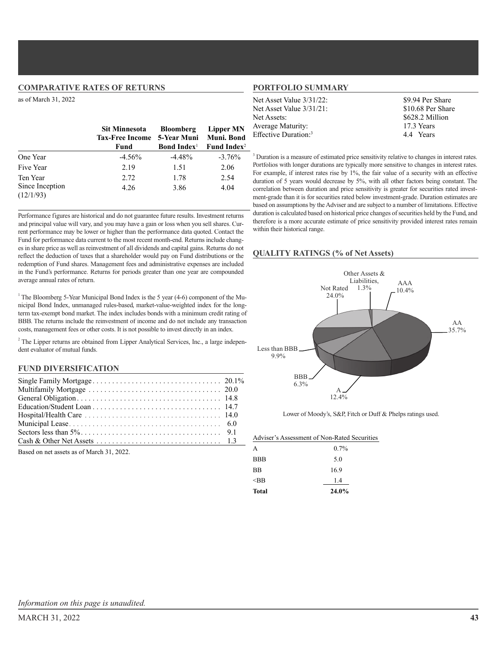#### **COMPARATIVE RATES OF RETURNS**

as of March 31, 2022

|                              | <b>Sit Minnesota</b><br><b>Tax-Free Income</b><br>Fund | <b>Bloomberg</b><br>5-Year Muni<br><b>Bond Index</b> <sup>1</sup> | Lipper MN<br>Muni. Bond<br>Fund Index <sup>2</sup> |
|------------------------------|--------------------------------------------------------|-------------------------------------------------------------------|----------------------------------------------------|
| One Year                     | $-4.56%$                                               | $-4.48%$                                                          | $-3.76%$                                           |
| Five Year                    | 2.19                                                   | 1.51                                                              | 2.06                                               |
| Ten Year                     | 2.72                                                   | 1.78                                                              | 2.54                                               |
| Since Inception<br>(12/1/93) | 4.26                                                   | 3.86                                                              | 4.04                                               |

Performance figures are historical and do not guarantee future results. Investment returns and principal value will vary, and you may have a gain or loss when you sell shares. Current performance may be lower or higher than the performance data quoted. Contact the Fund for performance data current to the most recent month-end. Returns include changes in share price as well as reinvestment of all dividends and capital gains. Returns do not reflect the deduction of taxes that a shareholder would pay on Fund distributions or the redemption of Fund shares. Management fees and administrative expenses are included in the Fund's performance. Returns for periods greater than one year are compounded average annual rates of return.

<sup>1</sup> The Bloomberg 5-Year Municipal Bond Index is the 5 year (4-6) component of the Municipal Bond Index, unmanaged rules-based, market-value-weighted index for the longterm tax-exempt bond market. The index includes bonds with a minimum credit rating of BBB. The returns include the reinvestment of income and do not include any transaction costs, management fees or other costs. It is not possible to invest directly in an index.

<sup>2</sup> The Lipper returns are obtained from Lipper Analytical Services, Inc., a large independent evaluator of mutual funds.

#### **FUND DIVERSIFICATION**

Based on net assets as of March 31, 2022.

#### **PORTFOLIO SUMMARY**

| Net Asset Value $3/31/22$ :      | \$9.94 Per Share  |
|----------------------------------|-------------------|
| Net Asset Value $3/31/21$ :      | \$10.68 Per Share |
| Net Assets:                      | \$628.2 Million   |
| Average Maturity:                | 17.3 Years        |
| Effective Duration: <sup>3</sup> | 4.4 Years         |
|                                  |                   |

<sup>3</sup> Duration is a measure of estimated price sensitivity relative to changes in interest rates. Portfolios with longer durations are typically more sensitive to changes in interest rates. For example, if interest rates rise by 1%, the fair value of a security with an effective duration of 5 years would decrease by 5%, with all other factors being constant. The correlation between duration and price sensitivity is greater for securities rated investment-grade than it is for securities rated below investment-grade. Duration estimates are based on assumptions by the Adviser and are subject to a number of limitations. Effective duration is calculated based on historical price changes of securities held by the Fund, and therefore is a more accurate estimate of price sensitivity provided interest rates remain within their historical range.

#### **QUALITY RATINGS (% of Net Assets)**



Lower of Moody's, S&P, Fitch or Duff & Phelps ratings used.

Adviser's Assessment of Non-Rated Securities

| Total      | 24.0%   |
|------------|---------|
| $<$ BB     | 1.4     |
| <b>BB</b>  | 16.9    |
| <b>BBB</b> | 5.0     |
| А          | $0.7\%$ |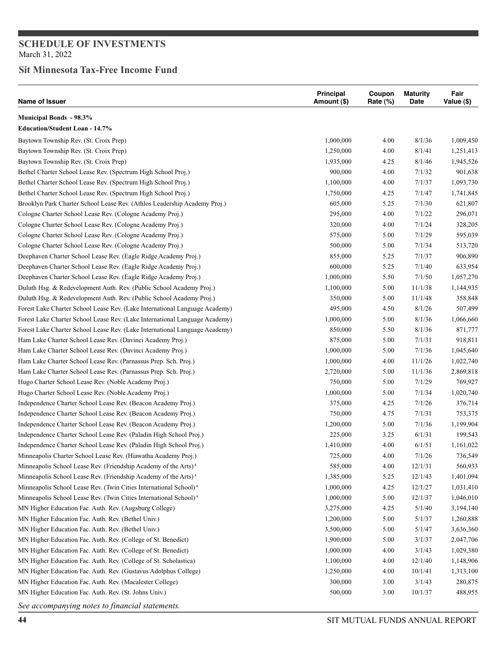### **Sit Minnesota Tax-Free Income Fund**

| Name of Issuer                                                                | Principal<br>Amount (\$) | Coupon<br>Rate $(\%)$ | <b>Maturity</b><br>Date | Fair<br>Value (\$) |
|-------------------------------------------------------------------------------|--------------------------|-----------------------|-------------------------|--------------------|
| <b>Municipal Bonds - 98.3%</b>                                                |                          |                       |                         |                    |
| <b>Education/Student Loan - 14.7%</b>                                         |                          |                       |                         |                    |
| Baytown Township Rev. (St. Croix Prep)                                        | 1,000,000                | 4.00                  | 8/1/36                  | 1,009,450          |
| Baytown Township Rev. (St. Croix Prep)                                        | 1,250,000                | 4.00                  | 8/1/41                  | 1,251,413          |
| Baytown Township Rev. (St. Croix Prep)                                        | 1,935,000                | 4.25                  | 8/1/46                  | 1,945,526          |
| Bethel Charter School Lease Rev. (Spectrum High School Proj.)                 | 900,000                  | 4.00                  | 7/1/32                  | 901,638            |
| Bethel Charter School Lease Rev. (Spectrum High School Proj.)                 | 1,100,000                | 4.00                  | 7/1/37                  | 1,093,730          |
| Bethel Charter School Lease Rev. (Spectrum High School Proj.)                 | 1,750,000                | 4.25                  | 7/1/47                  | 1,741,845          |
| Brooklyn Park Charter School Lease Rev. (Athlos Leadership Academy Proj.)     | 605,000                  | 5.25                  | 7/1/30                  | 621,807            |
| Cologne Charter School Lease Rev. (Cologne Academy Proj.)                     | 295,000                  | 4.00                  | 7/1/22                  | 296,071            |
| Cologne Charter School Lease Rev. (Cologne Academy Proj.)                     | 320,000                  | 4.00                  | 7/1/24                  | 328,205            |
| Cologne Charter School Lease Rev. (Cologne Academy Proj.)                     | 575,000                  | 5.00                  | 7/1/29                  | 595,039            |
| Cologne Charter School Lease Rev. (Cologne Academy Proj.)                     | 500,000                  | 5.00                  | 7/1/34                  | 513,720            |
| Deephaven Charter School Lease Rev. (Eagle Ridge Academy Proj.)               | 855,000                  | 5.25                  | 7/1/37                  | 906,890            |
| Deephaven Charter School Lease Rev. (Eagle Ridge Academy Proj.)               | 600,000                  | 5.25                  | 7/1/40                  | 633,954            |
| Deephaven Charter School Lease Rev. (Eagle Ridge Academy Proj.)               | 1,000,000                | 5.50                  | 7/1/50                  | 1,057,270          |
| Duluth Hsg. & Redevelopment Auth. Rev. (Public School Academy Proj.)          | 1,100,000                | 5.00                  | 11/1/38                 | 1,144,935          |
| Duluth Hsg. & Redevelopment Auth. Rev. (Public School Academy Proj.)          | 350,000                  | 5.00                  | 11/1/48                 | 358,848            |
| Forest Lake Charter School Lease Rev. (Lake International Language Academy)   | 495,000                  | 4.50                  | 8/1/26                  | 507,499            |
| Forest Lake Charter School Lease Rev. (Lake International Language Academy)   | 1,000,000                | 5.00                  | 8/1/36                  | 1,066,660          |
| Forest Lake Charter School Lease Rev. (Lake International Language Academy)   | 850,000                  | 5.50                  | 8/1/36                  | 871,777            |
| Ham Lake Charter School Lease Rev. (Davinci Academy Proj.)                    | 875,000                  | 5.00                  | 7/1/31                  | 918,811            |
| Ham Lake Charter School Lease Rev. (Davinci Academy Proj.)                    | 1,000,000                | 5.00                  | 7/1/36                  | 1,045,640          |
| Ham Lake Charter School Lease Rev. (Parnassus Prep. Sch. Proj.)               | 1,000,000                | 4.00                  | 11/1/26                 | 1,022,740          |
| Ham Lake Charter School Lease Rev. (Parnassus Prep. Sch. Proj.)               | 2,720,000                | 5.00                  | 11/1/36                 | 2,869,818          |
| Hugo Charter School Lease Rev. (Noble Academy Proj.)                          | 750,000                  | 5.00                  | 7/1/29                  | 769,927            |
| Hugo Charter School Lease Rev. (Noble Academy Proj.)                          | 1,000,000                | 5.00                  | 7/1/34                  | 1,020,740          |
| Independence Charter School Lease Rev. (Beacon Academy Proj.)                 | 375,000                  | 4.25                  | 7/1/26                  | 376,714            |
| Independence Charter School Lease Rev. (Beacon Academy Proj.)                 | 750,000                  | 4.75                  | 7/1/31                  | 753,375            |
| Independence Charter School Lease Rev. (Beacon Academy Proj.)                 | 1,200,000                | 5.00                  | 7/1/36                  | 1,199,904          |
| Independence Charter School Lease Rev. (Paladin High School Proj.)            | 225,000                  | 3.25                  | 6/1/31                  | 199,543            |
| Independence Charter School Lease Rev. (Paladin High School Proj.)            | 1,410,000                | 4.00                  | 6/1/51                  | 1,161,022          |
| Minneapolis Charter School Lease Rev. (Hiawatha Academy Proj.)                | 725,000                  | 4.00                  | 7/1/26                  | 736,549            |
| Minneapolis School Lease Rev. (Friendship Academy of the Arts) <sup>4</sup>   | 585,000                  | 4.00                  | 12/1/31                 | 560,933            |
| Minneapolis School Lease Rev. (Friendship Academy of the Arts) <sup>4</sup>   | 1,385,000                | 5.25                  | 12/1/43                 | 1,401,094          |
| Minneapolis School Lease Rev. (Twin Cities International School) <sup>4</sup> | 1,000,000                | 4.25                  | 12/1/27                 | 1,031,410          |
| Minneapolis School Lease Rev. (Twin Cities International School) <sup>4</sup> | 1,000,000                | 5.00                  | 12/1/37                 | 1,046,010          |
| MN Higher Education Fac. Auth. Rev. (Augsburg College)                        | 3,275,000                | 4.25                  | 5/1/40                  | 3,194,140          |
| MN Higher Education Fac. Auth. Rev. (Bethel Univ.)                            | 1,200,000                | 5.00                  | 5/1/37                  | 1,260,888          |
| MN Higher Education Fac. Auth. Rev. (Bethel Univ.)                            | 3,500,000                | 5.00                  | 5/1/47                  | 3,636,360          |
| MN Higher Education Fac. Auth. Rev. (College of St. Benedict)                 | 1,900,000                | 5.00                  | 3/1/37                  | 2,047,706          |
| MN Higher Education Fac. Auth. Rev. (College of St. Benedict)                 | 1,000,000                | 4.00                  | 3/1/43                  | 1,029,380          |
| MN Higher Education Fac. Auth. Rev. (College of St. Scholastica)              | 1,100,000                | 4.00                  | 12/1/40                 | 1,148,906          |
| MN Higher Education Fac. Auth. Rev. (Gustavus Adolphus College)               | 1,250,000                | 4.00                  | 10/1/41                 | 1,313,100          |
| MN Higher Education Fac. Auth. Rev. (Macalester College)                      | 300,000                  | 3.00                  | 3/1/43                  | 280,875            |
| MN Higher Education Fac. Auth. Rev. (St. Johns Univ.)                         | 500,000                  | 3.00                  | 10/1/37                 | 488,955            |
| See accompanying notes to financial statements.                               |                          |                       |                         |                    |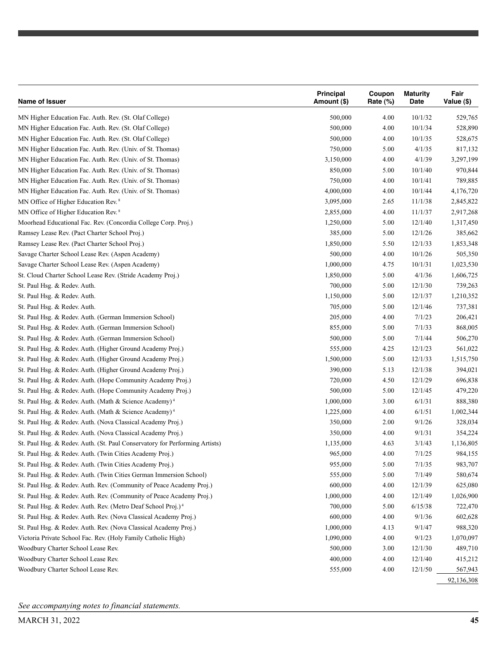| Name of Issuer                                                              | Principal<br>Amount (\$) | Coupon<br>Rate $(\%)$ | <b>Maturity</b><br>Date | Fair<br>Value (\$) |
|-----------------------------------------------------------------------------|--------------------------|-----------------------|-------------------------|--------------------|
| MN Higher Education Fac. Auth. Rev. (St. Olaf College)                      | 500,000                  | 4.00                  | 10/1/32                 | 529,765            |
| MN Higher Education Fac. Auth. Rev. (St. Olaf College)                      | 500,000                  | 4.00                  | 10/1/34                 | 528,890            |
| MN Higher Education Fac. Auth. Rev. (St. Olaf College)                      | 500,000                  | 4.00                  | 10/1/35                 | 528,675            |
| MN Higher Education Fac. Auth. Rev. (Univ. of St. Thomas)                   | 750,000                  | 5.00                  | 4/1/35                  | 817,132            |
| MN Higher Education Fac. Auth. Rev. (Univ. of St. Thomas)                   | 3,150,000                | 4.00                  | 4/1/39                  | 3,297,199          |
| MN Higher Education Fac. Auth. Rev. (Univ. of St. Thomas)                   | 850,000                  | 5.00                  | 10/1/40                 | 970,844            |
| MN Higher Education Fac. Auth. Rev. (Univ. of St. Thomas)                   | 750,000                  | 4.00                  | 10/1/41                 | 789,885            |
| MN Higher Education Fac. Auth. Rev. (Univ. of St. Thomas)                   | 4,000,000                | 4.00                  | 10/1/44                 | 4,176,720          |
| MN Office of Higher Education Rev. <sup>8</sup>                             | 3,095,000                | 2.65                  | 11/1/38                 | 2,845,822          |
| MN Office of Higher Education Rev. <sup>8</sup>                             | 2,855,000                | 4.00                  | 11/1/37                 | 2,917,268          |
| Moorhead Educational Fac. Rev. (Concordia College Corp. Proj.)              | 1,250,000                | 5.00                  | 12/1/40                 | 1,317,450          |
| Ramsey Lease Rev. (Pact Charter School Proj.)                               | 385,000                  | 5.00                  | 12/1/26                 | 385,662            |
| Ramsey Lease Rev. (Pact Charter School Proj.)                               | 1,850,000                | 5.50                  | 12/1/33                 | 1,853,348          |
| Savage Charter School Lease Rev. (Aspen Academy)                            | 500,000                  | 4.00                  | 10/1/26                 | 505,350            |
| Savage Charter School Lease Rev. (Aspen Academy)                            | 1,000,000                | 4.75                  | 10/1/31                 | 1,023,530          |
| St. Cloud Charter School Lease Rev. (Stride Academy Proj.)                  | 1,850,000                | 5.00                  | 4/1/36                  | 1,606,725          |
| St. Paul Hsg. & Redev. Auth.                                                | 700,000                  | 5.00                  | 12/1/30                 | 739,263            |
| St. Paul Hsg. & Redev. Auth.                                                | 1,150,000                | 5.00                  | 12/1/37                 | 1,210,352          |
| St. Paul Hsg. & Redev. Auth.                                                | 705,000                  | 5.00                  | 12/1/46                 | 737,381            |
| St. Paul Hsg. & Redev. Auth. (German Immersion School)                      | 205,000                  | 4.00                  | 7/1/23                  | 206,421            |
| St. Paul Hsg. & Redev. Auth. (German Immersion School)                      | 855,000                  | 5.00                  | 7/1/33                  | 868,005            |
| St. Paul Hsg. & Redev. Auth. (German Immersion School)                      | 500,000                  | 5.00                  | 7/1/44                  | 506,270            |
| St. Paul Hsg. & Redev. Auth. (Higher Ground Academy Proj.)                  | 555,000                  | 4.25                  | 12/1/23                 | 561,022            |
| St. Paul Hsg. & Redev. Auth. (Higher Ground Academy Proj.)                  | 1,500,000                | 5.00                  | 12/1/33                 | 1,515,750          |
| St. Paul Hsg. & Redev. Auth. (Higher Ground Academy Proj.)                  | 390,000                  | 5.13                  | 12/1/38                 | 394,021            |
| St. Paul Hsg. & Redev. Auth. (Hope Community Academy Proj.)                 | 720,000                  | 4.50                  | 12/1/29                 | 696,838            |
| St. Paul Hsg. & Redev. Auth. (Hope Community Academy Proj.)                 | 500,000                  | 5.00                  | 12/1/45                 | 479,220            |
| St. Paul Hsg. & Redev. Auth. (Math & Science Academy) <sup>4</sup>          | 1,000,000                | 3.00                  | 6/1/31                  | 888,380            |
| St. Paul Hsg. & Redev. Auth. (Math & Science Academy) <sup>4</sup>          | 1,225,000                | 4.00                  | 6/1/51                  | 1,002,344          |
| St. Paul Hsg. & Redev. Auth. (Nova Classical Academy Proj.)                 | 350,000                  | 2.00                  | 9/1/26                  | 328,034            |
| St. Paul Hsg. & Redev. Auth. (Nova Classical Academy Proj.)                 | 350,000                  | 4.00                  | 9/1/31                  | 354,224            |
| St. Paul Hsg. & Redev. Auth. (St. Paul Conservatory for Performing Artists) | 1,135,000                | 4.63                  | 3/1/43                  | 1,136,805          |
| St. Paul Hsg. & Redev. Auth. (Twin Cities Academy Proj.)                    | 965,000                  | 4.00                  | 7/1/25                  | 984,155            |
| St. Paul Hsg. & Redev. Auth. (Twin Cities Academy Proj.)                    | 955,000                  | 5.00                  | 7/1/35                  | 983,707            |
| St. Paul Hsg. & Redev. Auth. (Twin Cities German Immersion School)          | 555,000                  | 5.00                  | 7/1/49                  | 580,674            |
| St. Paul Hsg. & Redev. Auth. Rev. (Community of Peace Academy Proj.)        | 600,000                  | 4.00                  | 12/1/39                 | 625,080            |
| St. Paul Hsg. & Redev. Auth. Rev. (Community of Peace Academy Proj.)        | 1,000,000                | 4.00                  | 12/1/49                 | 1,026,900          |
| St. Paul Hsg. & Redev. Auth. Rev. (Metro Deaf School Proj.) <sup>4</sup>    | 700,000                  | 5.00                  | 6/15/38                 | 722,470            |
| St. Paul Hsg. & Redev. Auth. Rev. (Nova Classical Academy Proj.)            | 600,000                  | 4.00                  | 9/1/36                  | 602,628            |
| St. Paul Hsg. & Redev. Auth. Rev. (Nova Classical Academy Proj.)            | 1,000,000                | 4.13                  | 9/1/47                  | 988,320            |
| Victoria Private School Fac. Rev. (Holy Family Catholic High)               | 1,090,000                | 4.00                  | 9/1/23                  | 1,070,097          |
| Woodbury Charter School Lease Rev.                                          | 500,000                  | 3.00                  | 12/1/30                 | 489,710            |
| Woodbury Charter School Lease Rev.                                          | 400,000                  | 4.00                  | 12/1/40                 | 415,212            |
| Woodbury Charter School Lease Rev.                                          | 555,000                  | 4.00                  | 12/1/50                 | 567,943            |
|                                                                             |                          |                       |                         | 92,136,308         |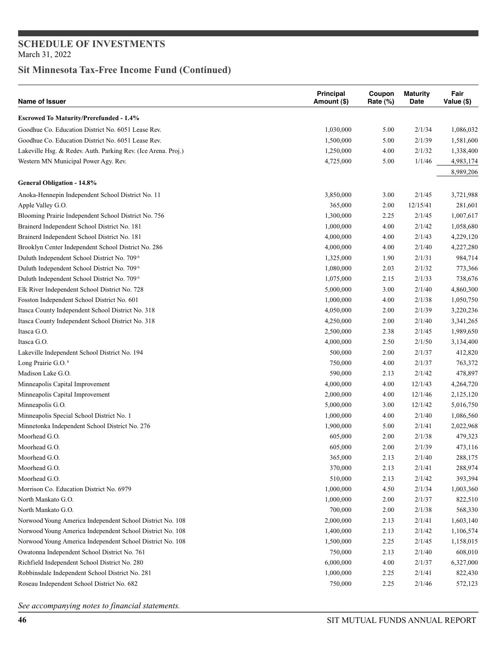# **Sit Minnesota Tax-Free Income Fund (Continued)**

| Name of Issuer                                                | Principal<br>Amount (\$) | Coupon<br>Rate (%) | <b>Maturity</b><br>Date | Fair<br>Value (\$) |
|---------------------------------------------------------------|--------------------------|--------------------|-------------------------|--------------------|
| <b>Escrowed To Maturity/Prerefunded - 1.4%</b>                |                          |                    |                         |                    |
| Goodhue Co. Education District No. 6051 Lease Rev.            | 1,030,000                | 5.00               | 2/1/34                  | 1,086,032          |
| Goodhue Co. Education District No. 6051 Lease Rev.            | 1,500,000                | 5.00               | 2/1/39                  | 1,581,600          |
| Lakeville Hsg. & Redev. Auth. Parking Rev. (Ice Arena. Proj.) | 1,250,000                | 4.00               | 2/1/32                  | 1,338,400          |
| Western MN Municipal Power Agy. Rev.                          | 4,725,000                | 5.00               | 1/1/46                  | 4,983,174          |
|                                                               |                          |                    |                         | 8,989,206          |
| <b>General Obligation - 14.8%</b>                             |                          |                    |                         |                    |
| Anoka-Hennepin Independent School District No. 11             | 3,850,000                | 3.00               | 2/1/45                  | 3,721,988          |
| Apple Valley G.O.                                             | 365,000                  | 2.00               | 12/15/41                | 281,601            |
| Blooming Prairie Independent School District No. 756          | 1,300,000                | 2.25               | 2/1/45                  | 1,007,617          |
| Brainerd Independent School District No. 181                  | 1,000,000                | 4.00               | 2/1/42                  | 1,058,680          |
| Brainerd Independent School District No. 181                  | 4,000,000                | 4.00               | 2/1/43                  | 4,229,120          |
| Brooklyn Center Independent School District No. 286           | 4,000,000                | 4.00               | 2/1/40                  | 4,227,280          |
| Duluth Independent School District No. 709 <sup>6</sup>       | 1,325,000                | 1.90               | 2/1/31                  | 984,714            |
| Duluth Independent School District No. 709 <sup>6</sup>       | 1,080,000                | 2.03               | 2/1/32                  | 773,366            |
| Duluth Independent School District No. 709 <sup>6</sup>       | 1,075,000                | 2.15               | 2/1/33                  | 738,676            |
| Elk River Independent School District No. 728                 | 5,000,000                | 3.00               | 2/1/40                  | 4,860,300          |
| Fosston Independent School District No. 601                   | 1,000,000                | 4.00               | 2/1/38                  | 1,050,750          |
| Itasca County Independent School District No. 318             | 4,050,000                | 2.00               | 2/1/39                  | 3,220,236          |
| Itasca County Independent School District No. 318             | 4,250,000                | 2.00               | 2/1/40                  | 3,341,265          |
| Itasca G.O.                                                   | 2,500,000                | 2.38               | 2/1/45                  | 1,989,650          |
| Itasca G.O.                                                   | 4,000,000                | 2.50               | 2/1/50                  | 3,134,400          |
| Lakeville Independent School District No. 194                 | 500,000                  | 2.00               | 2/1/37                  | 412,820            |
| Long Prairie G.O. <sup>8</sup>                                | 750,000                  | 4.00               | 2/1/37                  | 763,372            |
| Madison Lake G.O.                                             | 590,000                  | 2.13               | 2/1/42                  | 478,897            |
| Minneapolis Capital Improvement                               | 4,000,000                | 4.00               | 12/1/43                 | 4,264,720          |
| Minneapolis Capital Improvement                               | 2,000,000                | 4.00               | 12/1/46                 | 2,125,120          |
| Minneapolis G.O.                                              | 5,000,000                | 3.00               | 12/1/42                 | 5,016,750          |
| Minneapolis Special School District No. 1                     | 1,000,000                | 4.00               | 2/1/40                  | 1,086,560          |
| Minnetonka Independent School District No. 276                | 1,900,000                | 5.00               | 2/1/41                  | 2,022,968          |
| Moorhead G.O.                                                 | 605,000                  | 2.00               | 2/1/38                  | 479,323            |
| Moorhead G.O.                                                 | 605,000                  | 2.00               | 2/1/39                  | 473,116            |
| Moorhead G.O.                                                 | 365,000                  | 2.13               | 2/1/40                  | 288,175            |
| Moorhead G.O.                                                 | 370,000                  | 2.13               | 2/1/41                  | 288,974            |
| Moorhead G.O.                                                 | 510,000                  | 2.13               | 2/1/42                  | 393,394            |
| Morrison Co. Education District No. 6979                      | 1,000,000                | 4.50               | 2/1/34                  | 1,003,360          |
| North Mankato G.O.                                            | 1,000,000                | 2.00               | 2/1/37                  | 822,510            |
| North Mankato G.O.                                            | 700,000                  | 2.00               | 2/1/38                  | 568,330            |
| Norwood Young America Independent School District No. 108     | 2,000,000                | 2.13               | 2/1/41                  | 1,603,140          |
| Norwood Young America Independent School District No. 108     | 1,400,000                | 2.13               | 2/1/42                  | 1,106,574          |
| Norwood Young America Independent School District No. 108     | 1,500,000                | 2.25               | 2/1/45                  | 1,158,015          |
| Owatonna Independent School District No. 761                  | 750,000                  | 2.13               | 2/1/40                  | 608,010            |
| Richfield Independent School District No. 280                 | 6,000,000                | 4.00               | 2/1/37                  | 6,327,000          |
| Robbinsdale Independent School District No. 281               | 1,000,000                | 2.25               | 2/1/41                  | 822,430            |
| Roseau Independent School District No. 682                    | 750,000                  | 2.25               | 2/1/46                  | 572,123            |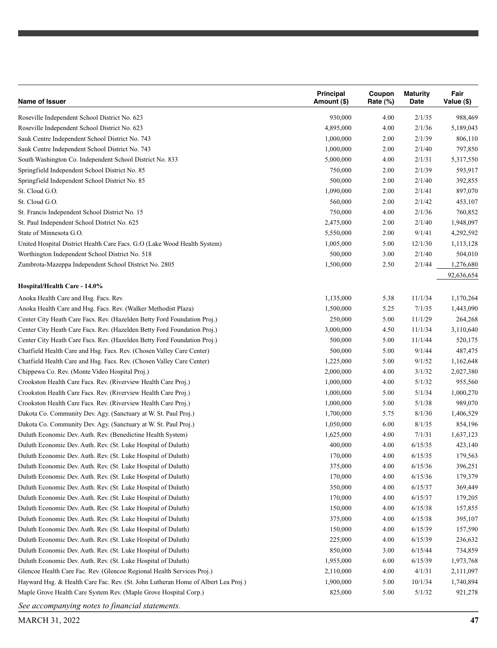| Name of Issuer                                                                    | Principal<br>Amount (\$) | Coupon<br>Rate $(\%)$ | <b>Maturity</b><br>Date | Fair<br>Value (\$) |
|-----------------------------------------------------------------------------------|--------------------------|-----------------------|-------------------------|--------------------|
| Roseville Independent School District No. 623                                     | 930,000                  | 4.00                  | 2/1/35                  | 988,469            |
| Roseville Independent School District No. 623                                     | 4,895,000                | 4.00                  | 2/1/36                  | 5,189,043          |
| Sauk Centre Independent School District No. 743                                   | 1,000,000                | 2.00                  | 2/1/39                  | 806,110            |
| Sauk Centre Independent School District No. 743                                   | 1,000,000                | 2.00                  | 2/1/40                  | 797,850            |
| South Washington Co. Independent School District No. 833                          | 5,000,000                | 4.00                  | 2/1/31                  | 5,317,550          |
| Springfield Independent School District No. 85                                    | 750,000                  | 2.00                  | 2/1/39                  | 593,917            |
| Springfield Independent School District No. 85                                    | 500,000                  | 2.00                  | 2/1/40                  | 392,855            |
| St. Cloud G.O.                                                                    | 1,090,000                | 2.00                  | 2/1/41                  | 897,070            |
| St. Cloud G.O.                                                                    | 560,000                  | 2.00                  | 2/1/42                  | 453,107            |
| St. Francis Independent School District No. 15                                    | 750,000                  | 4.00                  | 2/1/36                  | 760,852            |
| St. Paul Independent School District No. 625                                      | 2,475,000                | 2.00                  | 2/1/40                  | 1,948,097          |
| State of Minnesota G.O.                                                           | 5,550,000                | 2.00                  | 9/1/41                  | 4,292,592          |
| United Hospital District Health Care Facs. G.O (Lake Wood Health System)          | 1,005,000                | 5.00                  | 12/1/30                 | 1,113,128          |
| Worthington Independent School District No. 518                                   | 500,000                  | 3.00                  | 2/1/40                  | 504,010            |
| Zumbrota-Mazeppa Independent School District No. 2805                             | 1,500,000                | 2.50                  | 2/1/44                  | 1,276,680          |
|                                                                                   |                          |                       |                         | 92,636,654         |
| Hospital/Health Care - 14.0%                                                      |                          |                       |                         |                    |
| Anoka Health Care and Hsg. Facs. Rev.                                             | 1,135,000                | 5.38                  | 11/1/34                 | 1,170,264          |
| Anoka Health Care and Hsg. Facs. Rev. (Walker Methodist Plaza)                    | 1,500,000                | 5.25                  | 7/1/35                  | 1,443,090          |
| Center City Heath Care Facs. Rev. (Hazelden Betty Ford Foundation Proj.)          | 250,000                  | 5.00                  | 11/1/29                 | 264,268            |
| Center City Heath Care Facs. Rev. (Hazelden Betty Ford Foundation Proj.)          | 3,000,000                | 4.50                  | 11/1/34                 | 3,110,640          |
| Center City Heath Care Facs. Rev. (Hazelden Betty Ford Foundation Proj.)          | 500,000                  | 5.00                  | 11/1/44                 | 520,175            |
| Chatfield Health Care and Hsg. Facs. Rev. (Chosen Valley Care Center)             | 500,000                  | 5.00                  | 9/1/44                  | 487,475            |
| Chatfield Health Care and Hsg. Facs. Rev. (Chosen Valley Care Center)             | 1,225,000                | 5.00                  | 9/1/52                  | 1,162,648          |
| Chippewa Co. Rev. (Monte Video Hospital Proj.)                                    | 2,000,000                | 4.00                  | 3/1/32                  | 2,027,380          |
| Crookston Health Care Facs. Rev. (Riverview Health Care Proj.)                    | 1,000,000                | 4.00                  | 5/1/32                  | 955,560            |
| Crookston Health Care Facs. Rev. (Riverview Health Care Proj.)                    | 1,000,000                | 5.00                  | 5/1/34                  | 1,000,270          |
| Crookston Health Care Facs. Rev. (Riverview Health Care Proj.)                    | 1,000,000                | 5.00                  | 5/1/38                  | 989,070            |
| Dakota Co. Community Dev. Agy. (Sanctuary at W. St. Paul Proj.)                   | 1,700,000                | 5.75                  | 8/1/30                  | 1,406,529          |
| Dakota Co. Community Dev. Agy. (Sanctuary at W. St. Paul Proj.)                   | 1,050,000                | 6.00                  | 8/1/35                  | 854,196            |
| Duluth Economic Dev. Auth. Rev. (Benedictine Health System)                       | 1,625,000                | 4.00                  | 7/1/31                  | 1,637,123          |
| Duluth Economic Dev. Auth. Rev. (St. Luke Hospital of Duluth)                     | 400,000                  | 4.00                  | 6/15/35                 | 423,140            |
| Duluth Economic Dev. Auth. Rev. (St. Luke Hospital of Duluth)                     | 170,000                  | 4.00                  | 6/15/35                 | 179,563            |
| Duluth Economic Dev. Auth. Rev. (St. Luke Hospital of Duluth)                     | 375,000                  | 4.00                  | 6/15/36                 | 396,251            |
| Duluth Economic Dev. Auth. Rev. (St. Luke Hospital of Duluth)                     | 170,000                  | 4.00                  | 6/15/36                 | 179,379            |
| Duluth Economic Dev. Auth. Rev. (St. Luke Hospital of Duluth)                     | 350,000                  | 4.00                  | 6/15/37                 | 369,449            |
| Duluth Economic Dev. Auth. Rev. (St. Luke Hospital of Duluth)                     | 170,000                  | 4.00                  | 6/15/37                 | 179,205            |
| Duluth Economic Dev. Auth. Rev. (St. Luke Hospital of Duluth)                     | 150,000                  | 4.00                  | 6/15/38                 | 157,855            |
| Duluth Economic Dev. Auth. Rev. (St. Luke Hospital of Duluth)                     | 375,000                  | 4.00                  | 6/15/38                 | 395,107            |
| Duluth Economic Dev. Auth. Rev. (St. Luke Hospital of Duluth)                     | 150,000                  | 4.00                  | 6/15/39                 | 157,590            |
| Duluth Economic Dev. Auth. Rev. (St. Luke Hospital of Duluth)                     | 225,000                  | 4.00                  | 6/15/39                 | 236,632            |
| Duluth Economic Dev. Auth. Rev. (St. Luke Hospital of Duluth)                     | 850,000                  | 3.00                  | 6/15/44                 | 734,859            |
| Duluth Economic Dev. Auth. Rev. (St. Luke Hospital of Duluth)                     | 1,955,000                | 6.00                  | 6/15/39                 | 1,973,768          |
| Glencoe Health Care Fac. Rev. (Glencoe Regional Health Services Proj.)            | 2,110,000                | 4.00                  | 4/1/31                  | 2,111,097          |
| Hayward Hsg. & Health Care Fac. Rev. (St. John Lutheran Home of Albert Lea Proj.) | 1,900,000                | 5.00                  | 10/1/34                 | 1,740,894          |
| Maple Grove Health Care System Rev. (Maple Grove Hospital Corp.)                  | 825,000                  | 5.00                  | 5/1/32                  | 921,278            |
| See accompanying notes to financial statements.                                   |                          |                       |                         |                    |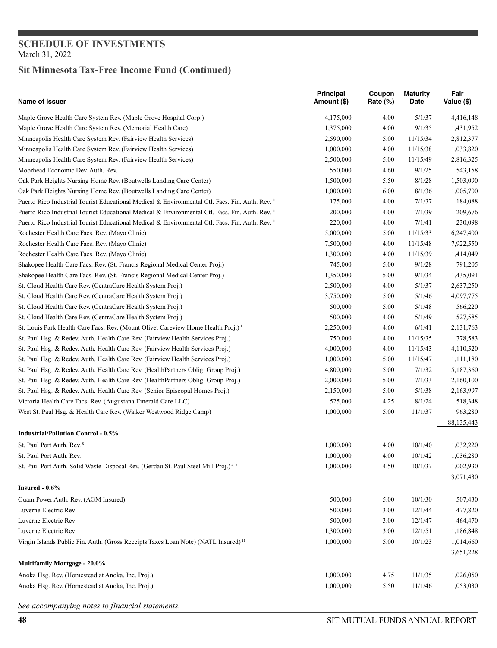# **Sit Minnesota Tax-Free Income Fund (Continued)**

| Name of Issuer                                                                                              | Principal<br>Amount (\$) | Coupon<br>Rate (%) | <b>Maturity</b><br>Date | Fair<br>Value (\$) |
|-------------------------------------------------------------------------------------------------------------|--------------------------|--------------------|-------------------------|--------------------|
| Maple Grove Health Care System Rev. (Maple Grove Hospital Corp.)                                            | 4,175,000                | 4.00               | 5/1/37                  | 4,416,148          |
| Maple Grove Health Care System Rev. (Memorial Health Care)                                                  | 1,375,000                | 4.00               | 9/1/35                  | 1,431,952          |
| Minneapolis Health Care System Rev. (Fairview Health Services)                                              | 2,590,000                | 5.00               | 11/15/34                | 2,812,377          |
| Minneapolis Health Care System Rev. (Fairview Health Services)                                              | 1,000,000                | 4.00               | 11/15/38                | 1,033,820          |
| Minneapolis Health Care System Rev. (Fairview Health Services)                                              | 2,500,000                | 5.00               | 11/15/49                | 2,816,325          |
| Moorhead Economic Dev. Auth. Rev.                                                                           | 550,000                  | 4.60               | 9/1/25                  | 543,158            |
| Oak Park Heights Nursing Home Rev. (Boutwells Landing Care Center)                                          | 1,500,000                | 5.50               | 8/1/28                  | 1,503,090          |
| Oak Park Heights Nursing Home Rev. (Boutwells Landing Care Center)                                          | 1,000,000                | 6.00               | 8/1/36                  | 1,005,700          |
| Puerto Rico Industrial Tourist Educational Medical & Environmental Ctl. Facs. Fin. Auth. Rev. <sup>11</sup> | 175,000                  | 4.00               | 7/1/37                  | 184,088            |
| Puerto Rico Industrial Tourist Educational Medical & Environmental Ctl. Facs. Fin. Auth. Rev. <sup>11</sup> | 200,000                  | 4.00               | 7/1/39                  | 209,676            |
| Puerto Rico Industrial Tourist Educational Medical & Environmental Ctl. Facs. Fin. Auth. Rev. <sup>11</sup> | 220,000                  | 4.00               | 7/1/41                  | 230,098            |
| Rochester Health Care Facs. Rev. (Mayo Clinic)                                                              | 5,000,000                | 5.00               | 11/15/33                | 6,247,400          |
| Rochester Health Care Facs. Rev. (Mayo Clinic)                                                              | 7,500,000                | 4.00               | 11/15/48                | 7,922,550          |
| Rochester Health Care Facs. Rev. (Mayo Clinic)                                                              | 1,300,000                | 4.00               | 11/15/39                | 1,414,049          |
| Shakopee Health Care Facs. Rev. (St. Francis Regional Medical Center Proj.)                                 | 745,000                  | 5.00               | 9/1/28                  | 791,205            |
| Shakopee Health Care Facs. Rev. (St. Francis Regional Medical Center Proj.)                                 | 1,350,000                | 5.00               | 9/1/34                  | 1,435,091          |
| St. Cloud Health Care Rev. (CentraCare Health System Proj.)                                                 | 2,500,000                | 4.00               | 5/1/37                  | 2,637,250          |
| St. Cloud Health Care Rev. (CentraCare Health System Proj.)                                                 | 3,750,000                | 5.00               | 5/1/46                  | 4,097,775          |
| St. Cloud Health Care Rev. (CentraCare Health System Proj.)                                                 | 500,000                  | 5.00               | 5/1/48                  | 566,220            |
| St. Cloud Health Care Rev. (CentraCare Health System Proj.)                                                 | 500,000                  | 4.00               | 5/1/49                  | 527,585            |
| St. Louis Park Health Care Facs. Rev. (Mount Olivet Careview Home Health Proj.) <sup>1</sup>                | 2,250,000                | 4.60               | 6/1/41                  | 2,131,763          |
| St. Paul Hsg. & Redev. Auth. Health Care Rev. (Fairview Health Services Proj.)                              | 750,000                  | 4.00               | 11/15/35                | 778,583            |
| St. Paul Hsg. & Redev. Auth. Health Care Rev. (Fairview Health Services Proj.)                              | 4,000,000                | 4.00               | 11/15/43                | 4,110,520          |
| St. Paul Hsg. & Redev. Auth. Health Care Rev. (Fairview Health Services Proj.)                              | 1,000,000                | 5.00               | 11/15/47                | 1,111,180          |
| St. Paul Hsg. & Redev. Auth. Health Care Rev. (HealthPartners Oblig. Group Proj.)                           | 4,800,000                | 5.00               | 7/1/32                  | 5,187,360          |
| St. Paul Hsg. & Redev. Auth. Health Care Rev. (HealthPartners Oblig. Group Proj.)                           | 2,000,000                | 5.00               | 7/1/33                  | 2,160,100          |
| St. Paul Hsg. & Redev. Auth. Health Care Rev. (Senior Episcopal Homes Proj.)                                | 2,150,000                | 5.00               | 5/1/38                  | 2,163,997          |
| Victoria Health Care Facs. Rev. (Augustana Emerald Care LLC)                                                | 525,000                  | 4.25               | 8/1/24                  | 518,348            |
| West St. Paul Hsg. & Health Care Rev. (Walker Westwood Ridge Camp)                                          | 1,000,000                | 5.00               | 11/1/37                 | 963,280            |
|                                                                                                             |                          |                    |                         | 88, 135, 443       |
| <b>Industrial/Pollution Control - 0.5%</b>                                                                  |                          |                    |                         |                    |
| St. Paul Port Auth. Rev. <sup>8</sup>                                                                       | 1,000,000                | 4.00               | 10/1/40                 | 1,032,220          |
| St. Paul Port Auth. Rev.                                                                                    | 1,000,000                | 4.00               | 10/1/42                 | 1,036,280          |
| St. Paul Port Auth. Solid Waste Disposal Rev. (Gerdau St. Paul Steel Mill Proj.) <sup>4,8</sup>             | 1,000,000                | 4.50               | 10/1/37                 | 1,002,930          |
|                                                                                                             |                          |                    |                         | 3,071,430          |
| Insured - $0.6\%$                                                                                           |                          |                    |                         |                    |
| Guam Power Auth. Rev. (AGM Insured) <sup>11</sup>                                                           | 500,000                  | 5.00               | 10/1/30                 | 507,430            |
| Luverne Electric Rev.                                                                                       | 500,000                  | 3.00               | 12/1/44                 | 477,820            |
| Luverne Electric Rev.                                                                                       | 500,000                  | 3.00               | 12/1/47                 | 464,470            |
| Luverne Electric Rev.                                                                                       | 1,300,000                | 3.00               | 12/1/51                 | 1,186,848          |
| Virgin Islands Public Fin. Auth. (Gross Receipts Taxes Loan Note) (NATL Insured) <sup>11</sup>              | 1,000,000                | 5.00               | 10/1/23                 | 1,014,660          |
| <b>Multifamily Mortgage - 20.0%</b>                                                                         |                          |                    |                         | 3,651,228          |
|                                                                                                             |                          |                    |                         |                    |
| Anoka Hsg. Rev. (Homestead at Anoka, Inc. Proj.)                                                            | 1,000,000                | 4.75               | 11/1/35                 | 1,026,050          |
| Anoka Hsg. Rev. (Homestead at Anoka, Inc. Proj.)                                                            | 1,000,000                | 5.50               | 11/1/46                 | 1,053,030          |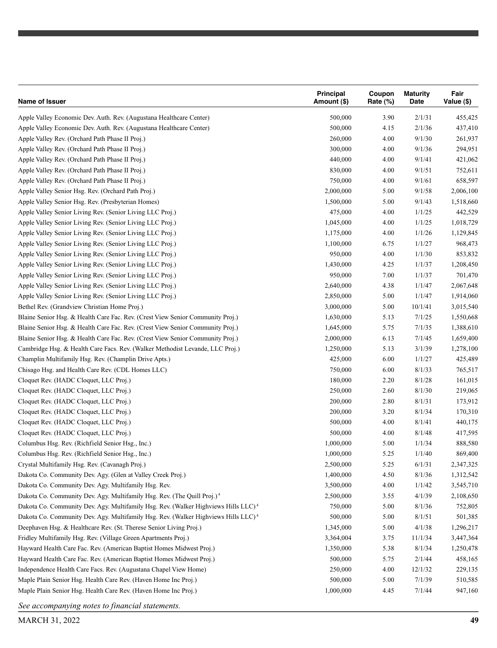| Name of Issuer                                                                                 | Principal<br>Amount (\$) | Coupon<br>Rate (%) | <b>Maturity</b><br>Date | Fair<br>Value (\$) |
|------------------------------------------------------------------------------------------------|--------------------------|--------------------|-------------------------|--------------------|
| Apple Valley Economic Dev. Auth. Rev. (Augustana Healthcare Center)                            | 500,000                  | 3.90               | 2/1/31                  | 455,425            |
| Apple Valley Economic Dev. Auth. Rev. (Augustana Healthcare Center)                            | 500,000                  | 4.15               | 2/1/36                  | 437,410            |
| Apple Valley Rev. (Orchard Path Phase II Proj.)                                                | 260,000                  | 4.00               | 9/1/30                  | 261,937            |
| Apple Valley Rev. (Orchard Path Phase II Proj.)                                                | 300,000                  | 4.00               | 9/1/36                  | 294,951            |
| Apple Valley Rev. (Orchard Path Phase II Proj.)                                                | 440,000                  | 4.00               | 9/1/41                  | 421,062            |
| Apple Valley Rev. (Orchard Path Phase II Proj.)                                                | 830,000                  | 4.00               | 9/1/51                  | 752,611            |
| Apple Valley Rev. (Orchard Path Phase II Proj.)                                                | 750,000                  | 4.00               | 9/1/61                  | 658,597            |
| Apple Valley Senior Hsg. Rev. (Orchard Path Proj.)                                             | 2,000,000                | 5.00               | 9/1/58                  | 2,006,100          |
| Apple Valley Senior Hsg. Rev. (Presbyterian Homes)                                             | 1,500,000                | 5.00               | 9/1/43                  | 1,518,660          |
| Apple Valley Senior Living Rev. (Senior Living LLC Proj.)                                      | 475,000                  | 4.00               | 1/1/25                  | 442,529            |
| Apple Valley Senior Living Rev. (Senior Living LLC Proj.)                                      | 1,045,000                | 4.00               | 1/1/25                  | 1,018,729          |
| Apple Valley Senior Living Rev. (Senior Living LLC Proj.)                                      | 1,175,000                | 4.00               | 1/1/26                  | 1,129,845          |
| Apple Valley Senior Living Rev. (Senior Living LLC Proj.)                                      | 1,100,000                | 6.75               | 1/1/27                  | 968,473            |
| Apple Valley Senior Living Rev. (Senior Living LLC Proj.)                                      | 950,000                  | 4.00               | 1/1/30                  | 853,832            |
| Apple Valley Senior Living Rev. (Senior Living LLC Proj.)                                      | 1,430,000                | 4.25               | 1/1/37                  | 1,208,450          |
| Apple Valley Senior Living Rev. (Senior Living LLC Proj.)                                      | 950,000                  | 7.00               | 1/1/37                  | 701,470            |
| Apple Valley Senior Living Rev. (Senior Living LLC Proj.)                                      | 2,640,000                | 4.38               | 1/1/47                  | 2,067,648          |
| Apple Valley Senior Living Rev. (Senior Living LLC Proj.)                                      | 2,850,000                | 5.00               | 1/1/47                  | 1,914,060          |
| Bethel Rev. (Grandview Christian Home Proj.)                                                   | 3,000,000                | 5.00               | 10/1/41                 | 3,015,540          |
| Blaine Senior Hsg. & Health Care Fac. Rev. (Crest View Senior Community Proj.)                 | 1,630,000                | 5.13               | 7/1/25                  | 1,550,668          |
| Blaine Senior Hsg. & Health Care Fac. Rev. (Crest View Senior Community Proj.)                 | 1,645,000                | 5.75               | 7/1/35                  | 1,388,610          |
| Blaine Senior Hsg. & Health Care Fac. Rev. (Crest View Senior Community Proj.)                 | 2,000,000                | 6.13               | 7/1/45                  | 1,659,400          |
| Cambridge Hsg. & Health Care Facs. Rev. (Walker Methodist Levande, LLC Proj.)                  | 1,250,000                | 5.13               | 3/1/39                  | 1,278,100          |
| Champlin Multifamily Hsg. Rev. (Champlin Drive Apts.)                                          | 425,000                  | 6.00               | 1/1/27                  | 425,489            |
| Chisago Hsg. and Health Care Rev. (CDL Homes LLC)                                              | 750,000                  | 6.00               | 8/1/33                  | 765,517            |
| Cloquet Rev. (HADC Cloquet, LLC Proj.)                                                         | 180,000                  | 2.20               | 8/1/28                  | 161,015            |
| Cloquet Rev. (HADC Cloquet, LLC Proj.)                                                         | 250,000                  | 2.60               | 8/1/30                  | 219,065            |
| Cloquet Rev. (HADC Cloquet, LLC Proj.)                                                         | 200,000                  | 2.80               | 8/1/31                  | 173,912            |
| Cloquet Rev. (HADC Cloquet, LLC Proj.)                                                         | 200,000                  | 3.20               | 8/1/34                  | 170,310            |
| Cloquet Rev. (HADC Cloquet, LLC Proj.)                                                         | 500,000                  | 4.00               | 8/1/41                  | 440,175            |
| Cloquet Rev. (HADC Cloquet, LLC Proj.)                                                         | 500,000                  | 4.00               | 8/1/48                  | 417,595            |
| Columbus Hsg. Rev. (Richfield Senior Hsg., Inc.)                                               | 1,000,000                | 5.00               | 1/1/34                  | 888,580            |
| Columbus Hsg. Rev. (Richfield Senior Hsg., Inc.)                                               | 1,000,000                | 5.25               | 1/1/40                  | 869,400            |
| Crystal Multifamily Hsg. Rev. (Cavanagh Proj.)                                                 | 2,500,000                | 5.25               | 6/1/31                  | 2,347,325          |
| Dakota Co. Community Dev. Agy. (Glen at Valley Creek Proj.)                                    | 1,400,000                | 4.50               | 8/1/36                  | 1,312,542          |
| Dakota Co. Community Dev. Agy. Multifamily Hsg. Rev.                                           | 3,500,000                | 4.00               | 1/1/42                  | 3,545,710          |
| Dakota Co. Community Dev. Agy. Multifamily Hsg. Rev. (The Quill Proj.) <sup>4</sup>            | 2,500,000                | 3.55               | 4/1/39                  | 2,108,650          |
| Dakota Co. Community Dev. Agy. Multifamily Hsg. Rev. (Walker Highviews Hills LLC) <sup>4</sup> | 750,000                  | 5.00               | 8/1/36                  | 752,805            |
| Dakota Co. Community Dev. Agy. Multifamily Hsg. Rev. (Walker Highviews Hills LLC) <sup>4</sup> | 500,000                  | 5.00               | 8/1/51                  | 501,385            |
| Deephaven Hsg. & Healthcare Rev. (St. Therese Senior Living Proj.)                             | 1,345,000                | 5.00               | 4/1/38                  | 1,296,217          |
| Fridley Multifamily Hsg. Rev. (Village Green Apartments Proj.)                                 | 3,364,004                | 3.75               | 11/1/34                 | 3,447,364          |
| Hayward Health Care Fac. Rev. (American Baptist Homes Midwest Proj.)                           | 1,350,000                | 5.38               | 8/1/34                  | 1,250,478          |
| Hayward Health Care Fac. Rev. (American Baptist Homes Midwest Proj.)                           | 500,000                  | 5.75               | 2/1/44                  | 458,165            |
| Independence Health Care Facs. Rev. (Augustana Chapel View Home)                               | 250,000                  | 4.00               | 12/1/32                 | 229,135            |
| Maple Plain Senior Hsg. Health Care Rev. (Haven Home Inc Proj.)                                | 500,000                  | 5.00               | 7/1/39                  | 510,585            |
| Maple Plain Senior Hsg. Health Care Rev. (Haven Home Inc Proj.)                                | 1,000,000                | 4.45               | 7/1/44                  | 947,160            |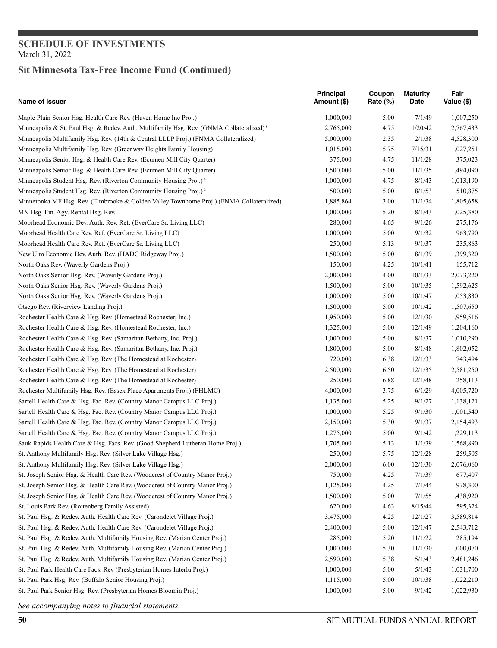# **Sit Minnesota Tax-Free Income Fund (Continued)**

| Name of Issuer                                                                                      | Principal<br>Amount (\$) | Coupon<br>Rate (%) | <b>Maturity</b><br>Date | Fair<br>Value (\$) |
|-----------------------------------------------------------------------------------------------------|--------------------------|--------------------|-------------------------|--------------------|
| Maple Plain Senior Hsg. Health Care Rev. (Haven Home Inc Proj.)                                     | 1,000,000                | 5.00               | 7/1/49                  | 1,007,250          |
| Minneapolis & St. Paul Hsg. & Redev. Auth. Multifamily Hsg. Rev. (GNMA Collateralized) <sup>8</sup> | 2,765,000                | 4.75               | 1/20/42                 | 2,767,433          |
| Minneapolis Multifamily Hsg. Rev. (14th & Central LLLP Proj.) (FNMA Collateralized)                 | 5,000,000                | 2.35               | 2/1/38                  | 4,528,300          |
| Minneapolis Multifamily Hsg. Rev. (Greenway Heights Family Housing)                                 | 1,015,000                | 5.75               | 7/15/31                 | 1,027,251          |
| Minneapolis Senior Hsg. & Health Care Rev. (Ecumen Mill City Quarter)                               | 375,000                  | 4.75               | 11/1/28                 | 375,023            |
| Minneapolis Senior Hsg. & Health Care Rev. (Ecumen Mill City Quarter)                               | 1,500,000                | 5.00               | 11/1/35                 | 1,494,090          |
| Minneapolis Student Hsg. Rev. (Riverton Community Housing Proj.) <sup>4</sup>                       | 1,000,000                | 4.75               | 8/1/43                  | 1,013,190          |
| Minneapolis Student Hsg. Rev. (Riverton Community Housing Proj.) <sup>4</sup>                       | 500,000                  | 5.00               | 8/1/53                  | 510,875            |
| Minnetonka MF Hsg. Rev. (Elmbrooke & Golden Valley Townhome Proj.) (FNMA Collateralized)            | 1,885,864                | 3.00               | 11/1/34                 | 1,805,658          |
| MN Hsg. Fin. Agy. Rental Hsg. Rev.                                                                  | 1,000,000                | 5.20               | 8/1/43                  | 1,025,380          |
| Moorhead Economic Dev. Auth. Rev. Ref. (EverCare Sr. Living LLC)                                    | 280,000                  | 4.65               | 9/1/26                  | 275,176            |
| Moorhead Health Care Rev. Ref. (EverCare Sr. Living LLC)                                            | 1,000,000                | 5.00               | 9/1/32                  | 963,790            |
| Moorhead Health Care Rev. Ref. (EverCare Sr. Living LLC)                                            | 250,000                  | 5.13               | 9/1/37                  | 235,863            |
| New Ulm Economic Dev. Auth. Rev. (HADC Ridgeway Proj.)                                              | 1,500,000                | 5.00               | 8/1/39                  | 1,399,320          |
| North Oaks Rev. (Waverly Gardens Proj.)                                                             | 150,000                  | 4.25               | 10/1/41                 | 155,712            |
| North Oaks Senior Hsg. Rev. (Waverly Gardens Proj.)                                                 | 2,000,000                | 4.00               | 10/1/33                 | 2,073,220          |
| North Oaks Senior Hsg. Rev. (Waverly Gardens Proj.)                                                 | 1,500,000                | 5.00               | 10/1/35                 | 1,592,625          |
| North Oaks Senior Hsg. Rev. (Waverly Gardens Proj.)                                                 | 1,000,000                | 5.00               | 10/1/47                 | 1,053,830          |
| Otsego Rev. (Riverview Landing Proj.)                                                               | 1,500,000                | 5.00               | 10/1/42                 | 1,507,650          |
| Rochester Health Care & Hsg. Rev. (Homestead Rochester, Inc.)                                       | 1,950,000                | 5.00               | 12/1/30                 | 1,959,516          |
| Rochester Health Care & Hsg. Rev. (Homestead Rochester, Inc.)                                       | 1,325,000                | 5.00               | 12/1/49                 | 1,204,160          |
| Rochester Health Care & Hsg. Rev. (Samaritan Bethany, Inc. Proj.)                                   | 1,000,000                | 5.00               | 8/1/37                  | 1,010,290          |
| Rochester Health Care & Hsg. Rev. (Samaritan Bethany, Inc. Proj.)                                   | 1,800,000                | 5.00               | 8/1/48                  | 1,802,052          |
| Rochester Health Care & Hsg. Rev. (The Homestead at Rochester)                                      | 720,000                  | 6.38               | 12/1/33                 | 743,494            |
| Rochester Health Care & Hsg. Rev. (The Homestead at Rochester)                                      | 2,500,000                | 6.50               | 12/1/35                 | 2,581,250          |
| Rochester Health Care & Hsg. Rev. (The Homestead at Rochester)                                      | 250,000                  | 6.88               | 12/1/48                 | 258,113            |
| Rochester Multifamily Hsg. Rev. (Essex Place Apartments Proj.) (FHLMC)                              | 4,000,000                | 3.75               | 6/1/29                  | 4,005,720          |
| Sartell Health Care & Hsg. Fac. Rev. (Country Manor Campus LLC Proj.)                               | 1,135,000                | 5.25               | 9/1/27                  | 1,138,121          |
| Sartell Health Care & Hsg. Fac. Rev. (Country Manor Campus LLC Proj.)                               | 1,000,000                | 5.25               | 9/1/30                  | 1,001,540          |
| Sartell Health Care & Hsg. Fac. Rev. (Country Manor Campus LLC Proj.)                               | 2,150,000                | 5.30               | 9/1/37                  | 2,154,493          |
| Sartell Health Care & Hsg. Fac. Rev. (Country Manor Campus LLC Proj.)                               | 1,275,000                | 5.00               | 9/1/42                  | 1,229,113          |
| Sauk Rapids Health Care & Hsg. Facs. Rev. (Good Shepherd Lutheran Home Proj.)                       | 1,705,000                | 5.13               | 1/1/39                  | 1,568,890          |
| St. Anthony Multifamily Hsg. Rev. (Silver Lake Village Hsg.)                                        | 250,000                  | 5.75               | 12/1/28                 | 259,505            |
| St. Anthony Multifamily Hsg. Rev. (Silver Lake Village Hsg.)                                        | 2,000,000                | 6.00               | 12/1/30                 | 2,076,060          |
| St. Joseph Senior Hsg. & Health Care Rev. (Woodcrest of Country Manor Proj.)                        | 750,000                  | 4.25               | 7/1/39                  | 677,407            |
| St. Joseph Senior Hsg. & Health Care Rev. (Woodcrest of Country Manor Proj.)                        | 1,125,000                | 4.25               | 7/1/44                  | 978,300            |
| St. Joseph Senior Hsg. & Health Care Rev. (Woodcrest of Country Manor Proj.)                        | 1,500,000                | 5.00               | 7/1/55                  | 1,438,920          |
| St. Louis Park Rev. (Roitenberg Family Assisted)                                                    | 620,000                  | 4.63               | 8/15/44                 | 595,324            |
| St. Paul Hsg. & Redev. Auth. Health Care Rev. (Carondelet Village Proj.)                            | 3,475,000                | 4.25               | 12/1/27                 | 3,589,814          |
| St. Paul Hsg. & Redev. Auth. Health Care Rev. (Carondelet Village Proj.)                            | 2,400,000                | 5.00               | 12/1/47                 | 2,543,712          |
| St. Paul Hsg. & Redev. Auth. Multifamily Housing Rev. (Marian Center Proj.)                         | 285,000                  | 5.20               | 11/1/22                 | 285,194            |
| St. Paul Hsg. & Redev. Auth. Multifamily Housing Rev. (Marian Center Proj.)                         | 1,000,000                | 5.30               | 11/1/30                 | 1,000,070          |
| St. Paul Hsg. & Redev. Auth. Multifamily Housing Rev. (Marian Center Proj.)                         | 2,590,000                | 5.38               | 5/1/43                  | 2,481,246          |
| St. Paul Park Health Care Facs. Rev (Presbyterian Homes Interlu Proj.)                              | 1,000,000                | 5.00               | 5/1/43                  | 1,031,700          |
| St. Paul Park Hsg. Rev. (Buffalo Senior Housing Proj.)                                              | 1,115,000                | 5.00               | 10/1/38                 | 1,022,210          |
| St. Paul Park Senior Hsg. Rev. (Presbyterian Homes Bloomin Proj.)                                   | 1,000,000                | 5.00               | 9/1/42                  | 1,022,930          |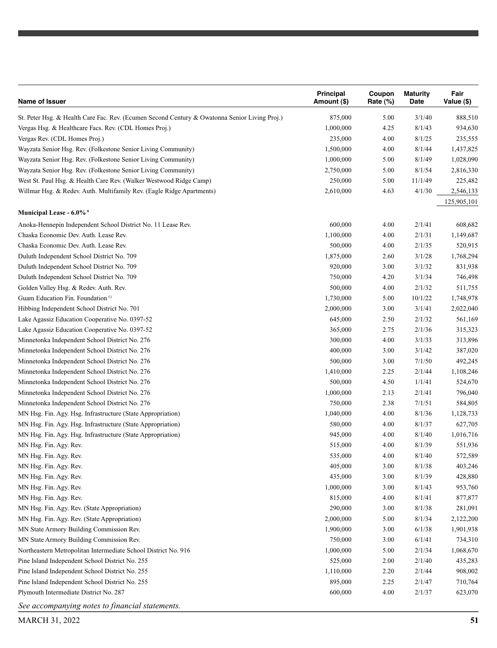| Name of Issuer                                                                                | Principal<br>Amount (\$) | Coupon<br>Rate (%) | <b>Maturity</b><br>Date | Fair<br>Value (\$) |
|-----------------------------------------------------------------------------------------------|--------------------------|--------------------|-------------------------|--------------------|
| St. Peter Hsg. & Health Care Fac. Rev. (Ecumen Second Century & Owatonna Senior Living Proj.) | 875,000                  | 5.00               | 3/1/40                  | 888,510            |
| Vergas Hsg. & Healthcare Facs. Rev. (CDL Homes Proj.)                                         | 1,000,000                | 4.25               | 8/1/43                  | 934,630            |
| Vergas Rev. (CDL Homes Proj.)                                                                 | 235,000                  | 4.00               | 8/1/25                  | 235,555            |
| Wayzata Senior Hsg. Rev. (Folkestone Senior Living Community)                                 | 1,500,000                | 4.00               | 8/1/44                  | 1,437,825          |
| Wayzata Senior Hsg. Rev. (Folkestone Senior Living Community)                                 | 1,000,000                | 5.00               | 8/1/49                  | 1,028,090          |
| Wayzata Senior Hsg. Rev. (Folkestone Senior Living Community)                                 | 2,750,000                | 5.00               | 8/1/54                  | 2,816,330          |
| West St. Paul Hsg. & Health Care Rev. (Walker Westwood Ridge Camp)                            | 250,000                  | 5.00               | 11/1/49                 | 225,482            |
| Willmar Hsg. & Redev. Auth. Multifamily Rev. (Eagle Ridge Apartments)                         | 2,610,000                | 4.63               | 4/1/30                  | 2,546,133          |
|                                                                                               |                          |                    |                         | 125,905,101        |
| Municipal Lease - 6.0% <sup>9</sup>                                                           |                          |                    |                         |                    |
| Anoka-Hennepin Independent School District No. 11 Lease Rev.                                  | 600,000                  | 4.00               | 2/1/41                  | 608,682            |
| Chaska Economic Dev. Auth. Lease Rev.                                                         | 1,100,000                | 4.00               | 2/1/31                  | 1,149,687          |
| Chaska Economic Dev. Auth. Lease Rev.                                                         | 500,000                  | 4.00               | 2/1/35                  | 520,915            |
| Duluth Independent School District No. 709                                                    | 1,875,000                | 2.60               | 3/1/28                  | 1,768,294          |
| Duluth Independent School District No. 709                                                    | 920,000                  | 3.00               | 3/1/32                  | 831,938            |
| Duluth Independent School District No. 709                                                    | 750,000                  | 4.20               | 3/1/34                  | 746,498            |
| Golden Valley Hsg. & Redev. Auth. Rev.                                                        | 500,000                  | 4.00               | 2/1/32                  | 511,755            |
| Guam Education Fin. Foundation <sup>11</sup>                                                  | 1,730,000                | 5.00               | 10/1/22                 | 1,748,978          |
| Hibbing Independent School District No. 701                                                   | 2,000,000                | 3.00               | 3/1/41                  | 2,022,040          |
| Lake Agassiz Education Cooperative No. 0397-52                                                | 645,000                  | 2.50               | 2/1/32                  | 561,169            |
| Lake Agassiz Education Cooperative No. 0397-52                                                | 365,000                  | 2.75               | 2/1/36                  | 315,323            |
| Minnetonka Independent School District No. 276                                                | 300,000                  | 4.00               | 3/1/33                  | 313,896            |
| Minnetonka Independent School District No. 276                                                | 400,000                  | 3.00               | 3/1/42                  | 387,020            |
| Minnetonka Independent School District No. 276                                                | 500,000                  | 3.00               | 7/1/50                  | 492,245            |
| Minnetonka Independent School District No. 276                                                | 1,410,000                | 2.25               | 2/1/44                  | 1,108,246          |
| Minnetonka Independent School District No. 276                                                | 500,000                  | 4.50               | 1/1/41                  | 524,670            |
| Minnetonka Independent School District No. 276                                                | 1,000,000                | 2.13               | 2/1/41                  | 796,040            |
| Minnetonka Independent School District No. 276                                                | 750,000                  | 2.38               | 7/1/51                  | 584,805            |
| MN Hsg. Fin. Agy. Hsg. Infrastructure (State Appropriation)                                   | 1,040,000                | 4.00               | 8/1/36                  | 1,128,733          |
| MN Hsg. Fin. Agy. Hsg. Infrastructure (State Appropriation)                                   | 580,000                  | 4.00               | 8/1/37                  | 627,705            |
| MN Hsg. Fin. Agy. Hsg. Infrastructure (State Appropriation)                                   | 945,000                  | 4.00               | 8/1/40                  | 1,016,716          |
| MN Hsg. Fin. Agy. Rev.                                                                        | 515,000                  | 4.00               | 8/1/39                  | 551,936            |
| MN Hsg. Fin. Agy. Rev.                                                                        | 535,000                  | 4.00               | 8/1/40                  | 572,589            |
| MN Hsg. Fin. Agy. Rev.                                                                        | 405,000                  | 3.00               | 8/1/38                  | 403,246            |
| MN Hsg. Fin. Agy. Rev.                                                                        | 435,000                  | 3.00               | 8/1/39                  | 428,880            |
| MN Hsg. Fin. Agy. Rev.                                                                        | 1,000,000                | 3.00               | 8/1/43                  | 953,760            |
| MN Hsg. Fin. Agy. Rev.                                                                        | 815,000                  | 4.00               | 8/1/41                  | 877,877            |
| MN Hsg. Fin. Agy. Rev. (State Appropriation)                                                  | 290,000                  | 3.00               | 8/1/38                  | 281,091            |
| MN Hsg. Fin. Agy. Rev. (State Appropriation)                                                  | 2,000,000                | 5.00               | 8/1/34                  | 2,122,200          |
| MN State Armory Building Commission Rev.                                                      | 1,900,000                | 3.00               | 6/1/38                  | 1,901,938          |
| MN State Armory Building Commission Rev.                                                      | 750,000                  | 3.00               | 6/1/41                  | 734,310            |
| Northeastern Metropolitan Intermediate School District No. 916                                | 1,000,000                | 5.00               | 2/1/34                  | 1,068,670          |
| Pine Island Independent School District No. 255                                               | 525,000                  | 2.00               | 2/1/40                  | 435,283            |
| Pine Island Independent School District No. 255                                               | 1,110,000                | 2.20               | 2/1/44                  | 908,002            |
| Pine Island Independent School District No. 255                                               | 895,000                  | 2.25               | 2/1/47                  | 710,764            |
| Plymouth Intermediate District No. 287                                                        | 600,000                  | 4.00               | 2/1/37                  | 623,070            |
| See accompanying notes to financial statements.                                               |                          |                    |                         |                    |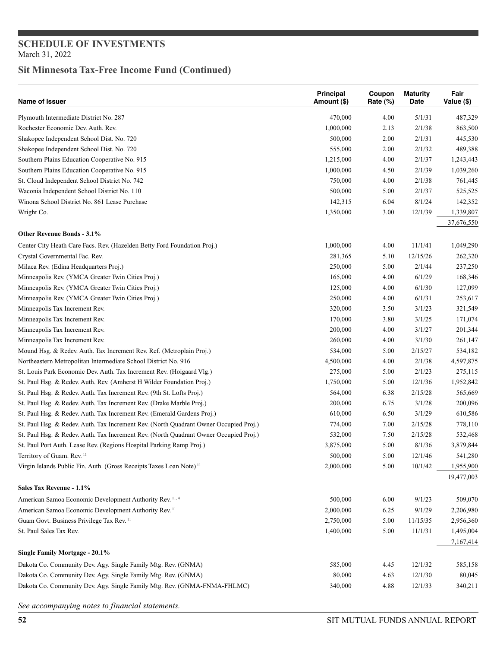# **Sit Minnesota Tax-Free Income Fund (Continued)**

| Name of Issuer                                                                        | Principal<br>Amount (\$) | Coupon<br>Rate (%) | <b>Maturity</b><br>Date | Fair<br>Value (\$) |
|---------------------------------------------------------------------------------------|--------------------------|--------------------|-------------------------|--------------------|
| Plymouth Intermediate District No. 287                                                | 470,000                  | 4.00               | 5/1/31                  | 487,329            |
| Rochester Economic Dev. Auth. Rev.                                                    | 1,000,000                | 2.13               | 2/1/38                  | 863,500            |
| Shakopee Independent School Dist. No. 720                                             | 500,000                  | 2.00               | 2/1/31                  | 445,530            |
| Shakopee Independent School Dist. No. 720                                             | 555,000                  | 2.00               | 2/1/32                  | 489,388            |
| Southern Plains Education Cooperative No. 915                                         | 1,215,000                | 4.00               | 2/1/37                  | 1,243,443          |
| Southern Plains Education Cooperative No. 915                                         | 1,000,000                | 4.50               | 2/1/39                  | 1,039,260          |
| St. Cloud Independent School District No. 742                                         | 750,000                  | 4.00               | 2/1/38                  | 761,445            |
| Waconia Independent School District No. 110                                           | 500,000                  | 5.00               | 2/1/37                  | 525,525            |
| Winona School District No. 861 Lease Purchase                                         | 142,315                  | 6.04               | 8/1/24                  | 142,352            |
| Wright Co.                                                                            | 1,350,000                | 3.00               | 12/1/39                 | 1,339,807          |
|                                                                                       |                          |                    |                         | 37,676,550         |
| Other Revenue Bonds - 3.1%                                                            |                          |                    |                         |                    |
| Center City Heath Care Facs. Rev. (Hazelden Betty Ford Foundation Proj.)              | 1,000,000                | 4.00               | 11/1/41                 | 1,049,290          |
| Crystal Governmental Fac. Rev.                                                        | 281,365                  | 5.10               | 12/15/26                | 262,320            |
| Milaca Rev. (Edina Headquarters Proj.)                                                | 250,000                  | 5.00               | 2/1/44                  | 237,250            |
| Minneapolis Rev. (YMCA Greater Twin Cities Proj.)                                     | 165,000                  | 4.00               | 6/1/29                  | 168,346            |
| Minneapolis Rev. (YMCA Greater Twin Cities Proj.)                                     | 125,000                  | 4.00               | 6/1/30                  | 127,099            |
| Minneapolis Rev. (YMCA Greater Twin Cities Proj.)                                     | 250,000                  | 4.00               | 6/1/31                  | 253,617            |
| Minneapolis Tax Increment Rev.                                                        | 320,000                  | 3.50               | 3/1/23                  | 321,549            |
| Minneapolis Tax Increment Rev.                                                        | 170,000                  | 3.80               | 3/1/25                  | 171,074            |
| Minneapolis Tax Increment Rev.                                                        | 200,000                  | 4.00               | 3/1/27                  | 201,344            |
| Minneapolis Tax Increment Rev.                                                        | 260,000                  | 4.00               | 3/1/30                  | 261,147            |
| Mound Hsg. & Redev. Auth. Tax Increment Rev. Ref. (Metroplain Proj.)                  | 534,000                  | 5.00               | 2/15/27                 | 534,182            |
| Northeastern Metropolitan Intermediate School District No. 916                        | 4,500,000                | 4.00               | 2/1/38                  | 4,597,875          |
| St. Louis Park Economic Dev. Auth. Tax Increment Rev. (Hoigaard Vlg.)                 | 275,000                  | 5.00               | 2/1/23                  | 275,115            |
| St. Paul Hsg. & Redev. Auth. Rev. (Amherst H Wilder Foundation Proj.)                 | 1,750,000                | 5.00               | 12/1/36                 | 1,952,842          |
| St. Paul Hsg. & Redev. Auth. Tax Increment Rev. (9th St. Lofts Proj.)                 | 564,000                  | 6.38               | 2/15/28                 | 565,669            |
| St. Paul Hsg. & Redev. Auth. Tax Increment Rev. (Drake Marble Proj.)                  | 200,000                  | 6.75               | 3/1/28                  | 200,096            |
| St. Paul Hsg. & Redev. Auth. Tax Increment Rev. (Emerald Gardens Proj.)               | 610,000                  | 6.50               | 3/1/29                  | 610,586            |
| St. Paul Hsg. & Redev. Auth. Tax Increment Rev. (North Quadrant Owner Occupied Proj.) | 774,000                  | 7.00               | 2/15/28                 | 778,110            |
| St. Paul Hsg. & Redev. Auth. Tax Increment Rev. (North Quadrant Owner Occupied Proj.) | 532,000                  | 7.50               | 2/15/28                 | 532,468            |
| St. Paul Port Auth. Lease Rev. (Regions Hospital Parking Ramp Proj.)                  | 3,875,000                | 5.00               | 8/1/36                  | 3,879,844          |
| Territory of Guam. Rev. <sup>11</sup>                                                 | 500,000                  | 5.00               | 12/1/46                 | 541,280            |
| Virgin Islands Public Fin. Auth. (Gross Receipts Taxes Loan Note) <sup>11</sup>       | 2,000,000                | 5.00               | 10/1/42                 | 1,955,900          |
|                                                                                       |                          |                    |                         | 19,477,003         |
| Sales Tax Revenue - 1.1%                                                              |                          |                    |                         |                    |
| American Samoa Economic Development Authority Rev. 11, 4                              | 500,000                  | 6.00               | 9/1/23                  | 509,070            |
| American Samoa Economic Development Authority Rev. <sup>11</sup>                      | 2,000,000                | 6.25               | 9/1/29                  | 2,206,980          |
| Guam Govt. Business Privilege Tax Rev. <sup>11</sup>                                  | 2,750,000                | 5.00               | 11/15/35                | 2,956,360          |
| St. Paul Sales Tax Rev.                                                               | 1,400,000                | 5.00               | 11/1/31                 | 1,495,004          |
|                                                                                       |                          |                    |                         | 7,167,414          |
| Single Family Mortgage - 20.1%                                                        |                          |                    |                         |                    |
| Dakota Co. Community Dev. Agy. Single Family Mtg. Rev. (GNMA)                         | 585,000                  | 4.45               | 12/1/32                 | 585,158            |
| Dakota Co. Community Dev. Agy. Single Family Mtg. Rev. (GNMA)                         | 80,000                   | 4.63               | 12/1/30                 | 80,045             |
| Dakota Co. Community Dev. Agy. Single Family Mtg. Rev. (GNMA-FNMA-FHLMC)              | 340,000                  | 4.88               | 12/1/33                 | 340,211            |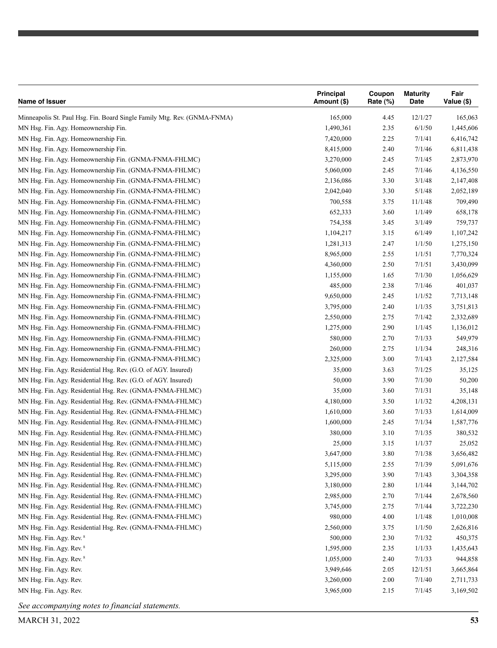| Name of Issuer                                                           | Principal<br>Amount (\$) | Coupon<br>Rate $(\%)$ | <b>Maturity</b><br>Date | Fair<br>Value (\$) |
|--------------------------------------------------------------------------|--------------------------|-----------------------|-------------------------|--------------------|
| Minneapolis St. Paul Hsg. Fin. Board Single Family Mtg. Rev. (GNMA-FNMA) | 165,000                  | 4.45                  | 12/1/27                 | 165,063            |
| MN Hsg. Fin. Agy. Homeownership Fin.                                     | 1,490,361                | 2.35                  | 6/1/50                  | 1,445,606          |
| MN Hsg. Fin. Agy. Homeownership Fin.                                     | 7,420,000                | 2.25                  | 7/1/41                  | 6,416,742          |
| MN Hsg. Fin. Agy. Homeownership Fin.                                     | 8,415,000                | 2.40                  | 7/1/46                  | 6,811,438          |
| MN Hsg. Fin. Agy. Homeownership Fin. (GNMA-FNMA-FHLMC)                   | 3,270,000                | 2.45                  | 7/1/45                  | 2,873,970          |
| MN Hsg. Fin. Agy. Homeownership Fin. (GNMA-FNMA-FHLMC)                   | 5,060,000                | 2.45                  | 7/1/46                  | 4,136,550          |
| MN Hsg. Fin. Agy. Homeownership Fin. (GNMA-FNMA-FHLMC)                   | 2,136,086                | 3.30                  | 3/1/48                  | 2,147,408          |
| MN Hsg. Fin. Agy. Homeownership Fin. (GNMA-FNMA-FHLMC)                   | 2,042,040                | 3.30                  | 5/1/48                  | 2,052,189          |
| MN Hsg. Fin. Agy. Homeownership Fin. (GNMA-FNMA-FHLMC)                   | 700,558                  | 3.75                  | 11/1/48                 | 709,490            |
| MN Hsg. Fin. Agy. Homeownership Fin. (GNMA-FNMA-FHLMC)                   | 652,333                  | 3.60                  | 1/1/49                  | 658,178            |
| MN Hsg. Fin. Agy. Homeownership Fin. (GNMA-FNMA-FHLMC)                   | 754,358                  | 3.45                  | 3/1/49                  | 759,737            |
| MN Hsg. Fin. Agy. Homeownership Fin. (GNMA-FNMA-FHLMC)                   | 1,104,217                | 3.15                  | 6/1/49                  | 1,107,242          |
| MN Hsg. Fin. Agy. Homeownership Fin. (GNMA-FNMA-FHLMC)                   | 1,281,313                | 2.47                  | 1/1/50                  | 1,275,150          |
| MN Hsg. Fin. Agy. Homeownership Fin. (GNMA-FNMA-FHLMC)                   | 8,965,000                | 2.55                  | 1/1/51                  | 7,770,324          |
| MN Hsg. Fin. Agy. Homeownership Fin. (GNMA-FNMA-FHLMC)                   | 4,360,000                | 2.50                  | 7/1/51                  | 3,430,099          |
| MN Hsg. Fin. Agy. Homeownership Fin. (GNMA-FNMA-FHLMC)                   | 1,155,000                | 1.65                  | 7/1/30                  | 1,056,629          |
| MN Hsg. Fin. Agy. Homeownership Fin. (GNMA-FNMA-FHLMC)                   | 485,000                  | 2.38                  | 7/1/46                  | 401,037            |
| MN Hsg. Fin. Agy. Homeownership Fin. (GNMA-FNMA-FHLMC)                   | 9,650,000                | 2.45                  | 1/1/52                  | 7,713,148          |
| MN Hsg. Fin. Agy. Homeownership Fin. (GNMA-FNMA-FHLMC)                   | 3,795,000                | 2.40                  | 1/1/35                  | 3,751,813          |
| MN Hsg. Fin. Agy. Homeownership Fin. (GNMA-FNMA-FHLMC)                   | 2,550,000                | 2.75                  | 7/1/42                  | 2,332,689          |
| MN Hsg. Fin. Agy. Homeownership Fin. (GNMA-FNMA-FHLMC)                   | 1,275,000                | 2.90                  | 1/1/45                  | 1,136,012          |
| MN Hsg. Fin. Agy. Homeownership Fin. (GNMA-FNMA-FHLMC)                   | 580,000                  | 2.70                  | 7/1/33                  | 549,979            |
| MN Hsg. Fin. Agy. Homeownership Fin. (GNMA-FNMA-FHLMC)                   | 260,000                  | 2.75                  | 1/1/34                  | 248,316            |
| MN Hsg. Fin. Agy. Homeownership Fin. (GNMA-FNMA-FHLMC)                   | 2,325,000                | 3.00                  | 7/1/43                  | 2,127,584          |
| MN Hsg. Fin. Agy. Residential Hsg. Rev. (G.O. of AGY. Insured)           | 35,000                   | 3.63                  | 7/1/25                  | 35,125             |
| MN Hsg. Fin. Agy. Residential Hsg. Rev. (G.O. of AGY. Insured)           | 50,000                   | 3.90                  | 7/1/30                  | 50,200             |
| MN Hsg. Fin. Agy. Residential Hsg. Rev. (GNMA-FNMA-FHLMC)                | 35,000                   | 3.60                  | 7/1/31                  | 35,148             |
| MN Hsg. Fin. Agy. Residential Hsg. Rev. (GNMA-FNMA-FHLMC)                | 4,180,000                | 3.50                  | 1/1/32                  | 4,208,131          |
| MN Hsg. Fin. Agy. Residential Hsg. Rev. (GNMA-FNMA-FHLMC)                | 1,610,000                | 3.60                  | 7/1/33                  | 1,614,009          |
| MN Hsg. Fin. Agy. Residential Hsg. Rev. (GNMA-FNMA-FHLMC)                | 1,600,000                | 2.45                  | 7/1/34                  | 1,587,776          |
| MN Hsg. Fin. Agy. Residential Hsg. Rev. (GNMA-FNMA-FHLMC)                | 380,000                  | 3.10                  | 7/1/35                  | 380,532            |
| MN Hsg. Fin. Agy. Residential Hsg. Rev. (GNMA-FNMA-FHLMC)                | 25,000                   | 3.15                  | 1/1/37                  | 25,052             |
| MN Hsg. Fin. Agy. Residential Hsg. Rev. (GNMA-FNMA-FHLMC)                | 3,647,000                | 3.80                  | 7/1/38                  | 3,656,482          |
| MN Hsg. Fin. Agy. Residential Hsg. Rev. (GNMA-FNMA-FHLMC)                | 5,115,000                | 2.55                  | 7/1/39                  | 5,091,676          |
| MN Hsg. Fin. Agy. Residential Hsg. Rev. (GNMA-FNMA-FHLMC)                | 3,295,000                | 3.90                  | 7/1/43                  | 3,304,358          |
| MN Hsg. Fin. Agy. Residential Hsg. Rev. (GNMA-FNMA-FHLMC)                | 3,180,000                | 2.80                  | 1/1/44                  | 3,144,702          |
| MN Hsg. Fin. Agy. Residential Hsg. Rev. (GNMA-FNMA-FHLMC)                | 2,985,000                | 2.70                  | 7/1/44                  | 2,678,560          |
| MN Hsg. Fin. Agy. Residential Hsg. Rev. (GNMA-FNMA-FHLMC)                | 3,745,000                | 2.75                  | 7/1/44                  | 3,722,230          |
| MN Hsg. Fin. Agy. Residential Hsg. Rev. (GNMA-FNMA-FHLMC)                | 980,000                  | 4.00                  | 1/1/48                  | 1,010,008          |
| MN Hsg. Fin. Agy. Residential Hsg. Rev. (GNMA-FNMA-FHLMC)                | 2,560,000                | 3.75                  | 1/1/50                  | 2,626,816          |
| MN Hsg. Fin. Agy. Rev. 8                                                 | 500,000                  | 2.30                  | 7/1/32                  | 450,375            |
| MN Hsg. Fin. Agy. Rev. 8                                                 | 1,595,000                | 2.35                  | 1/1/33                  | 1,435,643          |
| MN Hsg. Fin. Agy. Rev. 8                                                 | 1,055,000                | 2.40                  | 7/1/33                  | 944,858            |
| MN Hsg. Fin. Agy. Rev.                                                   | 3,949,646                | 2.05                  | 12/1/51                 | 3,665,864          |
| MN Hsg. Fin. Agy. Rev.                                                   | 3,260,000                | 2.00                  | 7/1/40                  | 2,711,733          |
| MN Hsg. Fin. Agy. Rev.                                                   | 3,965,000                | 2.15                  | 7/1/45                  | 3,169,502          |
|                                                                          |                          |                       |                         |                    |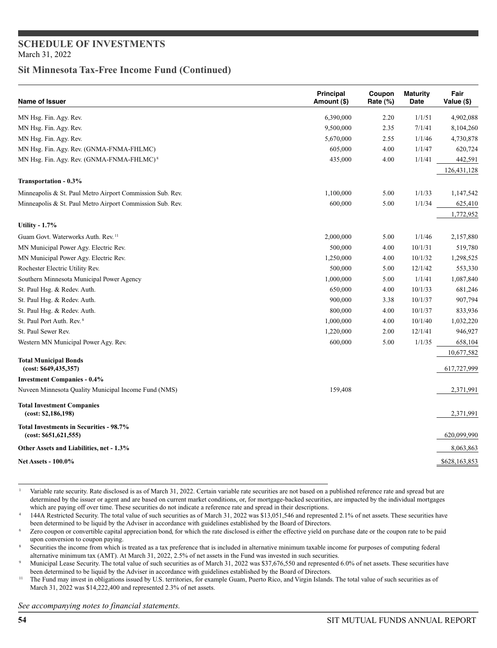#### **Sit Minnesota Tax-Free Income Fund (Continued)**

| Name of Issuer                                                          | Principal<br>Amount (\$) | Coupon<br>Rate (%) | <b>Maturity</b><br>Date | Fair<br>Value (\$) |
|-------------------------------------------------------------------------|--------------------------|--------------------|-------------------------|--------------------|
| MN Hsg. Fin. Agy. Rev.                                                  | 6,390,000                | 2.20               | 1/1/51                  | 4,902,088          |
| MN Hsg. Fin. Agy. Rev.                                                  | 9,500,000                | 2.35               | 7/1/41                  | 8,104,260          |
| MN Hsg. Fin. Agy. Rev.                                                  | 5,670,000                | 2.55               | 1/1/46                  | 4,730,878          |
| MN Hsg. Fin. Agy. Rev. (GNMA-FNMA-FHLMC)                                | 605,000                  | 4.00               | 1/1/47                  | 620,724            |
| MN Hsg. Fin. Agy. Rev. (GNMA-FNMA-FHLMC) <sup>8</sup>                   | 435,000                  | 4.00               | 1/1/41                  | 442,591            |
|                                                                         |                          |                    |                         | 126,431,128        |
| Transportation - 0.3%                                                   |                          |                    |                         |                    |
| Minneapolis & St. Paul Metro Airport Commission Sub. Rev.               | 1,100,000                | 5.00               | 1/1/33                  | 1,147,542          |
| Minneapolis & St. Paul Metro Airport Commission Sub. Rev.               | 600,000                  | 5.00               | 1/1/34                  | 625,410            |
|                                                                         |                          |                    |                         | 1,772,952          |
| Utility - $1.7\%$                                                       |                          |                    |                         |                    |
| Guam Govt. Waterworks Auth. Rev. <sup>11</sup>                          | 2,000,000                | 5.00               | 1/1/46                  | 2,157,880          |
| MN Municipal Power Agy. Electric Rev.                                   | 500,000                  | 4.00               | 10/1/31                 | 519,780            |
| MN Municipal Power Agy. Electric Rev.                                   | 1,250,000                | 4.00               | 10/1/32                 | 1,298,525          |
| Rochester Electric Utility Rev.                                         | 500,000                  | 5.00               | 12/1/42                 | 553,330            |
| Southern Minnesota Municipal Power Agency                               | 1,000,000                | 5.00               | 1/1/41                  | 1,087,840          |
| St. Paul Hsg. & Redev. Auth.                                            | 650,000                  | 4.00               | 10/1/33                 | 681,246            |
| St. Paul Hsg. & Redev. Auth.                                            | 900,000                  | 3.38               | 10/1/37                 | 907,794            |
| St. Paul Hsg. & Redev. Auth.                                            | 800,000                  | 4.00               | 10/1/37                 | 833,936            |
| St. Paul Port Auth. Rev. 8                                              | 1,000,000                | 4.00               | 10/1/40                 | 1,032,220          |
| St. Paul Sewer Rev.                                                     | 1,220,000                | 2.00               | 12/1/41                 | 946,927            |
| Western MN Municipal Power Agy. Rev.                                    | 600,000                  | 5.00               | 1/1/35                  | 658,104            |
|                                                                         |                          |                    |                         | 10,677,582         |
| <b>Total Municipal Bonds</b><br>(cost: \$649,435,357)                   |                          |                    |                         | 617,727,999        |
| <b>Investment Companies - 0.4%</b>                                      |                          |                    |                         |                    |
| Nuveen Minnesota Quality Municipal Income Fund (NMS)                    | 159,408                  |                    |                         | 2,371,991          |
| <b>Total Investment Companies</b><br>(cost: \$2,186,198)                |                          |                    |                         | 2,371,991          |
| <b>Total Investments in Securities - 98.7%</b><br>(cost: \$651,621,555) |                          |                    |                         | 620,099,990        |
| Other Assets and Liabilities, net - 1.3%                                |                          |                    |                         | 8,063,863          |
| <b>Net Assets - 100.0%</b>                                              |                          |                    |                         | \$628,163,853      |

Variable rate security. Rate disclosed is as of March 31, 2022. Certain variable rate securities are not based on a published reference rate and spread but are determined by the issuer or agent and are based on current market conditions, or, for mortgage-backed securities, are impacted by the individual mortgages which are paying off over time. These securities do not indicate a reference rate and spread in their descriptions.<br>144A Restricted Security. The total value of such securities as of March 31, 2022 was \$13,051,546 and repr

been determined to be liquid by the Adviser in accordance with guidelines established by the Board of Directors.<br>Zero coupon or convertible capital appreciation bond, for which the rate disclosed is either the effective yi

upon conversion to coupon paying.<br>Securities the income from which is treated as a tax preference that is included in alternative minimum taxable income for purposes of computing federal<br>alternative minimum tax (AMT). At M

Municipal Lease Security. The total value of such securities as of March 31, 2022 was \$37,676,550 and represented 6.0% of net assets. These securities have

been determined to be liquid by the Adviser in accordance with guidelines established by the Board of Directors.<br><sup>11</sup> The Fund may invest in obligations issued by U.S. territories, for example Guam, Puerto Rico, and Virgin March 31, 2022 was \$14,222,400 and represented 2.3% of net assets.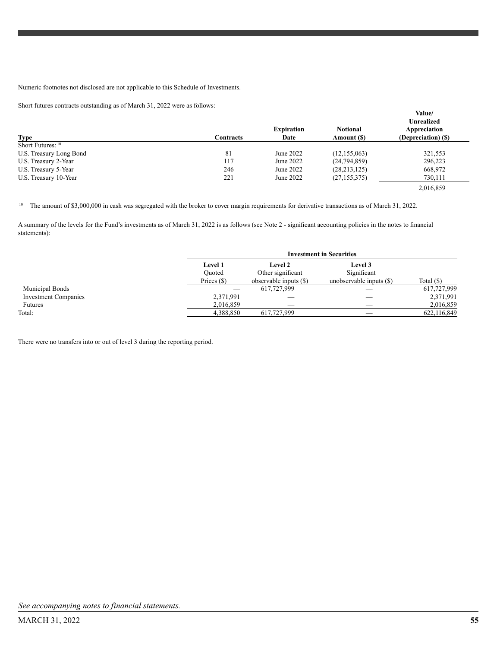Numeric footnotes not disclosed are not applicable to this Schedule of Investments.

Short futures contracts outstanding as of March 31, 2022 were as follows:

| <b>Type</b>             | Contracts | <b>Expiration</b><br>Date | <b>Notional</b><br>Amount (\$) | Value/<br><b>Unrealized</b><br>Appreciation<br>(Depreciation) (\$) |
|-------------------------|-----------|---------------------------|--------------------------------|--------------------------------------------------------------------|
| Short Futures: $10$     |           |                           |                                |                                                                    |
| U.S. Treasury Long Bond | 81        | June 2022                 | (12, 155, 063)                 | 321,553                                                            |
| U.S. Treasury 2-Year    | 117       | June 2022                 | (24, 794, 859)                 | 296,223                                                            |
| U.S. Treasury 5-Year    | 246       | June 2022                 | (28, 213, 125)                 | 668,972                                                            |
| U.S. Treasury 10-Year   | 221       | June 2022                 | (27, 155, 375)                 | 730,111                                                            |
|                         |           |                           |                                | 2,016,859                                                          |

<sup>10</sup> The amount of \$3,000,000 in cash was segregated with the broker to cover margin requirements for derivative transactions as of March 31, 2022.

A summary of the levels for the Fund's investments as of March 31, 2022 is as follows (see Note 2 - significant accounting policies in the notes to financial statements):

|                             | <b>Investment in Securities</b>           |                                                               |                                                             |             |  |
|-----------------------------|-------------------------------------------|---------------------------------------------------------------|-------------------------------------------------------------|-------------|--|
|                             | <b>Level 1</b><br>Ouoted<br>Prices $(\$)$ | <b>Level 2</b><br>Other significant<br>observable inputs (\$) | <b>Level 3</b><br>Significant<br>unobservable inputs $(\$)$ | Total (\$)  |  |
| Municipal Bonds             |                                           | 617,727,999                                                   |                                                             | 617,727,999 |  |
| <b>Investment Companies</b> | 2,371,991                                 |                                                               |                                                             | 2,371,991   |  |
| <b>Futures</b>              | 2,016,859                                 | _                                                             |                                                             | 2,016,859   |  |
| Total:                      | 4.388.850                                 | 617,727,999                                                   | __                                                          | 622,116,849 |  |

There were no transfers into or out of level 3 during the reporting period.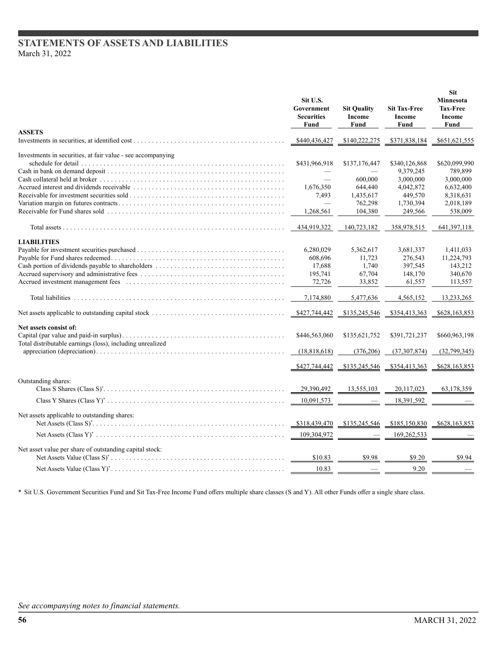### **STATEMENTS OF ASSETS AND LIABILITIES** March 31, 2022

|                                                             | Sit U.S.<br>Government<br><b>Securities</b><br>Fund | <b>Sit Quality</b><br>Income<br>Fund | <b>Sit Tax-Free</b><br>Income<br>Fund | Sit<br>Minnesota<br><b>Tax-Free</b><br>Income<br>Fund |
|-------------------------------------------------------------|-----------------------------------------------------|--------------------------------------|---------------------------------------|-------------------------------------------------------|
| <b>ASSETS</b>                                               |                                                     |                                      |                                       |                                                       |
|                                                             | \$440,436,427                                       | \$140,222,275                        | \$371,838,184                         | \$651,621,555                                         |
| Investments in securities, at fair value - see accompanying |                                                     |                                      |                                       |                                                       |
|                                                             | \$431,966,918                                       | \$137,176,447                        | \$340,126,868                         | \$620,099,990                                         |
|                                                             |                                                     |                                      | 9,379,245                             | 789,899                                               |
|                                                             |                                                     | 600,000                              | 3,000,000                             | 3,000,000                                             |
|                                                             | 1,676,350                                           | 644,440                              | 4,042,872                             | 6,632,400                                             |
|                                                             | 7,493                                               | 1,435,617                            | 449,570                               | 8,318,631                                             |
|                                                             |                                                     | 762,298                              | 1,730,394                             | 2,018,189                                             |
|                                                             | 1,268,561                                           | 104,380                              | 249,566                               | 538,009                                               |
|                                                             | 434,919,322                                         | 140,723,182                          | 358,978,515                           | 641,397,118                                           |
| <b>LIABILITIES</b>                                          |                                                     |                                      |                                       |                                                       |
|                                                             | 6,280,029                                           | 5,362,617                            | 3,681,337                             | 1,411,033                                             |
|                                                             | 608,696                                             | 11,723                               | 276,543                               | 11,224,793                                            |
|                                                             | 17,688                                              | 1,740                                | 397,545                               | 143,212                                               |
|                                                             | 195,741                                             | 67,704                               | 148,170                               | 340,670                                               |
|                                                             | 72,726                                              | 33,852                               | 61,557                                | 113,557                                               |
|                                                             | 7,174,880                                           | 5,477,636                            | 4,565,152                             | 13,233,265                                            |
|                                                             | \$427,744,442                                       | \$135,245,546                        | \$354,413,363                         | \$628,163,853                                         |
| Net assets consist of:                                      |                                                     |                                      |                                       |                                                       |
| Total distributable earnings (loss), including unrealized   | \$446,563,060                                       | \$135,621,752                        | \$391,721,237                         | \$660,963,198                                         |
|                                                             | (18,818,618)                                        | (376, 206)                           | (37,307,874)                          | (32,799,345)                                          |
|                                                             | \$427,744,442                                       | \$135,245,546                        | \$354,413,363                         | \$628,163,853                                         |
| Outstanding shares:                                         |                                                     |                                      |                                       |                                                       |
|                                                             | 29,390,492                                          | 13,555,103                           | 20,117,023                            | 63,178,359                                            |
|                                                             | 10,091,573                                          |                                      | 18,391,592                            |                                                       |
| Net assets applicable to outstanding shares:                | \$318,439,470                                       | \$135,245,546                        | \$185,150,830                         | \$628,163,853                                         |
|                                                             | 109,304,972                                         |                                      | 169,262,533                           |                                                       |
|                                                             |                                                     |                                      |                                       |                                                       |
| Net asset value per share of outstanding capital stock:     | \$10.83                                             | \$9.98                               | \$9.20                                | \$9.94                                                |
|                                                             | 10.83                                               |                                      | 9.20                                  |                                                       |

\* Sit U.S. Government Securities Fund and Sit Tax-Free Income Fund offers multiple share classes (S and Y). All other Funds offer a single share class.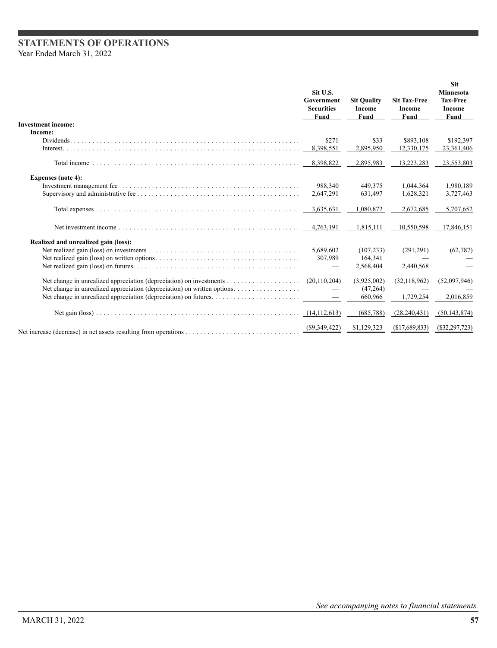# **STATEMENTS OF OPERATIONS**

Year Ended March 31, 2022

| <b>Investment income:</b><br>Income:<br>\$192,397<br>\$271<br>\$33<br>\$893,108<br>8,398,551<br>2,895,950<br>12,330,175<br>8,398,822<br>2,895,983<br>13,223,283<br><b>Expenses (note 4):</b><br>1,980,189<br>988,340<br>449,375<br>1,044,364<br>2,647,291<br>631,497<br>1,628,321<br>1,080,872<br>2,672,685<br>4,763,191<br>1,815,111<br>10,550,598<br>Realized and unrealized gain (loss):<br>5,689,602<br>(107, 233)<br>(291, 291)<br>307.989<br>164,341<br>2,568,404<br>2,440,568<br>(20,110,204)<br>(3,925,002)<br>(32, 118, 962)<br>(47, 264)<br>660,966<br>1,729,254<br>$\hspace{0.1mm}-\hspace{0.1mm}$<br>(685, 788)<br>(28, 240, 431)<br>$(\$9,349,422)$<br>\$1,129,323<br>(\$17,689,833) | Sit U.S.<br>Government<br><b>Securities</b><br>Fund | <b>Sit Ouality</b><br>Income<br>Fund | <b>Sit Tax-Free</b><br>Income<br>Fund | <b>Sit</b><br><b>Minnesota</b><br><b>Tax-Free</b><br>Income<br>Fund |
|---------------------------------------------------------------------------------------------------------------------------------------------------------------------------------------------------------------------------------------------------------------------------------------------------------------------------------------------------------------------------------------------------------------------------------------------------------------------------------------------------------------------------------------------------------------------------------------------------------------------------------------------------------------------------------------------------|-----------------------------------------------------|--------------------------------------|---------------------------------------|---------------------------------------------------------------------|
|                                                                                                                                                                                                                                                                                                                                                                                                                                                                                                                                                                                                                                                                                                   |                                                     |                                      |                                       |                                                                     |
|                                                                                                                                                                                                                                                                                                                                                                                                                                                                                                                                                                                                                                                                                                   |                                                     |                                      |                                       |                                                                     |
|                                                                                                                                                                                                                                                                                                                                                                                                                                                                                                                                                                                                                                                                                                   |                                                     |                                      |                                       |                                                                     |
|                                                                                                                                                                                                                                                                                                                                                                                                                                                                                                                                                                                                                                                                                                   |                                                     |                                      |                                       | 23,361,406                                                          |
|                                                                                                                                                                                                                                                                                                                                                                                                                                                                                                                                                                                                                                                                                                   |                                                     |                                      |                                       | 23,553,803                                                          |
|                                                                                                                                                                                                                                                                                                                                                                                                                                                                                                                                                                                                                                                                                                   |                                                     |                                      |                                       |                                                                     |
|                                                                                                                                                                                                                                                                                                                                                                                                                                                                                                                                                                                                                                                                                                   |                                                     |                                      |                                       |                                                                     |
|                                                                                                                                                                                                                                                                                                                                                                                                                                                                                                                                                                                                                                                                                                   |                                                     |                                      |                                       | 3,727,463                                                           |
|                                                                                                                                                                                                                                                                                                                                                                                                                                                                                                                                                                                                                                                                                                   |                                                     |                                      |                                       | 5,707,652                                                           |
|                                                                                                                                                                                                                                                                                                                                                                                                                                                                                                                                                                                                                                                                                                   |                                                     |                                      |                                       | 17,846,151                                                          |
|                                                                                                                                                                                                                                                                                                                                                                                                                                                                                                                                                                                                                                                                                                   |                                                     |                                      |                                       |                                                                     |
|                                                                                                                                                                                                                                                                                                                                                                                                                                                                                                                                                                                                                                                                                                   |                                                     |                                      |                                       | (62, 787)                                                           |
|                                                                                                                                                                                                                                                                                                                                                                                                                                                                                                                                                                                                                                                                                                   |                                                     |                                      |                                       |                                                                     |
|                                                                                                                                                                                                                                                                                                                                                                                                                                                                                                                                                                                                                                                                                                   |                                                     |                                      |                                       |                                                                     |
|                                                                                                                                                                                                                                                                                                                                                                                                                                                                                                                                                                                                                                                                                                   |                                                     |                                      |                                       | (52,097,946)                                                        |
|                                                                                                                                                                                                                                                                                                                                                                                                                                                                                                                                                                                                                                                                                                   |                                                     |                                      |                                       |                                                                     |
|                                                                                                                                                                                                                                                                                                                                                                                                                                                                                                                                                                                                                                                                                                   |                                                     |                                      |                                       | 2,016,859                                                           |
|                                                                                                                                                                                                                                                                                                                                                                                                                                                                                                                                                                                                                                                                                                   |                                                     |                                      |                                       | (50, 143, 874)                                                      |
|                                                                                                                                                                                                                                                                                                                                                                                                                                                                                                                                                                                                                                                                                                   |                                                     |                                      |                                       | $(\$32,297,723)$                                                    |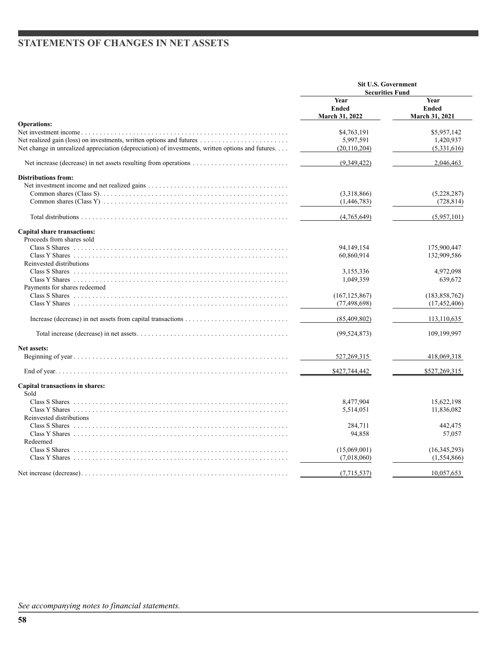# **STATEMENTS OF CHANGES IN NET ASSETS**

|                                                                                                   | <b>Sit U.S. Government</b><br><b>Securities Fund</b> |                                               |
|---------------------------------------------------------------------------------------------------|------------------------------------------------------|-----------------------------------------------|
|                                                                                                   | Year<br>Ended<br><b>March 31, 2022</b>               | Year<br><b>Ended</b><br><b>March 31, 2021</b> |
| <b>Operations:</b>                                                                                |                                                      |                                               |
|                                                                                                   | \$4,763,191                                          | \$5,957,142                                   |
|                                                                                                   | 5,997,591                                            | 1,420,937                                     |
|                                                                                                   |                                                      |                                               |
| Net change in unrealized appreciation (depreciation) of investments, written options and futures. | (20, 110, 204)                                       | (5,331,616)                                   |
|                                                                                                   | (9,349,422)                                          | 2,046,463                                     |
| <b>Distributions from:</b>                                                                        |                                                      |                                               |
|                                                                                                   |                                                      |                                               |
|                                                                                                   | (3,318,866)                                          | (5,228,287)                                   |
|                                                                                                   |                                                      |                                               |
|                                                                                                   | (1,446,783)                                          | (728, 814)                                    |
|                                                                                                   | (4.765.649)                                          | (5,957,101)                                   |
| <b>Capital share transactions:</b>                                                                |                                                      |                                               |
| Proceeds from shares sold                                                                         |                                                      |                                               |
|                                                                                                   | 94,149,154                                           | 175,900,447                                   |
|                                                                                                   |                                                      |                                               |
|                                                                                                   | 60,860,914                                           | 132,909,586                                   |
| Reinvested distributions                                                                          |                                                      |                                               |
|                                                                                                   | 3,155,336                                            | 4,972,098                                     |
|                                                                                                   | 1,049,359                                            | 639,672                                       |
| Payments for shares redeemed                                                                      |                                                      |                                               |
|                                                                                                   |                                                      |                                               |
|                                                                                                   | (167, 125, 867)                                      | (183, 858, 762)                               |
|                                                                                                   | (77, 498, 698)                                       | (17, 452, 406)                                |
|                                                                                                   |                                                      |                                               |
|                                                                                                   | (85, 409, 802)                                       | 113,110,635                                   |
|                                                                                                   |                                                      |                                               |
|                                                                                                   | (99, 524, 873)                                       | 109,199,997                                   |
|                                                                                                   |                                                      |                                               |
| <b>Net assets:</b>                                                                                |                                                      |                                               |
|                                                                                                   | 527,269,315                                          | 418,069,318                                   |
|                                                                                                   |                                                      |                                               |
|                                                                                                   | \$427,744,442                                        | \$527,269,315                                 |
| Capital transactions in shares:                                                                   |                                                      |                                               |
|                                                                                                   |                                                      |                                               |
| Sold                                                                                              |                                                      |                                               |
|                                                                                                   | 8,477,904                                            | 15,622,198                                    |
|                                                                                                   | 5,514,051                                            | 11,836,082                                    |
| Reinvested distributions                                                                          |                                                      |                                               |
|                                                                                                   |                                                      |                                               |
|                                                                                                   | 284,711                                              | 442,475                                       |
|                                                                                                   | 94,858                                               | 57,057                                        |
| Redeemed                                                                                          |                                                      |                                               |
|                                                                                                   | (15,069,001)                                         | (16,345,293)                                  |
|                                                                                                   |                                                      |                                               |
|                                                                                                   | (7,018,060)                                          | (1,554,866)                                   |
|                                                                                                   | (7,715,537)                                          | 10,057,653                                    |
|                                                                                                   |                                                      |                                               |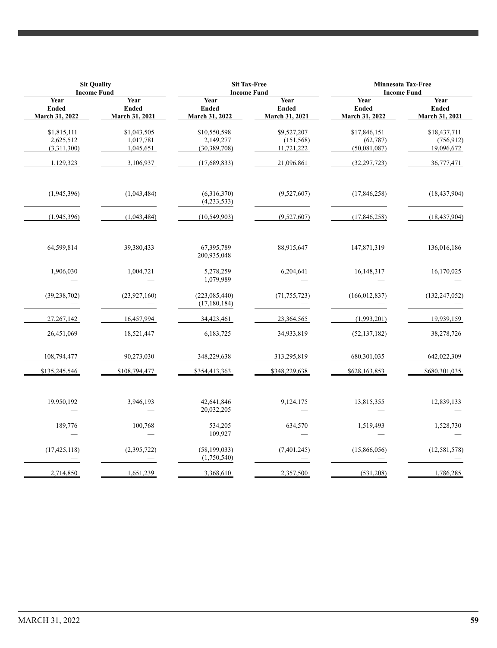| <b>Sit Quality</b><br><b>Sit Tax-Free</b><br><b>Income Fund</b>                        | <b>Income Fund</b>                                |                                                    | <b>Minnesota Tax-Free</b><br><b>Income Fund</b> |  |  |
|----------------------------------------------------------------------------------------|---------------------------------------------------|----------------------------------------------------|-------------------------------------------------|--|--|
| Year<br>Year<br>Ended<br>Ended<br><b>March 31, 2021</b><br>March 31, 2022              | Year<br>Ended<br>March 31, 2022                   | Year<br>Ended<br>March 31, 2022                    | Year<br>Ended<br>March 31, 2021                 |  |  |
| \$10,550,598<br>\$1,043,505<br>2,149,277<br>1,017,781<br>1,045,651<br>(30, 389, 708)   | \$1,815,111<br>2,625,512<br>(3,311,300)           | \$17,846,151<br>(62, 787)<br>(50,081,087)          | \$18,437,711<br>(756, 912)<br>19,096,672        |  |  |
| 3,106,937<br>(17,689,833)                                                              | 1,129,323                                         | (32, 297, 723)                                     | 36,777,471                                      |  |  |
| (1,043,484)<br>(6,316,370)<br>(4,233,533)<br>$\hspace{0.1mm}-\hspace{0.1mm}$           | (1,945,396)<br>$\hspace{0.1mm}-\hspace{0.1mm}$    | (17,846,258)<br>$\hspace{0.1mm}-\hspace{0.1mm}$    | (18, 437, 904)<br>$\hspace{0.1mm}$              |  |  |
| (1,043,484)<br>(10, 549, 903)                                                          | (1,945,396)                                       | (17,846,258)                                       | (18, 437, 904)                                  |  |  |
| 39,380,433<br>67,395,789<br>200,935,048<br>$\hspace{0.1mm}$                            | 64,599,814<br>$\hspace{0.1mm}-\hspace{0.1mm}$     | 147,871,319<br>$\hspace{0.1mm}-\hspace{0.1mm}$     | 136,016,186<br>$\hspace{0.1mm}$                 |  |  |
| 1,004,721<br>5,278,259<br>1,079,989<br>$\hspace{0.1mm}$                                | 1,906,030<br>$\hspace{0.1mm}-\hspace{0.1mm}$      | 16,148,317<br>$\hspace{0.1mm}-\hspace{0.1mm}$      | 16,170,025<br>$\hspace{0.1mm}$                  |  |  |
| (23, 927, 160)<br>(223, 085, 440)<br>(17, 180, 184)<br>$\hspace{0.1mm}-\hspace{0.1mm}$ | (39, 238, 702)<br>$\hspace{0.1mm}-\hspace{0.1mm}$ | (166, 012, 837)<br>$\hspace{0.1mm}-\hspace{0.1mm}$ | (132, 247, 052)<br>$\equiv$                     |  |  |
| 16,457,994<br>34,423,461                                                               | 27, 267, 142                                      | (1,993,201)                                        | 19,939,159                                      |  |  |
| 18,521,447<br>6,183,725                                                                | 26,451,069                                        | (52, 137, 182)                                     | 38,278,726                                      |  |  |
| 90,273,030<br>348,229,638                                                              | 108,794,477                                       | 680, 301, 035                                      | 642,022,309                                     |  |  |
| \$108,794,477<br>\$354,413,363                                                         | \$135,245,546                                     | \$628,163,853                                      | \$680,301,035                                   |  |  |
| 3,946,193<br>42,641,846<br>20,032,205<br>$\hspace{0.1mm}$                              | 19,950,192<br>$\hspace{0.1mm}-\hspace{0.1mm}$     | 13,815,355<br>$\hspace{0.1mm}-\hspace{0.1mm}$      | 12,839,133<br>$\hspace{0.1cm}$                  |  |  |
| 100,768<br>534,205<br>109,927<br>$\hspace{0.1mm}$                                      | 189,776<br>$\hspace{0.1mm}-\hspace{0.1mm}$        | 1,519,493<br>$\hspace{0.1mm}-\hspace{0.1mm}$       | 1,528,730<br>$\hspace{0.1mm}-\hspace{0.1mm}$    |  |  |
| (2,395,722)<br>(58, 199, 033)<br>(1,750,540)<br>$\hspace{0.1mm}$                       | (17, 425, 118)<br>$\hspace{0.1mm}-\hspace{0.1mm}$ | (15,866,056)<br>$\hspace{0.1mm}-\hspace{0.1mm}$    | (12, 581, 578)<br>$\equiv$                      |  |  |
|                                                                                        |                                                   | (531,208)                                          |                                                 |  |  |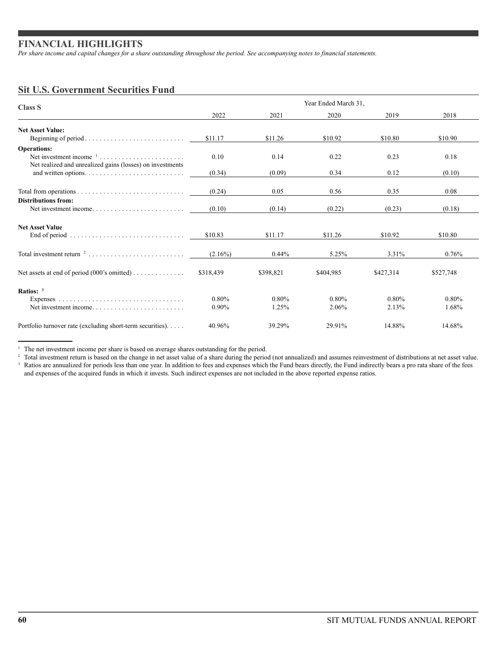*Per share income and capital changes for a share outstanding throughout the period. See accompanying notes to financial statements.*

### **Sit U.S. Government Securities Fund**

| <b>Class S</b>                                             | Year Ended March 31, |           |           |           |           |  |  |
|------------------------------------------------------------|----------------------|-----------|-----------|-----------|-----------|--|--|
|                                                            | 2022                 | 2021      | 2020      | 2019      | 2018      |  |  |
| <b>Net Asset Value:</b>                                    |                      |           |           |           |           |  |  |
|                                                            | \$11.17              | \$11.26   | \$10.92   | \$10.80   | \$10.90   |  |  |
| <b>Operations:</b>                                         |                      |           |           |           |           |  |  |
|                                                            | 0.10                 | 0.14      | 0.22      | 0.23      | 0.18      |  |  |
| Net realized and unrealized gains (losses) on investments  |                      |           |           |           |           |  |  |
|                                                            | (0.34)               | (0.09)    | 0.34      | 0.12      | (0.10)    |  |  |
|                                                            |                      |           |           |           |           |  |  |
|                                                            | (0.24)               | 0.05      | 0.56      | 0.35      | 0.08      |  |  |
| <b>Distributions from:</b>                                 |                      |           |           |           |           |  |  |
|                                                            | (0.10)               | (0.14)    | (0.22)    | (0.23)    | (0.18)    |  |  |
|                                                            |                      |           |           |           |           |  |  |
| <b>Net Asset Value</b>                                     |                      |           |           |           |           |  |  |
|                                                            | \$10.83              | \$11.17   | \$11.26   | \$10.92   | \$10.80   |  |  |
|                                                            |                      |           |           |           |           |  |  |
|                                                            | $(2.16\%)$           | $0.44\%$  | 5.25%     | 3.31%     | 0.76%     |  |  |
|                                                            |                      |           |           |           |           |  |  |
|                                                            | \$318,439            | \$398.821 | \$404,985 | \$427,314 | \$527,748 |  |  |
| Ratios: $3$                                                |                      |           |           |           |           |  |  |
|                                                            | 0.80%                | 0.80%     | 0.80%     | 0.80%     | 0.80%     |  |  |
| Net investment income                                      | 0.90%                | 1.25%     | 2.06%     | 2.13%     | 1.68%     |  |  |
|                                                            |                      |           |           |           |           |  |  |
| Portfolio turnover rate (excluding short-term securities). | 40.96%               | 39.29%    | 29.91%    | 14.88%    | 14.68%    |  |  |

<sup>&</sup>lt;sup>1</sup> The net investment income per share is based on average shares outstanding for the period.

<sup>2</sup> Total investment return is based on the change in net asset value of a share during the period (not annualized) and assumes reinvestment of distributions at net asset value. <sup>3</sup> Ratios are annualized for periods less than one year. In addition to fees and expenses which the Fund bears directly, the Fund indirectly bears a pro rata share of the fees and expenses of the acquired funds in which it invests. Such indirect expenses are not included in the above reported expense ratios.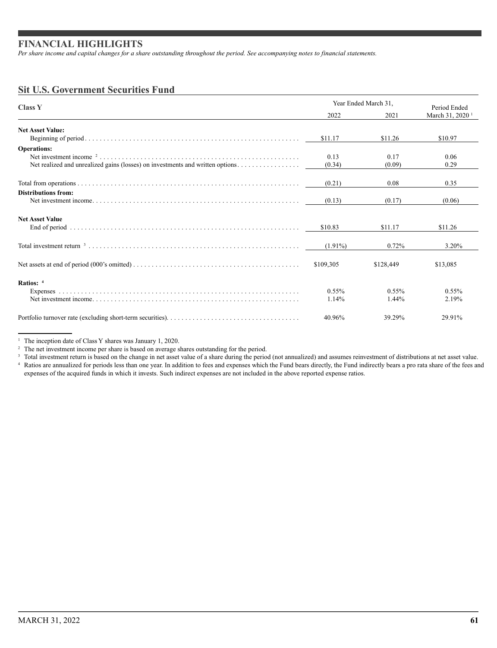*Per share income and capital changes for a share outstanding throughout the period. See accompanying notes to financial statements.*

### **Sit U.S. Government Securities Fund**

| <b>Class Y</b>                                                                | Year Ended March 31, | Period Ended |                             |
|-------------------------------------------------------------------------------|----------------------|--------------|-----------------------------|
|                                                                               | 2022                 | 2021         | March 31, 2020 <sup>1</sup> |
| <b>Net Asset Value:</b>                                                       |                      |              |                             |
|                                                                               | \$11.17              | \$11.26      | \$10.97                     |
| <b>Operations:</b>                                                            |                      |              |                             |
|                                                                               | 0.13                 | 0.17         | 0.06                        |
| Net realized and unrealized gains (losses) on investments and written options | (0.34)               | (0.09)       | 0.29                        |
|                                                                               | (0.21)               | 0.08         | 0.35                        |
| <b>Distributions from:</b>                                                    |                      |              |                             |
|                                                                               | (0.13)               | (0.17)       | (0.06)                      |
|                                                                               |                      |              |                             |
| <b>Net Asset Value</b>                                                        |                      |              |                             |
|                                                                               | \$10.83              | \$11.17      | \$11.26                     |
|                                                                               | $(1.91\%)$           | 0.72%        | 3.20%                       |
|                                                                               |                      |              |                             |
|                                                                               | \$109,305            | \$128,449    | \$13,085                    |
| Ratios: 4                                                                     |                      |              |                             |
|                                                                               | 0.55%                | $0.55\%$     | $0.55\%$                    |
|                                                                               | 1.14%                | $1.44\%$     | 2.19%                       |
|                                                                               |                      |              |                             |
|                                                                               | 40.96%               | 39.29%       | 29.91%                      |
|                                                                               |                      |              |                             |

<sup>1</sup> The inception date of Class Y shares was January 1, 2020.

<sup>2</sup> The net investment income per share is based on average shares outstanding for the period.

<sup>3</sup> Total investment return is based on the change in net asset value of a share during the period (not annualized) and assumes reinvestment of distributions at net asset value.

<sup>4</sup> Ratios are annualized for periods less than one year. In addition to fees and expenses which the Fund bears directly, the Fund indirectly bears a pro rata share of the fees and expenses of the acquired funds in which it invests. Such indirect expenses are not included in the above reported expense ratios.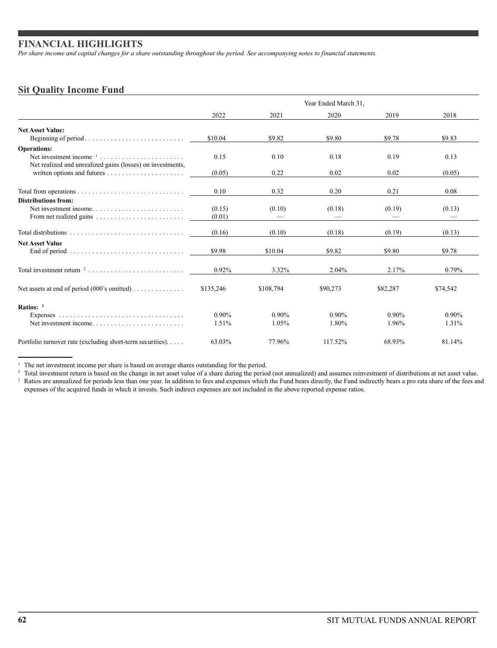*Per share income and capital changes for a share outstanding throughout the period. See accompanying notes to financial statements.*

### **Sit Quality Income Fund**

|                                                                                                          |                  |                   | Year Ended March 31, |                   |                   |
|----------------------------------------------------------------------------------------------------------|------------------|-------------------|----------------------|-------------------|-------------------|
|                                                                                                          | 2022             | 2021              | 2020                 | 2019              | 2018              |
| <b>Net Asset Value:</b>                                                                                  | \$10.04          | \$9.82            | \$9.80               | \$9.78            | \$9.83            |
| <b>Operations:</b><br>Net realized and unrealized gains (losses) on investments,                         | 0.15             | 0.10              | 0.18                 | 0.19              | 0.13              |
|                                                                                                          | (0.05)           | 0.22              | 0.02                 | 0.02              | (0.05)            |
|                                                                                                          | 0.10             | 0.32              | 0.20                 | 0.21              | 0.08              |
| <b>Distributions from:</b>                                                                               | (0.15)<br>(0.01) | (0.10)            | (0.18)               | (0.19)            | (0.13)            |
|                                                                                                          | (0.16)           | (0.10)            | (0.18)               | (0.19)            | (0.13)            |
| <b>Net Asset Value</b><br>End of period $\ldots \ldots \ldots \ldots \ldots \ldots \ldots \ldots \ldots$ | \$9.98           | \$10.04           | \$9.82               | \$9.80            | \$9.78            |
|                                                                                                          | 0.92%            | 3.32%             | 2.04%                | 2.17%             | 0.79%             |
| Net assets at end of period $(000)$ 's omitted)                                                          | \$135,246        | \$108,794         | \$90,273             | \$82,287          | \$74,542          |
| Ratios: $3$                                                                                              | 0.90%<br>1.51%   | $0.90\%$<br>1.05% | $0.90\%$<br>1.80%    | $0.90\%$<br>1.96% | $0.90\%$<br>1.31% |
| Portfolio turnover rate (excluding short-term securities).                                               | 63.03%           | 77.96%            | 117.52%              | 68.93%            | 81.14%            |

<sup>1</sup> The net investment income per share is based on average shares outstanding for the period.

<sup>2</sup> Total investment return is based on the change in net asset value of a share during the period (not annualized) and assumes reinvestment of distributions at net asset value. <sup>3</sup> Ratios are annualized for periods less than one year. In addition to fees and expenses which the Fund bears directly, the Fund indirectly bears a pro rata share of the fees and expenses of the acquired funds in which it invests. Such indirect expenses are not included in the above reported expense ratios.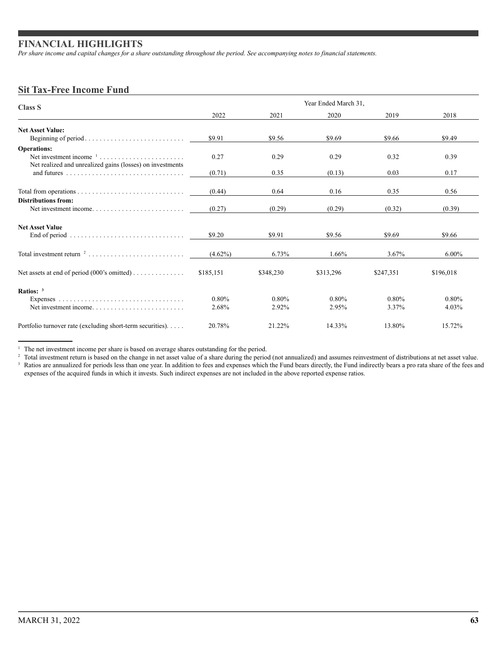*Per share income and capital changes for a share outstanding throughout the period. See accompanying notes to financial statements.*

### **Sit Tax-Free Income Fund**

| <b>Class S</b>                                                                                           | Year Ended March 31, |                |                |                |                |  |  |
|----------------------------------------------------------------------------------------------------------|----------------------|----------------|----------------|----------------|----------------|--|--|
|                                                                                                          | 2022                 | 2021           | 2020           | 2019           | 2018           |  |  |
| <b>Net Asset Value:</b>                                                                                  |                      |                |                |                |                |  |  |
|                                                                                                          | \$9.91               | \$9.56         | \$9.69         | \$9.66         | \$9.49         |  |  |
| <b>Operations:</b><br>Net realized and unrealized gains (losses) on investments                          | 0.27                 | 0.29           | 0.29           | 0.32           | 0.39           |  |  |
|                                                                                                          | (0.71)               | 0.35           | (0.13)         | 0.03           | 0.17           |  |  |
|                                                                                                          | (0.44)               | 0.64           | 0.16           | 0.35           | 0.56           |  |  |
| <b>Distributions from:</b>                                                                               | (0.27)               | (0.29)         | (0.29)         | (0.32)         | (0.39)         |  |  |
| <b>Net Asset Value</b><br>End of period $\ldots \ldots \ldots \ldots \ldots \ldots \ldots \ldots \ldots$ | \$9.20               | \$9.91         | \$9.56         | \$9.69         | \$9.66         |  |  |
|                                                                                                          | $(4.62\%)$           | 6.73%          | 1.66%          | 3.67%          | $6.00\%$       |  |  |
| Net assets at end of period (000's omitted)                                                              | \$185,151            | \$348,230      | \$313,296      | \$247,351      | \$196,018      |  |  |
| Ratios: $3$                                                                                              |                      |                |                |                |                |  |  |
| Net investment income                                                                                    | 0.80%<br>2.68%       | 0.80%<br>2.92% | 0.80%<br>2.95% | 0.80%<br>3.37% | 0.80%<br>4.03% |  |  |
| Portfolio turnover rate (excluding short-term securities).                                               | 20.78%               | 21.22%         | 14.33%         | 13.80%         | 15.72%         |  |  |

<sup>&</sup>lt;sup>1</sup> The net investment income per share is based on average shares outstanding for the period.

<sup>2</sup> Total investment return is based on the change in net asset value of a share during the period (not annualized) and assumes reinvestment of distributions at net asset value. <sup>3</sup> Ratios are annualized for periods less than one year. In addition to fees and expenses which the Fund bears directly, the Fund indirectly bears a pro rata share of the fees and

expenses of the acquired funds in which it invests. Such indirect expenses are not included in the above reported expense ratios.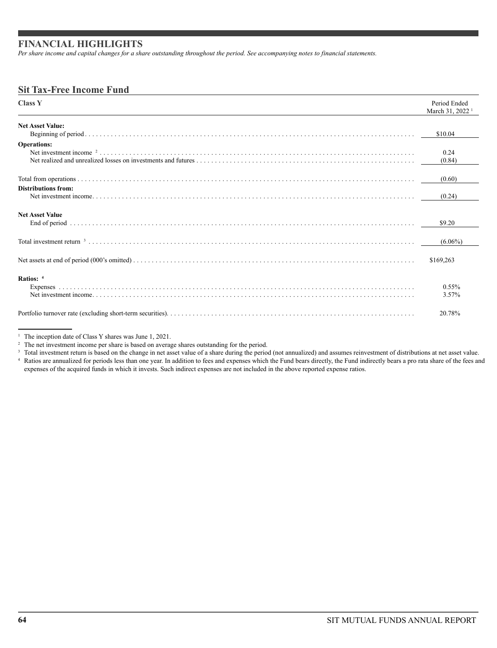*Per share income and capital changes for a share outstanding throughout the period. See accompanying notes to financial statements.*

#### **Sit Tax-Free Income Fund**

| <b>Class Y</b>             | Period Ended<br>March 31, 2022 <sup>1</sup> |
|----------------------------|---------------------------------------------|
| <b>Net Asset Value:</b>    | \$10.04                                     |
| <b>Operations:</b>         | 0.24<br>(0.84)                              |
|                            | (0.60)                                      |
| <b>Distributions from:</b> | (0.24)                                      |
| <b>Net Asset Value</b>     | \$9.20                                      |
|                            | $(6.06\%)$                                  |
|                            | \$169,263                                   |
| Ratios: 4                  | 0.55%<br>3.57%                              |
|                            | 20.78%                                      |

<sup>1</sup> The inception date of Class Y shares was June 1, 2021.

<sup>2</sup> The net investment income per share is based on average shares outstanding for the period.

<sup>3</sup> Total investment return is based on the change in net asset value of a share during the period (not annualized) and assumes reinvestment of distributions at net asset value.

<sup>4</sup> Ratios are annualized for periods less than one year. In addition to fees and expenses which the Fund bears directly, the Fund indirectly bears a pro rata share of the fees and expenses of the acquired funds in which it invests. Such indirect expenses are not included in the above reported expense ratios.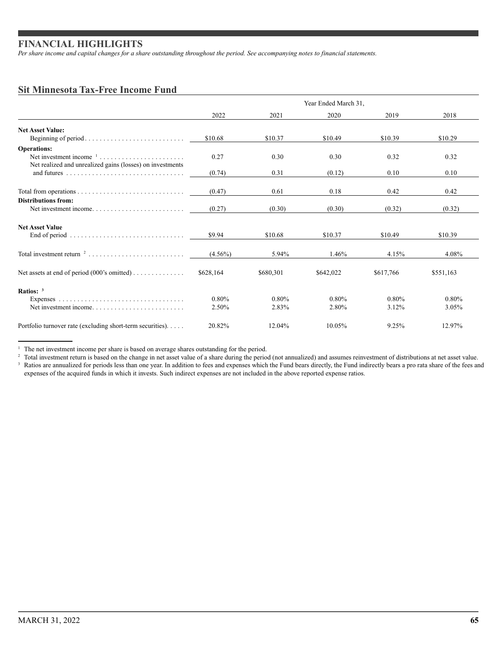*Per share income and capital changes for a share outstanding throughout the period. See accompanying notes to financial statements.*

### **Sit Minnesota Tax-Free Income Fund**

|                                                                                 |                |                | Year Ended March 31, |                   |                |
|---------------------------------------------------------------------------------|----------------|----------------|----------------------|-------------------|----------------|
|                                                                                 | 2022           | 2021           | 2020                 | 2019              | 2018           |
| <b>Net Asset Value:</b>                                                         | \$10.68        | \$10.37        | \$10.49              | \$10.39           | \$10.29        |
| <b>Operations:</b><br>Net realized and unrealized gains (losses) on investments | 0.27           | 0.30           | 0.30                 | 0.32              | 0.32           |
|                                                                                 | (0.74)         | 0.31           | (0.12)               | 0.10              | 0.10           |
|                                                                                 | (0.47)         | 0.61           | 0.18                 | 0.42              | 0.42           |
| <b>Distributions from:</b>                                                      | (0.27)         | (0.30)         | (0.30)               | (0.32)            | (0.32)         |
| <b>Net Asset Value</b>                                                          |                |                |                      |                   |                |
| End of period $\ldots \ldots \ldots \ldots \ldots \ldots \ldots \ldots \ldots$  | \$9.94         | \$10.68        | \$10.37              | \$10.49           | \$10.39        |
|                                                                                 | $(4.56\%)$     | 5.94%          | 1.46%                | 4.15%             | 4.08%          |
|                                                                                 | \$628,164      | \$680,301      | \$642,022            | \$617,766         | \$551,163      |
| Ratios: $3$                                                                     |                |                |                      |                   |                |
|                                                                                 | 0.80%<br>2.50% | 0.80%<br>2.83% | 0.80%<br>2.80%       | $0.80\%$<br>3.12% | 0.80%<br>3.05% |
| Portfolio turnover rate (excluding short-term securities).                      | 20.82%         | 12.04%         | 10.05%               | 9.25%             | 12.97%         |

<sup>&</sup>lt;sup>1</sup> The net investment income per share is based on average shares outstanding for the period.

<sup>2</sup> Total investment return is based on the change in net asset value of a share during the period (not annualized) and assumes reinvestment of distributions at net asset value. <sup>3</sup> Ratios are annualized for periods less than one year. In addition to fees and expenses which the Fund bears directly, the Fund indirectly bears a pro rata share of the fees and

expenses of the acquired funds in which it invests. Such indirect expenses are not included in the above reported expense ratios.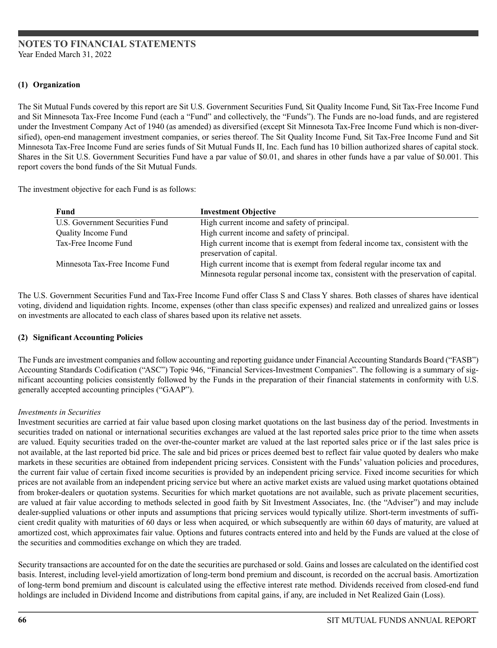### **NOTES TO FINANCIAL STATEMENTS** Year Ended March 31, 2022

#### **(1) Organization**

The Sit Mutual Funds covered by this report are Sit U.S. Government Securities Fund, Sit Quality Income Fund, Sit Tax-Free Income Fund and Sit Minnesota Tax-Free Income Fund (each a "Fund" and collectively, the "Funds"). The Funds are no-load funds, and are registered under the Investment Company Act of 1940 (as amended) as diversified (except Sit Minnesota Tax-Free Income Fund which is non-diversified), open-end management investment companies, or series thereof. The Sit Quality Income Fund, Sit Tax-Free Income Fund and Sit Minnesota Tax-Free Income Fund are series funds of Sit Mutual Funds II, Inc. Each fund has 10 billion authorized shares of capital stock. Shares in the Sit U.S. Government Securities Fund have a par value of \$0.01, and shares in other funds have a par value of \$0.001. This report covers the bond funds of the Sit Mutual Funds.

The investment objective for each Fund is as follows:

| Fund                            | <b>Investment Objective</b>                                                                                                                                   |
|---------------------------------|---------------------------------------------------------------------------------------------------------------------------------------------------------------|
| U.S. Government Securities Fund | High current income and safety of principal.                                                                                                                  |
| Quality Income Fund             | High current income and safety of principal.                                                                                                                  |
| Tax-Free Income Fund            | High current income that is exempt from federal income tax, consistent with the<br>preservation of capital.                                                   |
| Minnesota Tax-Free Income Fund  | High current income that is exempt from federal regular income tax and<br>Minnesota regular personal income tax, consistent with the preservation of capital. |

The U.S. Government Securities Fund and Tax-Free Income Fund offer Class S and Class Y shares. Both classes of shares have identical voting, dividend and liquidation rights. Income, expenses (other than class specific expenses) and realized and unrealized gains or losses on investments are allocated to each class of shares based upon its relative net assets.

#### **(2) Significant Accounting Policies**

The Funds are investment companies and follow accounting and reporting guidance under Financial Accounting Standards Board ("FASB") Accounting Standards Codification ("ASC") Topic 946, "Financial Services-Investment Companies". The following is a summary of significant accounting policies consistently followed by the Funds in the preparation of their financial statements in conformity with U.S. generally accepted accounting principles ("GAAP").

#### *Investments in Securities*

Investment securities are carried at fair value based upon closing market quotations on the last business day of the period. Investments in securities traded on national or international securities exchanges are valued at the last reported sales price prior to the time when assets are valued. Equity securities traded on the over-the-counter market are valued at the last reported sales price or if the last sales price is not available, at the last reported bid price. The sale and bid prices or prices deemed best to reflect fair value quoted by dealers who make markets in these securities are obtained from independent pricing services. Consistent with the Funds' valuation policies and procedures, the current fair value of certain fixed income securities is provided by an independent pricing service. Fixed income securities for which prices are not available from an independent pricing service but where an active market exists are valued using market quotations obtained from broker-dealers or quotation systems. Securities for which market quotations are not available, such as private placement securities, are valued at fair value according to methods selected in good faith by Sit Investment Associates, Inc. (the "Adviser") and may include dealer-supplied valuations or other inputs and assumptions that pricing services would typically utilize. Short-term investments of sufficient credit quality with maturities of 60 days or less when acquired, or which subsequently are within 60 days of maturity, are valued at amortized cost, which approximates fair value. Options and futures contracts entered into and held by the Funds are valued at the close of the securities and commodities exchange on which they are traded.

Security transactions are accounted for on the date the securities are purchased or sold. Gains and losses are calculated on the identified cost basis. Interest, including level-yield amortization of long-term bond premium and discount, is recorded on the accrual basis. Amortization of long-term bond premium and discount is calculated using the effective interest rate method. Dividends received from closed-end fund holdings are included in Dividend Income and distributions from capital gains, if any, are included in Net Realized Gain (Loss).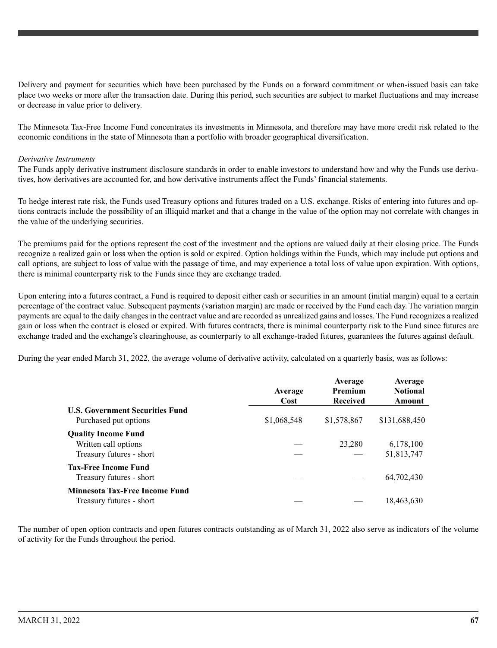Delivery and payment for securities which have been purchased by the Funds on a forward commitment or when-issued basis can take place two weeks or more after the transaction date. During this period, such securities are subject to market fluctuations and may increase or decrease in value prior to delivery.

The Minnesota Tax-Free Income Fund concentrates its investments in Minnesota, and therefore may have more credit risk related to the economic conditions in the state of Minnesota than a portfolio with broader geographical diversification.

#### *Derivative Instruments*

The Funds apply derivative instrument disclosure standards in order to enable investors to understand how and why the Funds use derivatives, how derivatives are accounted for, and how derivative instruments affect the Funds' financial statements.

To hedge interest rate risk, the Funds used Treasury options and futures traded on a U.S. exchange. Risks of entering into futures and options contracts include the possibility of an illiquid market and that a change in the value of the option may not correlate with changes in the value of the underlying securities.

The premiums paid for the options represent the cost of the investment and the options are valued daily at their closing price. The Funds recognize a realized gain or loss when the option is sold or expired. Option holdings within the Funds, which may include put options and call options, are subject to loss of value with the passage of time, and may experience a total loss of value upon expiration. With options, there is minimal counterparty risk to the Funds since they are exchange traded.

Upon entering into a futures contract, a Fund is required to deposit either cash or securities in an amount (initial margin) equal to a certain percentage of the contract value. Subsequent payments (variation margin) are made or received by the Fund each day. The variation margin payments are equal to the daily changes in the contract value and are recorded as unrealized gains and losses. The Fund recognizes a realized gain or loss when the contract is closed or expired. With futures contracts, there is minimal counterparty risk to the Fund since futures are exchange traded and the exchange's clearinghouse, as counterparty to all exchange-traded futures, guarantees the futures against default.

During the year ended March 31, 2022, the average volume of derivative activity, calculated on a quarterly basis, was as follows:

|                                                                                | Average<br>Cost | Average<br><b>Premium</b><br><b>Received</b> | Average<br><b>Notional</b><br>Amount |
|--------------------------------------------------------------------------------|-----------------|----------------------------------------------|--------------------------------------|
| <b>U.S. Government Securities Fund</b><br>Purchased put options                | \$1,068,548     | \$1,578,867                                  | \$131,688,450                        |
| <b>Quality Income Fund</b><br>Written call options<br>Treasury futures - short |                 | 23,280                                       | 6,178,100<br>51,813,747              |
| <b>Tax-Free Income Fund</b><br>Treasury futures - short                        |                 |                                              | 64,702,430                           |
| <b>Minnesota Tax-Free Income Fund</b><br>Treasury futures - short              |                 |                                              | 18,463,630                           |

The number of open option contracts and open futures contracts outstanding as of March 31, 2022 also serve as indicators of the volume of activity for the Funds throughout the period.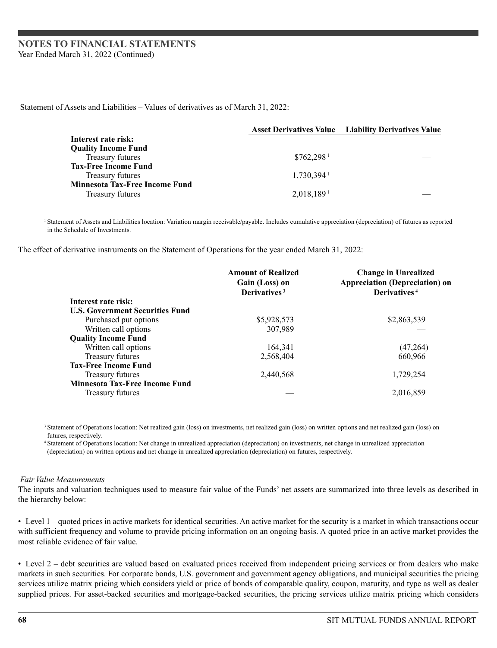Statement of Assets and Liabilities – Values of derivatives as of March 31, 2022:

|                                       |                          | <b>Asset Derivatives Value Liability Derivatives Value</b> |
|---------------------------------------|--------------------------|------------------------------------------------------------|
| Interest rate risk:                   |                          |                                                            |
| <b>Quality Income Fund</b>            |                          |                                                            |
| Treasury futures                      | $$762,298$ <sup>1</sup>  |                                                            |
| <b>Tax-Free Income Fund</b>           |                          |                                                            |
| Treasury futures                      | $1,730,394$ <sup>1</sup> |                                                            |
| <b>Minnesota Tax-Free Income Fund</b> |                          |                                                            |
| Treasury futures                      | 2,018,189 <sup>1</sup>   |                                                            |

<sup>1</sup> Statement of Assets and Liabilities location: Variation margin receivable/payable. Includes cumulative appreciation (depreciation) of futures as reported in the Schedule of Investments.

The effect of derivative instruments on the Statement of Operations for the year ended March 31, 2022:

|                                        | <b>Amount of Realized</b><br>Gain (Loss) on<br>Derivatives <sup>3</sup> | <b>Change in Unrealized</b><br><b>Appreciation (Depreciation) on</b><br>Derivatives <sup>4</sup> |
|----------------------------------------|-------------------------------------------------------------------------|--------------------------------------------------------------------------------------------------|
| Interest rate risk:                    |                                                                         |                                                                                                  |
| <b>U.S. Government Securities Fund</b> |                                                                         |                                                                                                  |
| Purchased put options                  | \$5,928,573                                                             | \$2,863,539                                                                                      |
| Written call options                   | 307,989                                                                 |                                                                                                  |
| <b>Quality Income Fund</b>             |                                                                         |                                                                                                  |
| Written call options                   | 164,341                                                                 | (47,264)                                                                                         |
| Treasury futures                       | 2,568,404                                                               | 660,966                                                                                          |
| <b>Tax-Free Income Fund</b>            |                                                                         |                                                                                                  |
| Treasury futures                       | 2,440,568                                                               | 1,729,254                                                                                        |
| Minnesota Tax-Free Income Fund         |                                                                         |                                                                                                  |
| Treasury futures                       |                                                                         | 2,016,859                                                                                        |

<sup>3</sup> Statement of Operations location: Net realized gain (loss) on investments, net realized gain (loss) on written options and net realized gain (loss) on futures, respectively.

<sup>4</sup> Statement of Operations location: Net change in unrealized appreciation (depreciation) on investments, net change in unrealized appreciation

(depreciation) on written options and net change in unrealized appreciation (depreciation) on futures, respectively.

#### *Fair Value Measurements*

The inputs and valuation techniques used to measure fair value of the Funds' net assets are summarized into three levels as described in the hierarchy below:

• Level 1 – quoted prices in active markets for identical securities. An active market for the security is a market in which transactions occur with sufficient frequency and volume to provide pricing information on an ongoing basis. A quoted price in an active market provides the most reliable evidence of fair value.

• Level 2 – debt securities are valued based on evaluated prices received from independent pricing services or from dealers who make markets in such securities. For corporate bonds, U.S. government and government agency obligations, and municipal securities the pricing services utilize matrix pricing which considers yield or price of bonds of comparable quality, coupon, maturity, and type as well as dealer supplied prices. For asset-backed securities and mortgage-backed securities, the pricing services utilize matrix pricing which considers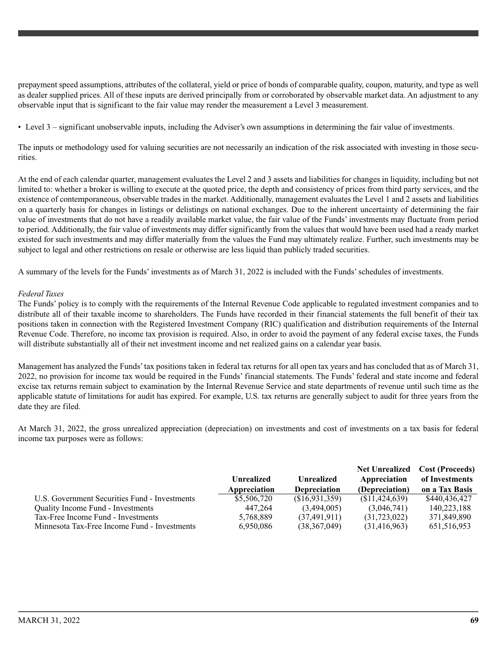prepayment speed assumptions, attributes of the collateral, yield or price of bonds of comparable quality, coupon, maturity, and type as well as dealer supplied prices. All of these inputs are derived principally from or corroborated by observable market data. An adjustment to any observable input that is significant to the fair value may render the measurement a Level 3 measurement.

• Level 3 – significant unobservable inputs, including the Adviser's own assumptions in determining the fair value of investments.

The inputs or methodology used for valuing securities are not necessarily an indication of the risk associated with investing in those securities.

At the end of each calendar quarter, management evaluates the Level 2 and 3 assets and liabilities for changes in liquidity, including but not limited to: whether a broker is willing to execute at the quoted price, the depth and consistency of prices from third party services, and the existence of contemporaneous, observable trades in the market. Additionally, management evaluates the Level 1 and 2 assets and liabilities on a quarterly basis for changes in listings or delistings on national exchanges. Due to the inherent uncertainty of determining the fair value of investments that do not have a readily available market value, the fair value of the Funds' investments may fluctuate from period to period. Additionally, the fair value of investments may differ significantly from the values that would have been used had a ready market existed for such investments and may differ materially from the values the Fund may ultimately realize. Further, such investments may be subject to legal and other restrictions on resale or otherwise are less liquid than publicly traded securities.

A summary of the levels for the Funds' investments as of March 31, 2022 is included with the Funds' schedules of investments.

#### *Federal Taxes*

The Funds' policy is to comply with the requirements of the Internal Revenue Code applicable to regulated investment companies and to distribute all of their taxable income to shareholders. The Funds have recorded in their financial statements the full benefit of their tax positions taken in connection with the Registered Investment Company (RIC) qualification and distribution requirements of the Internal Revenue Code. Therefore, no income tax provision is required. Also, in order to avoid the payment of any federal excise taxes, the Funds will distribute substantially all of their net investment income and net realized gains on a calendar year basis.

Management has analyzed the Funds' tax positions taken in federal tax returns for all open tax years and has concluded that as of March 31, 2022, no provision for income tax would be required in the Funds' financial statements. The Funds' federal and state income and federal excise tax returns remain subject to examination by the Internal Revenue Service and state departments of revenue until such time as the applicable statute of limitations for audit has expired. For example, U.S. tax returns are generally subject to audit for three years from the date they are filed.

At March 31, 2022, the gross unrealized appreciation (depreciation) on investments and cost of investments on a tax basis for federal income tax purposes were as follows:

|                                               |                   |                     | <b>Net Unrealized</b> | <b>Cost (Proceeds)</b> |
|-----------------------------------------------|-------------------|---------------------|-----------------------|------------------------|
|                                               | <b>Unrealized</b> | <b>Unrealized</b>   | Appreciation          | of Investments         |
|                                               | Appreciation      | <b>Depreciation</b> | (Depreciation)        | on a Tax Basis         |
| U.S. Government Securities Fund - Investments | \$5,506,720       | (\$16,931,359)      | (S11, 424, 639)       | \$440,436,427          |
| Quality Income Fund - Investments             | 447.264           | (3.494.005)         | (3,046,741)           | 140.223.188            |
| Tax-Free Income Fund - Investments            | 5,768,889         | (37, 491, 911)      | (31,723,022)          | 371,849,890            |
| Minnesota Tax-Free Income Fund - Investments  | 6,950,086         | (38,367,049)        | (31, 416, 963)        | 651,516,953            |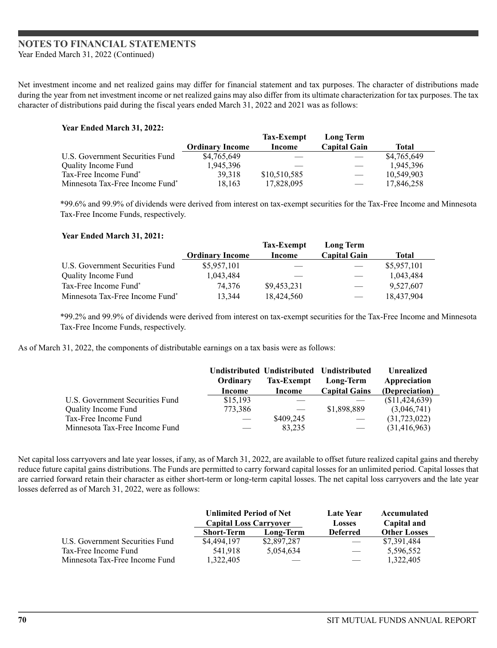#### **NOTES TO FINANCIAL STATEMENTS** Year Ended March 31, 2022 (Continued)

Net investment income and net realized gains may differ for financial statement and tax purposes. The character of distributions made during the year from net investment income or net realized gains may also differ from its ultimate characterization for tax purposes. The tax character of distributions paid during the fiscal years ended March 31, 2022 and 2021 was as follows:

#### **Year Ended March 31, 2022:**

|                                             |                        | Tax-Exempt   | Long Term           |             |
|---------------------------------------------|------------------------|--------------|---------------------|-------------|
|                                             | <b>Ordinary Income</b> | Income       | <b>Capital Gain</b> | Total       |
| U.S. Government Securities Fund             | \$4,765,649            |              |                     | \$4,765,649 |
| <b>Ouality Income Fund</b>                  | 1.945.396              |              |                     | 1.945.396   |
| Tax-Free Income Fund <sup>*</sup>           | 39.318                 | \$10,510,585 | $\hspace{0.05cm}$   | 10.549.903  |
| Minnesota Tax-Free Income Fund <sup>*</sup> | 18.163                 | 17,828,095   |                     | 17,846,258  |

\*99.6% and 99.9% of dividends were derived from interest on tax-exempt securities for the Tax-Free Income and Minnesota Tax-Free Income Funds, respectively.

#### **Year Ended March 31, 2021:**

|                                 |                        | Tax-Exempt  | Long Term           |             |
|---------------------------------|------------------------|-------------|---------------------|-------------|
|                                 | <b>Ordinary Income</b> | Income      | <b>Capital Gain</b> | Total       |
| U.S. Government Securities Fund | \$5,957,101            |             |                     | \$5,957,101 |
| <b>Ouality Income Fund</b>      | 1,043,484              |             |                     | 1.043.484   |
| Tax-Free Income Fund*           | 74.376                 | \$9.453,231 |                     | 9.527.607   |
| Minnesota Tax-Free Income Fund* | 13.344                 | 18,424,560  |                     | 18,437,904  |

\*99.2% and 99.9% of dividends were derived from interest on tax-exempt securities for the Tax-Free Income and Minnesota Tax-Free Income Funds, respectively.

As of March 31, 2022, the components of distributable earnings on a tax basis were as follows:

|                                 | Ordinary<br>Income | Undistributed Undistributed Undistributed<br><b>Tax-Exempt</b><br>Income | Long-Term<br><b>Capital Gains</b> | Unrealized<br>Appreciation<br>(Depreciation) |
|---------------------------------|--------------------|--------------------------------------------------------------------------|-----------------------------------|----------------------------------------------|
| U.S. Government Securities Fund | \$15,193           |                                                                          |                                   | (\$11,424,639)                               |
| <b>Quality Income Fund</b>      | 773,386            |                                                                          | \$1,898,889                       | (3,046,741)                                  |
| Tax-Free Income Fund            |                    | \$409,245                                                                |                                   | (31,723,022)                                 |
| Minnesota Tax-Free Income Fund  |                    | 83,235                                                                   |                                   | (31, 416, 963)                               |

Net capital loss carryovers and late year losses, if any, as of March 31, 2022, are available to offset future realized capital gains and thereby reduce future capital gains distributions. The Funds are permitted to carry forward capital losses for an unlimited period. Capital losses that are carried forward retain their character as either short-term or long-term capital losses. The net capital loss carryovers and the late year losses deferred as of March 31, 2022, were as follows:

|                                 | <b>Unlimited Period of Net</b><br><b>Capital Loss Carryover</b> |             | <b>Late Year</b><br><b>Losses</b> | Accumulated<br>Capital and |
|---------------------------------|-----------------------------------------------------------------|-------------|-----------------------------------|----------------------------|
|                                 |                                                                 |             |                                   |                            |
|                                 | <b>Short-Term</b>                                               | Long-Term   | <b>Deferred</b>                   | <b>Other Losses</b>        |
| U.S. Government Securities Fund | \$4,494,197                                                     | \$2,897,287 |                                   | \$7,391,484                |
| Tax-Free Income Fund            | 541.918                                                         | 5.054.634   |                                   | 5,596,552                  |
| Minnesota Tax-Free Income Fund  | 1,322,405                                                       |             | $\overline{\phantom{a}}$          | 1,322,405                  |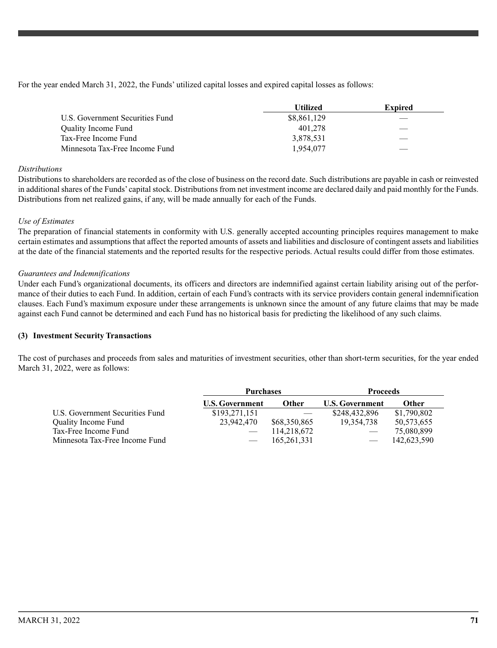For the year ended March 31, 2022, the Funds' utilized capital losses and expired capital losses as follows:

|                                 | <b>Utilized</b> | <b>Expired</b> |
|---------------------------------|-----------------|----------------|
| U.S. Government Securities Fund | \$8,861,129     |                |
| <b>Ouality Income Fund</b>      | 401.278         |                |
| Tax-Free Income Fund            | 3,878,531       |                |
| Minnesota Tax-Free Income Fund  | 1.954.077       |                |

## *Distributions*

Distributions to shareholders are recorded as of the close of business on the record date. Such distributions are payable in cash or reinvested in additional shares of the Funds' capital stock. Distributions from net investment income are declared daily and paid monthly for the Funds. Distributions from net realized gains, if any, will be made annually for each of the Funds.

## *Use of Estimates*

The preparation of financial statements in conformity with U.S. generally accepted accounting principles requires management to make certain estimates and assumptions that affect the reported amounts of assets and liabilities and disclosure of contingent assets and liabilities at the date of the financial statements and the reported results for the respective periods. Actual results could differ from those estimates.

## *Guarantees and Indemnifications*

Under each Fund's organizational documents, its officers and directors are indemnified against certain liability arising out of the performance of their duties to each Fund. In addition, certain of each Fund's contracts with its service providers contain general indemnification clauses. Each Fund's maximum exposure under these arrangements is unknown since the amount of any future claims that may be made against each Fund cannot be determined and each Fund has no historical basis for predicting the likelihood of any such claims.

## **(3) Investment Security Transactions**

The cost of purchases and proceeds from sales and maturities of investment securities, other than short-term securities, for the year ended March 31, 2022, were as follows:

|                                 | <b>Purchases</b>       |              | <b>Proceeds</b>          |              |
|---------------------------------|------------------------|--------------|--------------------------|--------------|
|                                 | <b>U.S. Government</b> | Other        | <b>U.S. Government</b>   | <b>Other</b> |
| U.S. Government Securities Fund | \$193,271,151          |              | \$248,432,896            | \$1,790,802  |
| <b>Quality Income Fund</b>      | 23.942.470             | \$68,350,865 | 19,354,738               | 50,573,655   |
| Tax-Free Income Fund            |                        | 114,218,672  | $\overline{\phantom{a}}$ | 75,080,899   |
| Minnesota Tax-Free Income Fund  | $\hspace{0.05cm}$      | 165,261,331  | $\overline{\phantom{a}}$ | 142,623,590  |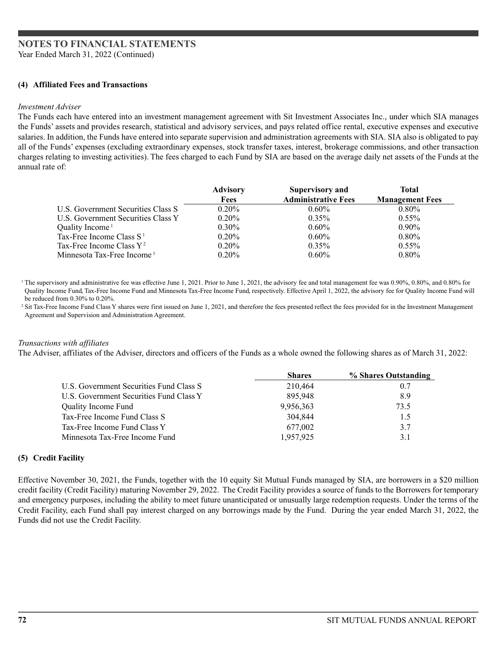## **NOTES TO FINANCIAL STATEMENTS** Year Ended March 31, 2022 (Continued)

## **(4) Affiliated Fees and Transactions**

#### *Investment Adviser*

The Funds each have entered into an investment management agreement with Sit Investment Associates Inc., under which SIA manages the Funds' assets and provides research, statistical and advisory services, and pays related office rental, executive expenses and executive salaries. In addition, the Funds have entered into separate supervision and administration agreements with SIA. SIA also is obligated to pay all of the Funds' expenses (excluding extraordinary expenses, stock transfer taxes, interest, brokerage commissions, and other transaction charges relating to investing activities). The fees charged to each Fund by SIA are based on the average daily net assets of the Funds at the annual rate of:

|                                        | <b>Advisory</b> | Supervisory and            | Total                  |
|----------------------------------------|-----------------|----------------------------|------------------------|
|                                        | Fees            | <b>Administrative Fees</b> | <b>Management Fees</b> |
| U.S. Government Securities Class S     | $0.20\%$        | $0.60\%$                   | $0.80\%$               |
| U.S. Government Securities Class Y     | $0.20\%$        | $0.35\%$                   | $0.55\%$               |
| Quality Income <sup>1</sup>            | $0.30\%$        | $0.60\%$                   | $0.90\%$               |
| Tax-Free Income Class $S1$             | 0.20%           | $0.60\%$                   | 0.80%                  |
| Tax-Free Income Class $Y^2$            | $0.20\%$        | $0.35\%$                   | $0.55\%$               |
| Minnesota Tax-Free Income <sup>1</sup> | $0.20\%$        | $0.60\%$                   | 0.80%                  |

<sup>1</sup> The supervisory and administrative fee was effective June 1, 2021. Prior to June 1, 2021, the advisory fee and total management fee was 0.90%, 0.80%, and 0.80% for Quality Income Fund, Tax-Free Income Fund and Minnesota Tax-Free Income Fund, respectively. Effective April 1, 2022, the advisory fee for Quality Income Fund will be reduced from 0.30% to 0.20%.

 $^2$  Sit Tax-Free Income Fund Class Y shares were first issued on June 1, 2021, and therefore the fees presented reflect the fees provided for in the Investment Management Agreement and Supervision and Administration Agreement.

#### *Transactions with affiliates*

The Adviser, affiliates of the Adviser, directors and officers of the Funds as a whole owned the following shares as of March 31, 2022:

|                                         | <b>Shares</b> | % Shares Outstanding |
|-----------------------------------------|---------------|----------------------|
| U.S. Government Securities Fund Class S | 210,464       | 0.7                  |
| U.S. Government Securities Fund Class Y | 895,948       | 8.9                  |
| <b>Ouality Income Fund</b>              | 9,956,363     | 73.5                 |
| Tax-Free Income Fund Class S            | 304.844       | 1.5                  |
| Tax-Free Income Fund Class Y            | 677,002       | 3.7                  |
| Minnesota Tax-Free Income Fund          | 1.957.925     | 3.1                  |

## **(5) Credit Facility**

Effective November 30, 2021, the Funds, together with the 10 equity Sit Mutual Funds managed by SIA, are borrowers in a \$20 million credit facility (Credit Facility) maturing November 29, 2022. The Credit Facility provides a source of funds to the Borrowers for temporary and emergency purposes, including the ability to meet future unanticipated or unusually large redemption requests. Under the terms of the Credit Facility, each Fund shall pay interest charged on any borrowings made by the Fund. During the year ended March 31, 2022, the Funds did not use the Credit Facility.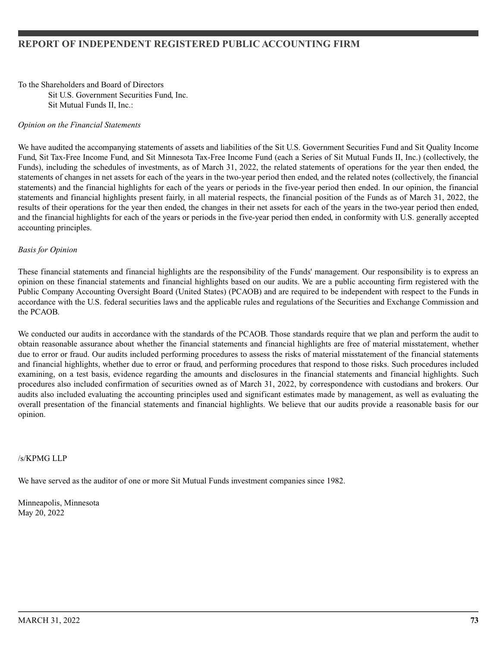# **REPORT OF INDEPENDENT REGISTERED PUBLIC ACCOUNTING FIRM**

To the Shareholders and Board of Directors Sit U.S. Government Securities Fund, Inc. Sit Mutual Funds II, Inc.:

#### *Opinion on the Financial Statements*

We have audited the accompanying statements of assets and liabilities of the Sit U.S. Government Securities Fund and Sit Quality Income Fund, Sit Tax-Free Income Fund, and Sit Minnesota Tax-Free Income Fund (each a Series of Sit Mutual Funds II, Inc.) (collectively, the Funds), including the schedules of investments, as of March 31, 2022, the related statements of operations for the year then ended, the statements of changes in net assets for each of the years in the two-year period then ended, and the related notes (collectively, the financial statements) and the financial highlights for each of the years or periods in the five-year period then ended. In our opinion, the financial statements and financial highlights present fairly, in all material respects, the financial position of the Funds as of March 31, 2022, the results of their operations for the year then ended, the changes in their net assets for each of the years in the two-year period then ended, and the financial highlights for each of the years or periods in the five-year period then ended, in conformity with U.S. generally accepted accounting principles.

#### *Basis for Opinion*

These financial statements and financial highlights are the responsibility of the Funds' management. Our responsibility is to express an opinion on these financial statements and financial highlights based on our audits. We are a public accounting firm registered with the Public Company Accounting Oversight Board (United States) (PCAOB) and are required to be independent with respect to the Funds in accordance with the U.S. federal securities laws and the applicable rules and regulations of the Securities and Exchange Commission and the PCAOB.

We conducted our audits in accordance with the standards of the PCAOB. Those standards require that we plan and perform the audit to obtain reasonable assurance about whether the financial statements and financial highlights are free of material misstatement, whether due to error or fraud. Our audits included performing procedures to assess the risks of material misstatement of the financial statements and financial highlights, whether due to error or fraud, and performing procedures that respond to those risks. Such procedures included examining, on a test basis, evidence regarding the amounts and disclosures in the financial statements and financial highlights. Such procedures also included confirmation of securities owned as of March 31, 2022, by correspondence with custodians and brokers. Our audits also included evaluating the accounting principles used and significant estimates made by management, as well as evaluating the overall presentation of the financial statements and financial highlights. We believe that our audits provide a reasonable basis for our opinion.

## /s/KPMG LLP

We have served as the auditor of one or more Sit Mutual Funds investment companies since 1982.

Minneapolis, Minnesota May 20, 2022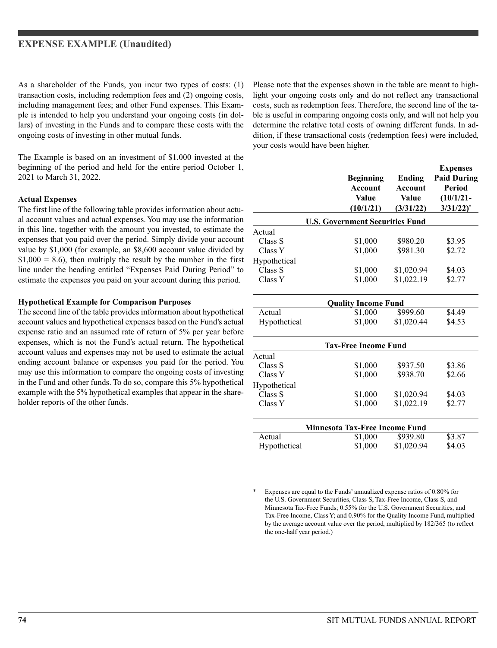## **EXPENSE EXAMPLE (Unaudited)**

As a shareholder of the Funds, you incur two types of costs: (1) transaction costs, including redemption fees and (2) ongoing costs, including management fees; and other Fund expenses. This Example is intended to help you understand your ongoing costs (in dollars) of investing in the Funds and to compare these costs with the ongoing costs of investing in other mutual funds.

The Example is based on an investment of \$1,000 invested at the beginning of the period and held for the entire period October 1, 2021 to March 31, 2022.

#### **Actual Expenses**

The first line of the following table provides information about actual account values and actual expenses. You may use the information in this line, together with the amount you invested, to estimate the expenses that you paid over the period. Simply divide your account value by \$1,000 (for example, an \$8,600 account value divided by  $$1,000 = 8.6$ , then multiply the result by the number in the first line under the heading entitled "Expenses Paid During Period" to estimate the expenses you paid on your account during this period.

## **Hypothetical Example for Comparison Purposes**

The second line of the table provides information about hypothetical account values and hypothetical expenses based on the Fund's actual expense ratio and an assumed rate of return of 5% per year before expenses, which is not the Fund's actual return. The hypothetical account values and expenses may not be used to estimate the actual ending account balance or expenses you paid for the period. You may use this information to compare the ongoing costs of investing in the Fund and other funds. To do so, compare this 5% hypothetical example with the 5% hypothetical examples that appear in the shareholder reports of the other funds.

Please note that the expenses shown in the table are meant to highlight your ongoing costs only and do not reflect any transactional costs, such as redemption fees. Therefore, the second line of the table is useful in comparing ongoing costs only, and will not help you determine the relative total costs of owning different funds. In addition, if these transactional costs (redemption fees) were included, your costs would have been higher.

|              | <b>Beginning</b><br>Account<br>Value<br>(10/1/21) | Ending<br>Account<br>Value<br>(3/31/22) | <b>Expenses</b><br><b>Paid During</b><br><b>Period</b><br>$(10/1/21 -$<br>$3/31/22$ <sup>*</sup> |
|--------------|---------------------------------------------------|-----------------------------------------|--------------------------------------------------------------------------------------------------|
|              | <b>U.S. Government Securities Fund</b>            |                                         |                                                                                                  |
| Actual       |                                                   |                                         |                                                                                                  |
| Class S      | \$1,000                                           | \$980.20                                | \$3.95                                                                                           |
| Class Y      | \$1,000                                           | \$981.30                                | \$2.72                                                                                           |
| Hypothetical |                                                   |                                         |                                                                                                  |
| Class S      | \$1,000                                           | \$1,020.94                              | \$4.03                                                                                           |
| Class Y      | \$1,000                                           | \$1,022.19                              | \$2.77                                                                                           |
|              | <b>Quality Income Fund</b>                        |                                         |                                                                                                  |
| Actual       | \$1,000                                           | \$999.60                                | \$4.49                                                                                           |
| Hypothetical | \$1,000                                           | \$1,020.44                              | \$4.53                                                                                           |
|              | <b>Tax-Free Income Fund</b>                       |                                         |                                                                                                  |
| Actual       |                                                   |                                         |                                                                                                  |
| Class S      | \$1,000                                           | \$937.50                                | \$3.86                                                                                           |
| Class Y      | \$1,000                                           | \$938.70                                | \$2.66                                                                                           |
| Hypothetical |                                                   |                                         |                                                                                                  |
| Class S      | \$1,000                                           | \$1,020.94                              | \$4.03                                                                                           |
| Class Y      | \$1,000                                           | \$1,022.19                              | \$2.77                                                                                           |
|              | <b>Minnesota Tax-Free Income Fund</b>             |                                         |                                                                                                  |
| Actual       | \$1,000                                           | \$939.80                                | \$3.87                                                                                           |

| Minnesota Tax-Free Income Fund |         |            |        |  |
|--------------------------------|---------|------------|--------|--|
| Actual                         | \$1,000 | \$939.80   | \$3.87 |  |
| Hypothetical                   | \$1,000 | \$1,020.94 | \$4.03 |  |

Expenses are equal to the Funds' annualized expense ratios of 0.80% for the U.S. Government Securities, Class S, Tax-Free Income, Class S, and Minnesota Tax-Free Funds; 0.55% for the U.S. Government Securities, and Tax-Free Income, Class Y; and 0.90% for the Quality Income Fund, multiplied by the average account value over the period, multiplied by 182/365 (to reflect the one-half year period.)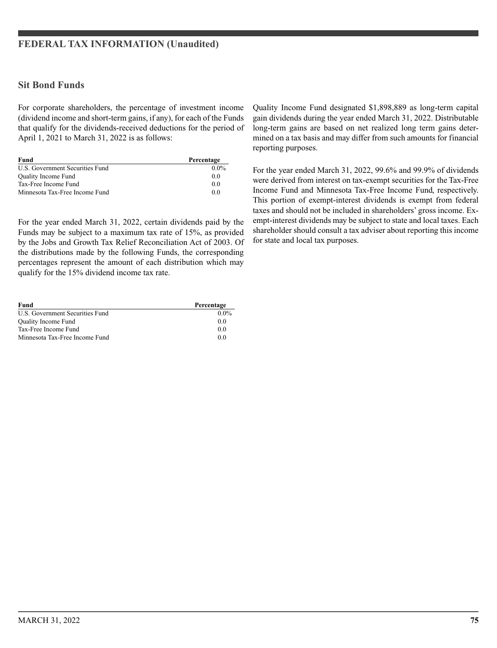# **FEDERAL TAX INFORMATION (Unaudited)**

## **Sit Bond Funds**

For corporate shareholders, the percentage of investment income (dividend income and short-term gains, if any), for each of the Funds that qualify for the dividends-received deductions for the period of April 1, 2021 to March 31, 2022 is as follows:

| Fund                            | Percentage |
|---------------------------------|------------|
| U.S. Government Securities Fund | $0.0\%$    |
| <b>Quality Income Fund</b>      | 0.0        |
| Tax-Free Income Fund            | 0.0        |
| Minnesota Tax-Free Income Fund  | 0.0        |

For the year ended March 31, 2022, certain dividends paid by the Funds may be subject to a maximum tax rate of 15%, as provided by the Jobs and Growth Tax Relief Reconciliation Act of 2003. Of the distributions made by the following Funds, the corresponding percentages represent the amount of each distribution which may qualify for the 15% dividend income tax rate.

| Fund                            | Percentage |
|---------------------------------|------------|
| U.S. Government Securities Fund | $0.0\%$    |
| <b>Quality Income Fund</b>      | 0.0        |
| Tax-Free Income Fund            | 0.0        |
| Minnesota Tax-Free Income Fund  | 00         |

Quality Income Fund designated \$1,898,889 as long-term capital gain dividends during the year ended March 31, 2022. Distributable long-term gains are based on net realized long term gains determined on a tax basis and may differ from such amounts for financial reporting purposes.

For the year ended March 31, 2022, 99.6% and 99.9% of dividends were derived from interest on tax-exempt securities for the Tax-Free Income Fund and Minnesota Tax-Free Income Fund, respectively. This portion of exempt-interest dividends is exempt from federal taxes and should not be included in shareholders' gross income. Exempt-interest dividends may be subject to state and local taxes. Each shareholder should consult a tax adviser about reporting this income for state and local tax purposes.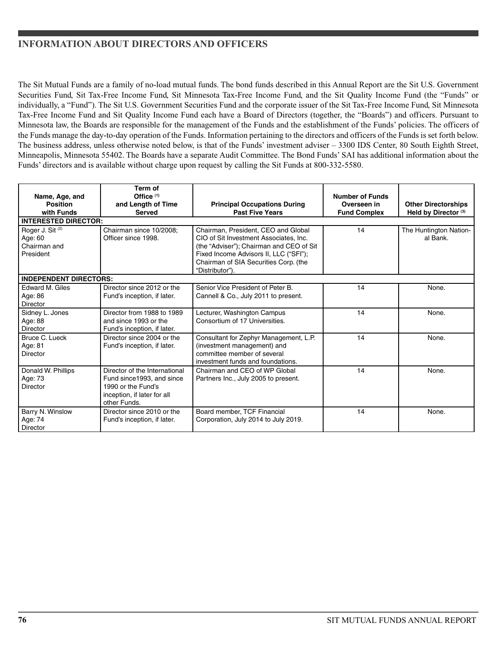# **INFORMATION ABOUT DIRECTORS AND OFFICERS**

The Sit Mutual Funds are a family of no-load mutual funds. The bond funds described in this Annual Report are the Sit U.S. Government Securities Fund, Sit Tax-Free Income Fund, Sit Minnesota Tax-Free Income Fund, and the Sit Quality Income Fund (the "Funds" or individually, a "Fund"). The Sit U.S. Government Securities Fund and the corporate issuer of the Sit Tax-Free Income Fund, Sit Minnesota Tax-Free Income Fund and Sit Quality Income Fund each have a Board of Directors (together, the "Boards") and officers. Pursuant to Minnesota law, the Boards are responsible for the management of the Funds and the establishment of the Funds' policies. The officers of the Funds manage the day-to-day operation of the Funds. Information pertaining to the directors and officers of the Funds is set forth below. The business address, unless otherwise noted below, is that of the Funds' investment adviser – 3300 IDS Center, 80 South Eighth Street, Minneapolis, Minnesota 55402. The Boards have a separate Audit Committee. The Bond Funds' SAI has additional information about the Funds' directors and is available without charge upon request by calling the Sit Funds at 800-332-5580.

| Name, Age, and<br><b>Position</b><br>with Funds                     | Term of<br>Office $(1)$<br>and Length of Time<br>Served                                                                          | <b>Principal Occupations During</b><br><b>Past Five Years</b>                                                                                                                                                                   | <b>Number of Funds</b><br>Overseen in<br><b>Fund Complex</b> | <b>Other Directorships</b><br>Held by Director <sup>(3)</sup> |
|---------------------------------------------------------------------|----------------------------------------------------------------------------------------------------------------------------------|---------------------------------------------------------------------------------------------------------------------------------------------------------------------------------------------------------------------------------|--------------------------------------------------------------|---------------------------------------------------------------|
| <b>INTERESTED DIRECTOR:</b>                                         |                                                                                                                                  |                                                                                                                                                                                                                                 |                                                              |                                                               |
| Roger J. Sit <sup>(2)</sup><br>Age: 60<br>Chairman and<br>President | Chairman since 10/2008;<br>Officer since 1998.                                                                                   | Chairman, President, CEO and Global<br>CIO of Sit Investment Associates, Inc.<br>(the "Adviser"); Chairman and CEO of Sit<br>Fixed Income Advisors II, LLC ("SFI");<br>Chairman of SIA Securities Corp. (the<br>"Distributor"). | 14                                                           | The Huntington Nation-<br>al Bank.                            |
| <b>INDEPENDENT DIRECTORS:</b>                                       |                                                                                                                                  |                                                                                                                                                                                                                                 |                                                              |                                                               |
| Edward M. Giles<br>Age: 86<br>Director                              | Director since 2012 or the<br>Fund's inception, if later.                                                                        | Senior Vice President of Peter B.<br>Cannell & Co., July 2011 to present.                                                                                                                                                       | 14                                                           | None.                                                         |
| Sidney L. Jones<br>Age: 88<br>Director                              | Director from 1988 to 1989<br>and since 1993 or the<br>Fund's inception, if later.                                               | Lecturer, Washington Campus<br>Consortium of 17 Universities.                                                                                                                                                                   | 14                                                           | None.                                                         |
| Bruce C. Lueck<br>Age: 81<br>Director                               | Director since 2004 or the<br>Fund's inception, if later.                                                                        | Consultant for Zephyr Management, L.P.<br>(investment management) and<br>committee member of several<br>investment funds and foundations.                                                                                       | 14                                                           | None.                                                         |
| Donald W. Phillips<br>Age: 73<br>Director                           | Director of the International<br>Fund since 1993, and since<br>1990 or the Fund's<br>inception, if later for all<br>other Funds. | Chairman and CEO of WP Global<br>Partners Inc., July 2005 to present.                                                                                                                                                           | 14                                                           | None.                                                         |
| Barry N. Winslow<br>Age: 74<br>Director                             | Director since 2010 or the<br>Fund's inception, if later.                                                                        | Board member, TCF Financial<br>Corporation, July 2014 to July 2019.                                                                                                                                                             | 14                                                           | None.                                                         |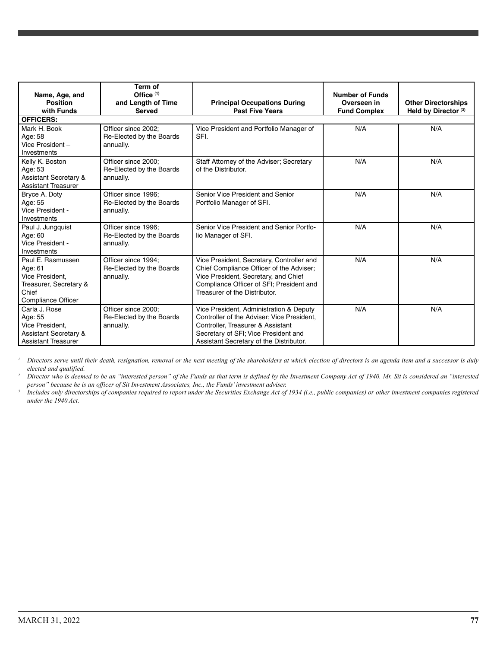| Name, Age, and<br><b>Position</b><br>with Funds                                                                 | Term of<br>Office <sup>(1)</sup><br>and Length of Time<br><b>Served</b> | <b>Principal Occupations During</b><br><b>Past Five Years</b>                                                                                                                                                 | <b>Number of Funds</b><br>Overseen in<br><b>Fund Complex</b> | <b>Other Directorships</b><br>Held by Director <sup>(3)</sup> |
|-----------------------------------------------------------------------------------------------------------------|-------------------------------------------------------------------------|---------------------------------------------------------------------------------------------------------------------------------------------------------------------------------------------------------------|--------------------------------------------------------------|---------------------------------------------------------------|
| <b>OFFICERS:</b>                                                                                                |                                                                         |                                                                                                                                                                                                               |                                                              |                                                               |
| Mark H. Book<br>Age: 58<br>Vice President-<br>Investments                                                       | Officer since 2002:<br>Re-Elected by the Boards<br>annually.            | Vice President and Portfolio Manager of<br>SFI.                                                                                                                                                               | N/A                                                          | N/A                                                           |
| Kelly K. Boston<br>Age: 53<br><b>Assistant Secretary &amp;</b><br><b>Assistant Treasurer</b>                    | Officer since 2000:<br>Re-Elected by the Boards<br>annually.            | Staff Attorney of the Adviser; Secretary<br>of the Distributor.                                                                                                                                               | N/A                                                          | N/A                                                           |
| Bryce A. Doty<br>Age: 55<br>Vice President -<br>Investments                                                     | Officer since 1996;<br>Re-Elected by the Boards<br>annually.            | Senior Vice President and Senior<br>Portfolio Manager of SFI.                                                                                                                                                 | N/A                                                          | N/A                                                           |
| Paul J. Jungquist<br>Age: 60<br>Vice President -<br>Investments                                                 | Officer since 1996:<br>Re-Elected by the Boards<br>annually.            | Senior Vice President and Senior Portfo-<br>lio Manager of SFI.                                                                                                                                               | N/A                                                          | N/A                                                           |
| Paul E. Rasmussen<br>Age: 61<br>Vice President.<br>Treasurer, Secretary &<br>Chief<br><b>Compliance Officer</b> | Officer since 1994;<br>Re-Elected by the Boards<br>annually.            | Vice President, Secretary, Controller and<br>Chief Compliance Officer of the Adviser;<br>Vice President, Secretary, and Chief<br>Compliance Officer of SFI; President and<br>Treasurer of the Distributor.    | N/A                                                          | N/A                                                           |
| Carla J. Rose<br>Age: 55<br>Vice President.<br><b>Assistant Secretary &amp;</b><br><b>Assistant Treasurer</b>   | Officer since 2000:<br>Re-Elected by the Boards<br>annually.            | Vice President, Administration & Deputy<br>Controller of the Adviser; Vice President,<br>Controller, Treasurer & Assistant<br>Secretary of SFI; Vice President and<br>Assistant Secretary of the Distributor. | N/A                                                          | N/A                                                           |

<sup>1</sup> Directors serve until their death, resignation, removal or the next meeting of the shareholders at which election of directors is an agenda item and a successor is duly *elected and qualified.*

<sup>2</sup> Director who is deemed to be an "interested person" of the Funds as that term is defined by the Investment Company Act of 1940. Mr. Sit is considered an "interested *person" because he is an officer of Sit Investment Associates, Inc., the Funds' investment adviser.*

<sup>3</sup> Includes only directorships of companies required to report under the Securities Exchange Act of 1934 (i.e., public companies) or other investment companies registered *under the 1940 Act.*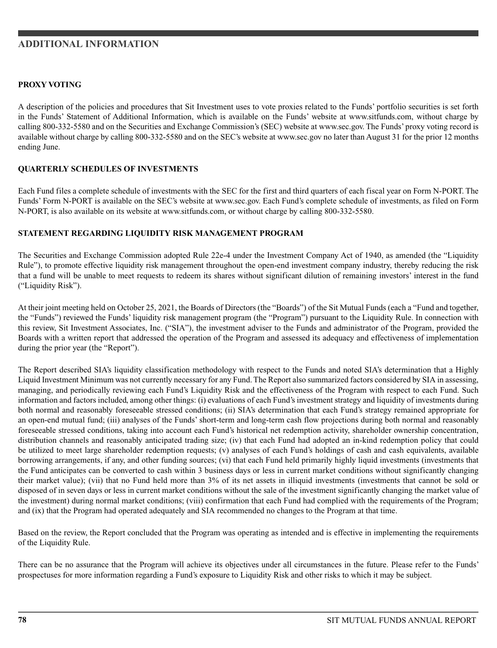# **ADDITIONAL INFORMATION**

## **PROXY VOTING**

A description of the policies and procedures that Sit Investment uses to vote proxies related to the Funds' portfolio securities is set forth in the Funds' Statement of Additional Information, which is available on the Funds' website at www.sitfunds.com, without charge by calling 800-332-5580 and on the Securities and Exchange Commission's (SEC) website at www.sec.gov. The Funds' proxy voting record is available without charge by calling 800-332-5580 and on the SEC's website at www.sec.gov no later than August 31 for the prior 12 months ending June.

## **QUARTERLY SCHEDULES OF INVESTMENTS**

Each Fund files a complete schedule of investments with the SEC for the first and third quarters of each fiscal year on Form N-PORT. The Funds' Form N-PORT is available on the SEC's website at www.sec.gov. Each Fund's complete schedule of investments, as filed on Form N-PORT, is also available on its website at www.sitfunds.com, or without charge by calling 800-332-5580.

## **STATEMENT REGARDING LIQUIDITY RISK MANAGEMENT PROGRAM**

The Securities and Exchange Commission adopted Rule 22e-4 under the Investment Company Act of 1940, as amended (the "Liquidity Rule"), to promote effective liquidity risk management throughout the open-end investment company industry, thereby reducing the risk that a fund will be unable to meet requests to redeem its shares without significant dilution of remaining investors' interest in the fund ("Liquidity Risk").

At their joint meeting held on October 25, 2021, the Boards of Directors (the "Boards") of the Sit Mutual Funds (each a "Fund and together, the "Funds") reviewed the Funds' liquidity risk management program (the "Program") pursuant to the Liquidity Rule. In connection with this review, Sit Investment Associates, Inc. ("SIA"), the investment adviser to the Funds and administrator of the Program, provided the Boards with a written report that addressed the operation of the Program and assessed its adequacy and effectiveness of implementation during the prior year (the "Report").

The Report described SIA's liquidity classification methodology with respect to the Funds and noted SIA's determination that a Highly Liquid Investment Minimum was not currently necessary for any Fund. The Report also summarized factors considered by SIA in assessing, managing, and periodically reviewing each Fund's Liquidity Risk and the effectiveness of the Program with respect to each Fund. Such information and factors included, among other things: (i) evaluations of each Fund's investment strategy and liquidity of investments during both normal and reasonably foreseeable stressed conditions; (ii) SIA's determination that each Fund's strategy remained appropriate for an open-end mutual fund; (iii) analyses of the Funds' short-term and long-term cash flow projections during both normal and reasonably foreseeable stressed conditions, taking into account each Fund's historical net redemption activity, shareholder ownership concentration, distribution channels and reasonably anticipated trading size; (iv) that each Fund had adopted an in-kind redemption policy that could be utilized to meet large shareholder redemption requests; (v) analyses of each Fund's holdings of cash and cash equivalents, available borrowing arrangements, if any, and other funding sources; (vi) that each Fund held primarily highly liquid investments (investments that the Fund anticipates can be converted to cash within 3 business days or less in current market conditions without significantly changing their market value); (vii) that no Fund held more than 3% of its net assets in illiquid investments (investments that cannot be sold or disposed of in seven days or less in current market conditions without the sale of the investment significantly changing the market value of the investment) during normal market conditions; (viii) confirmation that each Fund had complied with the requirements of the Program; and (ix) that the Program had operated adequately and SIA recommended no changes to the Program at that time.

Based on the review, the Report concluded that the Program was operating as intended and is effective in implementing the requirements of the Liquidity Rule.

There can be no assurance that the Program will achieve its objectives under all circumstances in the future. Please refer to the Funds' prospectuses for more information regarding a Fund's exposure to Liquidity Risk and other risks to which it may be subject.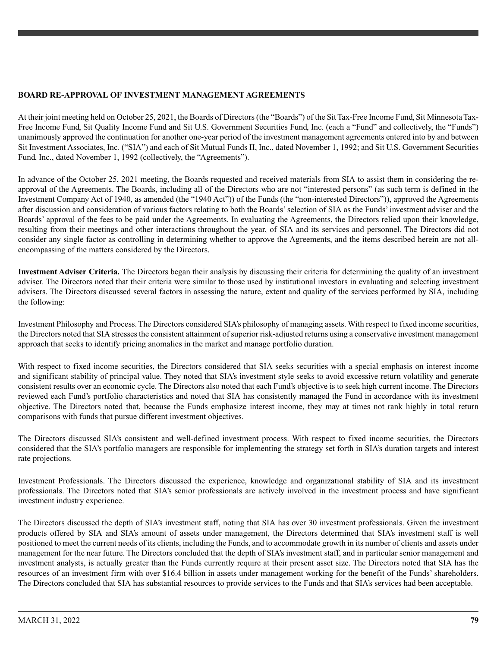## **BOARD RE-APPROVAL OF INVESTMENT MANAGEMENT AGREEMENTS**

At their joint meeting held on October 25, 2021, the Boards of Directors (the "Boards") of the Sit Tax-Free Income Fund, Sit Minnesota Tax-Free Income Fund, Sit Quality Income Fund and Sit U.S. Government Securities Fund, Inc. (each a "Fund" and collectively, the "Funds") unanimously approved the continuation for another one-year period of the investment management agreements entered into by and between Sit Investment Associates, Inc. ("SIA") and each of Sit Mutual Funds II, Inc., dated November 1, 1992; and Sit U.S. Government Securities Fund, Inc., dated November 1, 1992 (collectively, the "Agreements").

In advance of the October 25, 2021 meeting, the Boards requested and received materials from SIA to assist them in considering the reapproval of the Agreements. The Boards, including all of the Directors who are not "interested persons" (as such term is defined in the Investment Company Act of 1940, as amended (the "1940 Act")) of the Funds (the "non-interested Directors")), approved the Agreements after discussion and consideration of various factors relating to both the Boards' selection of SIA as the Funds' investment adviser and the Boards' approval of the fees to be paid under the Agreements. In evaluating the Agreements, the Directors relied upon their knowledge, resulting from their meetings and other interactions throughout the year, of SIA and its services and personnel. The Directors did not consider any single factor as controlling in determining whether to approve the Agreements, and the items described herein are not allencompassing of the matters considered by the Directors.

**Investment Adviser Criteria.** The Directors began their analysis by discussing their criteria for determining the quality of an investment adviser. The Directors noted that their criteria were similar to those used by institutional investors in evaluating and selecting investment advisers. The Directors discussed several factors in assessing the nature, extent and quality of the services performed by SIA, including the following:

Investment Philosophy and Process. The Directors considered SIA's philosophy of managing assets. With respect to fixed income securities, the Directors noted that SIA stresses the consistent attainment of superior risk-adjusted returns using a conservative investment management approach that seeks to identify pricing anomalies in the market and manage portfolio duration.

With respect to fixed income securities, the Directors considered that SIA seeks securities with a special emphasis on interest income and significant stability of principal value. They noted that SIA's investment style seeks to avoid excessive return volatility and generate consistent results over an economic cycle. The Directors also noted that each Fund's objective is to seek high current income. The Directors reviewed each Fund's portfolio characteristics and noted that SIA has consistently managed the Fund in accordance with its investment objective. The Directors noted that, because the Funds emphasize interest income, they may at times not rank highly in total return comparisons with funds that pursue different investment objectives.

The Directors discussed SIA's consistent and well-defined investment process. With respect to fixed income securities, the Directors considered that the SIA's portfolio managers are responsible for implementing the strategy set forth in SIA's duration targets and interest rate projections.

Investment Professionals. The Directors discussed the experience, knowledge and organizational stability of SIA and its investment professionals. The Directors noted that SIA's senior professionals are actively involved in the investment process and have significant investment industry experience.

The Directors discussed the depth of SIA's investment staff, noting that SIA has over 30 investment professionals. Given the investment products offered by SIA and SIA's amount of assets under management, the Directors determined that SIA's investment staff is well positioned to meet the current needs of its clients, including the Funds, and to accommodate growth in its number of clients and assets under management for the near future. The Directors concluded that the depth of SIA's investment staff, and in particular senior management and investment analysts, is actually greater than the Funds currently require at their present asset size. The Directors noted that SIA has the resources of an investment firm with over \$16.4 billion in assets under management working for the benefit of the Funds' shareholders. The Directors concluded that SIA has substantial resources to provide services to the Funds and that SIA's services had been acceptable.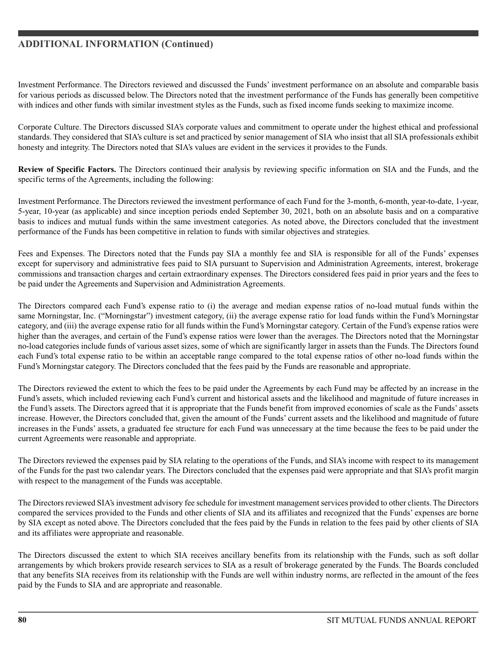# **ADDITIONAL INFORMATION (Continued)**

Investment Performance. The Directors reviewed and discussed the Funds' investment performance on an absolute and comparable basis for various periods as discussed below. The Directors noted that the investment performance of the Funds has generally been competitive with indices and other funds with similar investment styles as the Funds, such as fixed income funds seeking to maximize income.

Corporate Culture. The Directors discussed SIA's corporate values and commitment to operate under the highest ethical and professional standards. They considered that SIA's culture is set and practiced by senior management of SIA who insist that all SIA professionals exhibit honesty and integrity. The Directors noted that SIA's values are evident in the services it provides to the Funds.

**Review of Specific Factors.** The Directors continued their analysis by reviewing specific information on SIA and the Funds, and the specific terms of the Agreements, including the following:

Investment Performance. The Directors reviewed the investment performance of each Fund for the 3-month, 6-month, year-to-date, 1-year, 5-year, 10-year (as applicable) and since inception periods ended September 30, 2021, both on an absolute basis and on a comparative basis to indices and mutual funds within the same investment categories. As noted above, the Directors concluded that the investment performance of the Funds has been competitive in relation to funds with similar objectives and strategies.

Fees and Expenses. The Directors noted that the Funds pay SIA a monthly fee and SIA is responsible for all of the Funds' expenses except for supervisory and administrative fees paid to SIA pursuant to Supervision and Administration Agreements, interest, brokerage commissions and transaction charges and certain extraordinary expenses. The Directors considered fees paid in prior years and the fees to be paid under the Agreements and Supervision and Administration Agreements.

The Directors compared each Fund's expense ratio to (i) the average and median expense ratios of no-load mutual funds within the same Morningstar, Inc. ("Morningstar") investment category, (ii) the average expense ratio for load funds within the Fund's Morningstar category, and (iii) the average expense ratio for all funds within the Fund's Morningstar category. Certain of the Fund's expense ratios were higher than the averages, and certain of the Fund's expense ratios were lower than the averages. The Directors noted that the Morningstar no-load categories include funds of various asset sizes, some of which are significantly larger in assets than the Funds. The Directors found each Fund's total expense ratio to be within an acceptable range compared to the total expense ratios of other no-load funds within the Fund's Morningstar category. The Directors concluded that the fees paid by the Funds are reasonable and appropriate.

The Directors reviewed the extent to which the fees to be paid under the Agreements by each Fund may be affected by an increase in the Fund's assets, which included reviewing each Fund's current and historical assets and the likelihood and magnitude of future increases in the Fund's assets. The Directors agreed that it is appropriate that the Funds benefit from improved economies of scale as the Funds' assets increase. However, the Directors concluded that, given the amount of the Funds' current assets and the likelihood and magnitude of future increases in the Funds' assets, a graduated fee structure for each Fund was unnecessary at the time because the fees to be paid under the current Agreements were reasonable and appropriate.

The Directors reviewed the expenses paid by SIA relating to the operations of the Funds, and SIA's income with respect to its management of the Funds for the past two calendar years. The Directors concluded that the expenses paid were appropriate and that SIA's profit margin with respect to the management of the Funds was acceptable.

The Directors reviewed SIA's investment advisory fee schedule for investment management services provided to other clients. The Directors compared the services provided to the Funds and other clients of SIA and its affiliates and recognized that the Funds' expenses are borne by SIA except as noted above. The Directors concluded that the fees paid by the Funds in relation to the fees paid by other clients of SIA and its affiliates were appropriate and reasonable.

The Directors discussed the extent to which SIA receives ancillary benefits from its relationship with the Funds, such as soft dollar arrangements by which brokers provide research services to SIA as a result of brokerage generated by the Funds. The Boards concluded that any benefits SIA receives from its relationship with the Funds are well within industry norms, are reflected in the amount of the fees paid by the Funds to SIA and are appropriate and reasonable.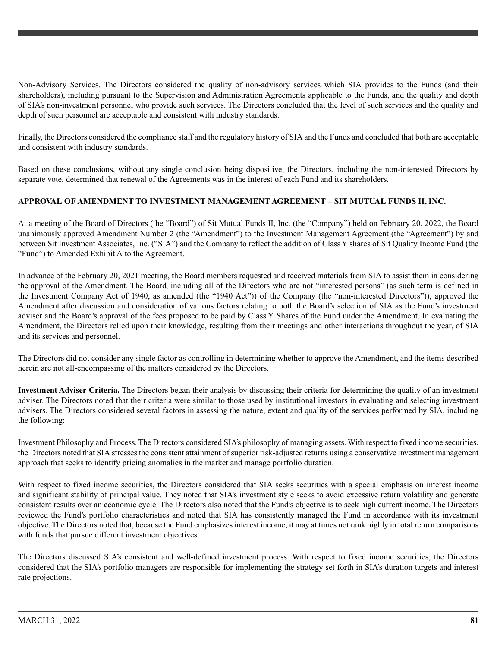Non-Advisory Services. The Directors considered the quality of non-advisory services which SIA provides to the Funds (and their shareholders), including pursuant to the Supervision and Administration Agreements applicable to the Funds, and the quality and depth of SIA's non-investment personnel who provide such services. The Directors concluded that the level of such services and the quality and depth of such personnel are acceptable and consistent with industry standards.

Finally, the Directors considered the compliance staff and the regulatory history of SIA and the Funds and concluded that both are acceptable and consistent with industry standards.

Based on these conclusions, without any single conclusion being dispositive, the Directors, including the non-interested Directors by separate vote, determined that renewal of the Agreements was in the interest of each Fund and its shareholders.

## **APPROVAL OF AMENDMENT TO INVESTMENT MANAGEMENT AGREEMENT – SIT MUTUAL FUNDS II, INC.**

At a meeting of the Board of Directors (the "Board") of Sit Mutual Funds II, Inc. (the "Company") held on February 20, 2022, the Board unanimously approved Amendment Number 2 (the "Amendment") to the Investment Management Agreement (the "Agreement") by and between Sit Investment Associates, Inc. ("SIA") and the Company to reflect the addition of Class Y shares of Sit Quality Income Fund (the "Fund") to Amended Exhibit A to the Agreement.

In advance of the February 20, 2021 meeting, the Board members requested and received materials from SIA to assist them in considering the approval of the Amendment. The Board, including all of the Directors who are not "interested persons" (as such term is defined in the Investment Company Act of 1940, as amended (the "1940 Act")) of the Company (the "non-interested Directors")), approved the Amendment after discussion and consideration of various factors relating to both the Board's selection of SIA as the Fund's investment adviser and the Board's approval of the fees proposed to be paid by Class Y Shares of the Fund under the Amendment. In evaluating the Amendment, the Directors relied upon their knowledge, resulting from their meetings and other interactions throughout the year, of SIA and its services and personnel.

The Directors did not consider any single factor as controlling in determining whether to approve the Amendment, and the items described herein are not all-encompassing of the matters considered by the Directors.

**Investment Adviser Criteria.** The Directors began their analysis by discussing their criteria for determining the quality of an investment adviser. The Directors noted that their criteria were similar to those used by institutional investors in evaluating and selecting investment advisers. The Directors considered several factors in assessing the nature, extent and quality of the services performed by SIA, including the following:

Investment Philosophy and Process.The Directors considered SIA's philosophy of managing assets. With respect to fixed income securities, the Directors noted that SIA stresses the consistent attainment of superior risk-adjusted returns using a conservative investment management approach that seeks to identify pricing anomalies in the market and manage portfolio duration.

With respect to fixed income securities, the Directors considered that SIA seeks securities with a special emphasis on interest income and significant stability of principal value. They noted that SIA's investment style seeks to avoid excessive return volatility and generate consistent results over an economic cycle. The Directors also noted that the Fund's objective is to seek high current income. The Directors reviewed the Fund's portfolio characteristics and noted that SIA has consistently managed the Fund in accordance with its investment objective. The Directors noted that, because the Fund emphasizes interest income, it may at times not rank highly in total return comparisons with funds that pursue different investment objectives.

The Directors discussed SIA's consistent and well-defined investment process. With respect to fixed income securities, the Directors considered that the SIA's portfolio managers are responsible for implementing the strategy set forth in SIA's duration targets and interest rate projections.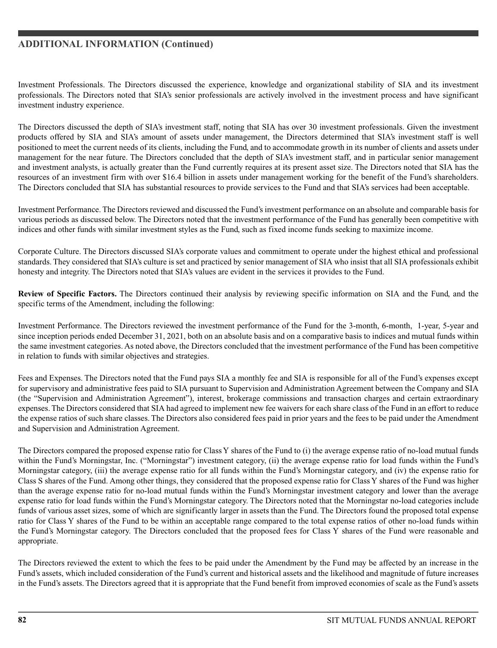# **ADDITIONAL INFORMATION (Continued)**

Investment Professionals. The Directors discussed the experience, knowledge and organizational stability of SIA and its investment professionals. The Directors noted that SIA's senior professionals are actively involved in the investment process and have significant investment industry experience.

The Directors discussed the depth of SIA's investment staff, noting that SIA has over 30 investment professionals. Given the investment products offered by SIA and SIA's amount of assets under management, the Directors determined that SIA's investment staff is well positioned to meet the current needs of its clients, including the Fund, and to accommodate growth in its number of clients and assets under management for the near future. The Directors concluded that the depth of SIA's investment staff, and in particular senior management and investment analysts, is actually greater than the Fund currently requires at its present asset size. The Directors noted that SIA has the resources of an investment firm with over \$16.4 billion in assets under management working for the benefit of the Fund's shareholders. The Directors concluded that SIA has substantial resources to provide services to the Fund and that SIA's services had been acceptable.

Investment Performance. The Directors reviewed and discussed the Fund's investment performance on an absolute and comparable basis for various periods as discussed below. The Directors noted that the investment performance of the Fund has generally been competitive with indices and other funds with similar investment styles as the Fund, such as fixed income funds seeking to maximize income.

Corporate Culture. The Directors discussed SIA's corporate values and commitment to operate under the highest ethical and professional standards. They considered that SIA's culture is set and practiced by senior management of SIA who insist that all SIA professionals exhibit honesty and integrity. The Directors noted that SIA's values are evident in the services it provides to the Fund.

**Review of Specific Factors.** The Directors continued their analysis by reviewing specific information on SIA and the Fund, and the specific terms of the Amendment, including the following:

Investment Performance. The Directors reviewed the investment performance of the Fund for the 3-month, 6-month, 1-year, 5-year and since inception periods ended December 31, 2021, both on an absolute basis and on a comparative basis to indices and mutual funds within the same investment categories. As noted above, the Directors concluded that the investment performance of the Fund has been competitive in relation to funds with similar objectives and strategies.

Fees and Expenses. The Directors noted that the Fund pays SIA a monthly fee and SIA is responsible for all of the Fund's expenses except for supervisory and administrative fees paid to SIA pursuant to Supervision and Administration Agreement between the Company and SIA (the "Supervision and Administration Agreement"), interest, brokerage commissions and transaction charges and certain extraordinary expenses. The Directors considered that SIA had agreed to implement new fee waivers for each share class of the Fund in an effort to reduce the expense ratios of such share classes. The Directors also considered fees paid in prior years and the fees to be paid under the Amendment and Supervision and Administration Agreement.

The Directors compared the proposed expense ratio for Class Y shares of the Fund to (i) the average expense ratio of no-load mutual funds within the Fund's Morningstar, Inc. ("Morningstar") investment category, (ii) the average expense ratio for load funds within the Fund's Morningstar category, (iii) the average expense ratio for all funds within the Fund's Morningstar category, and (iv) the expense ratio for Class S shares of the Fund. Among other things, they considered that the proposed expense ratio for Class Y shares of the Fund was higher than the average expense ratio for no-load mutual funds within the Fund's Morningstar investment category and lower than the average expense ratio for load funds within the Fund's Morningstar category. The Directors noted that the Morningstar no-load categories include funds of various asset sizes, some of which are significantly larger in assets than the Fund. The Directors found the proposed total expense ratio for Class Y shares of the Fund to be within an acceptable range compared to the total expense ratios of other no-load funds within the Fund's Morningstar category. The Directors concluded that the proposed fees for Class Y shares of the Fund were reasonable and appropriate.

The Directors reviewed the extent to which the fees to be paid under the Amendment by the Fund may be affected by an increase in the Fund's assets, which included consideration of the Fund's current and historical assets and the likelihood and magnitude of future increases in the Fund's assets. The Directors agreed that it is appropriate that the Fund benefit from improved economies of scale as the Fund's assets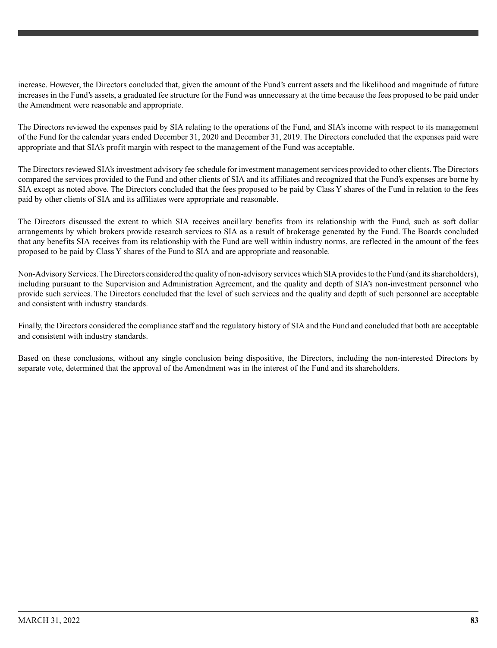increase. However, the Directors concluded that, given the amount of the Fund's current assets and the likelihood and magnitude of future increases in the Fund's assets, a graduated fee structure for the Fund was unnecessary at the time because the fees proposed to be paid under the Amendment were reasonable and appropriate.

The Directors reviewed the expenses paid by SIA relating to the operations of the Fund, and SIA's income with respect to its management of the Fund for the calendar years ended December 31, 2020 and December 31, 2019. The Directors concluded that the expenses paid were appropriate and that SIA's profit margin with respect to the management of the Fund was acceptable.

The Directors reviewed SIA's investment advisory fee schedule for investment management services provided to other clients. The Directors compared the services provided to the Fund and other clients of SIA and its affiliates and recognized that the Fund's expenses are borne by SIA except as noted above. The Directors concluded that the fees proposed to be paid by Class Y shares of the Fund in relation to the fees paid by other clients of SIA and its affiliates were appropriate and reasonable.

The Directors discussed the extent to which SIA receives ancillary benefits from its relationship with the Fund, such as soft dollar arrangements by which brokers provide research services to SIA as a result of brokerage generated by the Fund. The Boards concluded that any benefits SIA receives from its relationship with the Fund are well within industry norms, are reflected in the amount of the fees proposed to be paid by Class Y shares of the Fund to SIA and are appropriate and reasonable.

Non-Advisory Services.The Directors considered the quality of non-advisory services which SIA provides to the Fund (and its shareholders), including pursuant to the Supervision and Administration Agreement, and the quality and depth of SIA's non-investment personnel who provide such services. The Directors concluded that the level of such services and the quality and depth of such personnel are acceptable and consistent with industry standards.

Finally, the Directors considered the compliance staff and the regulatory history of SIA and the Fund and concluded that both are acceptable and consistent with industry standards.

Based on these conclusions, without any single conclusion being dispositive, the Directors, including the non-interested Directors by separate vote, determined that the approval of the Amendment was in the interest of the Fund and its shareholders.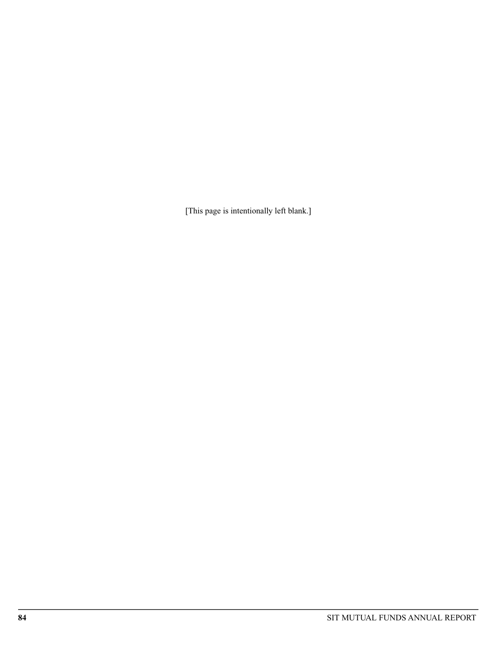[This page is intentionally left blank.]